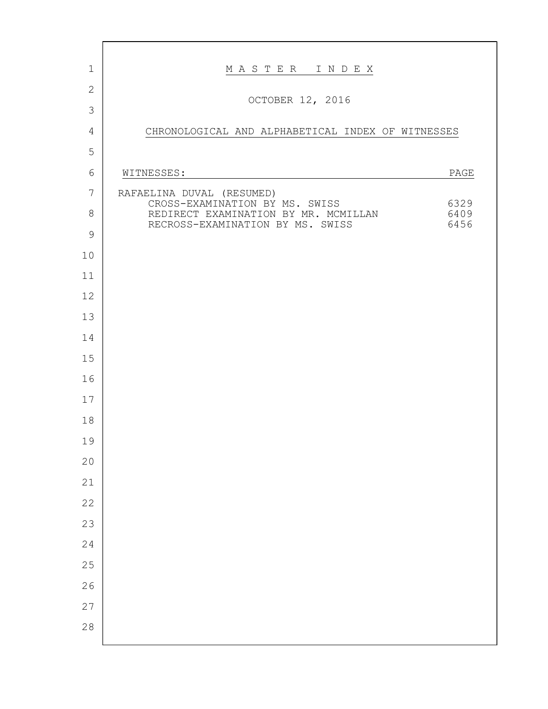| $\mathbf 1$    | MASTER INDEX                                                                             |
|----------------|------------------------------------------------------------------------------------------|
| $\overline{2}$ | OCTOBER 12, 2016                                                                         |
| $\mathcal{S}$  |                                                                                          |
| $\overline{4}$ | CHRONOLOGICAL AND ALPHABETICAL INDEX OF WITNESSES                                        |
| 5              |                                                                                          |
| 6              | WITNESSES:<br>PAGE                                                                       |
| 7              | RAFAELINA DUVAL (RESUMED)<br>CROSS-EXAMINATION BY MS. SWISS<br>6329                      |
| $\,8\,$        | REDIRECT EXAMINATION BY MR. MCMILLAN<br>6409<br>RECROSS-EXAMINATION BY MS. SWISS<br>6456 |
| $\mathcal{G}$  |                                                                                          |
| 10             |                                                                                          |
| 11             |                                                                                          |
| 12             |                                                                                          |
| 13             |                                                                                          |
| 14             |                                                                                          |
| 15             |                                                                                          |
| 16             |                                                                                          |
| 17             |                                                                                          |
| 18             |                                                                                          |
| 19             |                                                                                          |
| 20             |                                                                                          |
| 21             |                                                                                          |
| 22             |                                                                                          |
| 23             |                                                                                          |
| 24             |                                                                                          |
| 25             |                                                                                          |
| 26             |                                                                                          |
| 27             |                                                                                          |
| 28             |                                                                                          |
|                |                                                                                          |

г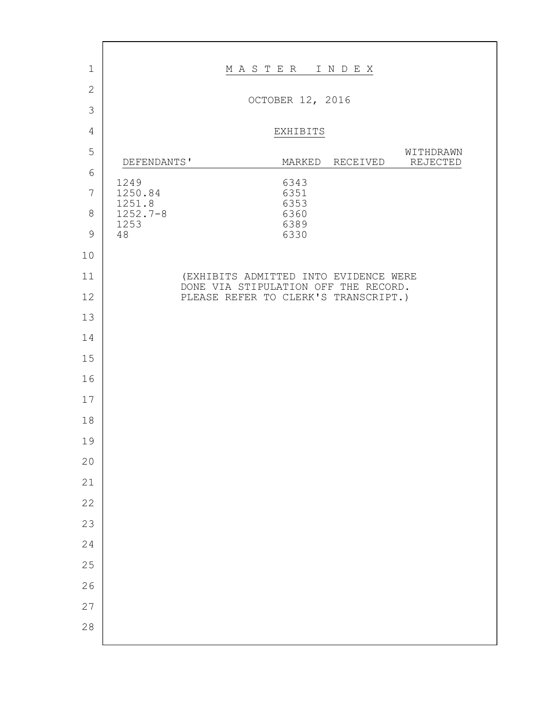| $\mathbf 1$    |                      | MASTER INDEX     |              |                                                                               |                       |
|----------------|----------------------|------------------|--------------|-------------------------------------------------------------------------------|-----------------------|
| $\overline{2}$ |                      | OCTOBER 12, 2016 |              |                                                                               |                       |
| 3              |                      |                  |              |                                                                               |                       |
| $\overline{4}$ |                      |                  | EXHIBITS     |                                                                               |                       |
| 5              | DEFENDANTS'          |                  | MARKED       | RECEIVED                                                                      | WITHDRAWN<br>REJECTED |
| 6              | 1249                 |                  | 6343         |                                                                               |                       |
| $\overline{7}$ | 1250.84<br>1251.8    |                  | 6351<br>6353 |                                                                               |                       |
| $8\,$          | $1252.7 - 8$<br>1253 |                  | 6360<br>6389 |                                                                               |                       |
| $\mathcal{G}$  | 48                   |                  | 6330         |                                                                               |                       |
| 10             |                      |                  |              |                                                                               |                       |
| 11             |                      |                  |              | (EXHIBITS ADMITTED INTO EVIDENCE WERE<br>DONE VIA STIPULATION OFF THE RECORD. |                       |
| 12             |                      |                  |              | PLEASE REFER TO CLERK'S TRANSCRIPT.)                                          |                       |
| 13             |                      |                  |              |                                                                               |                       |
| 14             |                      |                  |              |                                                                               |                       |
| 15             |                      |                  |              |                                                                               |                       |
| 16             |                      |                  |              |                                                                               |                       |
| 17             |                      |                  |              |                                                                               |                       |
| 18             |                      |                  |              |                                                                               |                       |
| 19<br>20       |                      |                  |              |                                                                               |                       |
| 21             |                      |                  |              |                                                                               |                       |
| 22             |                      |                  |              |                                                                               |                       |
| 23             |                      |                  |              |                                                                               |                       |
| 24             |                      |                  |              |                                                                               |                       |
| 25             |                      |                  |              |                                                                               |                       |
| 26             |                      |                  |              |                                                                               |                       |
| 27             |                      |                  |              |                                                                               |                       |
| $2\,8$         |                      |                  |              |                                                                               |                       |
|                |                      |                  |              |                                                                               |                       |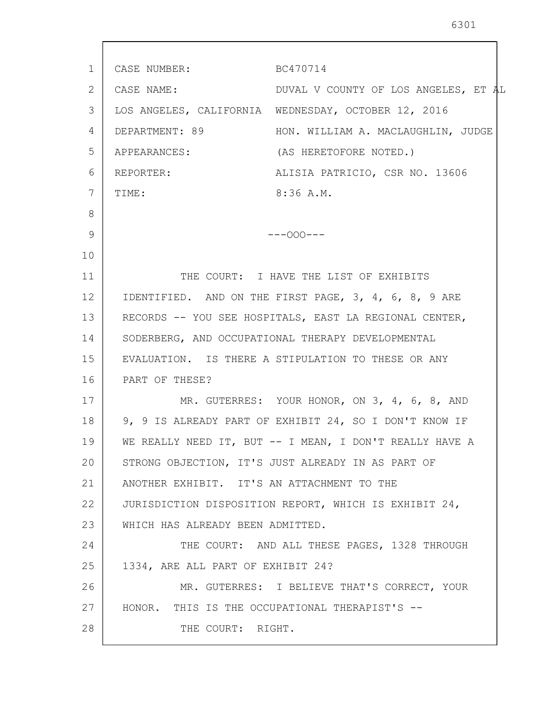1 2 3 4 5 6 7 8 9 10 11 12 13 14 15 16 17 18 19 20 21 22 23 24 25 26 27 28 CASE NUMBER: BC470714 CASE NAME: DUVAL V COUNTY OF LOS ANGELES, ET AL LOS ANGELES, CALIFORNIA WEDNESDAY, OCTOBER 12, 2016 DEPARTMENT: 89 HON. WILLIAM A. MACLAUGHLIN, JUDGE APPEARANCES: (AS HERETOFORE NOTED.) REPORTER: ALISIA PATRICIO, CSR NO. 13606 TIME: 8:36 A.M.  $---OOO---$ THE COURT: I HAVE THE LIST OF EXHIBITS IDENTIFIED. AND ON THE FIRST PAGE, 3, 4, 6, 8, 9 ARE RECORDS -- YOU SEE HOSPITALS, EAST LA REGIONAL CENTER, SODERBERG, AND OCCUPATIONAL THERAPY DEVELOPMENTAL EVALUATION. IS THERE A STIPULATION TO THESE OR ANY PART OF THESE? MR. GUTERRES: YOUR HONOR, ON 3, 4, 6, 8, AND 9, 9 IS ALREADY PART OF EXHIBIT 24, SO I DON'T KNOW IF WE REALLY NEED IT, BUT -- I MEAN, I DON'T REALLY HAVE A STRONG OBJECTION, IT'S JUST ALREADY IN AS PART OF ANOTHER EXHIBIT. IT'S AN ATTACHMENT TO THE JURISDICTION DISPOSITION REPORT, WHICH IS EXHIBIT 24, WHICH HAS ALREADY BEEN ADMITTED. THE COURT: AND ALL THESE PAGES, 1328 THROUGH 1334, ARE ALL PART OF EXHIBIT 24? MR. GUTERRES: I BELIEVE THAT'S CORRECT, YOUR HONOR. THIS IS THE OCCUPATIONAL THERAPIST'S -- THE COURT: RIGHT.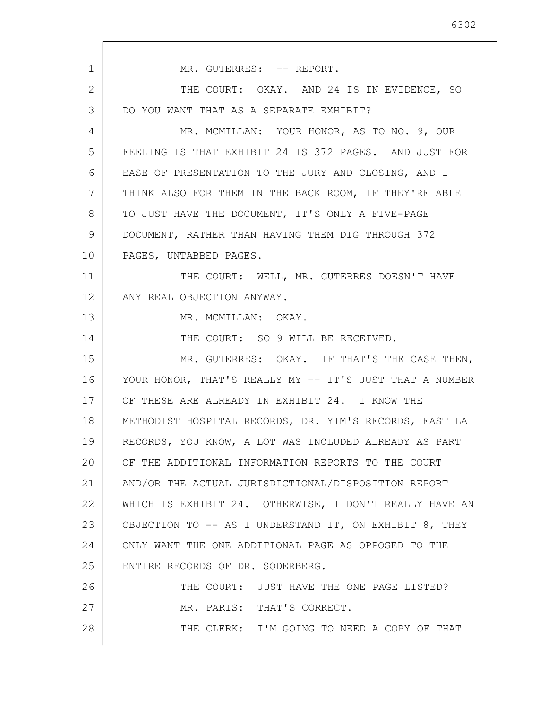| $\mathbf{1}$ | MR. GUTERRES: -- REPORT.                                |
|--------------|---------------------------------------------------------|
| 2            | THE COURT: OKAY. AND 24 IS IN EVIDENCE, SO              |
| 3            | DO YOU WANT THAT AS A SEPARATE EXHIBIT?                 |
| 4            | MR. MCMILLAN: YOUR HONOR, AS TO NO. 9, OUR              |
| 5            | FEELING IS THAT EXHIBIT 24 IS 372 PAGES. AND JUST FOR   |
| 6            | EASE OF PRESENTATION TO THE JURY AND CLOSING, AND I     |
| 7            | THINK ALSO FOR THEM IN THE BACK ROOM, IF THEY'RE ABLE   |
| 8            | TO JUST HAVE THE DOCUMENT, IT'S ONLY A FIVE-PAGE        |
| 9            | DOCUMENT, RATHER THAN HAVING THEM DIG THROUGH 372       |
| 10           | PAGES, UNTABBED PAGES.                                  |
| 11           | THE COURT: WELL, MR. GUTERRES DOESN'T HAVE              |
| 12           | ANY REAL OBJECTION ANYWAY.                              |
| 13           | MR. MCMILLAN: OKAY.                                     |
| 14           | THE COURT: SO 9 WILL BE RECEIVED.                       |
| 15           | MR. GUTERRES: OKAY. IF THAT'S THE CASE THEN,            |
| 16           | YOUR HONOR, THAT'S REALLY MY -- IT'S JUST THAT A NUMBER |
| 17           | OF THESE ARE ALREADY IN EXHIBIT 24. I KNOW THE          |
| 18           | METHODIST HOSPITAL RECORDS, DR. YIM'S RECORDS, EAST LA  |
| 19           | RECORDS, YOU KNOW, A LOT WAS INCLUDED ALREADY AS PART   |
| 20           | OF THE ADDITIONAL INFORMATION REPORTS TO THE COURT      |
| 21           | AND/OR THE ACTUAL JURISDICTIONAL/DISPOSITION REPORT     |
| 22           | WHICH IS EXHIBIT 24. OTHERWISE, I DON'T REALLY HAVE AN  |
| 23           | OBJECTION TO -- AS I UNDERSTAND IT, ON EXHIBIT 8, THEY  |
| 24           | ONLY WANT THE ONE ADDITIONAL PAGE AS OPPOSED TO THE     |
| 25           | ENTIRE RECORDS OF DR. SODERBERG.                        |
| 26           | THE COURT: JUST HAVE THE ONE PAGE LISTED?               |
| 27           | MR. PARIS: THAT'S CORRECT.                              |
| 28           | THE CLERK: I'M GOING TO NEED A COPY OF THAT             |
|              |                                                         |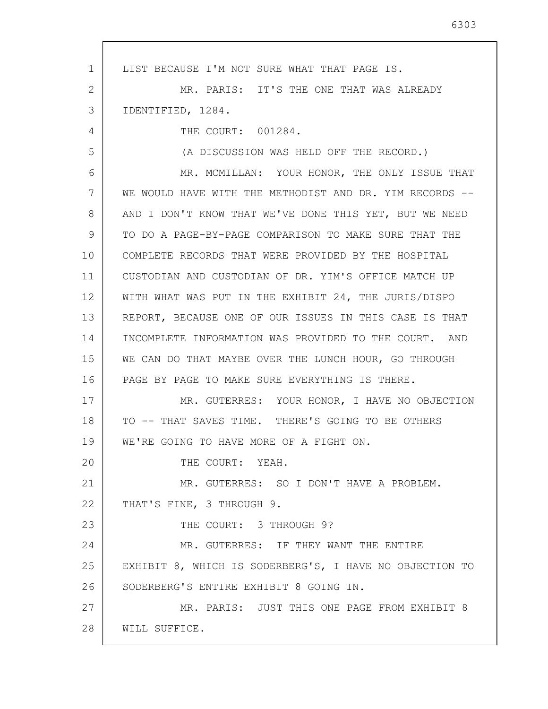1 2 3 4 5 6 7 8 9 10 11 12 13 14 15 16 17 18 19 20 21 22 23 24 25 26 27 28 LIST BECAUSE I'M NOT SURE WHAT THAT PAGE IS. MR. PARIS: IT'S THE ONE THAT WAS ALREADY IDENTIFIED, 1284. THE COURT: 001284. (A DISCUSSION WAS HELD OFF THE RECORD.) MR. MCMILLAN: YOUR HONOR, THE ONLY ISSUE THAT WE WOULD HAVE WITH THE METHODIST AND DR. YIM RECORDS --AND I DON'T KNOW THAT WE'VE DONE THIS YET, BUT WE NEED TO DO A PAGE-BY-PAGE COMPARISON TO MAKE SURE THAT THE COMPLETE RECORDS THAT WERE PROVIDED BY THE HOSPITAL CUSTODIAN AND CUSTODIAN OF DR. YIM'S OFFICE MATCH UP WITH WHAT WAS PUT IN THE EXHIBIT 24, THE JURIS/DISPO REPORT, BECAUSE ONE OF OUR ISSUES IN THIS CASE IS THAT INCOMPLETE INFORMATION WAS PROVIDED TO THE COURT. AND WE CAN DO THAT MAYBE OVER THE LUNCH HOUR, GO THROUGH PAGE BY PAGE TO MAKE SURE EVERYTHING IS THERE. MR. GUTERRES: YOUR HONOR, I HAVE NO OBJECTION TO -- THAT SAVES TIME. THERE'S GOING TO BE OTHERS WE'RE GOING TO HAVE MORE OF A FIGHT ON. THE COURT: YEAH. MR. GUTERRES: SO I DON'T HAVE A PROBLEM. THAT'S FINE, 3 THROUGH 9. THE COURT: 3 THROUGH 9? MR. GUTERRES: IF THEY WANT THE ENTIRE EXHIBIT 8, WHICH IS SODERBERG'S, I HAVE NO OBJECTION TO SODERBERG'S ENTIRE EXHIBIT 8 GOING IN. MR. PARIS: JUST THIS ONE PAGE FROM EXHIBIT 8 WILL SUFFICE.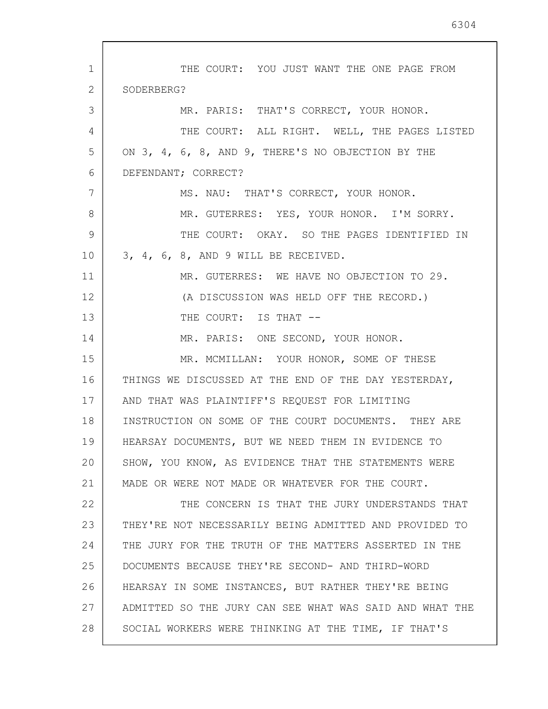| $\mathbf{1}$ | THE COURT: YOU JUST WANT THE ONE PAGE FROM              |
|--------------|---------------------------------------------------------|
| 2            | SODERBERG?                                              |
| 3            | MR. PARIS: THAT'S CORRECT, YOUR HONOR.                  |
| 4            | THE COURT: ALL RIGHT. WELL, THE PAGES LISTED            |
| 5            | ON 3, 4, 6, 8, AND 9, THERE'S NO OBJECTION BY THE       |
| 6            | DEFENDANT; CORRECT?                                     |
| 7            | MS. NAU: THAT'S CORRECT, YOUR HONOR.                    |
| 8            | MR. GUTERRES: YES, YOUR HONOR. I'M SORRY.               |
| 9            | THE COURT: OKAY. SO THE PAGES IDENTIFIED IN             |
| 10           | 3, 4, 6, 8, AND 9 WILL BE RECEIVED.                     |
| 11           | MR. GUTERRES: WE HAVE NO OBJECTION TO 29.               |
| 12           | (A DISCUSSION WAS HELD OFF THE RECORD.)                 |
| 13           | THE COURT: IS THAT --                                   |
| 14           | MR. PARIS: ONE SECOND, YOUR HONOR.                      |
| 15           | MR. MCMILLAN: YOUR HONOR, SOME OF THESE                 |
| 16           | THINGS WE DISCUSSED AT THE END OF THE DAY YESTERDAY,    |
| 17           | AND THAT WAS PLAINTIFF'S REQUEST FOR LIMITING           |
| 18           | INSTRUCTION ON SOME OF THE COURT DOCUMENTS. THEY ARE    |
| 19           | HEARSAY DOCUMENTS, BUT WE NEED THEM IN EVIDENCE TO      |
| 20           | SHOW, YOU KNOW, AS EVIDENCE THAT THE STATEMENTS WERE    |
| 21           | MADE OR WERE NOT MADE OR WHATEVER FOR THE COURT.        |
| 22           | THE CONCERN IS THAT THE JURY UNDERSTANDS THAT           |
| 23           | THEY'RE NOT NECESSARILY BEING ADMITTED AND PROVIDED TO  |
| 24           | THE JURY FOR THE TRUTH OF THE MATTERS ASSERTED IN THE   |
| 25           | DOCUMENTS BECAUSE THEY'RE SECOND- AND THIRD-WORD        |
| 26           | HEARSAY IN SOME INSTANCES, BUT RATHER THEY'RE BEING     |
| 27           | ADMITTED SO THE JURY CAN SEE WHAT WAS SAID AND WHAT THE |
| 28           | SOCIAL WORKERS WERE THINKING AT THE TIME, IF THAT'S     |

 $\overline{\phantom{a}}$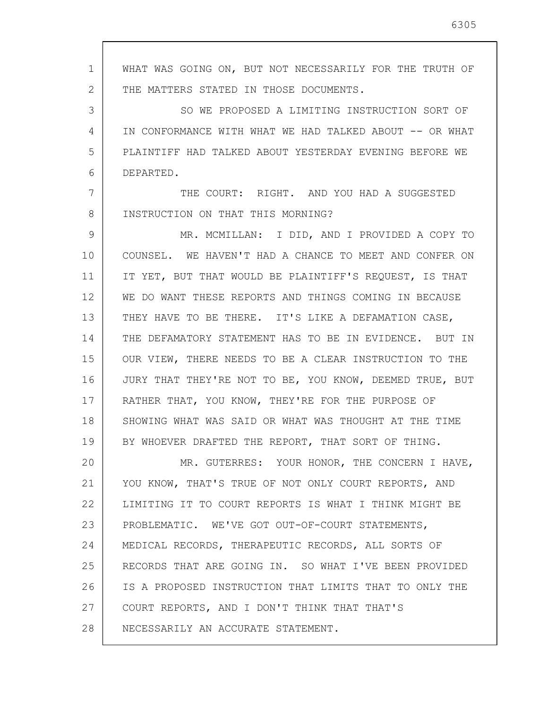1 2 3 4 5 6 7 8 9 10 11 12 13 14 15 16 17 18 19 20 21 22 23 24 25 26 27 28 WHAT WAS GOING ON, BUT NOT NECESSARILY FOR THE TRUTH OF THE MATTERS STATED IN THOSE DOCUMENTS. SO WE PROPOSED A LIMITING INSTRUCTION SORT OF IN CONFORMANCE WITH WHAT WE HAD TALKED ABOUT -- OR WHAT PLAINTIFF HAD TALKED ABOUT YESTERDAY EVENING BEFORE WE DEPARTED. THE COURT: RIGHT. AND YOU HAD A SUGGESTED INSTRUCTION ON THAT THIS MORNING? MR. MCMILLAN: I DID, AND I PROVIDED A COPY TO COUNSEL. WE HAVEN'T HAD A CHANCE TO MEET AND CONFER ON IT YET, BUT THAT WOULD BE PLAINTIFF'S REQUEST, IS THAT WE DO WANT THESE REPORTS AND THINGS COMING IN BECAUSE THEY HAVE TO BE THERE. IT'S LIKE A DEFAMATION CASE, THE DEFAMATORY STATEMENT HAS TO BE IN EVIDENCE. BUT IN OUR VIEW, THERE NEEDS TO BE A CLEAR INSTRUCTION TO THE JURY THAT THEY'RE NOT TO BE, YOU KNOW, DEEMED TRUE, BUT RATHER THAT, YOU KNOW, THEY'RE FOR THE PURPOSE OF SHOWING WHAT WAS SAID OR WHAT WAS THOUGHT AT THE TIME BY WHOEVER DRAFTED THE REPORT, THAT SORT OF THING. MR. GUTERRES: YOUR HONOR, THE CONCERN I HAVE, YOU KNOW, THAT'S TRUE OF NOT ONLY COURT REPORTS, AND LIMITING IT TO COURT REPORTS IS WHAT I THINK MIGHT BE PROBLEMATIC. WE'VE GOT OUT-OF-COURT STATEMENTS, MEDICAL RECORDS, THERAPEUTIC RECORDS, ALL SORTS OF RECORDS THAT ARE GOING IN. SO WHAT I'VE BEEN PROVIDED IS A PROPOSED INSTRUCTION THAT LIMITS THAT TO ONLY THE COURT REPORTS, AND I DON'T THINK THAT THAT'S NECESSARILY AN ACCURATE STATEMENT.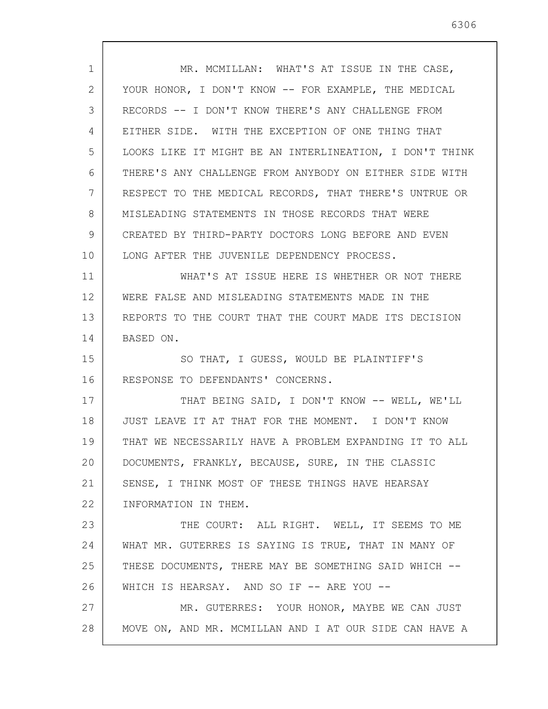| $\mathbf{1}$ | MR. MCMILLAN: WHAT'S AT ISSUE IN THE CASE,              |
|--------------|---------------------------------------------------------|
| 2            | YOUR HONOR, I DON'T KNOW -- FOR EXAMPLE, THE MEDICAL    |
| 3            | RECORDS -- I DON'T KNOW THERE'S ANY CHALLENGE FROM      |
| 4            | EITHER SIDE. WITH THE EXCEPTION OF ONE THING THAT       |
| 5            | LOOKS LIKE IT MIGHT BE AN INTERLINEATION, I DON'T THINK |
| 6            | THERE'S ANY CHALLENGE FROM ANYBODY ON EITHER SIDE WITH  |
| 7            | RESPECT TO THE MEDICAL RECORDS, THAT THERE'S UNTRUE OR  |
| 8            | MISLEADING STATEMENTS IN THOSE RECORDS THAT WERE        |
| 9            | CREATED BY THIRD-PARTY DOCTORS LONG BEFORE AND EVEN     |
| 10           |                                                         |
|              | LONG AFTER THE JUVENILE DEPENDENCY PROCESS.             |
| 11           | WHAT'S AT ISSUE HERE IS WHETHER OR NOT THERE            |
| 12           | WERE FALSE AND MISLEADING STATEMENTS MADE IN THE        |
| 13           | REPORTS TO THE COURT THAT THE COURT MADE ITS DECISION   |
| 14           | BASED ON.                                               |
| 15           | SO THAT, I GUESS, WOULD BE PLAINTIFF'S                  |
| 16           | RESPONSE TO DEFENDANTS' CONCERNS.                       |
| 17           | THAT BEING SAID, I DON'T KNOW -- WELL, WE'LL            |
| 18           | JUST LEAVE IT AT THAT FOR THE MOMENT. I DON'T KNOW      |
| 19           | THAT WE NECESSARILY HAVE A PROBLEM EXPANDING IT TO ALL  |
| 20           | DOCUMENTS, FRANKLY, BECAUSE, SURE, IN THE CLASSIC       |
| 21           | SENSE, I THINK MOST OF THESE THINGS HAVE HEARSAY        |
| 22           | INFORMATION IN THEM.                                    |
| 23           | THE COURT: ALL RIGHT. WELL, IT SEEMS TO ME              |
| 24           | WHAT MR. GUTERRES IS SAYING IS TRUE, THAT IN MANY OF    |
| 25           | THESE DOCUMENTS, THERE MAY BE SOMETHING SAID WHICH --   |
| 26           | WHICH IS HEARSAY. AND SO IF -- ARE YOU --               |
| 27           | MR. GUTERRES: YOUR HONOR, MAYBE WE CAN JUST             |
| 28           | MOVE ON, AND MR. MCMILLAN AND I AT OUR SIDE CAN HAVE A  |
|              |                                                         |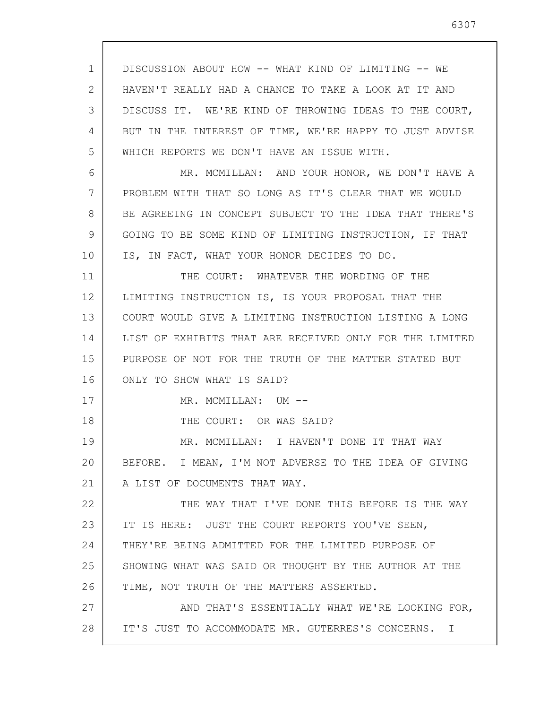1 2 3 4 5 6 7 8 9 10 11 12 13 14 15 16 17 18 19 20 21 22 23 24 25 26 27 28 DISCUSSION ABOUT HOW -- WHAT KIND OF LIMITING -- WE HAVEN'T REALLY HAD A CHANCE TO TAKE A LOOK AT IT AND DISCUSS IT. WE'RE KIND OF THROWING IDEAS TO THE COURT, BUT IN THE INTEREST OF TIME, WE'RE HAPPY TO JUST ADVISE WHICH REPORTS WE DON'T HAVE AN ISSUE WITH. MR. MCMILLAN: AND YOUR HONOR, WE DON'T HAVE A PROBLEM WITH THAT SO LONG AS IT'S CLEAR THAT WE WOULD BE AGREEING IN CONCEPT SUBJECT TO THE IDEA THAT THERE'S GOING TO BE SOME KIND OF LIMITING INSTRUCTION, IF THAT IS, IN FACT, WHAT YOUR HONOR DECIDES TO DO. THE COURT: WHATEVER THE WORDING OF THE LIMITING INSTRUCTION IS, IS YOUR PROPOSAL THAT THE COURT WOULD GIVE A LIMITING INSTRUCTION LISTING A LONG LIST OF EXHIBITS THAT ARE RECEIVED ONLY FOR THE LIMITED PURPOSE OF NOT FOR THE TRUTH OF THE MATTER STATED BUT ONLY TO SHOW WHAT IS SAID? MR. MCMILLAN: UM -- THE COURT: OR WAS SAID? MR. MCMILLAN: I HAVEN'T DONE IT THAT WAY BEFORE. I MEAN, I'M NOT ADVERSE TO THE IDEA OF GIVING A LIST OF DOCUMENTS THAT WAY. THE WAY THAT I'VE DONE THIS BEFORE IS THE WAY IT IS HERE: JUST THE COURT REPORTS YOU'VE SEEN, THEY'RE BEING ADMITTED FOR THE LIMITED PURPOSE OF SHOWING WHAT WAS SAID OR THOUGHT BY THE AUTHOR AT THE TIME, NOT TRUTH OF THE MATTERS ASSERTED. AND THAT'S ESSENTIALLY WHAT WE'RE LOOKING FOR, IT'S JUST TO ACCOMMODATE MR. GUTERRES'S CONCERNS. I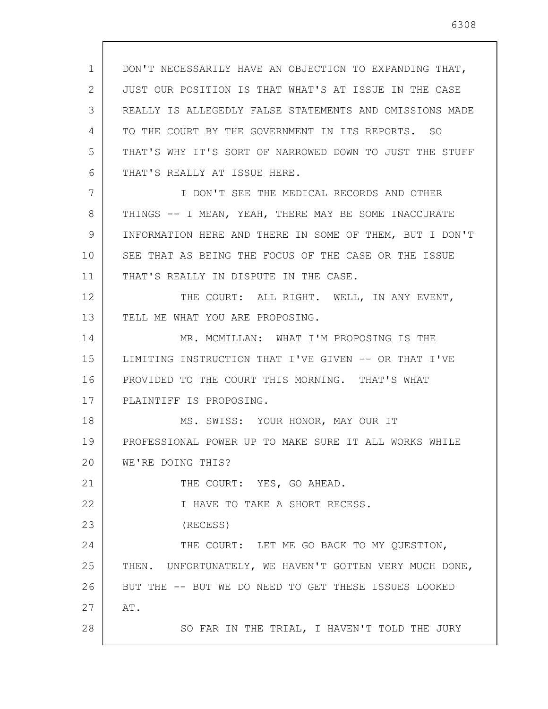1 2 3 4 5 6 7 8 9 10 11 12 13 14 15 16 17 18 19 20 21 22 23 24 25 26 27 28 DON'T NECESSARILY HAVE AN OBJECTION TO EXPANDING THAT, JUST OUR POSITION IS THAT WHAT'S AT ISSUE IN THE CASE REALLY IS ALLEGEDLY FALSE STATEMENTS AND OMISSIONS MADE TO THE COURT BY THE GOVERNMENT IN ITS REPORTS. SO THAT'S WHY IT'S SORT OF NARROWED DOWN TO JUST THE STUFF THAT'S REALLY AT ISSUE HERE. I DON'T SEE THE MEDICAL RECORDS AND OTHER THINGS -- I MEAN, YEAH, THERE MAY BE SOME INACCURATE INFORMATION HERE AND THERE IN SOME OF THEM, BUT I DON'T SEE THAT AS BEING THE FOCUS OF THE CASE OR THE ISSUE THAT'S REALLY IN DISPUTE IN THE CASE. THE COURT: ALL RIGHT. WELL, IN ANY EVENT, TELL ME WHAT YOU ARE PROPOSING. MR. MCMILLAN: WHAT I'M PROPOSING IS THE LIMITING INSTRUCTION THAT I'VE GIVEN -- OR THAT I'VE PROVIDED TO THE COURT THIS MORNING. THAT'S WHAT PLAINTIFF IS PROPOSING. MS. SWISS: YOUR HONOR, MAY OUR IT PROFESSIONAL POWER UP TO MAKE SURE IT ALL WORKS WHILE WE'RE DOING THIS? THE COURT: YES, GO AHEAD. I HAVE TO TAKE A SHORT RECESS. (RECESS) THE COURT: LET ME GO BACK TO MY OUESTION, THEN. UNFORTUNATELY, WE HAVEN'T GOTTEN VERY MUCH DONE, BUT THE -- BUT WE DO NEED TO GET THESE ISSUES LOOKED AT. SO FAR IN THE TRIAL, I HAVEN'T TOLD THE JURY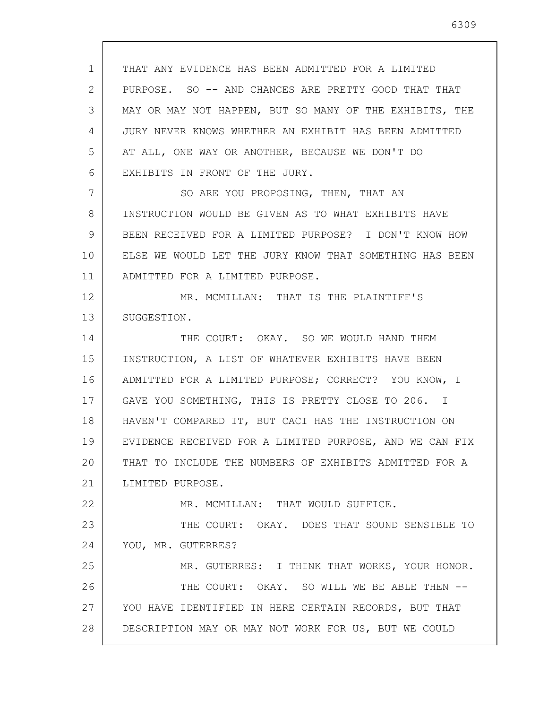1 2 3 4 5 6 7 8 9 10 11 12 13 14 15 16 17 18 19 20 21 22 23 24 25 26 27 28 THAT ANY EVIDENCE HAS BEEN ADMITTED FOR A LIMITED PURPOSE. SO -- AND CHANCES ARE PRETTY GOOD THAT THAT MAY OR MAY NOT HAPPEN, BUT SO MANY OF THE EXHIBITS, THE JURY NEVER KNOWS WHETHER AN EXHIBIT HAS BEEN ADMITTED AT ALL, ONE WAY OR ANOTHER, BECAUSE WE DON'T DO EXHIBITS IN FRONT OF THE JURY. SO ARE YOU PROPOSING, THEN, THAT AN INSTRUCTION WOULD BE GIVEN AS TO WHAT EXHIBITS HAVE BEEN RECEIVED FOR A LIMITED PURPOSE? I DON'T KNOW HOW ELSE WE WOULD LET THE JURY KNOW THAT SOMETHING HAS BEEN ADMITTED FOR A LIMITED PURPOSE. MR. MCMILLAN: THAT IS THE PLAINTIFF'S SUGGESTION. THE COURT: OKAY. SO WE WOULD HAND THEM INSTRUCTION, A LIST OF WHATEVER EXHIBITS HAVE BEEN ADMITTED FOR A LIMITED PURPOSE; CORRECT? YOU KNOW, I GAVE YOU SOMETHING, THIS IS PRETTY CLOSE TO 206. I HAVEN'T COMPARED IT, BUT CACI HAS THE INSTRUCTION ON EVIDENCE RECEIVED FOR A LIMITED PURPOSE, AND WE CAN FIX THAT TO INCLUDE THE NUMBERS OF EXHIBITS ADMITTED FOR A LIMITED PURPOSE. MR. MCMILLAN: THAT WOULD SUFFICE. THE COURT: OKAY. DOES THAT SOUND SENSIBLE TO YOU, MR. GUTERRES? MR. GUTERRES: I THINK THAT WORKS, YOUR HONOR. THE COURT: OKAY. SO WILL WE BE ABLE THEN --YOU HAVE IDENTIFIED IN HERE CERTAIN RECORDS, BUT THAT DESCRIPTION MAY OR MAY NOT WORK FOR US, BUT WE COULD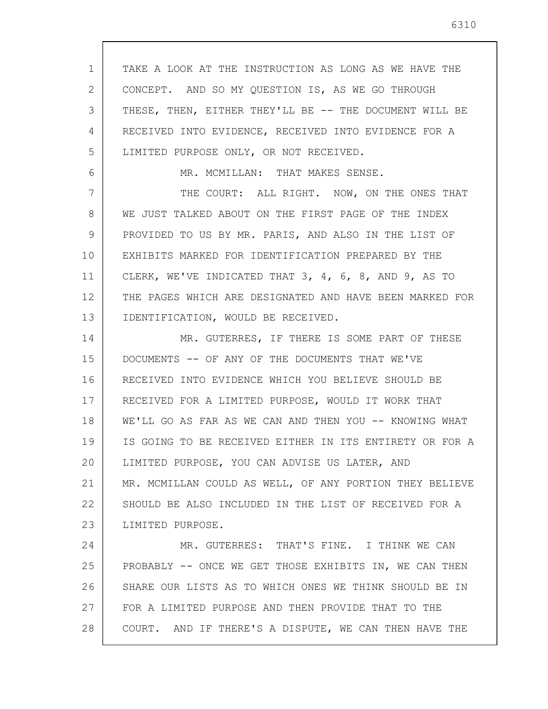1 2 3 4 5 6 7 8 9 10 11 12 13 14 15 16 17 18 19 20 21 22 23 24 25 26 27 28 TAKE A LOOK AT THE INSTRUCTION AS LONG AS WE HAVE THE CONCEPT. AND SO MY QUESTION IS, AS WE GO THROUGH THESE, THEN, EITHER THEY'LL BE -- THE DOCUMENT WILL BE RECEIVED INTO EVIDENCE, RECEIVED INTO EVIDENCE FOR A LIMITED PURPOSE ONLY, OR NOT RECEIVED. MR. MCMILLAN: THAT MAKES SENSE. THE COURT: ALL RIGHT. NOW, ON THE ONES THAT WE JUST TALKED ABOUT ON THE FIRST PAGE OF THE INDEX PROVIDED TO US BY MR. PARIS, AND ALSO IN THE LIST OF EXHIBITS MARKED FOR IDENTIFICATION PREPARED BY THE CLERK, WE'VE INDICATED THAT 3, 4, 6, 8, AND 9, AS TO THE PAGES WHICH ARE DESIGNATED AND HAVE BEEN MARKED FOR IDENTIFICATION, WOULD BE RECEIVED. MR. GUTERRES, IF THERE IS SOME PART OF THESE DOCUMENTS -- OF ANY OF THE DOCUMENTS THAT WE'VE RECEIVED INTO EVIDENCE WHICH YOU BELIEVE SHOULD BE RECEIVED FOR A LIMITED PURPOSE, WOULD IT WORK THAT WE'LL GO AS FAR AS WE CAN AND THEN YOU -- KNOWING WHAT IS GOING TO BE RECEIVED EITHER IN ITS ENTIRETY OR FOR A LIMITED PURPOSE, YOU CAN ADVISE US LATER, AND MR. MCMILLAN COULD AS WELL, OF ANY PORTION THEY BELIEVE SHOULD BE ALSO INCLUDED IN THE LIST OF RECEIVED FOR A LIMITED PURPOSE. MR. GUTERRES: THAT'S FINE. I THINK WE CAN PROBABLY -- ONCE WE GET THOSE EXHIBITS IN, WE CAN THEN SHARE OUR LISTS AS TO WHICH ONES WE THINK SHOULD BE IN FOR A LIMITED PURPOSE AND THEN PROVIDE THAT TO THE COURT. AND IF THERE'S A DISPUTE, WE CAN THEN HAVE THE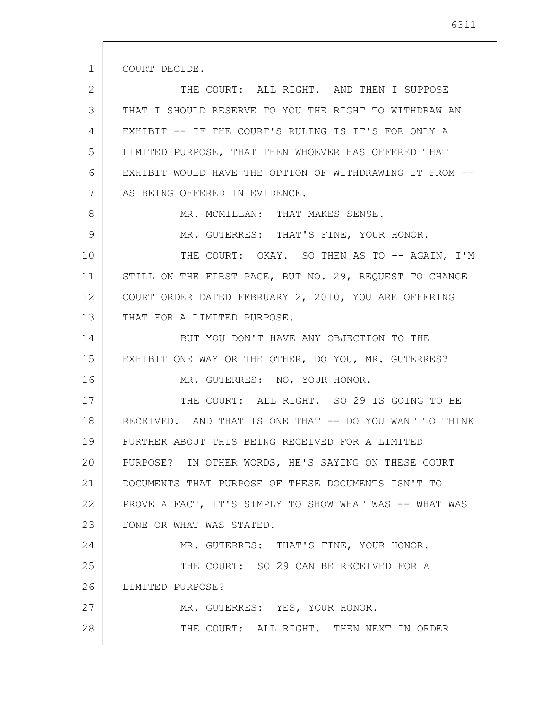COURT DECIDE.

1

8

9

2 3 4 5 6 7 THE COURT: ALL RIGHT. AND THEN I SUPPOSE THAT I SHOULD RESERVE TO YOU THE RIGHT TO WITHDRAW AN EXHIBIT -- IF THE COURT'S RULING IS IT'S FOR ONLY A LIMITED PURPOSE, THAT THEN WHOEVER HAS OFFERED THAT EXHIBIT WOULD HAVE THE OPTION OF WITHDRAWING IT FROM -- AS BEING OFFERED IN EVIDENCE.

MR. MCMILLAN: THAT MAKES SENSE.

MR. GUTERRES: THAT'S FINE, YOUR HONOR.

10 11 12 13 THE COURT: OKAY. SO THEN AS TO -- AGAIN, I'M STILL ON THE FIRST PAGE, BUT NO. 29, REQUEST TO CHANGE COURT ORDER DATED FEBRUARY 2, 2010, YOU ARE OFFERING THAT FOR A LIMITED PURPOSE.

14 15 16 BUT YOU DON'T HAVE ANY OBJECTION TO THE EXHIBIT ONE WAY OR THE OTHER, DO YOU, MR. GUTERRES? MR. GUTERRES: NO, YOUR HONOR.

17 18 19 20 21 22 23 THE COURT: ALL RIGHT. SO 29 IS GOING TO BE RECEIVED. AND THAT IS ONE THAT -- DO YOU WANT TO THINK FURTHER ABOUT THIS BEING RECEIVED FOR A LIMITED PURPOSE? IN OTHER WORDS, HE'S SAYING ON THESE COURT DOCUMENTS THAT PURPOSE OF THESE DOCUMENTS ISN'T TO PROVE A FACT, IT'S SIMPLY TO SHOW WHAT WAS -- WHAT WAS DONE OR WHAT WAS STATED.

24 25 26 27 28 MR. GUTERRES: THAT'S FINE, YOUR HONOR. THE COURT: SO 29 CAN BE RECEIVED FOR A LIMITED PURPOSE? MR. GUTERRES: YES, YOUR HONOR. THE COURT: ALL RIGHT. THEN NEXT IN ORDER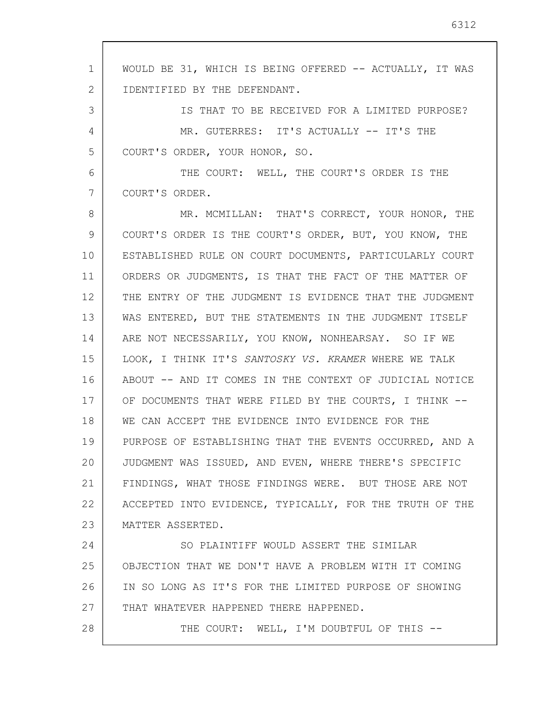1 2 3 4 5 6 7 8 9 10 11 12 13 14 15 16 17 18 19 20 21 22 23 24 25 26 27 28 WOULD BE 31, WHICH IS BEING OFFERED -- ACTUALLY, IT WAS IDENTIFIED BY THE DEFENDANT. IS THAT TO BE RECEIVED FOR A LIMITED PURPOSE? MR. GUTERRES: IT'S ACTUALLY -- IT'S THE COURT'S ORDER, YOUR HONOR, SO. THE COURT: WELL, THE COURT'S ORDER IS THE COURT'S ORDER. MR. MCMILLAN: THAT'S CORRECT, YOUR HONOR, THE COURT'S ORDER IS THE COURT'S ORDER, BUT, YOU KNOW, THE ESTABLISHED RULE ON COURT DOCUMENTS, PARTICULARLY COURT ORDERS OR JUDGMENTS, IS THAT THE FACT OF THE MATTER OF THE ENTRY OF THE JUDGMENT IS EVIDENCE THAT THE JUDGMENT WAS ENTERED, BUT THE STATEMENTS IN THE JUDGMENT ITSELF ARE NOT NECESSARILY, YOU KNOW, NONHEARSAY. SO IF WE LOOK, I THINK IT'S SANTOSKY VS. KRAMER WHERE WE TALK ABOUT -- AND IT COMES IN THE CONTEXT OF JUDICIAL NOTICE OF DOCUMENTS THAT WERE FILED BY THE COURTS, I THINK --WE CAN ACCEPT THE EVIDENCE INTO EVIDENCE FOR THE PURPOSE OF ESTABLISHING THAT THE EVENTS OCCURRED, AND A JUDGMENT WAS ISSUED, AND EVEN, WHERE THERE'S SPECIFIC FINDINGS, WHAT THOSE FINDINGS WERE. BUT THOSE ARE NOT ACCEPTED INTO EVIDENCE, TYPICALLY, FOR THE TRUTH OF THE MATTER ASSERTED. SO PLAINTIFF WOULD ASSERT THE SIMILAR OBJECTION THAT WE DON'T HAVE A PROBLEM WITH IT COMING IN SO LONG AS IT'S FOR THE LIMITED PURPOSE OF SHOWING THAT WHATEVER HAPPENED THERE HAPPENED. THE COURT: WELL, I'M DOUBTFUL OF THIS --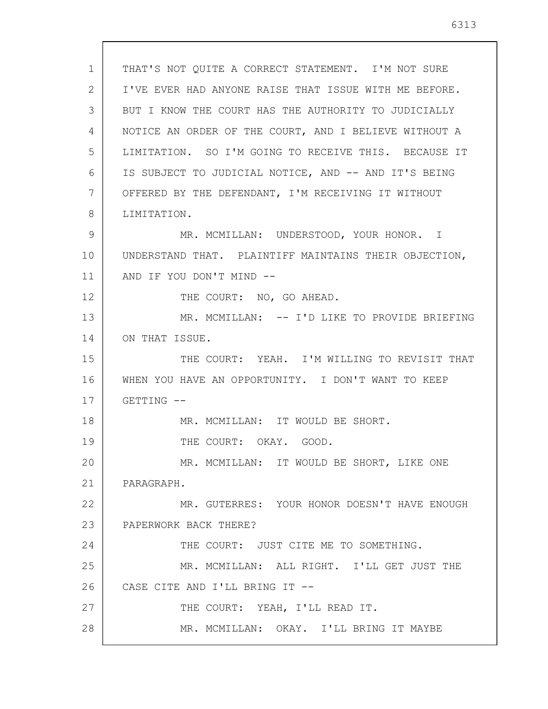1 2 3 4 5 6 7 8 9 10 11 12 13 14 15 16 17 18 19 20 21 22 23 24 25 26 27 28 THAT'S NOT QUITE A CORRECT STATEMENT. I'M NOT SURE I'VE EVER HAD ANYONE RAISE THAT ISSUE WITH ME BEFORE. BUT I KNOW THE COURT HAS THE AUTHORITY TO JUDICIALLY NOTICE AN ORDER OF THE COURT, AND I BELIEVE WITHOUT A LIMITATION. SO I'M GOING TO RECEIVE THIS. BECAUSE IT IS SUBJECT TO JUDICIAL NOTICE, AND -- AND IT'S BEING OFFERED BY THE DEFENDANT, I'M RECEIVING IT WITHOUT LIMITATION. MR. MCMILLAN: UNDERSTOOD, YOUR HONOR. I UNDERSTAND THAT. PLAINTIFF MAINTAINS THEIR OBJECTION, AND IF YOU DON'T MIND -- THE COURT: NO, GO AHEAD. MR. MCMILLAN: -- I'D LIKE TO PROVIDE BRIEFING ON THAT ISSUE. THE COURT: YEAH. I'M WILLING TO REVISIT THAT WHEN YOU HAVE AN OPPORTUNITY. I DON'T WANT TO KEEP GETTING -- MR. MCMILLAN: IT WOULD BE SHORT. THE COURT: OKAY. GOOD. MR. MCMILLAN: IT WOULD BE SHORT, LIKE ONE PARAGRAPH. MR. GUTERRES: YOUR HONOR DOESN'T HAVE ENOUGH PAPERWORK BACK THERE? THE COURT: JUST CITE ME TO SOMETHING. MR. MCMILLAN: ALL RIGHT. I'LL GET JUST THE CASE CITE AND I'LL BRING IT -- THE COURT: YEAH, I'LL READ IT. MR. MCMILLAN: OKAY. I'LL BRING IT MAYBE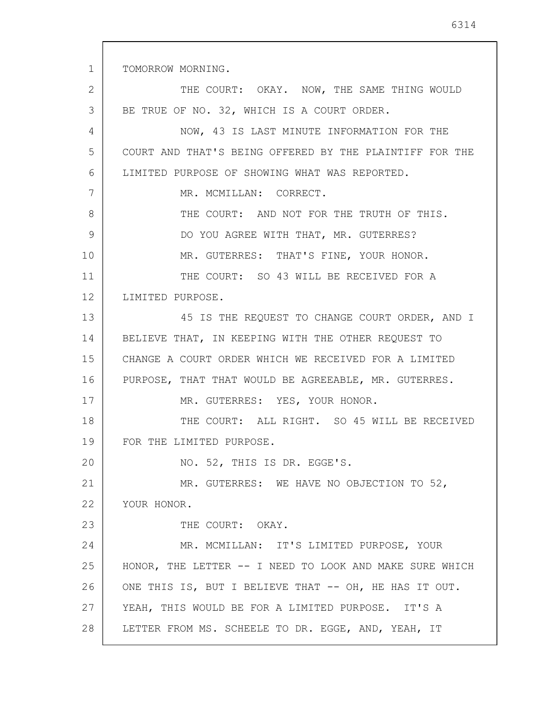TOMORROW MORNING.

1

2 3 4 5 6 7 8 9 10 11 12 13 14 15 16 17 18 19 20 21 22 23 24 25 26 27 28 THE COURT: OKAY. NOW, THE SAME THING WOULD BE TRUE OF NO. 32, WHICH IS A COURT ORDER. NOW, 43 IS LAST MINUTE INFORMATION FOR THE COURT AND THAT'S BEING OFFERED BY THE PLAINTIFF FOR THE LIMITED PURPOSE OF SHOWING WHAT WAS REPORTED. MR. MCMILLAN: CORRECT. THE COURT: AND NOT FOR THE TRUTH OF THIS. DO YOU AGREE WITH THAT, MR. GUTERRES? MR. GUTERRES: THAT'S FINE, YOUR HONOR. THE COURT: SO 43 WILL BE RECEIVED FOR A LIMITED PURPOSE. 45 IS THE REQUEST TO CHANGE COURT ORDER, AND I BELIEVE THAT, IN KEEPING WITH THE OTHER REQUEST TO CHANGE A COURT ORDER WHICH WE RECEIVED FOR A LIMITED PURPOSE, THAT THAT WOULD BE AGREEABLE, MR. GUTERRES. MR. GUTERRES: YES, YOUR HONOR. THE COURT: ALL RIGHT. SO 45 WILL BE RECEIVED FOR THE LIMITED PURPOSE. NO. 52, THIS IS DR. EGGE'S. MR. GUTERRES: WE HAVE NO OBJECTION TO 52, YOUR HONOR. THE COURT: OKAY. MR. MCMILLAN: IT'S LIMITED PURPOSE, YOUR HONOR, THE LETTER -- I NEED TO LOOK AND MAKE SURE WHICH ONE THIS IS, BUT I BELIEVE THAT -- OH, HE HAS IT OUT. YEAH, THIS WOULD BE FOR A LIMITED PURPOSE. IT'S A LETTER FROM MS. SCHEELE TO DR. EGGE, AND, YEAH, IT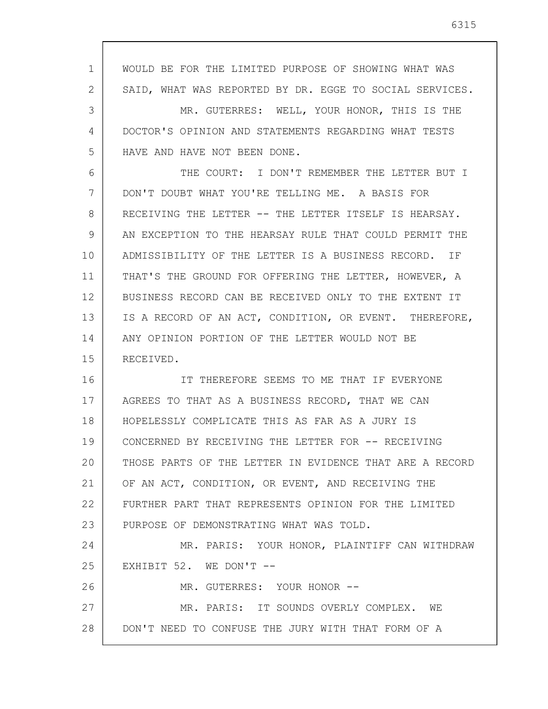1 2 3 4 5 6 7 8 9 10 11 12 13 14 15 16 17 18 19 20 21 22 23 24 25 26 27 28 WOULD BE FOR THE LIMITED PURPOSE OF SHOWING WHAT WAS SAID, WHAT WAS REPORTED BY DR. EGGE TO SOCIAL SERVICES. MR. GUTERRES: WELL, YOUR HONOR, THIS IS THE DOCTOR'S OPINION AND STATEMENTS REGARDING WHAT TESTS HAVE AND HAVE NOT BEEN DONE. THE COURT: I DON'T REMEMBER THE LETTER BUT I DON'T DOUBT WHAT YOU'RE TELLING ME. A BASIS FOR RECEIVING THE LETTER -- THE LETTER ITSELF IS HEARSAY. AN EXCEPTION TO THE HEARSAY RULE THAT COULD PERMIT THE ADMISSIBILITY OF THE LETTER IS A BUSINESS RECORD. IF THAT'S THE GROUND FOR OFFERING THE LETTER, HOWEVER, A BUSINESS RECORD CAN BE RECEIVED ONLY TO THE EXTENT IT IS A RECORD OF AN ACT, CONDITION, OR EVENT. THEREFORE, ANY OPINION PORTION OF THE LETTER WOULD NOT BE RECEIVED. IT THEREFORE SEEMS TO ME THAT IF EVERYONE AGREES TO THAT AS A BUSINESS RECORD, THAT WE CAN HOPELESSLY COMPLICATE THIS AS FAR AS A JURY IS CONCERNED BY RECEIVING THE LETTER FOR -- RECEIVING THOSE PARTS OF THE LETTER IN EVIDENCE THAT ARE A RECORD OF AN ACT, CONDITION, OR EVENT, AND RECEIVING THE FURTHER PART THAT REPRESENTS OPINION FOR THE LIMITED PURPOSE OF DEMONSTRATING WHAT WAS TOLD. MR. PARIS: YOUR HONOR, PLAINTIFF CAN WITHDRAW EXHIBIT 52. WE DON'T --MR. GUTERRES: YOUR HONOR -- MR. PARIS: IT SOUNDS OVERLY COMPLEX. WE DON'T NEED TO CONFUSE THE JURY WITH THAT FORM OF A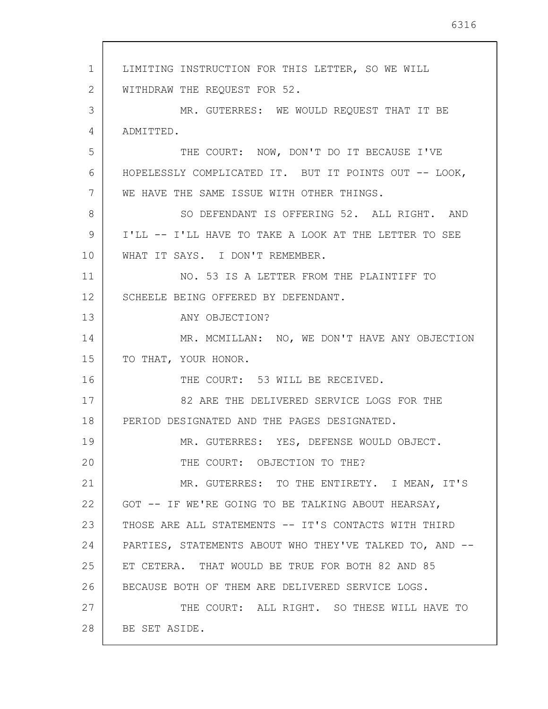1 2 3 4 5 6 7 8 9 10 11 12 13 14 15 16 17 18 19 20 21 22 23 24 25 26 27 28 LIMITING INSTRUCTION FOR THIS LETTER, SO WE WILL WITHDRAW THE REQUEST FOR 52. MR. GUTERRES: WE WOULD REQUEST THAT IT BE ADMITTED. THE COURT: NOW, DON'T DO IT BECAUSE I'VE HOPELESSLY COMPLICATED IT. BUT IT POINTS OUT -- LOOK, WE HAVE THE SAME ISSUE WITH OTHER THINGS. SO DEFENDANT IS OFFERING 52. ALL RIGHT. AND I'LL -- I'LL HAVE TO TAKE A LOOK AT THE LETTER TO SEE WHAT IT SAYS. I DON'T REMEMBER. NO. 53 IS A LETTER FROM THE PLAINTIFF TO SCHEELE BEING OFFERED BY DEFENDANT. ANY OBJECTION? MR. MCMILLAN: NO, WE DON'T HAVE ANY OBJECTION TO THAT, YOUR HONOR. THE COURT: 53 WILL BE RECEIVED. 82 ARE THE DELIVERED SERVICE LOGS FOR THE PERIOD DESIGNATED AND THE PAGES DESIGNATED. MR. GUTERRES: YES, DEFENSE WOULD OBJECT. THE COURT: OBJECTION TO THE? MR. GUTERRES: TO THE ENTIRETY. I MEAN, IT'S GOT -- IF WE'RE GOING TO BE TALKING ABOUT HEARSAY, THOSE ARE ALL STATEMENTS -- IT'S CONTACTS WITH THIRD PARTIES, STATEMENTS ABOUT WHO THEY'VE TALKED TO, AND --ET CETERA. THAT WOULD BE TRUE FOR BOTH 82 AND 85 BECAUSE BOTH OF THEM ARE DELIVERED SERVICE LOGS. THE COURT: ALL RIGHT. SO THESE WILL HAVE TO BE SET ASIDE.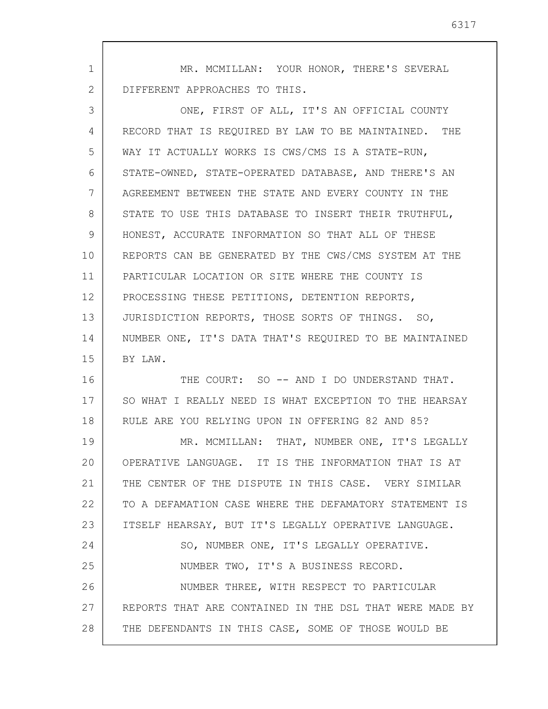1 2 MR. MCMILLAN: YOUR HONOR, THERE'S SEVERAL DIFFERENT APPROACHES TO THIS.

3 4 5 6 7 8 9 10 11 12 13 14 15 ONE, FIRST OF ALL, IT'S AN OFFICIAL COUNTY RECORD THAT IS REQUIRED BY LAW TO BE MAINTAINED. THE WAY IT ACTUALLY WORKS IS CWS/CMS IS A STATE-RUN, STATE-OWNED, STATE-OPERATED DATABASE, AND THERE'S AN AGREEMENT BETWEEN THE STATE AND EVERY COUNTY IN THE STATE TO USE THIS DATABASE TO INSERT THEIR TRUTHFUL, HONEST, ACCURATE INFORMATION SO THAT ALL OF THESE REPORTS CAN BE GENERATED BY THE CWS/CMS SYSTEM AT THE PARTICULAR LOCATION OR SITE WHERE THE COUNTY IS PROCESSING THESE PETITIONS, DETENTION REPORTS, JURISDICTION REPORTS, THOSE SORTS OF THINGS. SO, NUMBER ONE, IT'S DATA THAT'S REQUIRED TO BE MAINTAINED BY LAW.

16 17 18 THE COURT: SO -- AND I DO UNDERSTAND THAT. SO WHAT I REALLY NEED IS WHAT EXCEPTION TO THE HEARSAY RULE ARE YOU RELYING UPON IN OFFERING 82 AND 85?

19 20 21 22 23 24 25 26 27 28 MR. MCMILLAN: THAT, NUMBER ONE, IT'S LEGALLY OPERATIVE LANGUAGE. IT IS THE INFORMATION THAT IS AT THE CENTER OF THE DISPUTE IN THIS CASE. VERY SIMILAR TO A DEFAMATION CASE WHERE THE DEFAMATORY STATEMENT IS ITSELF HEARSAY, BUT IT'S LEGALLY OPERATIVE LANGUAGE. SO, NUMBER ONE, IT'S LEGALLY OPERATIVE. NUMBER TWO, IT'S A BUSINESS RECORD. NUMBER THREE, WITH RESPECT TO PARTICULAR REPORTS THAT ARE CONTAINED IN THE DSL THAT WERE MADE BY THE DEFENDANTS IN THIS CASE, SOME OF THOSE WOULD BE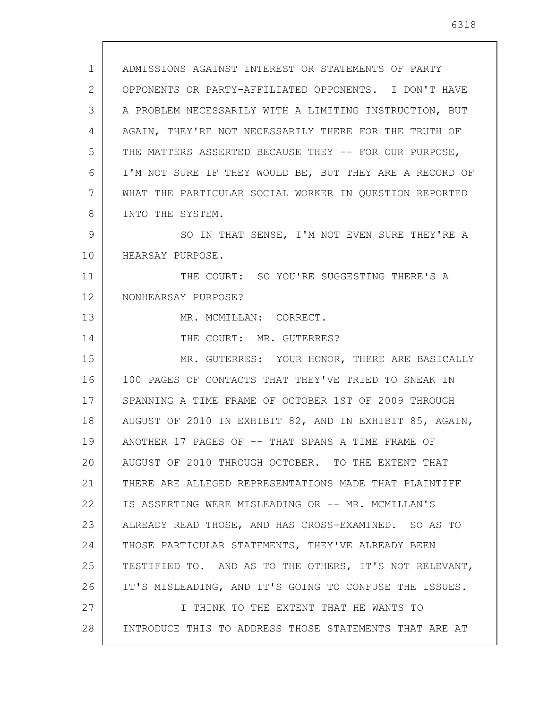1 2 3 4 5 6 7 8 9 10 11 12 13 14 15 16 17 18 19 20 21 22 23 24 25 26 27 28 ADMISSIONS AGAINST INTEREST OR STATEMENTS OF PARTY OPPONENTS OR PARTY-AFFILIATED OPPONENTS. I DON'T HAVE A PROBLEM NECESSARILY WITH A LIMITING INSTRUCTION, BUT AGAIN, THEY'RE NOT NECESSARILY THERE FOR THE TRUTH OF THE MATTERS ASSERTED BECAUSE THEY -- FOR OUR PURPOSE, I'M NOT SURE IF THEY WOULD BE, BUT THEY ARE A RECORD OF WHAT THE PARTICULAR SOCIAL WORKER IN QUESTION REPORTED INTO THE SYSTEM. SO IN THAT SENSE, I'M NOT EVEN SURE THEY'RE A HEARSAY PURPOSE. THE COURT: SO YOU'RE SUGGESTING THERE'S A NONHEARSAY PURPOSE? MR. MCMILLAN: CORRECT. THE COURT: MR. GUTERRES? MR. GUTERRES: YOUR HONOR, THERE ARE BASICALLY 100 PAGES OF CONTACTS THAT THEY'VE TRIED TO SNEAK IN SPANNING A TIME FRAME OF OCTOBER 1ST OF 2009 THROUGH AUGUST OF 2010 IN EXHIBIT 82, AND IN EXHIBIT 85, AGAIN, ANOTHER 17 PAGES OF -- THAT SPANS A TIME FRAME OF AUGUST OF 2010 THROUGH OCTOBER. TO THE EXTENT THAT THERE ARE ALLEGED REPRESENTATIONS MADE THAT PLAINTIFF IS ASSERTING WERE MISLEADING OR -- MR. MCMILLAN'S ALREADY READ THOSE, AND HAS CROSS-EXAMINED. SO AS TO THOSE PARTICULAR STATEMENTS, THEY'VE ALREADY BEEN TESTIFIED TO. AND AS TO THE OTHERS, IT'S NOT RELEVANT, IT'S MISLEADING, AND IT'S GOING TO CONFUSE THE ISSUES. I THINK TO THE EXTENT THAT HE WANTS TO INTRODUCE THIS TO ADDRESS THOSE STATEMENTS THAT ARE AT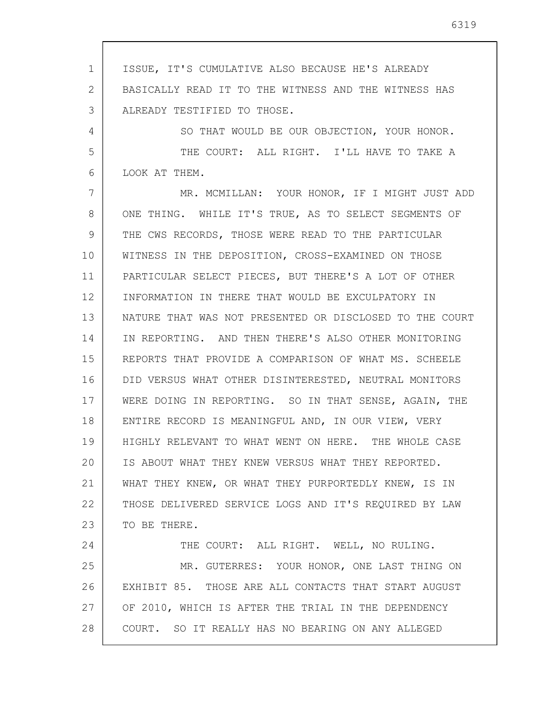1 2 3 4 5 6 7 8 9 10 11 12 13 14 15 16 17 18 19 20 21 22 23 24 25 26 27 28 ISSUE, IT'S CUMULATIVE ALSO BECAUSE HE'S ALREADY BASICALLY READ IT TO THE WITNESS AND THE WITNESS HAS ALREADY TESTIFIED TO THOSE. SO THAT WOULD BE OUR OBJECTION, YOUR HONOR. THE COURT: ALL RIGHT. I'LL HAVE TO TAKE A LOOK AT THEM. MR. MCMILLAN: YOUR HONOR, IF I MIGHT JUST ADD ONE THING. WHILE IT'S TRUE, AS TO SELECT SEGMENTS OF THE CWS RECORDS, THOSE WERE READ TO THE PARTICULAR WITNESS IN THE DEPOSITION, CROSS-EXAMINED ON THOSE PARTICULAR SELECT PIECES, BUT THERE'S A LOT OF OTHER INFORMATION IN THERE THAT WOULD BE EXCULPATORY IN NATURE THAT WAS NOT PRESENTED OR DISCLOSED TO THE COURT IN REPORTING. AND THEN THERE'S ALSO OTHER MONITORING REPORTS THAT PROVIDE A COMPARISON OF WHAT MS. SCHEELE DID VERSUS WHAT OTHER DISINTERESTED, NEUTRAL MONITORS WERE DOING IN REPORTING. SO IN THAT SENSE, AGAIN, THE ENTIRE RECORD IS MEANINGFUL AND, IN OUR VIEW, VERY HIGHLY RELEVANT TO WHAT WENT ON HERE. THE WHOLE CASE IS ABOUT WHAT THEY KNEW VERSUS WHAT THEY REPORTED. WHAT THEY KNEW, OR WHAT THEY PURPORTEDLY KNEW, IS IN THOSE DELIVERED SERVICE LOGS AND IT'S REQUIRED BY LAW TO BE THERE. THE COURT: ALL RIGHT. WELL, NO RULING. MR. GUTERRES: YOUR HONOR, ONE LAST THING ON EXHIBIT 85. THOSE ARE ALL CONTACTS THAT START AUGUST OF 2010, WHICH IS AFTER THE TRIAL IN THE DEPENDENCY COURT. SO IT REALLY HAS NO BEARING ON ANY ALLEGED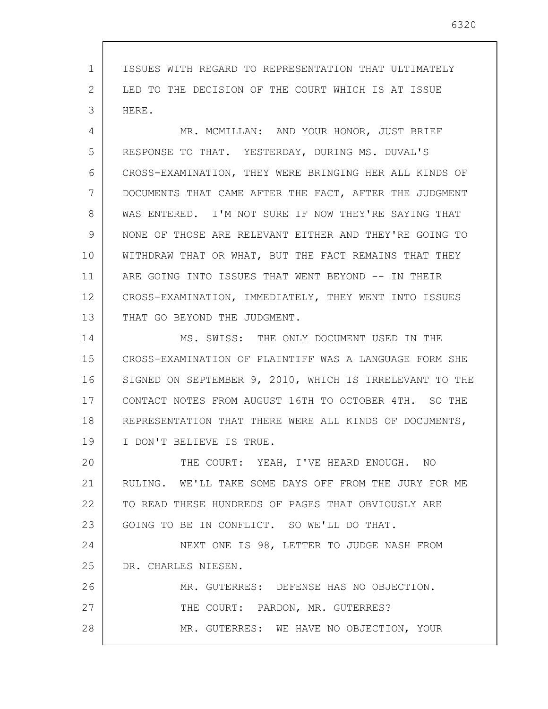1 2 3 ISSUES WITH REGARD TO REPRESENTATION THAT ULTIMATELY LED TO THE DECISION OF THE COURT WHICH IS AT ISSUE HERE.

4 5 6 7 8 9 10 11 12 13 MR. MCMILLAN: AND YOUR HONOR, JUST BRIEF RESPONSE TO THAT. YESTERDAY, DURING MS. DUVAL'S CROSS-EXAMINATION, THEY WERE BRINGING HER ALL KINDS OF DOCUMENTS THAT CAME AFTER THE FACT, AFTER THE JUDGMENT WAS ENTERED. I'M NOT SURE IF NOW THEY'RE SAYING THAT NONE OF THOSE ARE RELEVANT EITHER AND THEY'RE GOING TO WITHDRAW THAT OR WHAT, BUT THE FACT REMAINS THAT THEY ARE GOING INTO ISSUES THAT WENT BEYOND -- IN THEIR CROSS-EXAMINATION, IMMEDIATELY, THEY WENT INTO ISSUES THAT GO BEYOND THE JUDGMENT.

14 15 16 17 18 19 MS. SWISS: THE ONLY DOCUMENT USED IN THE CROSS-EXAMINATION OF PLAINTIFF WAS A LANGUAGE FORM SHE SIGNED ON SEPTEMBER 9, 2010, WHICH IS IRRELEVANT TO THE CONTACT NOTES FROM AUGUST 16TH TO OCTOBER 4TH. SO THE REPRESENTATION THAT THERE WERE ALL KINDS OF DOCUMENTS, I DON'T BELIEVE IS TRUE.

20 21 22 23 THE COURT: YEAH, I'VE HEARD ENOUGH. NO RULING. WE'LL TAKE SOME DAYS OFF FROM THE JURY FOR ME TO READ THESE HUNDREDS OF PAGES THAT OBVIOUSLY ARE GOING TO BE IN CONFLICT. SO WE'LL DO THAT.

24 25 NEXT ONE IS 98, LETTER TO JUDGE NASH FROM DR. CHARLES NIESEN.

26 27 28 MR. GUTERRES: DEFENSE HAS NO OBJECTION. THE COURT: PARDON, MR. GUTERRES? MR. GUTERRES: WE HAVE NO OBJECTION, YOUR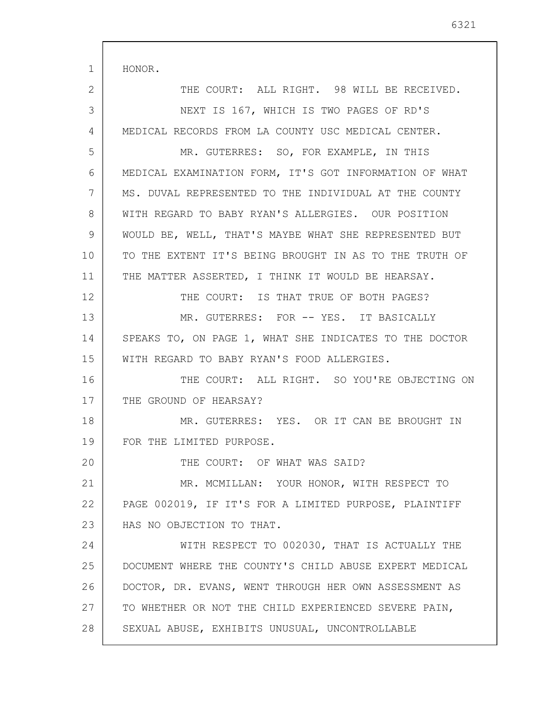| 1  | HONOR.                                                 |
|----|--------------------------------------------------------|
| 2  | THE COURT: ALL RIGHT. 98 WILL BE RECEIVED.             |
| 3  | NEXT IS 167, WHICH IS TWO PAGES OF RD'S                |
| 4  | MEDICAL RECORDS FROM LA COUNTY USC MEDICAL CENTER.     |
| 5  | MR. GUTERRES: SO, FOR EXAMPLE, IN THIS                 |
| 6  | MEDICAL EXAMINATION FORM, IT'S GOT INFORMATION OF WHAT |
| 7  | MS. DUVAL REPRESENTED TO THE INDIVIDUAL AT THE COUNTY  |
| 8  | WITH REGARD TO BABY RYAN'S ALLERGIES. OUR POSITION     |
| 9  | WOULD BE, WELL, THAT'S MAYBE WHAT SHE REPRESENTED BUT  |
| 10 | TO THE EXTENT IT'S BEING BROUGHT IN AS TO THE TRUTH OF |
| 11 | THE MATTER ASSERTED, I THINK IT WOULD BE HEARSAY.      |
| 12 | THE COURT: IS THAT TRUE OF BOTH PAGES?                 |
| 13 | MR. GUTERRES: FOR -- YES. IT BASICALLY                 |
| 14 | SPEAKS TO, ON PAGE 1, WHAT SHE INDICATES TO THE DOCTOR |
| 15 | WITH REGARD TO BABY RYAN'S FOOD ALLERGIES.             |
| 16 | THE COURT: ALL RIGHT. SO YOU'RE OBJECTING ON           |
| 17 | THE GROUND OF HEARSAY?                                 |
| 18 | MR. GUTERRES: YES. OR IT CAN BE BROUGHT IN             |
| 19 | FOR THE LIMITED PURPOSE.                               |
| 20 | THE COURT: OF WHAT WAS SAID?                           |
| 21 | MR. MCMILLAN: YOUR HONOR, WITH RESPECT TO              |
| 22 | PAGE 002019, IF IT'S FOR A LIMITED PURPOSE, PLAINTIFF  |
| 23 | HAS NO OBJECTION TO THAT.                              |
| 24 | WITH RESPECT TO 002030, THAT IS ACTUALLY THE           |
| 25 | DOCUMENT WHERE THE COUNTY'S CHILD ABUSE EXPERT MEDICAL |
| 26 | DOCTOR, DR. EVANS, WENT THROUGH HER OWN ASSESSMENT AS  |
| 27 | TO WHETHER OR NOT THE CHILD EXPERIENCED SEVERE PAIN,   |
| 28 | SEXUAL ABUSE, EXHIBITS UNUSUAL, UNCONTROLLABLE         |

 $\mathbf{r}$ 

 $\overline{\phantom{a}}$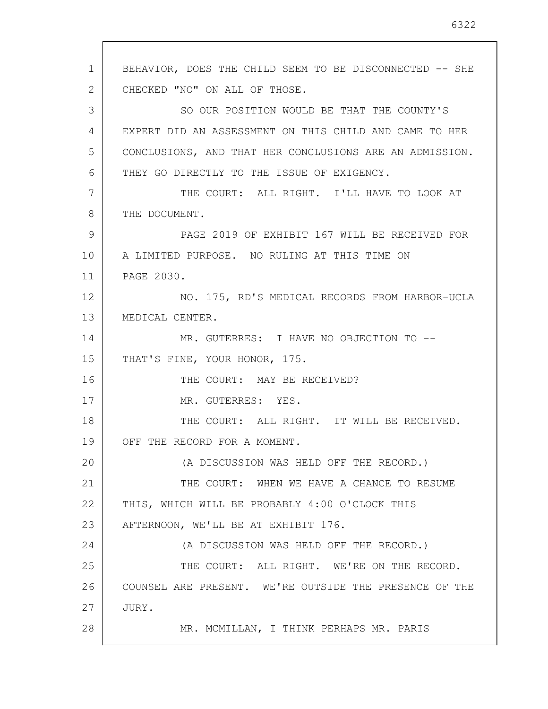1 2 3 4 5 6 7 8 9 10 11 12 13 14 15 16 17 18 19 20 21 22 23 24 25 26 27 28 BEHAVIOR, DOES THE CHILD SEEM TO BE DISCONNECTED -- SHE CHECKED "NO" ON ALL OF THOSE. SO OUR POSITION WOULD BE THAT THE COUNTY'S EXPERT DID AN ASSESSMENT ON THIS CHILD AND CAME TO HER CONCLUSIONS, AND THAT HER CONCLUSIONS ARE AN ADMISSION. THEY GO DIRECTLY TO THE ISSUE OF EXIGENCY. THE COURT: ALL RIGHT. I'LL HAVE TO LOOK AT THE DOCUMENT. PAGE 2019 OF EXHIBIT 167 WILL BE RECEIVED FOR A LIMITED PURPOSE. NO RULING AT THIS TIME ON PAGE 2030. NO. 175, RD'S MEDICAL RECORDS FROM HARBOR-UCLA MEDICAL CENTER. MR. GUTERRES: I HAVE NO OBJECTION TO -- THAT'S FINE, YOUR HONOR, 175. THE COURT: MAY BE RECEIVED? MR. GUTERRES: YES. THE COURT: ALL RIGHT. IT WILL BE RECEIVED. OFF THE RECORD FOR A MOMENT. (A DISCUSSION WAS HELD OFF THE RECORD.) THE COURT: WHEN WE HAVE A CHANCE TO RESUME THIS, WHICH WILL BE PROBABLY 4:00 O'CLOCK THIS AFTERNOON, WE'LL BE AT EXHIBIT 176. (A DISCUSSION WAS HELD OFF THE RECORD.) THE COURT: ALL RIGHT. WE'RE ON THE RECORD. COUNSEL ARE PRESENT. WE'RE OUTSIDE THE PRESENCE OF THE JURY. MR. MCMILLAN, I THINK PERHAPS MR. PARIS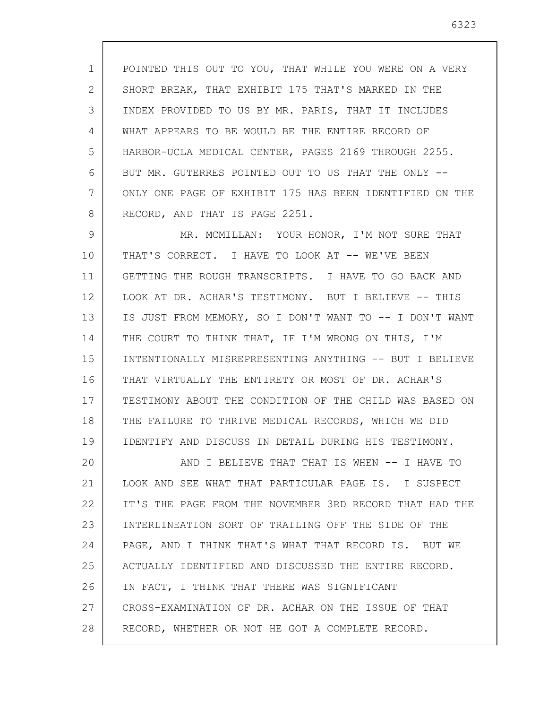1 2 3 4 5 6 7 8 POINTED THIS OUT TO YOU, THAT WHILE YOU WERE ON A VERY SHORT BREAK, THAT EXHIBIT 175 THAT'S MARKED IN THE INDEX PROVIDED TO US BY MR. PARIS, THAT IT INCLUDES WHAT APPEARS TO BE WOULD BE THE ENTIRE RECORD OF HARBOR-UCLA MEDICAL CENTER, PAGES 2169 THROUGH 2255. BUT MR. GUTERRES POINTED OUT TO US THAT THE ONLY -- ONLY ONE PAGE OF EXHIBIT 175 HAS BEEN IDENTIFIED ON THE RECORD, AND THAT IS PAGE 2251.

9 10 11 12 13 14 15 16 17 18 19 MR. MCMILLAN: YOUR HONOR, I'M NOT SURE THAT THAT'S CORRECT. I HAVE TO LOOK AT -- WE'VE BEEN GETTING THE ROUGH TRANSCRIPTS. I HAVE TO GO BACK AND LOOK AT DR. ACHAR'S TESTIMONY. BUT I BELIEVE -- THIS IS JUST FROM MEMORY, SO I DON'T WANT TO -- I DON'T WANT THE COURT TO THINK THAT, IF I'M WRONG ON THIS, I'M INTENTIONALLY MISREPRESENTING ANYTHING -- BUT I BELIEVE THAT VIRTUALLY THE ENTIRETY OR MOST OF DR. ACHAR'S TESTIMONY ABOUT THE CONDITION OF THE CHILD WAS BASED ON THE FAILURE TO THRIVE MEDICAL RECORDS, WHICH WE DID IDENTIFY AND DISCUSS IN DETAIL DURING HIS TESTIMONY.

20 21 22 23 24 25 26 27 28 AND I BELIEVE THAT THAT IS WHEN -- I HAVE TO LOOK AND SEE WHAT THAT PARTICULAR PAGE IS. I SUSPECT IT'S THE PAGE FROM THE NOVEMBER 3RD RECORD THAT HAD THE INTERLINEATION SORT OF TRAILING OFF THE SIDE OF THE PAGE, AND I THINK THAT'S WHAT THAT RECORD IS. BUT WE ACTUALLY IDENTIFIED AND DISCUSSED THE ENTIRE RECORD. IN FACT, I THINK THAT THERE WAS SIGNIFICANT CROSS-EXAMINATION OF DR. ACHAR ON THE ISSUE OF THAT RECORD, WHETHER OR NOT HE GOT A COMPLETE RECORD.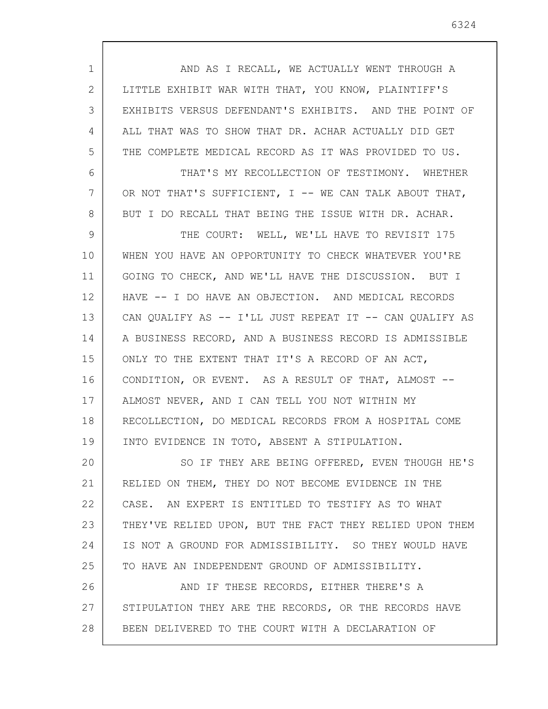| $\mathbf 1$ | AND AS I RECALL, WE ACTUALLY WENT THROUGH A             |
|-------------|---------------------------------------------------------|
| 2           | LITTLE EXHIBIT WAR WITH THAT, YOU KNOW, PLAINTIFF'S     |
| 3           | EXHIBITS VERSUS DEFENDANT'S EXHIBITS. AND THE POINT OF  |
| 4           | ALL THAT WAS TO SHOW THAT DR. ACHAR ACTUALLY DID GET    |
| 5           | THE COMPLETE MEDICAL RECORD AS IT WAS PROVIDED TO US.   |
| 6           | THAT'S MY RECOLLECTION OF TESTIMONY. WHETHER            |
| 7           | OR NOT THAT'S SUFFICIENT, I -- WE CAN TALK ABOUT THAT,  |
| 8           | BUT I DO RECALL THAT BEING THE ISSUE WITH DR. ACHAR.    |
| 9           | THE COURT: WELL, WE'LL HAVE TO REVISIT 175              |
| 10          | WHEN YOU HAVE AN OPPORTUNITY TO CHECK WHATEVER YOU'RE   |
| 11          | GOING TO CHECK, AND WE'LL HAVE THE DISCUSSION. BUT I    |
| 12          | HAVE -- I DO HAVE AN OBJECTION. AND MEDICAL RECORDS     |
| 13          | CAN QUALIFY AS -- I'LL JUST REPEAT IT -- CAN QUALIFY AS |
| 14          | A BUSINESS RECORD, AND A BUSINESS RECORD IS ADMISSIBLE  |
| 15          | ONLY TO THE EXTENT THAT IT'S A RECORD OF AN ACT,        |
| 16          | CONDITION, OR EVENT. AS A RESULT OF THAT, ALMOST --     |
| 17          | ALMOST NEVER, AND I CAN TELL YOU NOT WITHIN MY          |
| 18          | RECOLLECTION, DO MEDICAL RECORDS FROM A HOSPITAL COME   |
| 19          | INTO EVIDENCE IN TOTO, ABSENT A STIPULATION.            |
| 20          | SO IF THEY ARE BEING OFFERED, EVEN THOUGH HE'S          |
| 21          | RELIED ON THEM, THEY DO NOT BECOME EVIDENCE IN THE      |
| 22          | CASE. AN EXPERT IS ENTITLED TO TESTIFY AS TO WHAT       |
| 23          | THEY'VE RELIED UPON, BUT THE FACT THEY RELIED UPON THEM |
| 24          | IS NOT A GROUND FOR ADMISSIBILITY. SO THEY WOULD HAVE   |
| 25          | TO HAVE AN INDEPENDENT GROUND OF ADMISSIBILITY.         |
| 26          | AND IF THESE RECORDS, EITHER THERE'S A                  |
| 27          | STIPULATION THEY ARE THE RECORDS, OR THE RECORDS HAVE   |
| 28          | BEEN DELIVERED TO THE COURT WITH A DECLARATION OF       |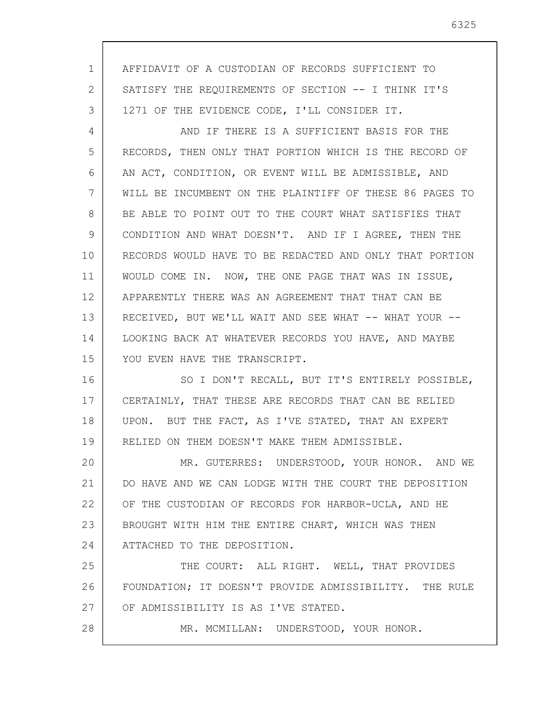1 2 3 4 5 6 7 8 9 10 11 12 13 14 15 16 17 18 19 20 21 22 23 24 25 26 27 28 AFFIDAVIT OF A CUSTODIAN OF RECORDS SUFFICIENT TO SATISFY THE REQUIREMENTS OF SECTION -- I THINK IT'S 1271 OF THE EVIDENCE CODE, I'LL CONSIDER IT. AND IF THERE IS A SUFFICIENT BASIS FOR THE RECORDS, THEN ONLY THAT PORTION WHICH IS THE RECORD OF AN ACT, CONDITION, OR EVENT WILL BE ADMISSIBLE, AND WILL BE INCUMBENT ON THE PLAINTIFF OF THESE 86 PAGES TO BE ABLE TO POINT OUT TO THE COURT WHAT SATISFIES THAT CONDITION AND WHAT DOESN'T. AND IF I AGREE, THEN THE RECORDS WOULD HAVE TO BE REDACTED AND ONLY THAT PORTION WOULD COME IN. NOW, THE ONE PAGE THAT WAS IN ISSUE, APPARENTLY THERE WAS AN AGREEMENT THAT THAT CAN BE RECEIVED, BUT WE'LL WAIT AND SEE WHAT -- WHAT YOUR --LOOKING BACK AT WHATEVER RECORDS YOU HAVE, AND MAYBE YOU EVEN HAVE THE TRANSCRIPT. SO I DON'T RECALL, BUT IT'S ENTIRELY POSSIBLE, CERTAINLY, THAT THESE ARE RECORDS THAT CAN BE RELIED UPON. BUT THE FACT, AS I'VE STATED, THAT AN EXPERT RELIED ON THEM DOESN'T MAKE THEM ADMISSIBLE. MR. GUTERRES: UNDERSTOOD, YOUR HONOR. AND WE DO HAVE AND WE CAN LODGE WITH THE COURT THE DEPOSITION OF THE CUSTODIAN OF RECORDS FOR HARBOR-UCLA, AND HE BROUGHT WITH HIM THE ENTIRE CHART, WHICH WAS THEN ATTACHED TO THE DEPOSITION. THE COURT: ALL RIGHT. WELL, THAT PROVIDES FOUNDATION; IT DOESN'T PROVIDE ADMISSIBILITY. THE RULE OF ADMISSIBILITY IS AS I'VE STATED. MR. MCMILLAN: UNDERSTOOD, YOUR HONOR.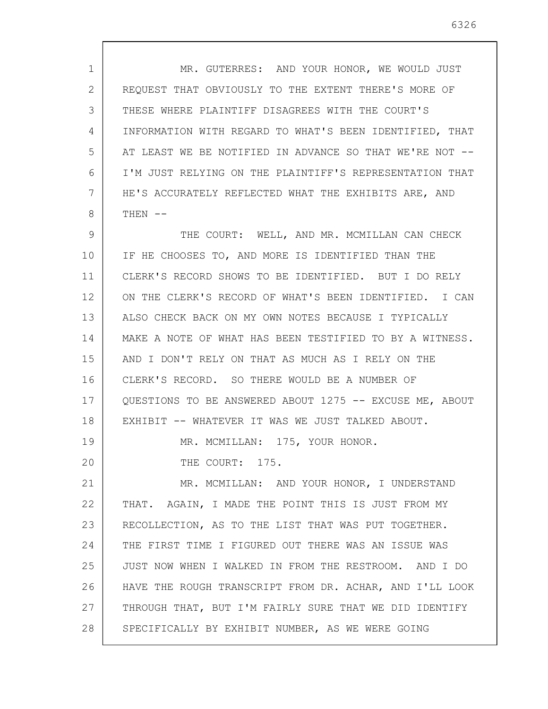1 2 3 4 5 6 7 8 9 10 11 12 13 14 15 16 17 18 19 20 21 22 23 24 25 26 27 28 MR. GUTERRES: AND YOUR HONOR, WE WOULD JUST REQUEST THAT OBVIOUSLY TO THE EXTENT THERE'S MORE OF THESE WHERE PLAINTIFF DISAGREES WITH THE COURT'S INFORMATION WITH REGARD TO WHAT'S BEEN IDENTIFIED, THAT AT LEAST WE BE NOTIFIED IN ADVANCE SO THAT WE'RE NOT -- I'M JUST RELYING ON THE PLAINTIFF'S REPRESENTATION THAT HE'S ACCURATELY REFLECTED WHAT THE EXHIBITS ARE, AND THEN -- THE COURT: WELL, AND MR. MCMILLAN CAN CHECK IF HE CHOOSES TO, AND MORE IS IDENTIFIED THAN THE CLERK'S RECORD SHOWS TO BE IDENTIFIED. BUT I DO RELY ON THE CLERK'S RECORD OF WHAT'S BEEN IDENTIFIED. I CAN ALSO CHECK BACK ON MY OWN NOTES BECAUSE I TYPICALLY MAKE A NOTE OF WHAT HAS BEEN TESTIFIED TO BY A WITNESS. AND I DON'T RELY ON THAT AS MUCH AS I RELY ON THE CLERK'S RECORD. SO THERE WOULD BE A NUMBER OF QUESTIONS TO BE ANSWERED ABOUT 1275 -- EXCUSE ME, ABOUT EXHIBIT -- WHATEVER IT WAS WE JUST TALKED ABOUT. MR. MCMILLAN: 175, YOUR HONOR. THE COURT: 175. MR. MCMILLAN: AND YOUR HONOR, I UNDERSTAND THAT. AGAIN, I MADE THE POINT THIS IS JUST FROM MY RECOLLECTION, AS TO THE LIST THAT WAS PUT TOGETHER. THE FIRST TIME I FIGURED OUT THERE WAS AN ISSUE WAS JUST NOW WHEN I WALKED IN FROM THE RESTROOM. AND I DO HAVE THE ROUGH TRANSCRIPT FROM DR. ACHAR, AND I'LL LOOK THROUGH THAT, BUT I'M FAIRLY SURE THAT WE DID IDENTIFY SPECIFICALLY BY EXHIBIT NUMBER, AS WE WERE GOING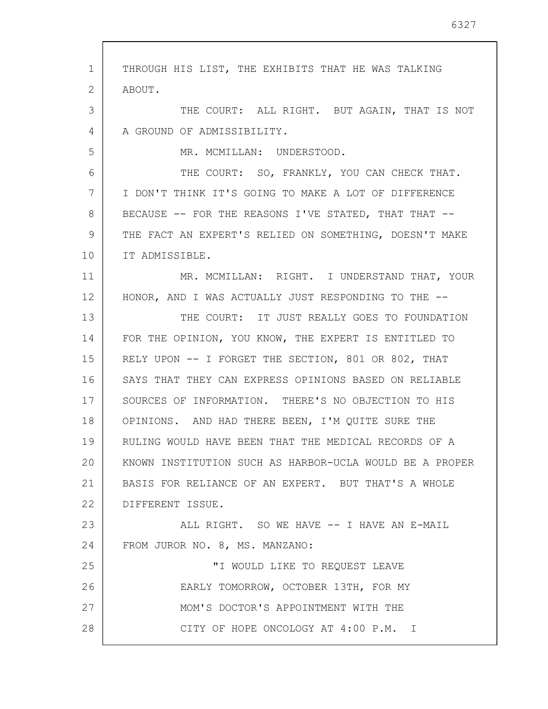1 2 3 4 5 6 7 8 9 10 11 12 13 14 15 16 17 18 19 20 21 22 23 24 25 26 27 28 THROUGH HIS LIST, THE EXHIBITS THAT HE WAS TALKING ABOUT. THE COURT: ALL RIGHT. BUT AGAIN, THAT IS NOT A GROUND OF ADMISSIBILITY. MR. MCMILLAN: UNDERSTOOD. THE COURT: SO, FRANKLY, YOU CAN CHECK THAT. I DON'T THINK IT'S GOING TO MAKE A LOT OF DIFFERENCE BECAUSE -- FOR THE REASONS I'VE STATED, THAT THAT -- THE FACT AN EXPERT'S RELIED ON SOMETHING, DOESN'T MAKE IT ADMISSIBLE. MR. MCMILLAN: RIGHT. I UNDERSTAND THAT, YOUR HONOR, AND I WAS ACTUALLY JUST RESPONDING TO THE --THE COURT: IT JUST REALLY GOES TO FOUNDATION FOR THE OPINION, YOU KNOW, THE EXPERT IS ENTITLED TO RELY UPON -- I FORGET THE SECTION, 801 OR 802, THAT SAYS THAT THEY CAN EXPRESS OPINIONS BASED ON RELIABLE SOURCES OF INFORMATION. THERE'S NO OBJECTION TO HIS OPINIONS. AND HAD THERE BEEN, I'M QUITE SURE THE RULING WOULD HAVE BEEN THAT THE MEDICAL RECORDS OF A KNOWN INSTITUTION SUCH AS HARBOR-UCLA WOULD BE A PROPER BASIS FOR RELIANCE OF AN EXPERT. BUT THAT'S A WHOLE DIFFERENT ISSUE. ALL RIGHT. SO WE HAVE -- I HAVE AN E-MAIL FROM JUROR NO. 8, MS. MANZANO: "I WOULD LIKE TO REQUEST LEAVE EARLY TOMORROW, OCTOBER 13TH, FOR MY MOM'S DOCTOR'S APPOINTMENT WITH THE CITY OF HOPE ONCOLOGY AT 4:00 P.M. I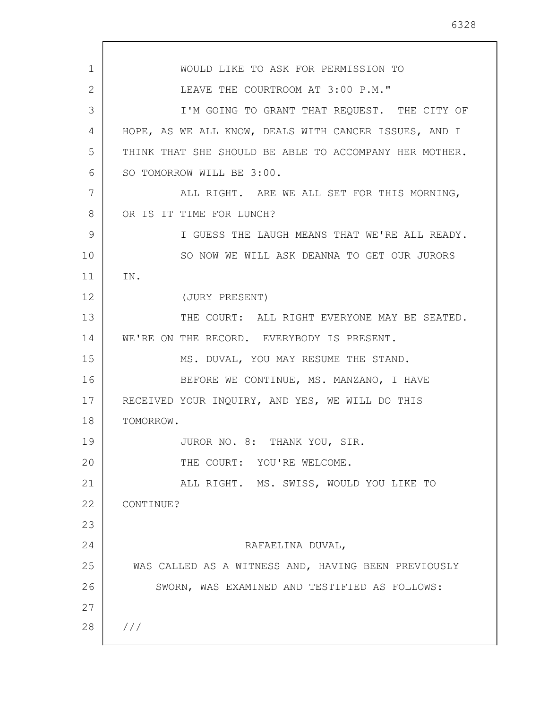1 2 3 4 5 6 7 8 9 10 11 12 13 14 15 16 17 18 19 20 21 22 23 24 25 26 27 28 /// WOULD LIKE TO ASK FOR PERMISSION TO LEAVE THE COURTROOM AT 3:00 P.M." I'M GOING TO GRANT THAT REQUEST. THE CITY OF HOPE, AS WE ALL KNOW, DEALS WITH CANCER ISSUES, AND I THINK THAT SHE SHOULD BE ABLE TO ACCOMPANY HER MOTHER. SO TOMORROW WILL BE 3:00. ALL RIGHT. ARE WE ALL SET FOR THIS MORNING, OR IS IT TIME FOR LUNCH? I GUESS THE LAUGH MEANS THAT WE'RE ALL READY. SO NOW WE WILL ASK DEANNA TO GET OUR JURORS IN. (JURY PRESENT) THE COURT: ALL RIGHT EVERYONE MAY BE SEATED. WE'RE ON THE RECORD. EVERYBODY IS PRESENT. MS. DUVAL, YOU MAY RESUME THE STAND. BEFORE WE CONTINUE, MS. MANZANO, I HAVE RECEIVED YOUR INQUIRY, AND YES, WE WILL DO THIS TOMORROW. JUROR NO. 8: THANK YOU, SIR. THE COURT: YOU'RE WELCOME. ALL RIGHT. MS. SWISS, WOULD YOU LIKE TO CONTINUE? RAFAELINA DUVAL, WAS CALLED AS A WITNESS AND, HAVING BEEN PREVIOUSLY SWORN, WAS EXAMINED AND TESTIFIED AS FOLLOWS: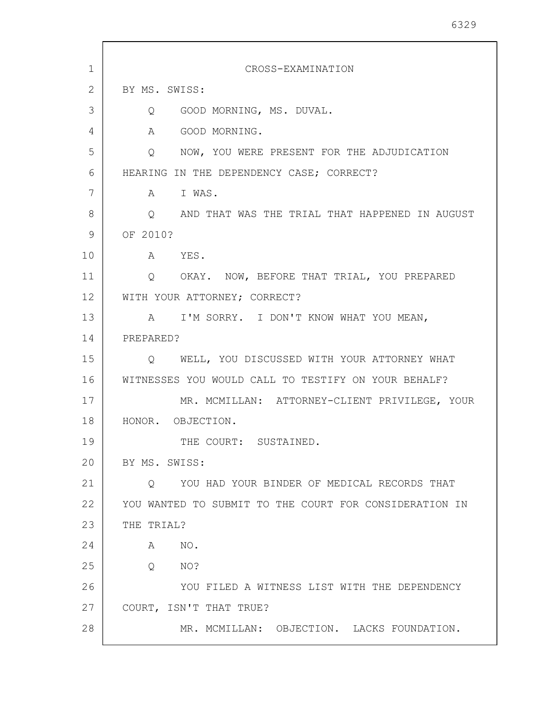| $\mathbf 1$ | CROSS-EXAMINATION                                      |
|-------------|--------------------------------------------------------|
| 2           | BY MS. SWISS:                                          |
| 3           | GOOD MORNING, MS. DUVAL.<br>Q                          |
| 4           | A<br>GOOD MORNING.                                     |
| 5           | NOW, YOU WERE PRESENT FOR THE ADJUDICATION<br>Q        |
| 6           | HEARING IN THE DEPENDENCY CASE; CORRECT?               |
| 7           | A I WAS.                                               |
| 8           | Q AND THAT WAS THE TRIAL THAT HAPPENED IN AUGUST       |
| 9           | OF 2010?                                               |
| 10          | A YES.                                                 |
| 11          | Q OKAY. NOW, BEFORE THAT TRIAL, YOU PREPARED           |
| 12          | WITH YOUR ATTORNEY; CORRECT?                           |
| 13          | I'M SORRY. I DON'T KNOW WHAT YOU MEAN,<br>$\mathbb A$  |
| 14          | PREPARED?                                              |
| 15          | Q WELL, YOU DISCUSSED WITH YOUR ATTORNEY WHAT          |
| 16          | WITNESSES YOU WOULD CALL TO TESTIFY ON YOUR BEHALF?    |
| 17          | MR. MCMILLAN: ATTORNEY-CLIENT PRIVILEGE, YOUR          |
| 18          | HONOR. OBJECTION.                                      |
| 19          | THE COURT: SUSTAINED.                                  |
| 20          | BY MS. SWISS:                                          |
| 21          | YOU HAD YOUR BINDER OF MEDICAL RECORDS THAT<br>O       |
| 22          | YOU WANTED TO SUBMIT TO THE COURT FOR CONSIDERATION IN |
| 23          | THE TRIAL?                                             |
| 24          | NO.<br>A                                               |
| 25          | Q<br>NO?                                               |
| 26          | YOU FILED A WITNESS LIST WITH THE DEPENDENCY           |
| 27          | COURT, ISN'T THAT TRUE?                                |
| 28          | MR. MCMILLAN: OBJECTION. LACKS FOUNDATION.             |

 $\mathsf{l}$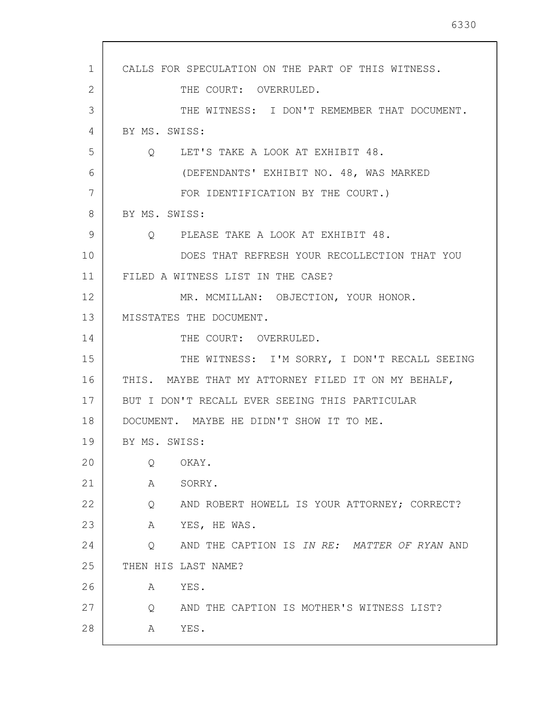1 2 3 4 5 6 7 8 9 10 11 12 13 14 15 16 17 18 19 20 21 22 23 24 25 26 27 28 CALLS FOR SPECULATION ON THE PART OF THIS WITNESS. THE COURT: OVERRULED. THE WITNESS: I DON'T REMEMBER THAT DOCUMENT. BY MS. SWISS: Q LET'S TAKE A LOOK AT EXHIBIT 48. (DEFENDANTS' EXHIBIT NO. 48, WAS MARKED FOR IDENTIFICATION BY THE COURT.) BY MS. SWISS: Q PLEASE TAKE A LOOK AT EXHIBIT 48. DOES THAT REFRESH YOUR RECOLLECTION THAT YOU FILED A WITNESS LIST IN THE CASE? MR. MCMILLAN: OBJECTION, YOUR HONOR. MISSTATES THE DOCUMENT. THE COURT: OVERRULED. THE WITNESS: I'M SORRY, I DON'T RECALL SEEING THIS. MAYBE THAT MY ATTORNEY FILED IT ON MY BEHALF, BUT I DON'T RECALL EVER SEEING THIS PARTICULAR DOCUMENT. MAYBE HE DIDN'T SHOW IT TO ME. BY MS. SWISS: Q OKAY. A SORRY. Q AND ROBERT HOWELL IS YOUR ATTORNEY; CORRECT? A YES, HE WAS. Q AND THE CAPTION IS IN RE: MATTER OF RYAN AND THEN HIS LAST NAME? A YES. Q AND THE CAPTION IS MOTHER'S WITNESS LIST? A YES.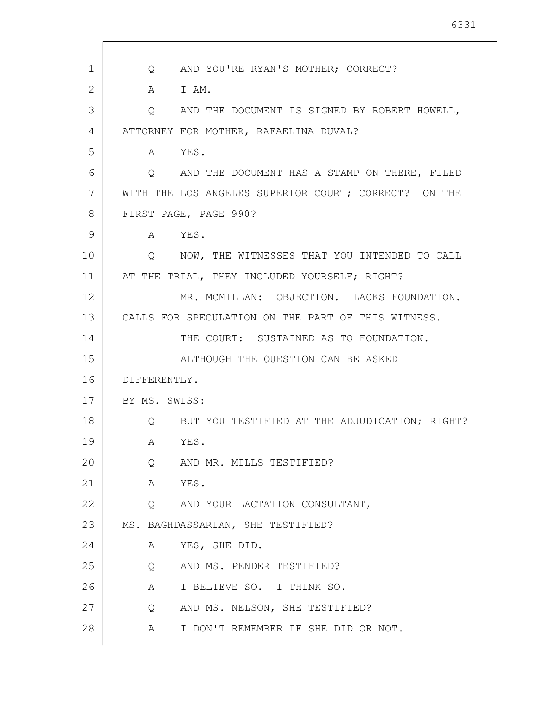| $\mathbf{1}$ | Q AND YOU'RE RYAN'S MOTHER; CORRECT?                 |
|--------------|------------------------------------------------------|
| 2            | A IAM.                                               |
| 3            | AND THE DOCUMENT IS SIGNED BY ROBERT HOWELL,<br>Q    |
| 4            | ATTORNEY FOR MOTHER, RAFAELINA DUVAL?                |
| 5            | A YES.                                               |
| 6            | Q AND THE DOCUMENT HAS A STAMP ON THERE, FILED       |
| 7            | WITH THE LOS ANGELES SUPERIOR COURT; CORRECT? ON THE |
| 8            | FIRST PAGE, PAGE 990?                                |
| 9            | A YES.                                               |
| 10           | O NOW, THE WITNESSES THAT YOU INTENDED TO CALL       |
| 11           | AT THE TRIAL, THEY INCLUDED YOURSELF; RIGHT?         |
| 12           | MR. MCMILLAN: OBJECTION. LACKS FOUNDATION.           |
| 13           | CALLS FOR SPECULATION ON THE PART OF THIS WITNESS.   |
| 14           | THE COURT: SUSTAINED AS TO FOUNDATION.               |
| 15           | ALTHOUGH THE QUESTION CAN BE ASKED                   |
| 16           | DIFFERENTLY.                                         |
| 17           | BY MS. SWISS:                                        |
| 18           | Q BUT YOU TESTIFIED AT THE ADJUDICATION; RIGHT?      |
| 19           | YES.<br>A                                            |
| 20           | AND MR. MILLS TESTIFIED?<br>Q                        |
| 21           | YES.<br>A                                            |
| 22           | Q AND YOUR LACTATION CONSULTANT,                     |
| 23           | MS. BAGHDASSARIAN, SHE TESTIFIED?                    |
| 24           | YES, SHE DID.<br>A                                   |
| 25           | AND MS. PENDER TESTIFIED?<br>Q                       |
| 26           | I BELIEVE SO. I THINK SO.<br>A                       |
| 27           | AND MS. NELSON, SHE TESTIFIED?<br>Q                  |
| 28           | I DON'T REMEMBER IF SHE DID OR NOT.<br>A             |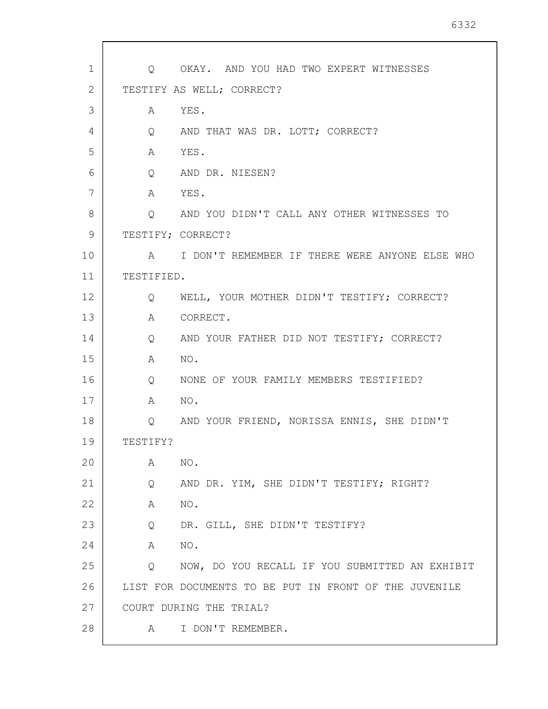| $\mathbf 1$ |                   | Q OKAY. AND YOU HAD TWO EXPERT WITNESSES              |
|-------------|-------------------|-------------------------------------------------------|
| 2           |                   | TESTIFY AS WELL; CORRECT?                             |
| 3           | A                 | YES.                                                  |
| 4           | $Q \qquad \qquad$ | AND THAT WAS DR. LOTT; CORRECT?                       |
| 5           | A                 | YES.                                                  |
| 6           | Q                 | AND DR. NIESEN?                                       |
| 7           | A                 | YES.                                                  |
| 8           | Q                 | AND YOU DIDN'T CALL ANY OTHER WITNESSES TO            |
| 9           | TESTIFY; CORRECT? |                                                       |
| 10          |                   | A I DON'T REMEMBER IF THERE WERE ANYONE ELSE WHO      |
| 11          | TESTIFIED.        |                                                       |
| 12          | Q                 | WELL, YOUR MOTHER DIDN'T TESTIFY; CORRECT?            |
| 13          | Α                 | CORRECT.                                              |
| 14          | Q                 | AND YOUR FATHER DID NOT TESTIFY; CORRECT?             |
| 15          | A                 | NO.                                                   |
| 16          | Q                 | NONE OF YOUR FAMILY MEMBERS TESTIFIED?                |
| 17          | A                 | NO.                                                   |
| 18          | Q                 | AND YOUR FRIEND, NORISSA ENNIS, SHE DIDN'T            |
| 19          | TESTIFY?          |                                                       |
| 20          | Α                 | NO.                                                   |
| 21          | Q                 | AND DR. YIM, SHE DIDN'T TESTIFY; RIGHT?               |
| 22          | A                 | NO.                                                   |
| 23          | Q                 | DR. GILL, SHE DIDN'T TESTIFY?                         |
| 24          | A                 | NO.                                                   |
| 25          | Q                 | NOW, DO YOU RECALL IF YOU SUBMITTED AN EXHIBIT        |
| 26          |                   | LIST FOR DOCUMENTS TO BE PUT IN FRONT OF THE JUVENILE |
| 27          |                   | COURT DURING THE TRIAL?                               |
| 28          | A                 | I DON'T REMEMBER.                                     |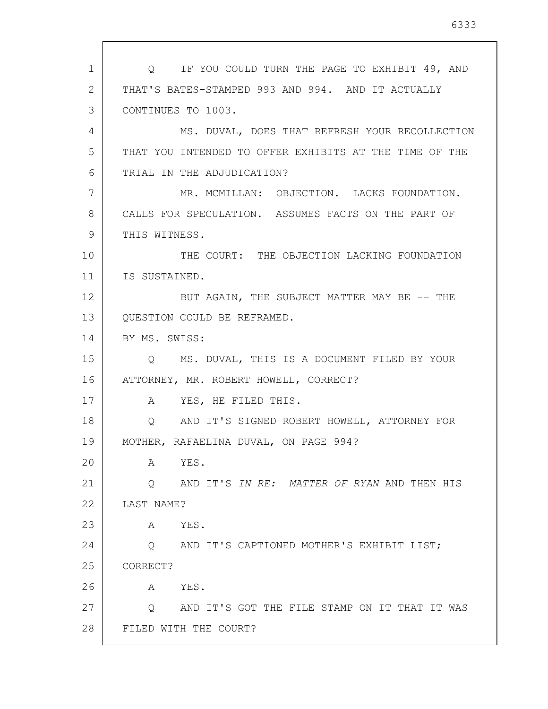1 2 3 4 5 6 7 8 9 10 11 12 13 14 15 16 17 18 19 20 21 22 23 24 25 26 27 28 Q IF YOU COULD TURN THE PAGE TO EXHIBIT 49, AND THAT'S BATES-STAMPED 993 AND 994. AND IT ACTUALLY CONTINUES TO 1003. MS. DUVAL, DOES THAT REFRESH YOUR RECOLLECTION THAT YOU INTENDED TO OFFER EXHIBITS AT THE TIME OF THE TRIAL IN THE ADJUDICATION? MR. MCMILLAN: OBJECTION. LACKS FOUNDATION. CALLS FOR SPECULATION. ASSUMES FACTS ON THE PART OF THIS WITNESS. THE COURT: THE OBJECTION LACKING FOUNDATION IS SUSTAINED. BUT AGAIN, THE SUBJECT MATTER MAY BE -- THE QUESTION COULD BE REFRAMED. BY MS. SWISS: Q MS. DUVAL, THIS IS A DOCUMENT FILED BY YOUR ATTORNEY, MR. ROBERT HOWELL, CORRECT? A YES, HE FILED THIS. Q AND IT'S SIGNED ROBERT HOWELL, ATTORNEY FOR MOTHER, RAFAELINA DUVAL, ON PAGE 994? A YES. Q AND IT'S IN RE: MATTER OF RYAN AND THEN HIS LAST NAME? A YES. Q AND IT'S CAPTIONED MOTHER'S EXHIBIT LIST; CORRECT? A YES. Q AND IT'S GOT THE FILE STAMP ON IT THAT IT WAS FILED WITH THE COURT?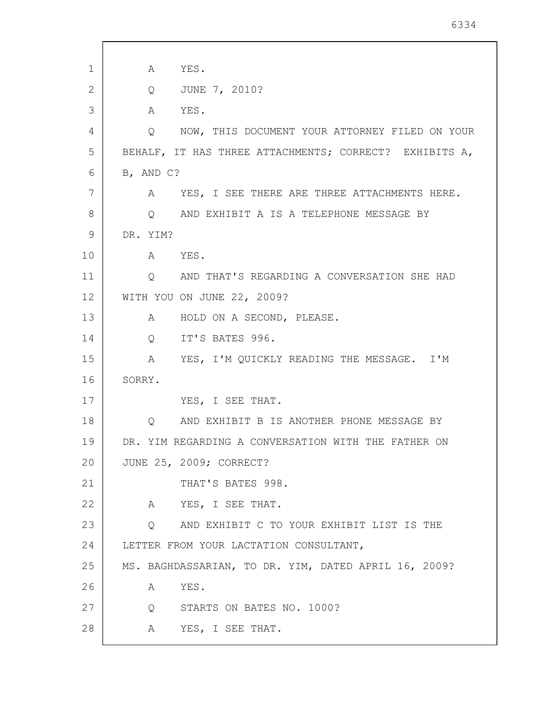| 1  | YES.<br>A                                              |
|----|--------------------------------------------------------|
| 2  | JUNE 7, 2010?<br>$Q \qquad \qquad$                     |
| 3  | A YES.                                                 |
| 4  | NOW, THIS DOCUMENT YOUR ATTORNEY FILED ON YOUR<br>Q    |
| 5  | BEHALF, IT HAS THREE ATTACHMENTS; CORRECT? EXHIBITS A, |
| 6  | B, AND C?                                              |
| 7  | YES, I SEE THERE ARE THREE ATTACHMENTS HERE.<br>A      |
| 8  | O AND EXHIBIT A IS A TELEPHONE MESSAGE BY              |
| 9  | DR. YIM?                                               |
| 10 | A YES.                                                 |
| 11 | Q AND THAT'S REGARDING A CONVERSATION SHE HAD          |
| 12 | WITH YOU ON JUNE 22, 2009?                             |
| 13 | HOLD ON A SECOND, PLEASE.<br>A                         |
| 14 | IT'S BATES 996.<br>$Q \qquad \qquad$                   |
| 15 | A YES, I'M QUICKLY READING THE MESSAGE. I'M            |
| 16 | SORRY.                                                 |
| 17 | YES, I SEE THAT.                                       |
| 18 | AND EXHIBIT B IS ANOTHER PHONE MESSAGE BY<br>Q         |
| 19 | DR. YIM REGARDING A CONVERSATION WITH THE FATHER ON    |
| 20 | JUNE 25, 2009; CORRECT?                                |
| 21 | THAT'S BATES 998.                                      |
| 22 | A YES, I SEE THAT.                                     |
| 23 | Q AND EXHIBIT C TO YOUR EXHIBIT LIST IS THE            |
| 24 | LETTER FROM YOUR LACTATION CONSULTANT,                 |
| 25 | MS. BAGHDASSARIAN, TO DR. YIM, DATED APRIL 16, 2009?   |
| 26 | YES.<br>A                                              |
| 27 | Q STARTS ON BATES NO. 1000?                            |
| 28 | A YES, I SEE THAT.                                     |
|    |                                                        |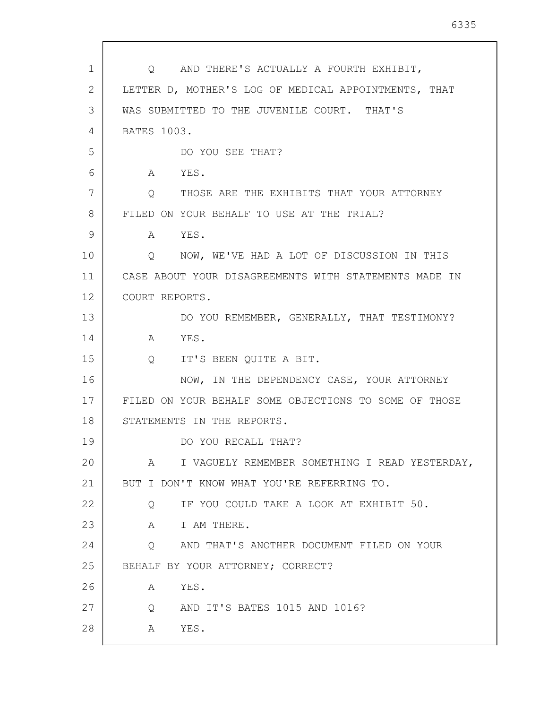| 1<br>Q AND THERE'S ACTUALLY A FOURTH EXHIBIT,<br>2<br>LETTER D, MOTHER'S LOG OF MEDICAL APPOINTMENTS, THAT<br>3<br>WAS SUBMITTED TO THE JUVENILE COURT. THAT'S<br><b>BATES 1003.</b><br>4<br>5<br>DO YOU SEE THAT?<br>6<br>A YES.<br>7<br>THOSE ARE THE EXHIBITS THAT YOUR ATTORNEY<br>$\overline{Q}$<br>8<br>FILED ON YOUR BEHALF TO USE AT THE TRIAL?<br>9<br>YES.<br>A<br>10<br>Q NOW, WE'VE HAD A LOT OF DISCUSSION IN THIS<br>11<br>CASE ABOUT YOUR DISAGREEMENTS WITH STATEMENTS MADE IN<br>12<br>COURT REPORTS.<br>13<br>DO YOU REMEMBER, GENERALLY, THAT TESTIMONY?<br>14<br>A YES.<br>15<br>Q IT'S BEEN QUITE A BIT.<br>16<br>NOW, IN THE DEPENDENCY CASE, YOUR ATTORNEY<br>17<br>FILED ON YOUR BEHALF SOME OBJECTIONS TO SOME OF THOSE<br>18<br>STATEMENTS IN THE REPORTS.<br>19<br>DO YOU RECALL THAT?<br>20<br>A<br>21<br>BUT I DON'T KNOW WHAT YOU'RE REFERRING TO.<br>22<br>IF YOU COULD TAKE A LOOK AT EXHIBIT 50.<br>Q<br>23<br>I AM THERE.<br>A<br>24<br>AND THAT'S ANOTHER DOCUMENT FILED ON YOUR<br>$\circ$<br>25<br>BEHALF BY YOUR ATTORNEY; CORRECT?<br>26<br>A<br>YES.<br>27 |                                                 |
|----------------------------------------------------------------------------------------------------------------------------------------------------------------------------------------------------------------------------------------------------------------------------------------------------------------------------------------------------------------------------------------------------------------------------------------------------------------------------------------------------------------------------------------------------------------------------------------------------------------------------------------------------------------------------------------------------------------------------------------------------------------------------------------------------------------------------------------------------------------------------------------------------------------------------------------------------------------------------------------------------------------------------------------------------------------------------------------------------|-------------------------------------------------|
|                                                                                                                                                                                                                                                                                                                                                                                                                                                                                                                                                                                                                                                                                                                                                                                                                                                                                                                                                                                                                                                                                                    |                                                 |
|                                                                                                                                                                                                                                                                                                                                                                                                                                                                                                                                                                                                                                                                                                                                                                                                                                                                                                                                                                                                                                                                                                    |                                                 |
|                                                                                                                                                                                                                                                                                                                                                                                                                                                                                                                                                                                                                                                                                                                                                                                                                                                                                                                                                                                                                                                                                                    |                                                 |
|                                                                                                                                                                                                                                                                                                                                                                                                                                                                                                                                                                                                                                                                                                                                                                                                                                                                                                                                                                                                                                                                                                    |                                                 |
|                                                                                                                                                                                                                                                                                                                                                                                                                                                                                                                                                                                                                                                                                                                                                                                                                                                                                                                                                                                                                                                                                                    |                                                 |
|                                                                                                                                                                                                                                                                                                                                                                                                                                                                                                                                                                                                                                                                                                                                                                                                                                                                                                                                                                                                                                                                                                    |                                                 |
|                                                                                                                                                                                                                                                                                                                                                                                                                                                                                                                                                                                                                                                                                                                                                                                                                                                                                                                                                                                                                                                                                                    |                                                 |
|                                                                                                                                                                                                                                                                                                                                                                                                                                                                                                                                                                                                                                                                                                                                                                                                                                                                                                                                                                                                                                                                                                    |                                                 |
|                                                                                                                                                                                                                                                                                                                                                                                                                                                                                                                                                                                                                                                                                                                                                                                                                                                                                                                                                                                                                                                                                                    |                                                 |
|                                                                                                                                                                                                                                                                                                                                                                                                                                                                                                                                                                                                                                                                                                                                                                                                                                                                                                                                                                                                                                                                                                    |                                                 |
|                                                                                                                                                                                                                                                                                                                                                                                                                                                                                                                                                                                                                                                                                                                                                                                                                                                                                                                                                                                                                                                                                                    |                                                 |
|                                                                                                                                                                                                                                                                                                                                                                                                                                                                                                                                                                                                                                                                                                                                                                                                                                                                                                                                                                                                                                                                                                    |                                                 |
|                                                                                                                                                                                                                                                                                                                                                                                                                                                                                                                                                                                                                                                                                                                                                                                                                                                                                                                                                                                                                                                                                                    |                                                 |
|                                                                                                                                                                                                                                                                                                                                                                                                                                                                                                                                                                                                                                                                                                                                                                                                                                                                                                                                                                                                                                                                                                    |                                                 |
|                                                                                                                                                                                                                                                                                                                                                                                                                                                                                                                                                                                                                                                                                                                                                                                                                                                                                                                                                                                                                                                                                                    |                                                 |
|                                                                                                                                                                                                                                                                                                                                                                                                                                                                                                                                                                                                                                                                                                                                                                                                                                                                                                                                                                                                                                                                                                    |                                                 |
|                                                                                                                                                                                                                                                                                                                                                                                                                                                                                                                                                                                                                                                                                                                                                                                                                                                                                                                                                                                                                                                                                                    |                                                 |
|                                                                                                                                                                                                                                                                                                                                                                                                                                                                                                                                                                                                                                                                                                                                                                                                                                                                                                                                                                                                                                                                                                    |                                                 |
|                                                                                                                                                                                                                                                                                                                                                                                                                                                                                                                                                                                                                                                                                                                                                                                                                                                                                                                                                                                                                                                                                                    |                                                 |
|                                                                                                                                                                                                                                                                                                                                                                                                                                                                                                                                                                                                                                                                                                                                                                                                                                                                                                                                                                                                                                                                                                    | I VAGUELY REMEMBER SOMETHING I READ YESTERDAY,  |
|                                                                                                                                                                                                                                                                                                                                                                                                                                                                                                                                                                                                                                                                                                                                                                                                                                                                                                                                                                                                                                                                                                    |                                                 |
|                                                                                                                                                                                                                                                                                                                                                                                                                                                                                                                                                                                                                                                                                                                                                                                                                                                                                                                                                                                                                                                                                                    |                                                 |
|                                                                                                                                                                                                                                                                                                                                                                                                                                                                                                                                                                                                                                                                                                                                                                                                                                                                                                                                                                                                                                                                                                    |                                                 |
|                                                                                                                                                                                                                                                                                                                                                                                                                                                                                                                                                                                                                                                                                                                                                                                                                                                                                                                                                                                                                                                                                                    |                                                 |
|                                                                                                                                                                                                                                                                                                                                                                                                                                                                                                                                                                                                                                                                                                                                                                                                                                                                                                                                                                                                                                                                                                    |                                                 |
|                                                                                                                                                                                                                                                                                                                                                                                                                                                                                                                                                                                                                                                                                                                                                                                                                                                                                                                                                                                                                                                                                                    |                                                 |
|                                                                                                                                                                                                                                                                                                                                                                                                                                                                                                                                                                                                                                                                                                                                                                                                                                                                                                                                                                                                                                                                                                    | AND IT'S BATES 1015 AND 1016?<br>$\overline{Q}$ |
| 28<br>YES.<br>A                                                                                                                                                                                                                                                                                                                                                                                                                                                                                                                                                                                                                                                                                                                                                                                                                                                                                                                                                                                                                                                                                    |                                                 |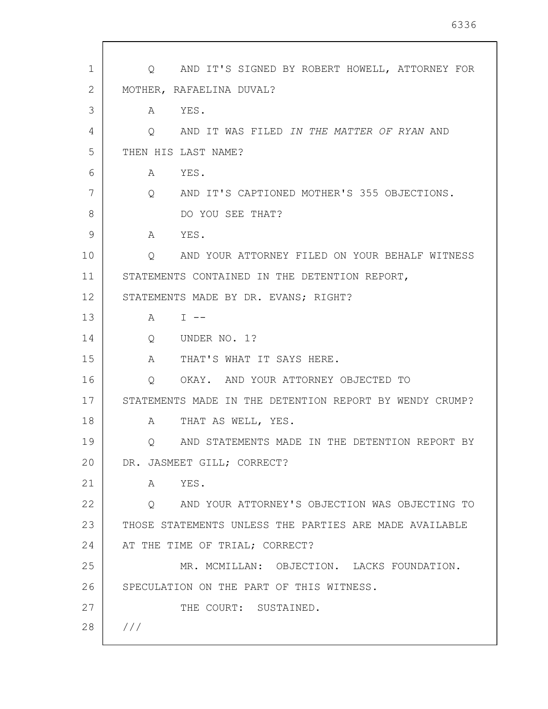| $\mathbf 1$ | Q AND IT'S SIGNED BY ROBERT HOWELL, ATTORNEY FOR             |
|-------------|--------------------------------------------------------------|
| 2           | MOTHER, RAFAELINA DUVAL?                                     |
| 3           | A YES.                                                       |
| 4           | $\overline{Q}$<br>AND IT WAS FILED IN THE MATTER OF RYAN AND |
| 5           | THEN HIS LAST NAME?                                          |
| 6           | A YES.                                                       |
| 7           | Q AND IT'S CAPTIONED MOTHER'S 355 OBJECTIONS.                |
| 8           | DO YOU SEE THAT?                                             |
| 9           | A YES.                                                       |
| 10          | Q<br>AND YOUR ATTORNEY FILED ON YOUR BEHALF WITNESS          |
| 11          | STATEMENTS CONTAINED IN THE DETENTION REPORT,                |
| 12          | STATEMENTS MADE BY DR. EVANS; RIGHT?                         |
| 13          | $A \sim$<br>$T = -$                                          |
| 14          | Q UNDER NO. 1?                                               |
| 15          | $A \quad \alpha$<br>THAT'S WHAT IT SAYS HERE.                |
| 16          | OKAY. AND YOUR ATTORNEY OBJECTED TO<br>$\overline{Q}$        |
| 17          | STATEMENTS MADE IN THE DETENTION REPORT BY WENDY CRUMP?      |
| 18          | THAT AS WELL, YES.<br>A                                      |
| 19          | Q AND STATEMENTS MADE IN THE DETENTION REPORT BY             |
| 20          | DR. JASMEET GILL; CORRECT?                                   |
| 21          | A YES.                                                       |
| 22          | Q AND YOUR ATTORNEY'S OBJECTION WAS OBJECTING TO             |
| 23          | THOSE STATEMENTS UNLESS THE PARTIES ARE MADE AVAILABLE       |
| 24          | AT THE TIME OF TRIAL; CORRECT?                               |
| 25          | MR. MCMILLAN: OBJECTION. LACKS FOUNDATION.                   |
| 26          | SPECULATION ON THE PART OF THIS WITNESS.                     |
| 27          | THE COURT: SUSTAINED.                                        |
| 28          | ///                                                          |
|             |                                                              |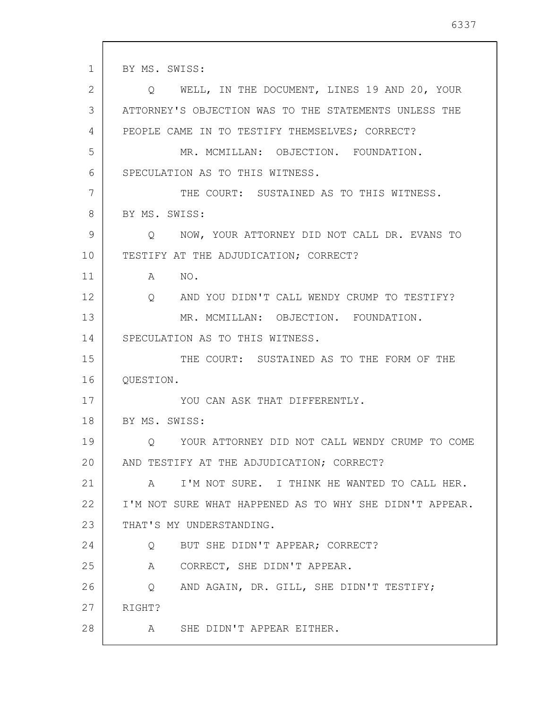1 2 3 4 5 6 7 8 9 10 11 12 13 14 15 16 17 18 19 20 21 22 23 24 25 26 27 28 BY MS. SWISS: Q WELL, IN THE DOCUMENT, LINES 19 AND 20, YOUR ATTORNEY'S OBJECTION WAS TO THE STATEMENTS UNLESS THE PEOPLE CAME IN TO TESTIFY THEMSELVES; CORRECT? MR. MCMILLAN: OBJECTION. FOUNDATION. SPECULATION AS TO THIS WITNESS. THE COURT: SUSTAINED AS TO THIS WITNESS. BY MS. SWISS: Q NOW, YOUR ATTORNEY DID NOT CALL DR. EVANS TO TESTIFY AT THE ADJUDICATION; CORRECT? A NO. Q AND YOU DIDN'T CALL WENDY CRUMP TO TESTIFY? MR. MCMILLAN: OBJECTION. FOUNDATION. SPECULATION AS TO THIS WITNESS. THE COURT: SUSTAINED AS TO THE FORM OF THE QUESTION. YOU CAN ASK THAT DIFFERENTLY. BY MS. SWISS: Q YOUR ATTORNEY DID NOT CALL WENDY CRUMP TO COME AND TESTIFY AT THE ADJUDICATION; CORRECT? A I'M NOT SURE. I THINK HE WANTED TO CALL HER. I'M NOT SURE WHAT HAPPENED AS TO WHY SHE DIDN'T APPEAR. THAT'S MY UNDERSTANDING. Q BUT SHE DIDN'T APPEAR; CORRECT? A CORRECT, SHE DIDN'T APPEAR. Q AND AGAIN, DR. GILL, SHE DIDN'T TESTIFY; RIGHT? A SHE DIDN'T APPEAR EITHER.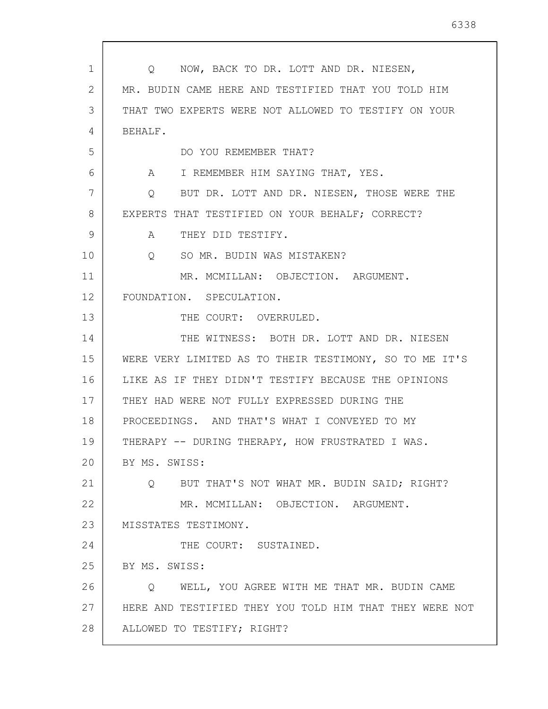| $\mathbf{1}$   | Q NOW, BACK TO DR. LOTT AND DR. NIESEN,                 |
|----------------|---------------------------------------------------------|
| $\overline{2}$ | MR. BUDIN CAME HERE AND TESTIFIED THAT YOU TOLD HIM     |
| 3              | THAT TWO EXPERTS WERE NOT ALLOWED TO TESTIFY ON YOUR    |
| 4              | BEHALF.                                                 |
| 5              | DO YOU REMEMBER THAT?                                   |
| 6              | A I REMEMBER HIM SAYING THAT, YES.                      |
| 7              | Q BUT DR. LOTT AND DR. NIESEN, THOSE WERE THE           |
| 8              | EXPERTS THAT TESTIFIED ON YOUR BEHALF; CORRECT?         |
| 9              | A THEY DID TESTIFY.                                     |
| 10             | Q SO MR. BUDIN WAS MISTAKEN?                            |
| 11             | MR. MCMILLAN: OBJECTION. ARGUMENT.                      |
| 12             | FOUNDATION. SPECULATION.                                |
| 13             | THE COURT: OVERRULED.                                   |
| 14             | THE WITNESS: BOTH DR. LOTT AND DR. NIESEN               |
| 15             | WERE VERY LIMITED AS TO THEIR TESTIMONY, SO TO ME IT'S  |
| 16             | LIKE AS IF THEY DIDN'T TESTIFY BECAUSE THE OPINIONS     |
| 17             | THEY HAD WERE NOT FULLY EXPRESSED DURING THE            |
| 18             | PROCEEDINGS. AND THAT'S WHAT I CONVEYED TO MY           |
| 19             | THERAPY -- DURING THERAPY, HOW FRUSTRATED I WAS.        |
| 20             | BY MS. SWISS:                                           |
| 21             | $Q \sim$<br>BUT THAT'S NOT WHAT MR. BUDIN SAID; RIGHT?  |
| 22             | MR. MCMILLAN: OBJECTION. ARGUMENT.                      |
| 23             | MISSTATES TESTIMONY.                                    |
| 24             | THE COURT: SUSTAINED.                                   |
| 25             | BY MS. SWISS:                                           |
| 26             | WELL, YOU AGREE WITH ME THAT MR. BUDIN CAME<br>Q        |
| 27             | HERE AND TESTIFIED THEY YOU TOLD HIM THAT THEY WERE NOT |
| 28             | ALLOWED TO TESTIFY; RIGHT?                              |

 $\overline{\phantom{a}}$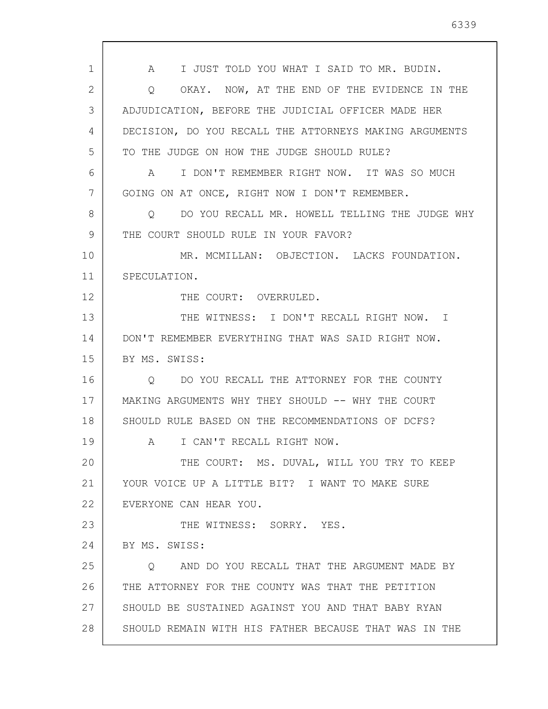1 2 3 4 5 6 7 8 9 10 11 12 13 14 15 16 17 18 19 20 21 22 23 24 25 26 27 28 A I JUST TOLD YOU WHAT I SAID TO MR. BUDIN. Q OKAY. NOW, AT THE END OF THE EVIDENCE IN THE ADJUDICATION, BEFORE THE JUDICIAL OFFICER MADE HER DECISION, DO YOU RECALL THE ATTORNEYS MAKING ARGUMENTS TO THE JUDGE ON HOW THE JUDGE SHOULD RULE? A I DON'T REMEMBER RIGHT NOW. IT WAS SO MUCH GOING ON AT ONCE, RIGHT NOW I DON'T REMEMBER. Q DO YOU RECALL MR. HOWELL TELLING THE JUDGE WHY THE COURT SHOULD RULE IN YOUR FAVOR? MR. MCMILLAN: OBJECTION. LACKS FOUNDATION. SPECULATION. THE COURT: OVERRULED. THE WITNESS: I DON'T RECALL RIGHT NOW. I DON'T REMEMBER EVERYTHING THAT WAS SAID RIGHT NOW. BY MS. SWISS: Q DO YOU RECALL THE ATTORNEY FOR THE COUNTY MAKING ARGUMENTS WHY THEY SHOULD -- WHY THE COURT SHOULD RULE BASED ON THE RECOMMENDATIONS OF DCFS? A I CAN'T RECALL RIGHT NOW. THE COURT: MS. DUVAL, WILL YOU TRY TO KEEP YOUR VOICE UP A LITTLE BIT? I WANT TO MAKE SURE EVERYONE CAN HEAR YOU. THE WITNESS: SORRY. YES. BY MS. SWISS: Q AND DO YOU RECALL THAT THE ARGUMENT MADE BY THE ATTORNEY FOR THE COUNTY WAS THAT THE PETITION SHOULD BE SUSTAINED AGAINST YOU AND THAT BABY RYAN SHOULD REMAIN WITH HIS FATHER BECAUSE THAT WAS IN THE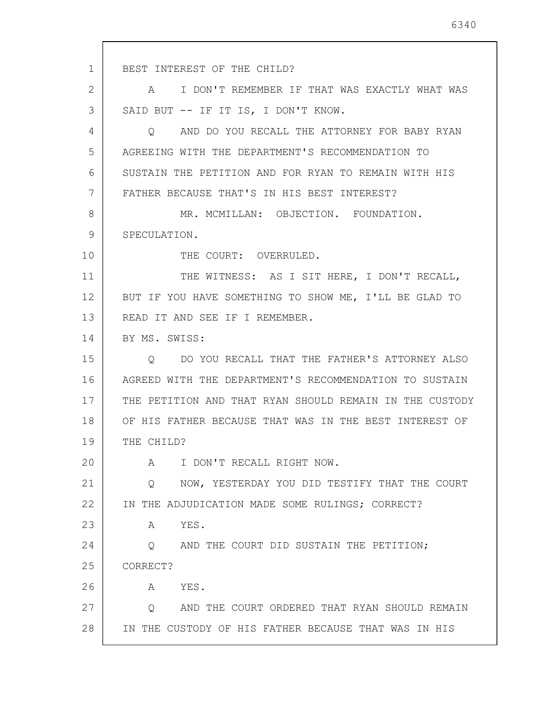1 2 3 4 5 6 7 8 9 10 11 12 13 14 15 16 17 18 19 20 21 22 23 24 25 26 27 28 BEST INTEREST OF THE CHILD? A I DON'T REMEMBER IF THAT WAS EXACTLY WHAT WAS SAID BUT -- IF IT IS, I DON'T KNOW. Q AND DO YOU RECALL THE ATTORNEY FOR BABY RYAN AGREEING WITH THE DEPARTMENT'S RECOMMENDATION TO SUSTAIN THE PETITION AND FOR RYAN TO REMAIN WITH HIS FATHER BECAUSE THAT'S IN HIS BEST INTEREST? MR. MCMILLAN: OBJECTION. FOUNDATION. SPECULATION. THE COURT: OVERRULED. THE WITNESS: AS I SIT HERE, I DON'T RECALL, BUT IF YOU HAVE SOMETHING TO SHOW ME, I'LL BE GLAD TO READ IT AND SEE IF I REMEMBER. BY MS. SWISS: Q DO YOU RECALL THAT THE FATHER'S ATTORNEY ALSO AGREED WITH THE DEPARTMENT'S RECOMMENDATION TO SUSTAIN THE PETITION AND THAT RYAN SHOULD REMAIN IN THE CUSTODY OF HIS FATHER BECAUSE THAT WAS IN THE BEST INTEREST OF THE CHILD? A I DON'T RECALL RIGHT NOW. Q NOW, YESTERDAY YOU DID TESTIFY THAT THE COURT IN THE ADJUDICATION MADE SOME RULINGS; CORRECT? A YES. Q AND THE COURT DID SUSTAIN THE PETITION; CORRECT? A YES. Q AND THE COURT ORDERED THAT RYAN SHOULD REMAIN IN THE CUSTODY OF HIS FATHER BECAUSE THAT WAS IN HIS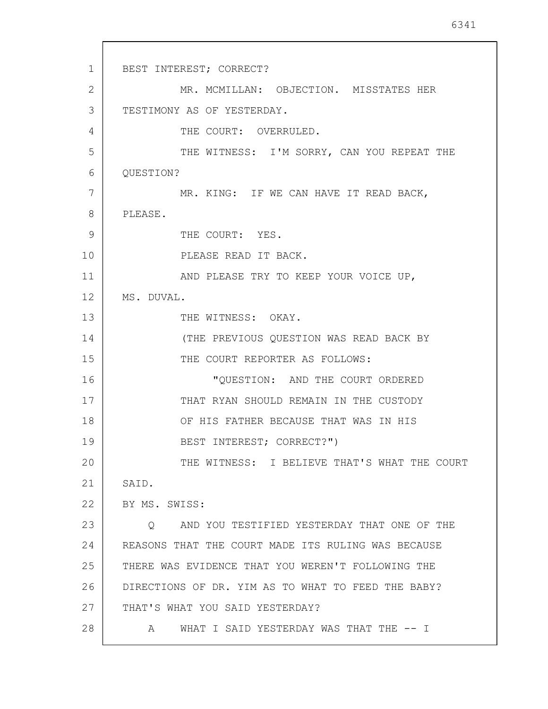1 2 3 4 5 6 7 8 9 10 11 12 13 14 15 16 17 18 19 20 21 22 23 24 25 26 27 28 BEST INTEREST; CORRECT? MR. MCMILLAN: OBJECTION. MISSTATES HER TESTIMONY AS OF YESTERDAY. THE COURT: OVERRULED. THE WITNESS: I'M SORRY, CAN YOU REPEAT THE QUESTION? MR. KING: IF WE CAN HAVE IT READ BACK, PLEASE. THE COURT: YES. PLEASE READ IT BACK. AND PLEASE TRY TO KEEP YOUR VOICE UP, MS. DUVAL. THE WITNESS: OKAY. (THE PREVIOUS QUESTION WAS READ BACK BY THE COURT REPORTER AS FOLLOWS: "QUESTION: AND THE COURT ORDERED THAT RYAN SHOULD REMAIN IN THE CUSTODY OF HIS FATHER BECAUSE THAT WAS IN HIS BEST INTEREST; CORRECT?") THE WITNESS: I BELIEVE THAT'S WHAT THE COURT SAID. BY MS. SWISS: Q AND YOU TESTIFIED YESTERDAY THAT ONE OF THE REASONS THAT THE COURT MADE ITS RULING WAS BECAUSE THERE WAS EVIDENCE THAT YOU WEREN'T FOLLOWING THE DIRECTIONS OF DR. YIM AS TO WHAT TO FEED THE BABY? THAT'S WHAT YOU SAID YESTERDAY? A WHAT I SAID YESTERDAY WAS THAT THE -- I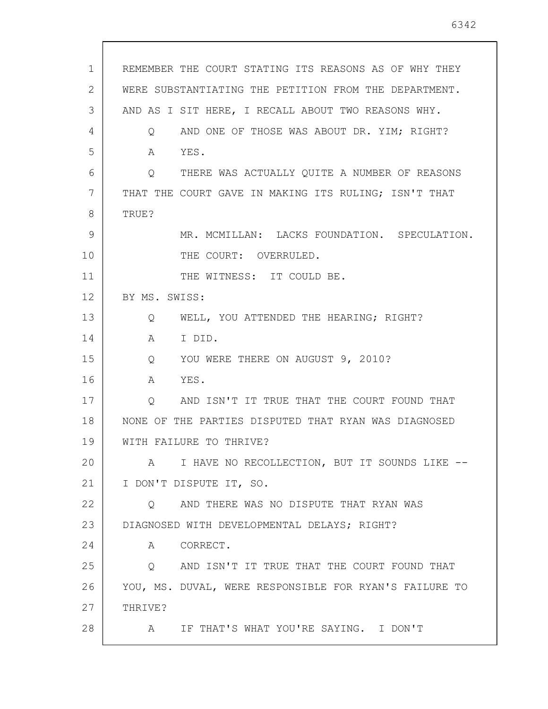| 1  | REMEMBER THE COURT STATING ITS REASONS AS OF WHY THEY           |
|----|-----------------------------------------------------------------|
| 2  | WERE SUBSTANTIATING THE PETITION FROM THE DEPARTMENT.           |
| 3  | AND AS I SIT HERE, I RECALL ABOUT TWO REASONS WHY.              |
| 4  | AND ONE OF THOSE WAS ABOUT DR. YIM; RIGHT?<br>$Q \qquad \qquad$ |
| 5  | YES.<br>$\mathbb A$                                             |
| 6  | THERE WAS ACTUALLY QUITE A NUMBER OF REASONS<br>Q               |
| 7  | THAT THE COURT GAVE IN MAKING ITS RULING; ISN'T THAT            |
| 8  | TRUE?                                                           |
| 9  | MR. MCMILLAN: LACKS FOUNDATION. SPECULATION.                    |
| 10 | THE COURT: OVERRULED.                                           |
| 11 | THE WITNESS: IT COULD BE.                                       |
| 12 | BY MS. SWISS:                                                   |
| 13 | WELL, YOU ATTENDED THE HEARING; RIGHT?<br>Q                     |
| 14 | I DID.<br>A                                                     |
| 15 | Q YOU WERE THERE ON AUGUST 9, 2010?                             |
| 16 | YES.<br>A                                                       |
| 17 | AND ISN'T IT TRUE THAT THE COURT FOUND THAT<br>$\mathsf{Q}$     |
| 18 | NONE OF THE PARTIES DISPUTED THAT RYAN WAS DIAGNOSED            |
| 19 | WITH FAILURE TO THRIVE?                                         |
| 20 | I HAVE NO RECOLLECTION, BUT IT SOUNDS LIKE --<br>A              |
| 21 | I DON'T DISPUTE IT, SO.                                         |
| 22 | AND THERE WAS NO DISPUTE THAT RYAN WAS<br>Q                     |
| 23 | DIAGNOSED WITH DEVELOPMENTAL DELAYS; RIGHT?                     |
| 24 | CORRECT.<br>A                                                   |
| 25 | AND ISN'T IT TRUE THAT THE COURT FOUND THAT<br>$\mathsf{Q}$     |
| 26 | YOU, MS. DUVAL, WERE RESPONSIBLE FOR RYAN'S FAILURE TO          |
| 27 | THRIVE?                                                         |
| 28 | IF THAT'S WHAT YOU'RE SAYING. I DON'T<br>A                      |
|    |                                                                 |

 $\sqrt{ }$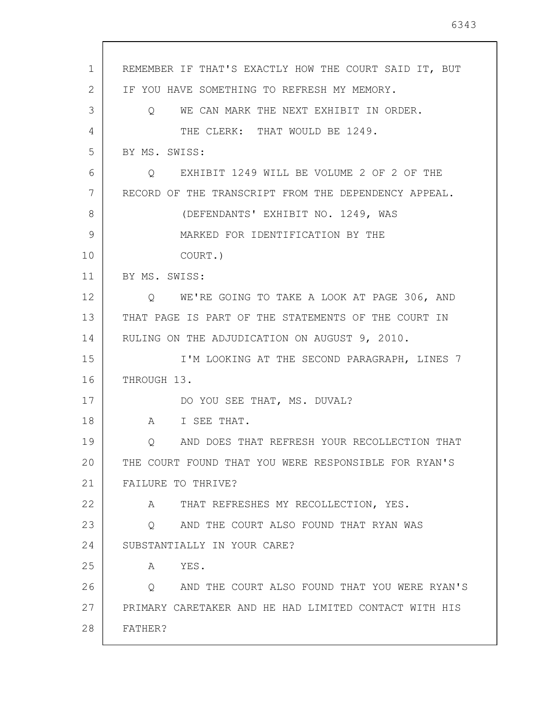| $\mathbf{1}$ | REMEMBER IF THAT'S EXACTLY HOW THE COURT SAID IT, BUT    |
|--------------|----------------------------------------------------------|
| 2            | IF YOU HAVE SOMETHING TO REFRESH MY MEMORY.              |
| 3            | Q WE CAN MARK THE NEXT EXHIBIT IN ORDER.                 |
| 4            | THE CLERK: THAT WOULD BE 1249.                           |
| 5            | BY MS. SWISS:                                            |
| 6            | O EXHIBIT 1249 WILL BE VOLUME 2 OF 2 OF THE              |
| 7            | RECORD OF THE TRANSCRIPT FROM THE DEPENDENCY APPEAL.     |
| 8            | (DEFENDANTS' EXHIBIT NO. 1249, WAS                       |
| 9            | MARKED FOR IDENTIFICATION BY THE                         |
| 10           | COURT.)                                                  |
| 11           | BY MS. SWISS:                                            |
| 12           | Q WE'RE GOING TO TAKE A LOOK AT PAGE 306, AND            |
| 13           | THAT PAGE IS PART OF THE STATEMENTS OF THE COURT IN      |
| 14           | RULING ON THE ADJUDICATION ON AUGUST 9, 2010.            |
| 15           | I'M LOOKING AT THE SECOND PARAGRAPH, LINES 7             |
| 16           | THROUGH 13.                                              |
| 17           | DO YOU SEE THAT, MS. DUVAL?                              |
| 18           | A I SEE THAT.                                            |
| 19           | AND DOES THAT REFRESH YOUR RECOLLECTION THAT             |
| 20           | THE COURT FOUND THAT YOU WERE RESPONSIBLE FOR RYAN'S     |
| 21           | FAILURE TO THRIVE?                                       |
| 22           | A THAT REFRESHES MY RECOLLECTION, YES.                   |
| 23           | Q AND THE COURT ALSO FOUND THAT RYAN WAS                 |
| 24           | SUBSTANTIALLY IN YOUR CARE?                              |
| 25           | A YES.                                                   |
| 26           | AND THE COURT ALSO FOUND THAT YOU WERE RYAN'S<br>$\circ$ |
| 27           | PRIMARY CARETAKER AND HE HAD LIMITED CONTACT WITH HIS    |
| 28           | FATHER?                                                  |
|              |                                                          |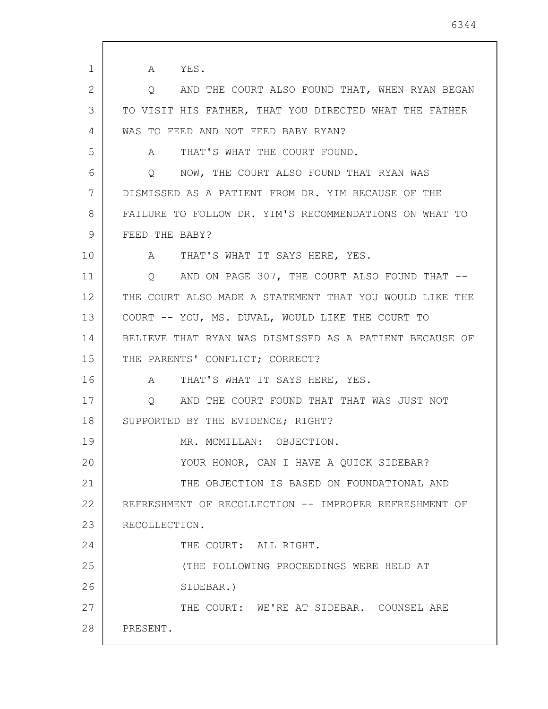1 2 3 4 5 6 7 8 9 10 11 12 13 14 15 16 17 18 19 20 21 22 23 24 25 26 27 28 A YES. Q AND THE COURT ALSO FOUND THAT, WHEN RYAN BEGAN TO VISIT HIS FATHER, THAT YOU DIRECTED WHAT THE FATHER WAS TO FEED AND NOT FEED BABY RYAN? A THAT'S WHAT THE COURT FOUND. Q NOW, THE COURT ALSO FOUND THAT RYAN WAS DISMISSED AS A PATIENT FROM DR. YIM BECAUSE OF THE FAILURE TO FOLLOW DR. YIM'S RECOMMENDATIONS ON WHAT TO FEED THE BABY? A THAT'S WHAT IT SAYS HERE, YES. Q AND ON PAGE 307, THE COURT ALSO FOUND THAT -- THE COURT ALSO MADE A STATEMENT THAT YOU WOULD LIKE THE COURT -- YOU, MS. DUVAL, WOULD LIKE THE COURT TO BELIEVE THAT RYAN WAS DISMISSED AS A PATIENT BECAUSE OF THE PARENTS' CONFLICT; CORRECT? A THAT'S WHAT IT SAYS HERE, YES. Q AND THE COURT FOUND THAT THAT WAS JUST NOT SUPPORTED BY THE EVIDENCE; RIGHT? MR. MCMILLAN: OBJECTION. YOUR HONOR, CAN I HAVE A QUICK SIDEBAR? THE OBJECTION IS BASED ON FOUNDATIONAL AND REFRESHMENT OF RECOLLECTION -- IMPROPER REFRESHMENT OF RECOLLECTION. THE COURT: ALL RIGHT. (THE FOLLOWING PROCEEDINGS WERE HELD AT SIDEBAR.) THE COURT: WE'RE AT SIDEBAR. COUNSEL ARE PRESENT.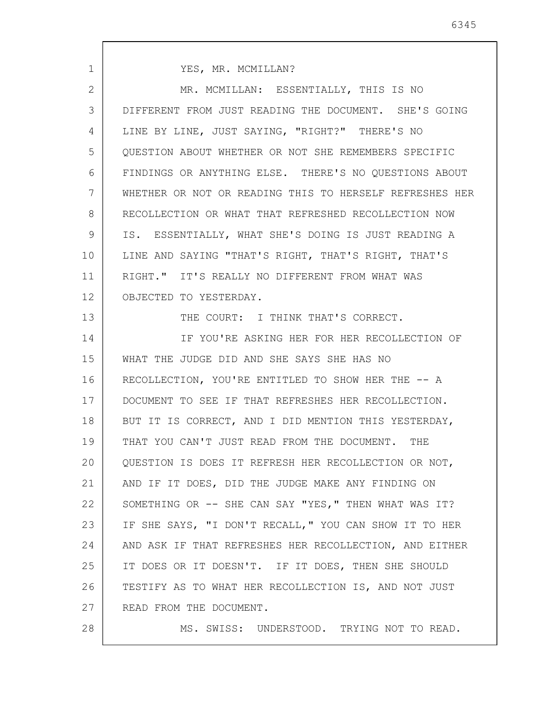| $\mathbf{1}$ | YES, MR. MCMILLAN?                                      |
|--------------|---------------------------------------------------------|
| 2            | MR. MCMILLAN: ESSENTIALLY, THIS IS NO                   |
| 3            | DIFFERENT FROM JUST READING THE DOCUMENT. SHE'S GOING   |
| 4            | LINE BY LINE, JUST SAYING, "RIGHT?" THERE'S NO          |
| 5            | QUESTION ABOUT WHETHER OR NOT SHE REMEMBERS SPECIFIC    |
| 6            | FINDINGS OR ANYTHING ELSE. THERE'S NO QUESTIONS ABOUT   |
| 7            | WHETHER OR NOT OR READING THIS TO HERSELF REFRESHES HER |
| 8            | RECOLLECTION OR WHAT THAT REFRESHED RECOLLECTION NOW    |
| 9            | IS. ESSENTIALLY, WHAT SHE'S DOING IS JUST READING A     |
| 10           | LINE AND SAYING "THAT'S RIGHT, THAT'S RIGHT, THAT'S     |
| 11           | RIGHT." IT'S REALLY NO DIFFERENT FROM WHAT WAS          |
| 12           | OBJECTED TO YESTERDAY.                                  |
| 13           | THE COURT: I THINK THAT'S CORRECT.                      |
| 14           | IF YOU'RE ASKING HER FOR HER RECOLLECTION OF            |
| 15           | WHAT THE JUDGE DID AND SHE SAYS SHE HAS NO              |
| 16           | RECOLLECTION, YOU'RE ENTITLED TO SHOW HER THE -- A      |
| 17           | DOCUMENT TO SEE IF THAT REFRESHES HER RECOLLECTION.     |
| 18           | BUT IT IS CORRECT, AND I DID MENTION THIS YESTERDAY,    |
| 19           | THAT YOU CAN'T JUST READ FROM THE DOCUMENT.<br>THE      |
| 20           | QUESTION IS DOES IT REFRESH HER RECOLLECTION OR NOT,    |
| 21           | AND IF IT DOES, DID THE JUDGE MAKE ANY FINDING ON       |
| 22           | SOMETHING OR -- SHE CAN SAY "YES," THEN WHAT WAS IT?    |
| 23           | IF SHE SAYS, "I DON'T RECALL," YOU CAN SHOW IT TO HER   |
| 24           | AND ASK IF THAT REFRESHES HER RECOLLECTION, AND EITHER  |
| 25           | IT DOES OR IT DOESN'T. IF IT DOES, THEN SHE SHOULD      |
| 26           | TESTIFY AS TO WHAT HER RECOLLECTION IS, AND NOT JUST    |
| 27           | READ FROM THE DOCUMENT.                                 |
| 28           | MS. SWISS: UNDERSTOOD. TRYING NOT TO READ.              |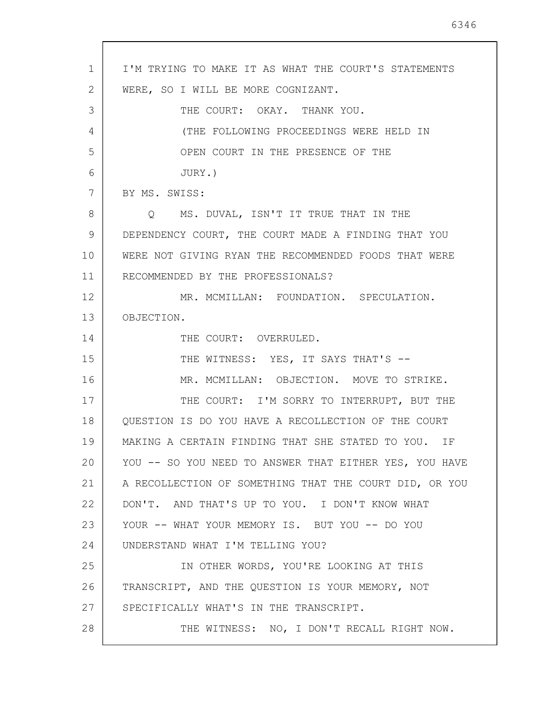| $\mathbf 1$     | I'M TRYING TO MAKE IT AS WHAT THE COURT'S STATEMENTS   |
|-----------------|--------------------------------------------------------|
| 2               | WERE, SO I WILL BE MORE COGNIZANT.                     |
| 3               | THE COURT: OKAY. THANK YOU.                            |
| 4               | (THE FOLLOWING PROCEEDINGS WERE HELD IN                |
| 5               | OPEN COURT IN THE PRESENCE OF THE                      |
| 6               | JURY.)                                                 |
| 7               | BY MS. SWISS:                                          |
| 8               | Q MS. DUVAL, ISN'T IT TRUE THAT IN THE                 |
| 9               | DEPENDENCY COURT, THE COURT MADE A FINDING THAT YOU    |
| 10              | WERE NOT GIVING RYAN THE RECOMMENDED FOODS THAT WERE   |
| 11              | RECOMMENDED BY THE PROFESSIONALS?                      |
| 12 <sup>°</sup> | MR. MCMILLAN: FOUNDATION. SPECULATION.                 |
| 13              | OBJECTION.                                             |
| 14              | THE COURT: OVERRULED.                                  |
| 15              | THE WITNESS: YES, IT SAYS THAT'S --                    |
| 16              | MR. MCMILLAN: OBJECTION. MOVE TO STRIKE.               |
| 17              | THE COURT: I'M SORRY TO INTERRUPT, BUT THE             |
| 18              | QUESTION IS DO YOU HAVE A RECOLLECTION OF THE COURT    |
| 19              | MAKING A CERTAIN FINDING THAT SHE STATED TO YOU. IF    |
| 20              | YOU -- SO YOU NEED TO ANSWER THAT EITHER YES, YOU HAVE |
| 21              | A RECOLLECTION OF SOMETHING THAT THE COURT DID, OR YOU |
| 22              | DON'T. AND THAT'S UP TO YOU. I DON'T KNOW WHAT         |
| 23              | YOUR -- WHAT YOUR MEMORY IS. BUT YOU -- DO YOU         |
| 24              | UNDERSTAND WHAT I'M TELLING YOU?                       |
| 25              | IN OTHER WORDS, YOU'RE LOOKING AT THIS                 |
| 26              | TRANSCRIPT, AND THE QUESTION IS YOUR MEMORY, NOT       |
| 27              | SPECIFICALLY WHAT'S IN THE TRANSCRIPT.                 |
| 28              | THE WITNESS: NO, I DON'T RECALL RIGHT NOW.             |

 $\overline{\phantom{a}}$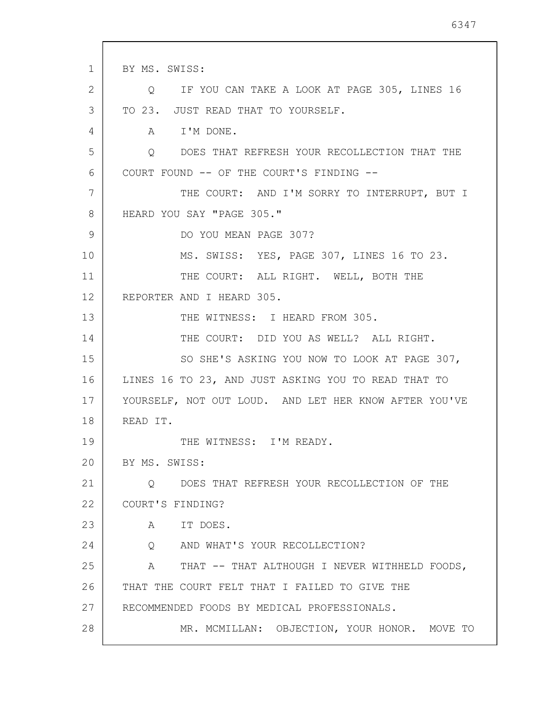1 2 3 4 5 6 7 8 9 10 11 12 13 14 15 16 17 18 19 20 21 22 23 24 25 26 27 28 BY MS. SWISS: Q IF YOU CAN TAKE A LOOK AT PAGE 305, LINES 16 TO 23. JUST READ THAT TO YOURSELF. A I'M DONE. Q DOES THAT REFRESH YOUR RECOLLECTION THAT THE COURT FOUND -- OF THE COURT'S FINDING -- THE COURT: AND I'M SORRY TO INTERRUPT, BUT I HEARD YOU SAY "PAGE 305." DO YOU MEAN PAGE 307? MS. SWISS: YES, PAGE 307, LINES 16 TO 23. THE COURT: ALL RIGHT. WELL, BOTH THE REPORTER AND I HEARD 305. THE WITNESS: I HEARD FROM 305. THE COURT: DID YOU AS WELL? ALL RIGHT. SO SHE'S ASKING YOU NOW TO LOOK AT PAGE 307, LINES 16 TO 23, AND JUST ASKING YOU TO READ THAT TO YOURSELF, NOT OUT LOUD. AND LET HER KNOW AFTER YOU'VE READ IT. THE WITNESS: I'M READY. BY MS. SWISS: Q DOES THAT REFRESH YOUR RECOLLECTION OF THE COURT'S FINDING? A IT DOES. Q AND WHAT'S YOUR RECOLLECTION? A THAT -- THAT ALTHOUGH I NEVER WITHHELD FOODS, THAT THE COURT FELT THAT I FAILED TO GIVE THE RECOMMENDED FOODS BY MEDICAL PROFESSIONALS. MR. MCMILLAN: OBJECTION, YOUR HONOR. MOVE TO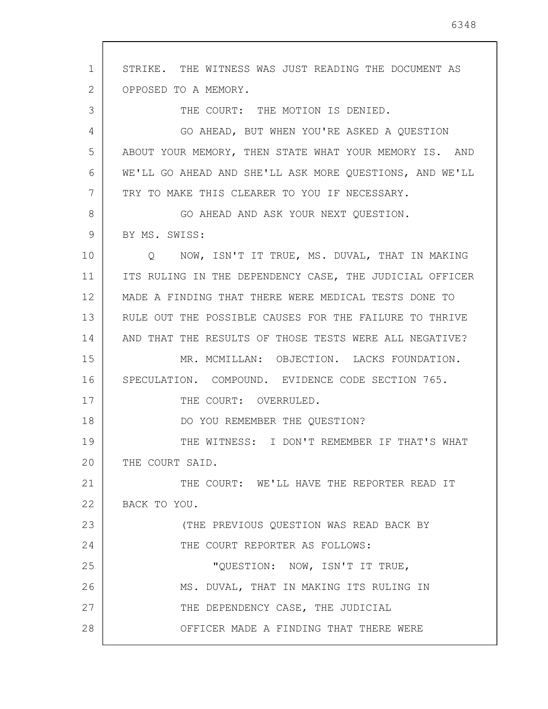1 2 3 4 5 6 7 8 9 10 11 12 13 14 15 16 17 18 19 20 21 22 23 24 25 26 27 28 STRIKE. THE WITNESS WAS JUST READING THE DOCUMENT AS OPPOSED TO A MEMORY. THE COURT: THE MOTION IS DENIED. GO AHEAD, BUT WHEN YOU'RE ASKED A QUESTION ABOUT YOUR MEMORY, THEN STATE WHAT YOUR MEMORY IS. AND WE'LL GO AHEAD AND SHE'LL ASK MORE QUESTIONS, AND WE'LL TRY TO MAKE THIS CLEARER TO YOU IF NECESSARY. GO AHEAD AND ASK YOUR NEXT QUESTION. BY MS. SWISS: Q NOW, ISN'T IT TRUE, MS. DUVAL, THAT IN MAKING ITS RULING IN THE DEPENDENCY CASE, THE JUDICIAL OFFICER MADE A FINDING THAT THERE WERE MEDICAL TESTS DONE TO RULE OUT THE POSSIBLE CAUSES FOR THE FAILURE TO THRIVE AND THAT THE RESULTS OF THOSE TESTS WERE ALL NEGATIVE? MR. MCMILLAN: OBJECTION. LACKS FOUNDATION. SPECULATION. COMPOUND. EVIDENCE CODE SECTION 765. THE COURT: OVERRULED. DO YOU REMEMBER THE QUESTION? THE WITNESS: I DON'T REMEMBER IF THAT'S WHAT THE COURT SAID. THE COURT: WE'LL HAVE THE REPORTER READ IT BACK TO YOU. (THE PREVIOUS QUESTION WAS READ BACK BY THE COURT REPORTER AS FOLLOWS: "QUESTION: NOW, ISN'T IT TRUE, MS. DUVAL, THAT IN MAKING ITS RULING IN THE DEPENDENCY CASE, THE JUDICIAL OFFICER MADE A FINDING THAT THERE WERE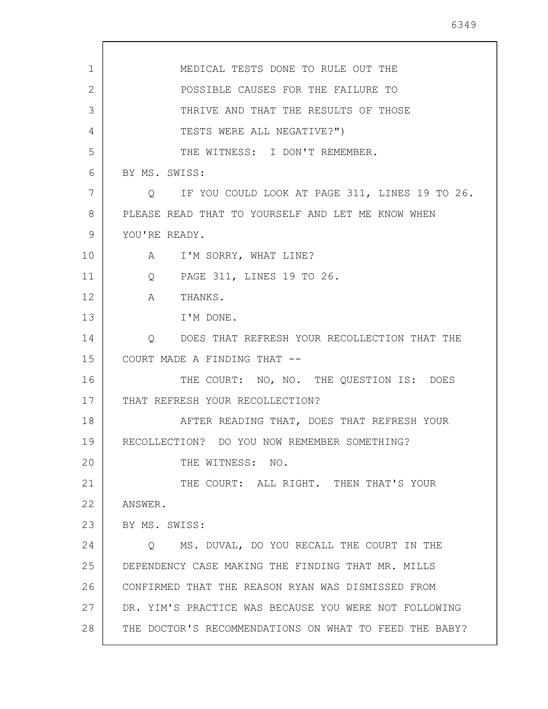1 2 3 4 5 6 7 8 9 10 11 12 13 14 15 16 17 18 19 20 21 22 23 24 25 26 27 28 MEDICAL TESTS DONE TO RULE OUT THE POSSIBLE CAUSES FOR THE FAILURE TO THRIVE AND THAT THE RESULTS OF THOSE TESTS WERE ALL NEGATIVE?") THE WITNESS: I DON'T REMEMBER. BY MS. SWISS: Q IF YOU COULD LOOK AT PAGE 311, LINES 19 TO 26. PLEASE READ THAT TO YOURSELF AND LET ME KNOW WHEN YOU'RE READY. A I'M SORRY, WHAT LINE? Q PAGE 311, LINES 19 TO 26. A THANKS. I'M DONE. Q DOES THAT REFRESH YOUR RECOLLECTION THAT THE COURT MADE A FINDING THAT -- THE COURT: NO, NO. THE QUESTION IS: DOES THAT REFRESH YOUR RECOLLECTION? AFTER READING THAT, DOES THAT REFRESH YOUR RECOLLECTION? DO YOU NOW REMEMBER SOMETHING? THE WITNESS: NO. THE COURT: ALL RIGHT. THEN THAT'S YOUR ANSWER. BY MS. SWISS: Q MS. DUVAL, DO YOU RECALL THE COURT IN THE DEPENDENCY CASE MAKING THE FINDING THAT MR. MILLS CONFIRMED THAT THE REASON RYAN WAS DISMISSED FROM DR. YIM'S PRACTICE WAS BECAUSE YOU WERE NOT FOLLOWING THE DOCTOR'S RECOMMENDATIONS ON WHAT TO FEED THE BABY?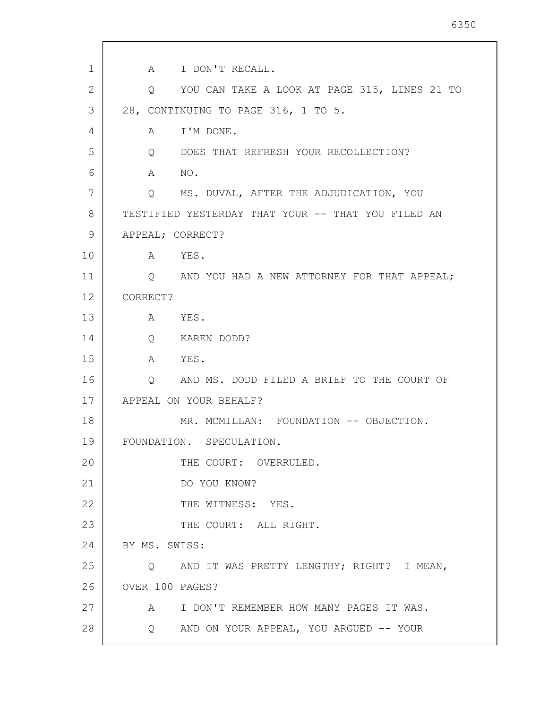1 2 3 4 5 6 7 8 9 10 11 12 13 14 15 16 17 18 19 20 21 22 23 24 25 26 27 28 A I DON'T RECALL. Q YOU CAN TAKE A LOOK AT PAGE 315, LINES 21 TO 28, CONTINUING TO PAGE 316, 1 TO 5. A I'M DONE. Q DOES THAT REFRESH YOUR RECOLLECTION? A NO. Q MS. DUVAL, AFTER THE ADJUDICATION, YOU TESTIFIED YESTERDAY THAT YOUR -- THAT YOU FILED AN APPEAL; CORRECT? A YES. Q AND YOU HAD A NEW ATTORNEY FOR THAT APPEAL; CORRECT? A YES. Q KAREN DODD? A YES. Q AND MS. DODD FILED A BRIEF TO THE COURT OF APPEAL ON YOUR BEHALF? MR. MCMILLAN: FOUNDATION -- OBJECTION. FOUNDATION. SPECULATION. THE COURT: OVERRULED. DO YOU KNOW? THE WITNESS: YES. THE COURT: ALL RIGHT. BY MS. SWISS: Q AND IT WAS PRETTY LENGTHY; RIGHT? I MEAN, OVER 100 PAGES? A I DON'T REMEMBER HOW MANY PAGES IT WAS. Q AND ON YOUR APPEAL, YOU ARGUED -- YOUR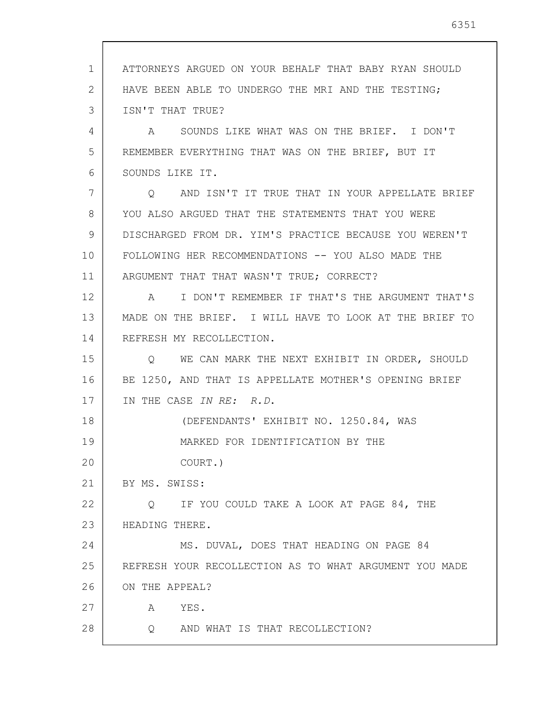1 2 3 4 5 6 7 8 9 10 11 12 13 14 15 16 17 18 19 20 21 22 23 24 25 26 27 28 ATTORNEYS ARGUED ON YOUR BEHALF THAT BABY RYAN SHOULD HAVE BEEN ABLE TO UNDERGO THE MRI AND THE TESTING; ISN'T THAT TRUE? A SOUNDS LIKE WHAT WAS ON THE BRIEF. I DON'T REMEMBER EVERYTHING THAT WAS ON THE BRIEF, BUT IT SOUNDS LIKE IT. Q AND ISN'T IT TRUE THAT IN YOUR APPELLATE BRIEF YOU ALSO ARGUED THAT THE STATEMENTS THAT YOU WERE DISCHARGED FROM DR. YIM'S PRACTICE BECAUSE YOU WEREN'T FOLLOWING HER RECOMMENDATIONS -- YOU ALSO MADE THE ARGUMENT THAT THAT WASN'T TRUE; CORRECT? A I DON'T REMEMBER IF THAT'S THE ARGUMENT THAT'S MADE ON THE BRIEF. I WILL HAVE TO LOOK AT THE BRIEF TO REFRESH MY RECOLLECTION. Q WE CAN MARK THE NEXT EXHIBIT IN ORDER, SHOULD BE 1250, AND THAT IS APPELLATE MOTHER'S OPENING BRIEF IN THE CASE IN RE: R.D. (DEFENDANTS' EXHIBIT NO. 1250.84, WAS MARKED FOR IDENTIFICATION BY THE COURT.) BY MS. SWISS: Q IF YOU COULD TAKE A LOOK AT PAGE 84, THE HEADING THERE. MS. DUVAL, DOES THAT HEADING ON PAGE 84 REFRESH YOUR RECOLLECTION AS TO WHAT ARGUMENT YOU MADE ON THE APPEAL? A YES. Q AND WHAT IS THAT RECOLLECTION?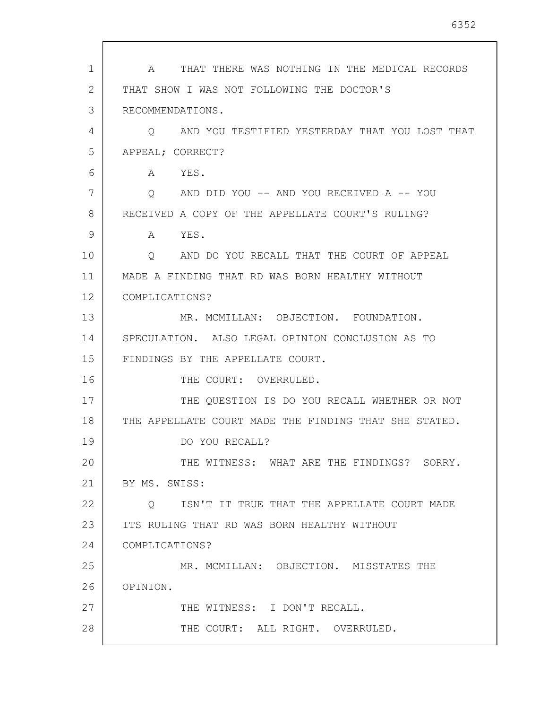| $\mathbf 1$ | THAT THERE WAS NOTHING IN THE MEDICAL RECORDS<br>A        |
|-------------|-----------------------------------------------------------|
| 2           | THAT SHOW I WAS NOT FOLLOWING THE DOCTOR'S                |
| 3           | RECOMMENDATIONS.                                          |
| 4           | AND YOU TESTIFIED YESTERDAY THAT YOU LOST THAT<br>$\circ$ |
| 5           | APPEAL; CORRECT?                                          |
| 6           | A YES.                                                    |
| 7           | Q AND DID YOU -- AND YOU RECEIVED A -- YOU                |
| 8           | RECEIVED A COPY OF THE APPELLATE COURT'S RULING?          |
| 9           | A YES.                                                    |
| 10          | AND DO YOU RECALL THAT THE COURT OF APPEAL<br>Q           |
| 11          | MADE A FINDING THAT RD WAS BORN HEALTHY WITHOUT           |
| 12          | COMPLICATIONS?                                            |
| 13          | MR. MCMILLAN: OBJECTION. FOUNDATION.                      |
| 14          | SPECULATION. ALSO LEGAL OPINION CONCLUSION AS TO          |
| 15          | FINDINGS BY THE APPELLATE COURT.                          |
| 16          | THE COURT: OVERRULED.                                     |
| 17          | THE QUESTION IS DO YOU RECALL WHETHER OR NOT              |
| 18          | THE APPELLATE COURT MADE THE FINDING THAT SHE STATED.     |
| 19          | DO YOU RECALL?                                            |
| 20          | THE WITNESS: WHAT ARE THE FINDINGS? SORRY.                |
| 21          | BY MS. SWISS:                                             |
| 22          | ISN'T IT TRUE THAT THE APPELLATE COURT MADE<br>$\circ$    |
| 23          | ITS RULING THAT RD WAS BORN HEALTHY WITHOUT               |
| 24          | COMPLICATIONS?                                            |
| 25          | MR. MCMILLAN: OBJECTION. MISSTATES THE                    |
| 26          | OPINION.                                                  |
| 27          | THE WITNESS: I DON'T RECALL.                              |
| 28          | THE COURT: ALL RIGHT. OVERRULED.                          |

 $\mathsf{l}$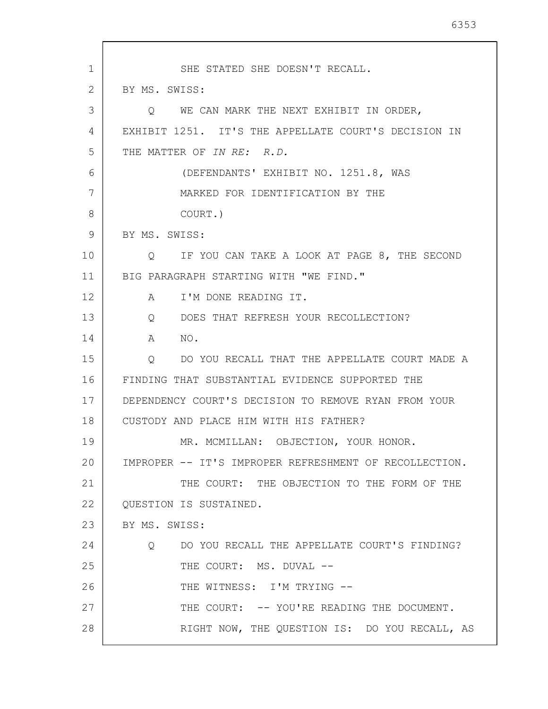1 2 3 4 5 6 7 8 9 10 11 12 13 14 15 16 17 18 19 20 21 22 23 24 25 26 27 28 SHE STATED SHE DOESN'T RECALL. BY MS. SWISS: Q WE CAN MARK THE NEXT EXHIBIT IN ORDER, EXHIBIT 1251. IT'S THE APPELLATE COURT'S DECISION IN THE MATTER OF IN RE: R.D. (DEFENDANTS' EXHIBIT NO. 1251.8, WAS MARKED FOR IDENTIFICATION BY THE COURT.) BY MS. SWISS: Q IF YOU CAN TAKE A LOOK AT PAGE 8, THE SECOND BIG PARAGRAPH STARTING WITH "WE FIND." A I'M DONE READING IT. Q DOES THAT REFRESH YOUR RECOLLECTION? A NO. Q DO YOU RECALL THAT THE APPELLATE COURT MADE A FINDING THAT SUBSTANTIAL EVIDENCE SUPPORTED THE DEPENDENCY COURT'S DECISION TO REMOVE RYAN FROM YOUR CUSTODY AND PLACE HIM WITH HIS FATHER? MR. MCMILLAN: OBJECTION, YOUR HONOR. IMPROPER -- IT'S IMPROPER REFRESHMENT OF RECOLLECTION. THE COURT: THE OBJECTION TO THE FORM OF THE QUESTION IS SUSTAINED. BY MS. SWISS: Q DO YOU RECALL THE APPELLATE COURT'S FINDING? THE COURT: MS. DUVAL --THE WITNESS: I'M TRYING --THE COURT:  $-$ - YOU'RE READING THE DOCUMENT. RIGHT NOW, THE QUESTION IS: DO YOU RECALL, AS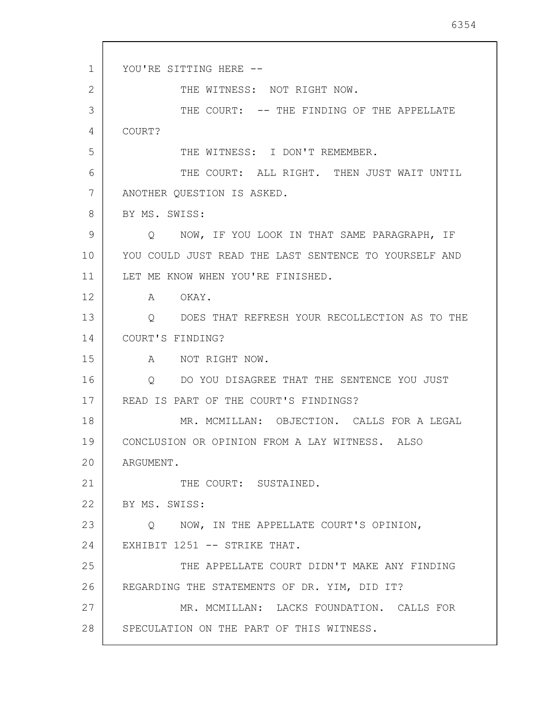```
1
2
 3
 4
 5
 6
7
8
 9
10
11
12
13
14
15
16
17
18
19
20
21
22
23
24
25
26
27
28
      YOU'RE SITTING HERE --
               THE WITNESS: NOT RIGHT NOW.
               THE COURT: -- THE FINDING OF THE APPELLATE
      COURT? 
               THE WITNESS: I DON'T REMEMBER.
               THE COURT: ALL RIGHT. THEN JUST WAIT UNTIL
      ANOTHER QUESTION IS ASKED. 
      BY MS. SWISS:
          Q NOW, IF YOU LOOK IN THAT SAME PARAGRAPH, IF 
      YOU COULD JUST READ THE LAST SENTENCE TO YOURSELF AND 
      LET ME KNOW WHEN YOU'RE FINISHED. 
          A OKAY. 
          Q DOES THAT REFRESH YOUR RECOLLECTION AS TO THE 
      COURT'S FINDING? 
          A NOT RIGHT NOW. 
          Q DO YOU DISAGREE THAT THE SENTENCE YOU JUST 
      READ IS PART OF THE COURT'S FINDINGS? 
              MR. MCMILLAN: OBJECTION. CALLS FOR A LEGAL 
      CONCLUSION OR OPINION FROM A LAY WITNESS. ALSO 
      ARGUMENT. 
               THE COURT: SUSTAINED. 
      BY MS. SWISS:
          Q NOW, IN THE APPELLATE COURT'S OPINION, 
      EXHIBIT 1251 -- STRIKE THAT.
               THE APPELLATE COURT DIDN'T MAKE ANY FINDING 
      REGARDING THE STATEMENTS OF DR. YIM, DID IT? 
              MR. MCMILLAN: LACKS FOUNDATION. CALLS FOR 
      SPECULATION ON THE PART OF THIS WITNESS.
```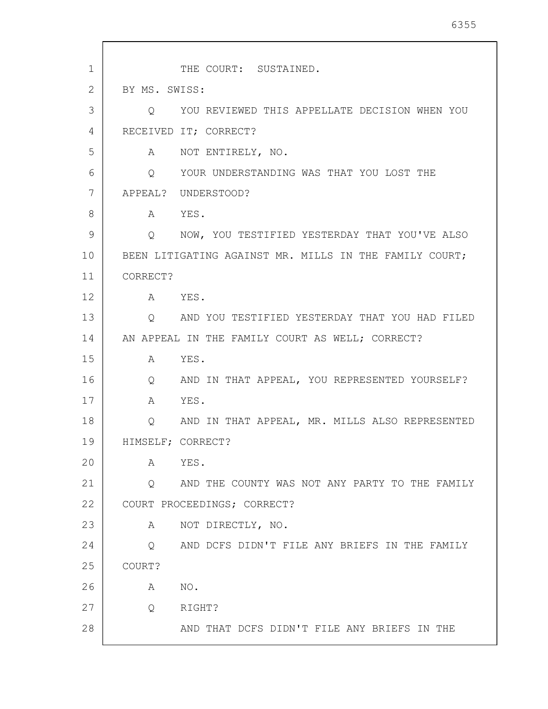| 1  |                   | THE COURT: SUSTAINED.                                  |
|----|-------------------|--------------------------------------------------------|
| 2  | BY MS. SWISS:     |                                                        |
| 3  | O                 | YOU REVIEWED THIS APPELLATE DECISION WHEN YOU          |
| 4  |                   | RECEIVED IT; CORRECT?                                  |
| 5  | A                 | NOT ENTIRELY, NO.                                      |
| 6  |                   | O YOUR UNDERSTANDING WAS THAT YOU LOST THE             |
| 7  |                   | APPEAL? UNDERSTOOD?                                    |
| 8  | A                 | YES.                                                   |
| 9  |                   | Q NOW, YOU TESTIFIED YESTERDAY THAT YOU'VE ALSO        |
| 10 |                   | BEEN LITIGATING AGAINST MR. MILLS IN THE FAMILY COURT; |
| 11 | CORRECT?          |                                                        |
| 12 | $\mathbb A$       | YES.                                                   |
| 13 | Q                 | AND YOU TESTIFIED YESTERDAY THAT YOU HAD FILED         |
| 14 |                   | AN APPEAL IN THE FAMILY COURT AS WELL; CORRECT?        |
| 15 | A                 | YES.                                                   |
| 16 | $\mathsf{Q}$      | AND IN THAT APPEAL, YOU REPRESENTED YOURSELF?          |
| 17 | A                 | YES.                                                   |
| 18 | Q                 | AND IN THAT APPEAL, MR. MILLS ALSO REPRESENTED         |
| 19 | HIMSELF; CORRECT? |                                                        |
| 20 | A                 | YES.                                                   |
| 21 | Q                 | AND THE COUNTY WAS NOT ANY PARTY TO THE FAMILY         |
| 22 |                   | COURT PROCEEDINGS; CORRECT?                            |
| 23 | Α                 | NOT DIRECTLY, NO.                                      |
| 24 | $\circ$           | AND DCFS DIDN'T FILE ANY BRIEFS IN THE FAMILY          |
| 25 | COURT?            |                                                        |
| 26 | Α                 | NO.                                                    |
| 27 | Q                 | RIGHT?                                                 |
| 28 |                   | AND THAT DCFS DIDN'T FILE ANY BRIEFS IN THE            |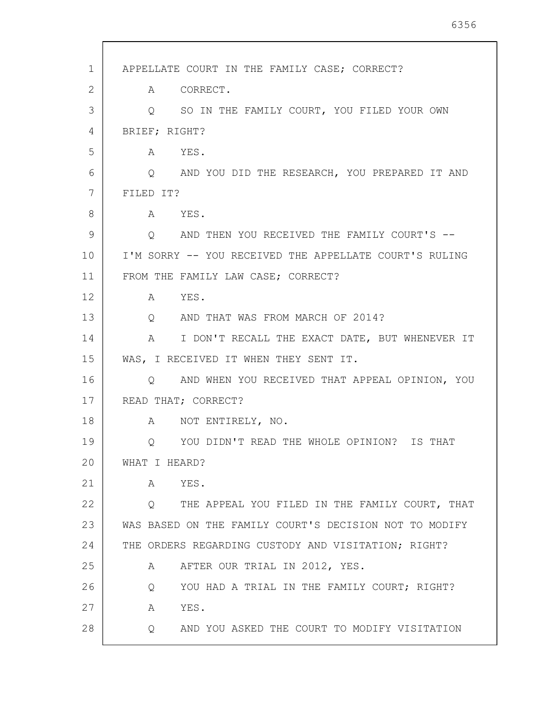| 1  | APPELLATE COURT IN THE FAMILY CASE; CORRECT?                      |
|----|-------------------------------------------------------------------|
| 2  | A CORRECT.                                                        |
| 3  | Q SO IN THE FAMILY COURT, YOU FILED YOUR OWN                      |
| 4  | BRIEF; RIGHT?                                                     |
| 5  | A YES.                                                            |
| 6  | Q AND YOU DID THE RESEARCH, YOU PREPARED IT AND                   |
| 7  | FILED IT?                                                         |
| 8  | A YES.                                                            |
| 9  | O AND THEN YOU RECEIVED THE FAMILY COURT'S --                     |
| 10 | I'M SORRY -- YOU RECEIVED THE APPELLATE COURT'S RULING            |
| 11 | FROM THE FAMILY LAW CASE; CORRECT?                                |
| 12 | YES.<br>$\mathbb A$                                               |
| 13 | Q AND THAT WAS FROM MARCH OF 2014?                                |
| 14 | A I DON'T RECALL THE EXACT DATE, BUT WHENEVER IT                  |
| 15 | WAS, I RECEIVED IT WHEN THEY SENT IT.                             |
| 16 | Q AND WHEN YOU RECEIVED THAT APPEAL OPINION, YOU                  |
| 17 | READ THAT; CORRECT?                                               |
| 18 | A NOT ENTIRELY, NO.                                               |
| 19 | Q YOU DIDN'T READ THE WHOLE OPINION? IS THAT                      |
| 20 | WHAT I HEARD?                                                     |
| 21 | YES.<br>A                                                         |
| 22 | Q THE APPEAL YOU FILED IN THE FAMILY COURT, THAT                  |
| 23 | WAS BASED ON THE FAMILY COURT'S DECISION NOT TO MODIFY            |
| 24 | THE ORDERS REGARDING CUSTODY AND VISITATION; RIGHT?               |
| 25 | AFTER OUR TRIAL IN 2012, YES.<br>A                                |
| 26 | YOU HAD A TRIAL IN THE FAMILY COURT; RIGHT?<br>Q                  |
| 27 | YES.<br>A                                                         |
| 28 | $Q \qquad \qquad$<br>AND YOU ASKED THE COURT TO MODIFY VISITATION |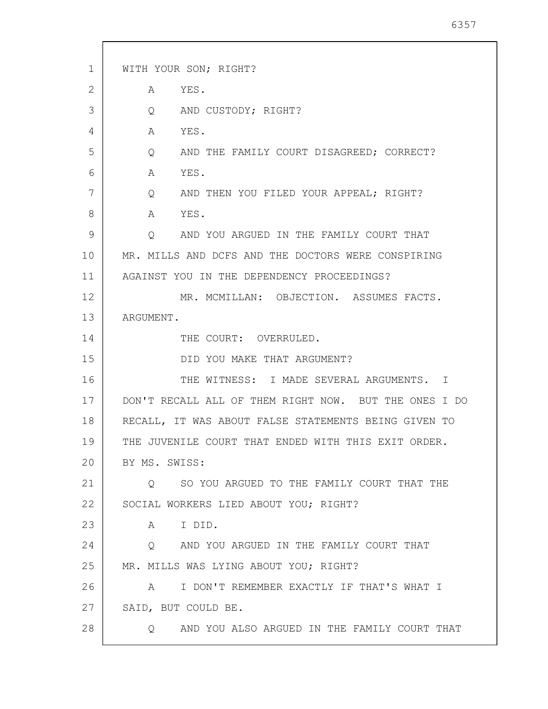| 1  | WITH YOUR SON; RIGHT?                                       |
|----|-------------------------------------------------------------|
| 2  | YES.<br>A                                                   |
| 3  | AND CUSTODY; RIGHT?<br>$Q \qquad \qquad$                    |
| 4  | YES.<br>A                                                   |
| 5  | AND THE FAMILY COURT DISAGREED; CORRECT?<br>Q               |
| 6  | YES.<br>A                                                   |
| 7  | $Q \qquad \qquad$<br>AND THEN YOU FILED YOUR APPEAL; RIGHT? |
| 8  | A YES.                                                      |
| 9  | AND YOU ARGUED IN THE FAMILY COURT THAT<br>$\circ$          |
| 10 | MR. MILLS AND DCFS AND THE DOCTORS WERE CONSPIRING          |
| 11 | AGAINST YOU IN THE DEPENDENCY PROCEEDINGS?                  |
| 12 | MR. MCMILLAN: OBJECTION. ASSUMES FACTS.                     |
| 13 | ARGUMENT.                                                   |
| 14 | THE COURT: OVERRULED.                                       |
| 15 | DID YOU MAKE THAT ARGUMENT?                                 |
| 16 | THE WITNESS: I MADE SEVERAL ARGUMENTS. I                    |
| 17 | DON'T RECALL ALL OF THEM RIGHT NOW. BUT THE ONES I DO       |
| 18 | RECALL, IT WAS ABOUT FALSE STATEMENTS BEING GIVEN TO        |
| 19 | THE JUVENILE COURT THAT ENDED WITH THIS EXIT ORDER.         |
| 20 | BY MS. SWISS:                                               |
| 21 | SO YOU ARGUED TO THE FAMILY COURT THAT THE<br>$\circ$       |
| 22 | SOCIAL WORKERS LIED ABOUT YOU; RIGHT?                       |
| 23 | I DID.<br>A                                                 |
| 24 | Q AND YOU ARGUED IN THE FAMILY COURT THAT                   |
| 25 | MR. MILLS WAS LYING ABOUT YOU; RIGHT?                       |
| 26 | A I DON'T REMEMBER EXACTLY IF THAT'S WHAT I                 |
| 27 | SAID, BUT COULD BE.                                         |
| 28 | AND YOU ALSO ARGUED IN THE FAMILY COURT THAT<br>$\circ$     |
|    |                                                             |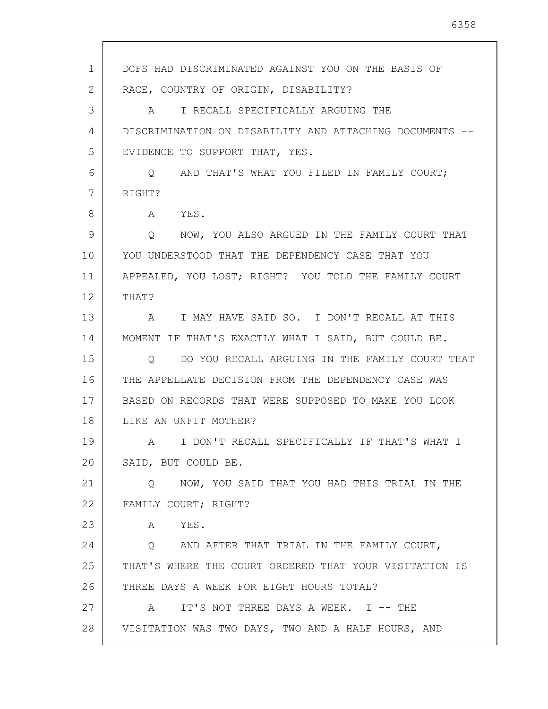1 2 3 4 5 6 7 8 9 10 11 12 13 14 15 16 17 18 19 20 21 22 23 24 25 26 27 28 DCFS HAD DISCRIMINATED AGAINST YOU ON THE BASIS OF RACE, COUNTRY OF ORIGIN, DISABILITY? A I RECALL SPECIFICALLY ARGUING THE DISCRIMINATION ON DISABILITY AND ATTACHING DOCUMENTS -- EVIDENCE TO SUPPORT THAT, YES. Q AND THAT'S WHAT YOU FILED IN FAMILY COURT; RIGHT? A YES. Q NOW, YOU ALSO ARGUED IN THE FAMILY COURT THAT YOU UNDERSTOOD THAT THE DEPENDENCY CASE THAT YOU APPEALED, YOU LOST; RIGHT? YOU TOLD THE FAMILY COURT THAT? A I MAY HAVE SAID SO. I DON'T RECALL AT THIS MOMENT IF THAT'S EXACTLY WHAT I SAID, BUT COULD BE. Q DO YOU RECALL ARGUING IN THE FAMILY COURT THAT THE APPELLATE DECISION FROM THE DEPENDENCY CASE WAS BASED ON RECORDS THAT WERE SUPPOSED TO MAKE YOU LOOK LIKE AN UNFIT MOTHER? A I DON'T RECALL SPECIFICALLY IF THAT'S WHAT I SAID, BUT COULD BE. Q NOW, YOU SAID THAT YOU HAD THIS TRIAL IN THE FAMILY COURT; RIGHT? A YES. Q AND AFTER THAT TRIAL IN THE FAMILY COURT, THAT'S WHERE THE COURT ORDERED THAT YOUR VISITATION IS THREE DAYS A WEEK FOR EIGHT HOURS TOTAL? A IT'S NOT THREE DAYS A WEEK. I -- THE VISITATION WAS TWO DAYS, TWO AND A HALF HOURS, AND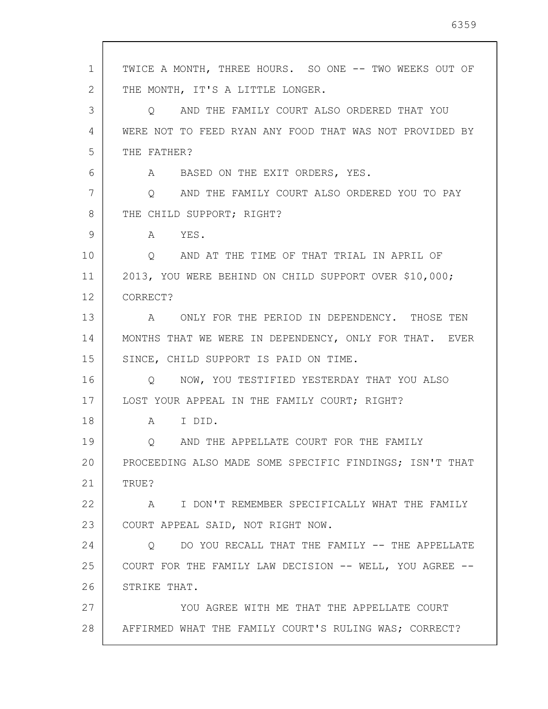| 1  | TWICE A MONTH, THREE HOURS. SO ONE -- TWO WEEKS OUT OF    |
|----|-----------------------------------------------------------|
| 2  | THE MONTH, IT'S A LITTLE LONGER.                          |
| 3  | AND THE FAMILY COURT ALSO ORDERED THAT YOU<br>$\circ$     |
| 4  | WERE NOT TO FEED RYAN ANY FOOD THAT WAS NOT PROVIDED BY   |
| 5  | THE FATHER?                                               |
| 6  | A BASED ON THE EXIT ORDERS, YES.                          |
| 7  | Q AND THE FAMILY COURT ALSO ORDERED YOU TO PAY            |
| 8  | THE CHILD SUPPORT; RIGHT?                                 |
| 9  | A YES.                                                    |
| 10 | O AND AT THE TIME OF THAT TRIAL IN APRIL OF               |
| 11 | 2013, YOU WERE BEHIND ON CHILD SUPPORT OVER \$10,000;     |
| 12 | CORRECT?                                                  |
| 13 | ONLY FOR THE PERIOD IN DEPENDENCY. THOSE TEN<br>A         |
| 14 | MONTHS THAT WE WERE IN DEPENDENCY, ONLY FOR THAT. EVER    |
| 15 | SINCE, CHILD SUPPORT IS PAID ON TIME.                     |
| 16 | Q NOW, YOU TESTIFIED YESTERDAY THAT YOU ALSO              |
| 17 | LOST YOUR APPEAL IN THE FAMILY COURT; RIGHT?              |
| 18 | I DID.<br>A                                               |
| 19 | AND THE APPELLATE COURT FOR THE FAMILY                    |
| 20 | PROCEEDING ALSO MADE SOME SPECIFIC FINDINGS; ISN'T THAT   |
| 21 | TRUE?                                                     |
| 22 | I DON'T REMEMBER SPECIFICALLY WHAT THE FAMILY<br>A        |
| 23 | COURT APPEAL SAID, NOT RIGHT NOW.                         |
| 24 | DO YOU RECALL THAT THE FAMILY -- THE APPELLATE<br>$\circ$ |
| 25 | COURT FOR THE FAMILY LAW DECISION -- WELL, YOU AGREE --   |
| 26 | STRIKE THAT.                                              |
| 27 | YOU AGREE WITH ME THAT THE APPELLATE COURT                |
| 28 | AFFIRMED WHAT THE FAMILY COURT'S RULING WAS; CORRECT?     |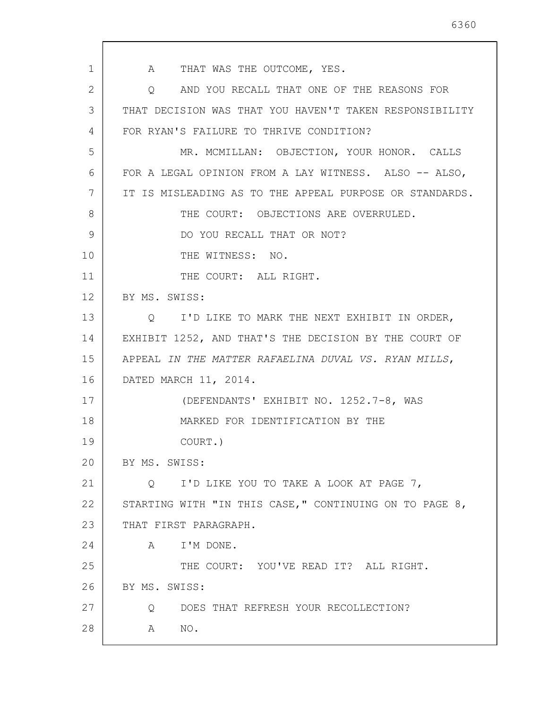1 2 3 4 5 6 7 8 9 10 11 12 13 14 15 16 17 18 19 20 21 22 23 24 25 26 27 28 A THAT WAS THE OUTCOME, YES. Q AND YOU RECALL THAT ONE OF THE REASONS FOR THAT DECISION WAS THAT YOU HAVEN'T TAKEN RESPONSIBILITY FOR RYAN'S FAILURE TO THRIVE CONDITION? MR. MCMILLAN: OBJECTION, YOUR HONOR. CALLS FOR A LEGAL OPINION FROM A LAY WITNESS. ALSO -- ALSO, IT IS MISLEADING AS TO THE APPEAL PURPOSE OR STANDARDS. THE COURT: OBJECTIONS ARE OVERRULED. DO YOU RECALL THAT OR NOT? THE WITNESS: NO. THE COURT: ALL RIGHT. BY MS. SWISS: Q I'D LIKE TO MARK THE NEXT EXHIBIT IN ORDER, EXHIBIT 1252, AND THAT'S THE DECISION BY THE COURT OF APPEAL IN THE MATTER RAFAELINA DUVAL VS. RYAN MILLS, DATED MARCH 11, 2014. (DEFENDANTS' EXHIBIT NO. 1252.7-8, WAS MARKED FOR IDENTIFICATION BY THE COURT.) BY MS. SWISS: Q I'D LIKE YOU TO TAKE A LOOK AT PAGE 7, STARTING WITH "IN THIS CASE," CONTINUING ON TO PAGE 8, THAT FIRST PARAGRAPH. A I'M DONE. THE COURT: YOU'VE READ IT? ALL RIGHT. BY MS. SWISS: Q DOES THAT REFRESH YOUR RECOLLECTION? A NO.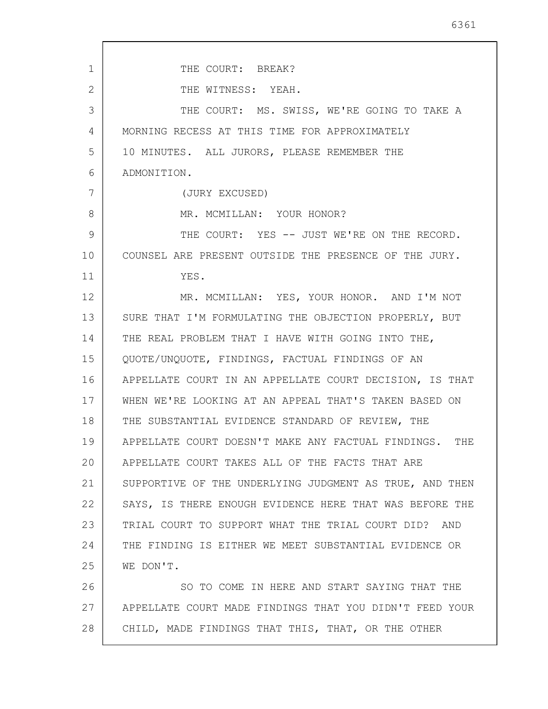| 1              | THE COURT: BREAK?                                         |
|----------------|-----------------------------------------------------------|
| $\overline{2}$ | THE WITNESS: YEAH.                                        |
| 3              | THE COURT: MS. SWISS, WE'RE GOING TO TAKE A               |
| 4              | MORNING RECESS AT THIS TIME FOR APPROXIMATELY             |
| 5              | 10 MINUTES. ALL JURORS, PLEASE REMEMBER THE               |
| 6              | ADMONITION.                                               |
| 7              | (JURY EXCUSED)                                            |
| 8              | MR. MCMILLAN: YOUR HONOR?                                 |
| 9              | THE COURT: YES -- JUST WE'RE ON THE RECORD.               |
| 10             | COUNSEL ARE PRESENT OUTSIDE THE PRESENCE OF THE JURY.     |
| 11             | YES.                                                      |
| 12             | MR. MCMILLAN: YES, YOUR HONOR. AND I'M NOT                |
| 13             | SURE THAT I'M FORMULATING THE OBJECTION PROPERLY, BUT     |
| 14             | THE REAL PROBLEM THAT I HAVE WITH GOING INTO THE,         |
| 15             | QUOTE/UNQUOTE, FINDINGS, FACTUAL FINDINGS OF AN           |
| 16             | APPELLATE COURT IN AN APPELLATE COURT DECISION, IS THAT   |
| 17             | WHEN WE'RE LOOKING AT AN APPEAL THAT'S TAKEN BASED ON     |
| 18             | THE SUBSTANTIAL EVIDENCE STANDARD OF REVIEW, THE          |
| 19             | APPELLATE COURT DOESN'T MAKE ANY FACTUAL FINDINGS.<br>THE |
| 20             | APPELLATE COURT TAKES ALL OF THE FACTS THAT ARE           |
| 21             | SUPPORTIVE OF THE UNDERLYING JUDGMENT AS TRUE, AND THEN   |
| 22             | SAYS, IS THERE ENOUGH EVIDENCE HERE THAT WAS BEFORE THE   |
| 23             | TRIAL COURT TO SUPPORT WHAT THE TRIAL COURT DID? AND      |
| 24             | THE FINDING IS EITHER WE MEET SUBSTANTIAL EVIDENCE OR     |
| 25             | WE DON'T.                                                 |
| 26             | SO TO COME IN HERE AND START SAYING THAT THE              |
| 27             | APPELLATE COURT MADE FINDINGS THAT YOU DIDN'T FEED YOUR   |
| 28             | CHILD, MADE FINDINGS THAT THIS, THAT, OR THE OTHER        |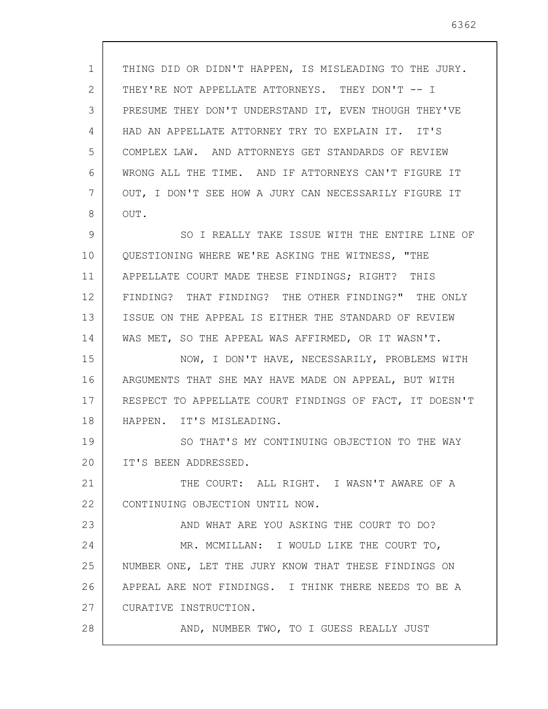1 2 3 4 5 6 7 8 9 10 11 12 13 14 15 16 17 18 19 20 21 22 23 24 25 26 27 28 THING DID OR DIDN'T HAPPEN, IS MISLEADING TO THE JURY. THEY'RE NOT APPELLATE ATTORNEYS. THEY DON'T -- I PRESUME THEY DON'T UNDERSTAND IT, EVEN THOUGH THEY'VE HAD AN APPELLATE ATTORNEY TRY TO EXPLAIN IT. IT'S COMPLEX LAW. AND ATTORNEYS GET STANDARDS OF REVIEW WRONG ALL THE TIME. AND IF ATTORNEYS CAN'T FIGURE IT OUT, I DON'T SEE HOW A JURY CAN NECESSARILY FIGURE IT OUT. SO I REALLY TAKE ISSUE WITH THE ENTIRE LINE OF QUESTIONING WHERE WE'RE ASKING THE WITNESS, "THE APPELLATE COURT MADE THESE FINDINGS; RIGHT? THIS FINDING? THAT FINDING? THE OTHER FINDING?" THE ONLY ISSUE ON THE APPEAL IS EITHER THE STANDARD OF REVIEW WAS MET, SO THE APPEAL WAS AFFIRMED, OR IT WASN'T. NOW, I DON'T HAVE, NECESSARILY, PROBLEMS WITH ARGUMENTS THAT SHE MAY HAVE MADE ON APPEAL, BUT WITH RESPECT TO APPELLATE COURT FINDINGS OF FACT, IT DOESN'T HAPPEN. IT'S MISLEADING. SO THAT'S MY CONTINUING OBJECTION TO THE WAY IT'S BEEN ADDRESSED. THE COURT: ALL RIGHT. I WASN'T AWARE OF A CONTINUING OBJECTION UNTIL NOW. AND WHAT ARE YOU ASKING THE COURT TO DO? MR. MCMILLAN: I WOULD LIKE THE COURT TO, NUMBER ONE, LET THE JURY KNOW THAT THESE FINDINGS ON APPEAL ARE NOT FINDINGS. I THINK THERE NEEDS TO BE A CURATIVE INSTRUCTION. AND, NUMBER TWO, TO I GUESS REALLY JUST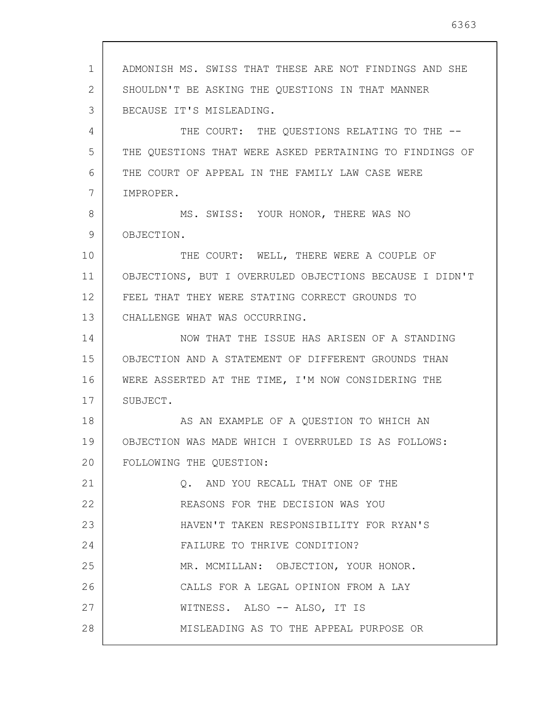| 1  | ADMONISH MS. SWISS THAT THESE ARE NOT FINDINGS AND SHE  |
|----|---------------------------------------------------------|
| 2  | SHOULDN'T BE ASKING THE QUESTIONS IN THAT MANNER        |
| 3  | BECAUSE IT'S MISLEADING.                                |
| 4  | THE COURT: THE QUESTIONS RELATING TO THE --             |
| 5  | THE QUESTIONS THAT WERE ASKED PERTAINING TO FINDINGS OF |
| 6  | THE COURT OF APPEAL IN THE FAMILY LAW CASE WERE         |
| 7  | IMPROPER.                                               |
| 8  | MS. SWISS: YOUR HONOR, THERE WAS NO                     |
| 9  | OBJECTION.                                              |
| 10 | THE COURT: WELL, THERE WERE A COUPLE OF                 |
| 11 | OBJECTIONS, BUT I OVERRULED OBJECTIONS BECAUSE I DIDN'T |
| 12 | FEEL THAT THEY WERE STATING CORRECT GROUNDS TO          |
| 13 | CHALLENGE WHAT WAS OCCURRING.                           |
| 14 | NOW THAT THE ISSUE HAS ARISEN OF A STANDING             |
| 15 | OBJECTION AND A STATEMENT OF DIFFERENT GROUNDS THAN     |
| 16 | WERE ASSERTED AT THE TIME, I'M NOW CONSIDERING THE      |
| 17 | SUBJECT.                                                |
| 18 | AS AN EXAMPLE OF A QUESTION TO WHICH AN                 |
| 19 | OBJECTION WAS MADE WHICH I OVERRULED IS AS FOLLOWS:     |
| 20 | FOLLOWING THE QUESTION:                                 |
| 21 | Q. AND YOU RECALL THAT ONE OF THE                       |
| 22 | REASONS FOR THE DECISION WAS YOU                        |
| 23 | HAVEN'T TAKEN RESPONSIBILITY FOR RYAN'S                 |
| 24 | FAILURE TO THRIVE CONDITION?                            |
| 25 | MR. MCMILLAN: OBJECTION, YOUR HONOR.                    |
| 26 | CALLS FOR A LEGAL OPINION FROM A LAY                    |
| 27 | WITNESS. ALSO -- ALSO, IT IS                            |
| 28 | MISLEADING AS TO THE APPEAL PURPOSE OR                  |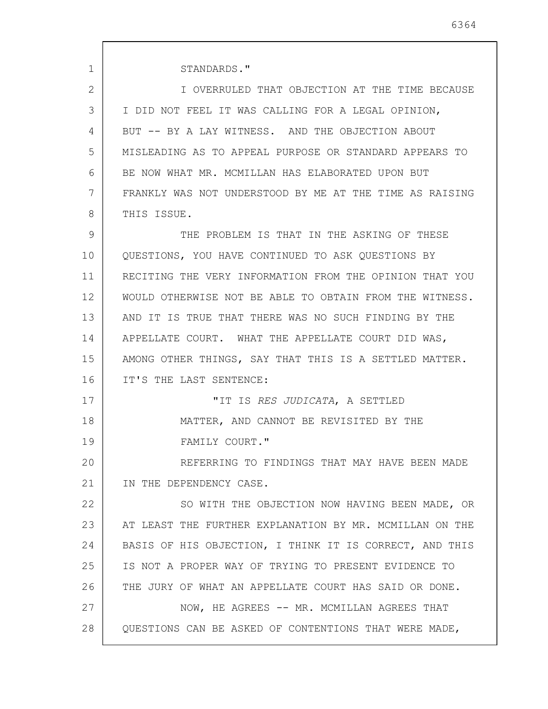1 2 3 4 5 6 7 8 9 10 11 12 13 14 15 16 17 18 19 20 21 22 23 24 25 26 27 28 STANDARDS." I OVERRULED THAT OBJECTION AT THE TIME BECAUSE I DID NOT FEEL IT WAS CALLING FOR A LEGAL OPINION, BUT -- BY A LAY WITNESS. AND THE OBJECTION ABOUT MISLEADING AS TO APPEAL PURPOSE OR STANDARD APPEARS TO BE NOW WHAT MR. MCMILLAN HAS ELABORATED UPON BUT FRANKLY WAS NOT UNDERSTOOD BY ME AT THE TIME AS RAISING THIS ISSUE. THE PROBLEM IS THAT IN THE ASKING OF THESE QUESTIONS, YOU HAVE CONTINUED TO ASK QUESTIONS BY RECITING THE VERY INFORMATION FROM THE OPINION THAT YOU WOULD OTHERWISE NOT BE ABLE TO OBTAIN FROM THE WITNESS. AND IT IS TRUE THAT THERE WAS NO SUCH FINDING BY THE APPELLATE COURT. WHAT THE APPELLATE COURT DID WAS, AMONG OTHER THINGS, SAY THAT THIS IS A SETTLED MATTER. IT'S THE LAST SENTENCE: "IT IS RES JUDICATA, A SETTLED MATTER, AND CANNOT BE REVISITED BY THE FAMILY COURT." REFERRING TO FINDINGS THAT MAY HAVE BEEN MADE IN THE DEPENDENCY CASE. SO WITH THE OBJECTION NOW HAVING BEEN MADE, OR AT LEAST THE FURTHER EXPLANATION BY MR. MCMILLAN ON THE BASIS OF HIS OBJECTION, I THINK IT IS CORRECT, AND THIS IS NOT A PROPER WAY OF TRYING TO PRESENT EVIDENCE TO THE JURY OF WHAT AN APPELLATE COURT HAS SAID OR DONE. NOW, HE AGREES -- MR. MCMILLAN AGREES THAT QUESTIONS CAN BE ASKED OF CONTENTIONS THAT WERE MADE,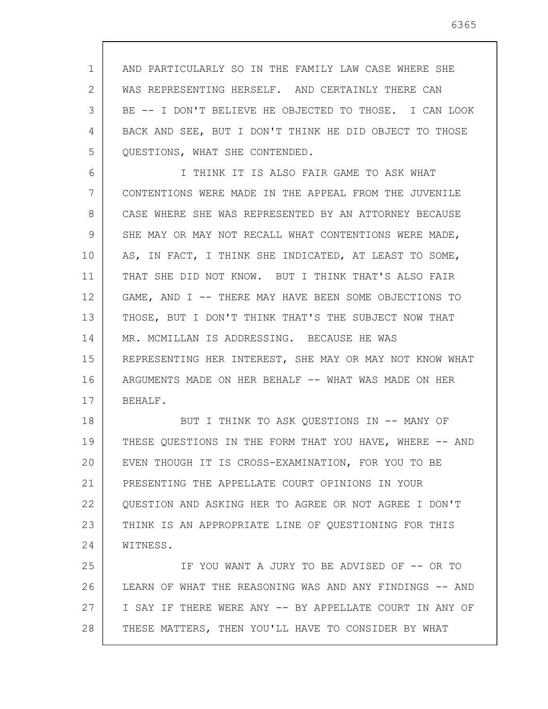1 2 3 4 5 AND PARTICULARLY SO IN THE FAMILY LAW CASE WHERE SHE WAS REPRESENTING HERSELF. AND CERTAINLY THERE CAN BE -- I DON'T BELIEVE HE OBJECTED TO THOSE. I CAN LOOK BACK AND SEE, BUT I DON'T THINK HE DID OBJECT TO THOSE QUESTIONS, WHAT SHE CONTENDED.

6 7 8 9 10 11 12 13 14 15 16 17 I THINK IT IS ALSO FAIR GAME TO ASK WHAT CONTENTIONS WERE MADE IN THE APPEAL FROM THE JUVENILE CASE WHERE SHE WAS REPRESENTED BY AN ATTORNEY BECAUSE SHE MAY OR MAY NOT RECALL WHAT CONTENTIONS WERE MADE, AS, IN FACT, I THINK SHE INDICATED, AT LEAST TO SOME, THAT SHE DID NOT KNOW. BUT I THINK THAT'S ALSO FAIR GAME, AND I -- THERE MAY HAVE BEEN SOME OBJECTIONS TO THOSE, BUT I DON'T THINK THAT'S THE SUBJECT NOW THAT MR. MCMILLAN IS ADDRESSING. BECAUSE HE WAS REPRESENTING HER INTEREST, SHE MAY OR MAY NOT KNOW WHAT ARGUMENTS MADE ON HER BEHALF -- WHAT WAS MADE ON HER BEHALF.

18 19 20 21 22 23 24 BUT I THINK TO ASK QUESTIONS IN -- MANY OF THESE QUESTIONS IN THE FORM THAT YOU HAVE, WHERE -- AND EVEN THOUGH IT IS CROSS-EXAMINATION, FOR YOU TO BE PRESENTING THE APPELLATE COURT OPINIONS IN YOUR QUESTION AND ASKING HER TO AGREE OR NOT AGREE I DON'T THINK IS AN APPROPRIATE LINE OF QUESTIONING FOR THIS WITNESS.

25 26 27 28 IF YOU WANT A JURY TO BE ADVISED OF -- OR TO LEARN OF WHAT THE REASONING WAS AND ANY FINDINGS -- AND I SAY IF THERE WERE ANY -- BY APPELLATE COURT IN ANY OF THESE MATTERS, THEN YOU'LL HAVE TO CONSIDER BY WHAT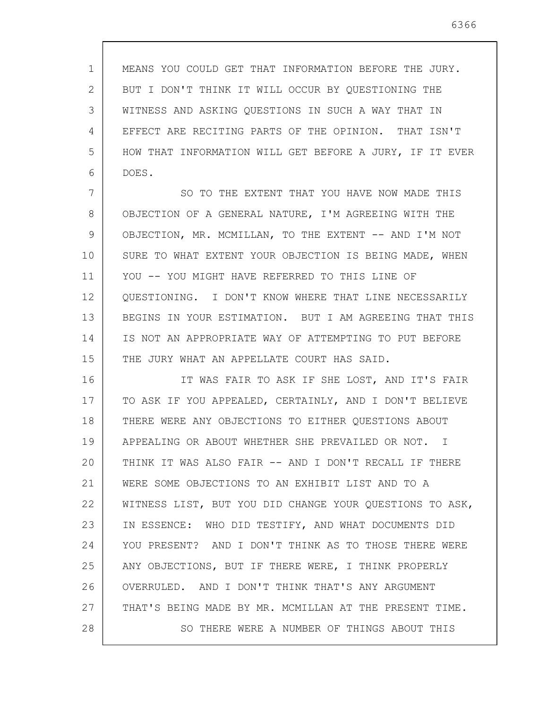1 2 3 4 5 6 MEANS YOU COULD GET THAT INFORMATION BEFORE THE JURY. BUT I DON'T THINK IT WILL OCCUR BY QUESTIONING THE WITNESS AND ASKING QUESTIONS IN SUCH A WAY THAT IN EFFECT ARE RECITING PARTS OF THE OPINION. THAT ISN'T HOW THAT INFORMATION WILL GET BEFORE A JURY, IF IT EVER DOES.

7 8 9 10 11 12 13 14 15 SO TO THE EXTENT THAT YOU HAVE NOW MADE THIS OBJECTION OF A GENERAL NATURE, I'M AGREEING WITH THE OBJECTION, MR. MCMILLAN, TO THE EXTENT -- AND I'M NOT SURE TO WHAT EXTENT YOUR OBJECTION IS BEING MADE, WHEN YOU -- YOU MIGHT HAVE REFERRED TO THIS LINE OF QUESTIONING. I DON'T KNOW WHERE THAT LINE NECESSARILY BEGINS IN YOUR ESTIMATION. BUT I AM AGREEING THAT THIS IS NOT AN APPROPRIATE WAY OF ATTEMPTING TO PUT BEFORE THE JURY WHAT AN APPELLATE COURT HAS SAID.

16 17 18 19 20 21 22 23 24 25 26 27 28 IT WAS FAIR TO ASK IF SHE LOST, AND IT'S FAIR TO ASK IF YOU APPEALED, CERTAINLY, AND I DON'T BELIEVE THERE WERE ANY OBJECTIONS TO EITHER QUESTIONS ABOUT APPEALING OR ABOUT WHETHER SHE PREVAILED OR NOT. I THINK IT WAS ALSO FAIR -- AND I DON'T RECALL IF THERE WERE SOME OBJECTIONS TO AN EXHIBIT LIST AND TO A WITNESS LIST, BUT YOU DID CHANGE YOUR QUESTIONS TO ASK, IN ESSENCE: WHO DID TESTIFY, AND WHAT DOCUMENTS DID YOU PRESENT? AND I DON'T THINK AS TO THOSE THERE WERE ANY OBJECTIONS, BUT IF THERE WERE, I THINK PROPERLY OVERRULED. AND I DON'T THINK THAT'S ANY ARGUMENT THAT'S BEING MADE BY MR. MCMILLAN AT THE PRESENT TIME. SO THERE WERE A NUMBER OF THINGS ABOUT THIS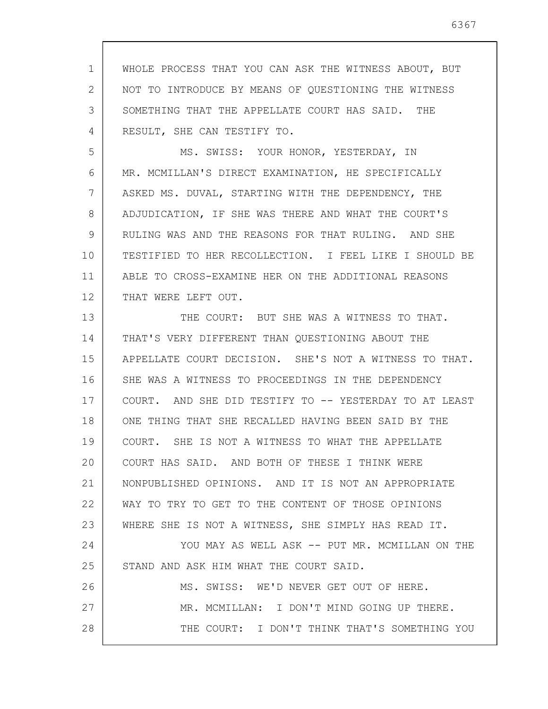1 2 3 4 WHOLE PROCESS THAT YOU CAN ASK THE WITNESS ABOUT, BUT NOT TO INTRODUCE BY MEANS OF QUESTIONING THE WITNESS SOMETHING THAT THE APPELLATE COURT HAS SAID. THE RESULT, SHE CAN TESTIFY TO.

5 6 7 8 9 10 11 12 MS. SWISS: YOUR HONOR, YESTERDAY, IN MR. MCMILLAN'S DIRECT EXAMINATION, HE SPECIFICALLY ASKED MS. DUVAL, STARTING WITH THE DEPENDENCY, THE ADJUDICATION, IF SHE WAS THERE AND WHAT THE COURT'S RULING WAS AND THE REASONS FOR THAT RULING. AND SHE TESTIFIED TO HER RECOLLECTION. I FEEL LIKE I SHOULD BE ABLE TO CROSS-EXAMINE HER ON THE ADDITIONAL REASONS THAT WERE LEFT OUT.

13 14 15 16 17 18 19 20 21 22 23 24 25 26 27 28 THE COURT: BUT SHE WAS A WITNESS TO THAT. THAT'S VERY DIFFERENT THAN QUESTIONING ABOUT THE APPELLATE COURT DECISION. SHE'S NOT A WITNESS TO THAT. SHE WAS A WITNESS TO PROCEEDINGS IN THE DEPENDENCY COURT. AND SHE DID TESTIFY TO -- YESTERDAY TO AT LEAST ONE THING THAT SHE RECALLED HAVING BEEN SAID BY THE COURT. SHE IS NOT A WITNESS TO WHAT THE APPELLATE COURT HAS SAID. AND BOTH OF THESE I THINK WERE NONPUBLISHED OPINIONS. AND IT IS NOT AN APPROPRIATE WAY TO TRY TO GET TO THE CONTENT OF THOSE OPINIONS WHERE SHE IS NOT A WITNESS, SHE SIMPLY HAS READ IT. YOU MAY AS WELL ASK -- PUT MR. MCMILLAN ON THE STAND AND ASK HIM WHAT THE COURT SAID. MS. SWISS: WE'D NEVER GET OUT OF HERE. MR. MCMILLAN: I DON'T MIND GOING UP THERE. THE COURT: I DON'T THINK THAT'S SOMETHING YOU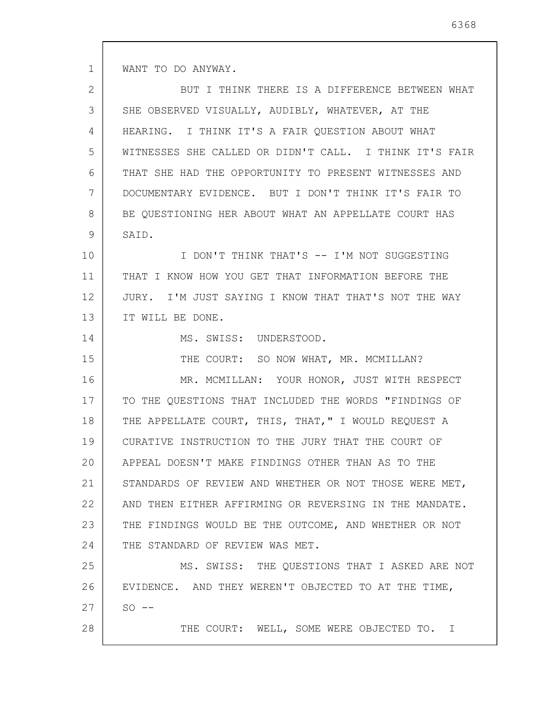WANT TO DO ANYWAY.

| $\mathbf{2}$ | BUT I THINK THERE IS A DIFFERENCE BETWEEN WHAT         |
|--------------|--------------------------------------------------------|
| 3            | SHE OBSERVED VISUALLY, AUDIBLY, WHATEVER, AT THE       |
| 4            | HEARING. I THINK IT'S A FAIR QUESTION ABOUT WHAT       |
| 5            | WITNESSES SHE CALLED OR DIDN'T CALL. I THINK IT'S FAIR |
| 6            | THAT SHE HAD THE OPPORTUNITY TO PRESENT WITNESSES AND  |
| 7            | DOCUMENTARY EVIDENCE. BUT I DON'T THINK IT'S FAIR TO   |
| 8            | BE QUESTIONING HER ABOUT WHAT AN APPELLATE COURT HAS   |
| 9            | SAID.                                                  |
| 10           | I DON'T THINK THAT'S -- I'M NOT SUGGESTING             |
| 11           | THAT I KNOW HOW YOU GET THAT INFORMATION BEFORE THE    |
| 12           | JURY. I'M JUST SAYING I KNOW THAT THAT'S NOT THE WAY   |
| 13           | IT WILL BE DONE.                                       |
| 14           | MS. SWISS: UNDERSTOOD.                                 |
| 15           | THE COURT: SO NOW WHAT, MR. MCMILLAN?                  |
| 16           | MR. MCMILLAN: YOUR HONOR, JUST WITH RESPECT            |
| 17           | TO THE QUESTIONS THAT INCLUDED THE WORDS "FINDINGS OF  |
| 18           | THE APPELLATE COURT, THIS, THAT," I WOULD REQUEST A    |
| 19           | CURATIVE INSTRUCTION TO THE JURY THAT THE COURT OF     |
| 20           | APPEAL DOESN'T MAKE FINDINGS OTHER THAN AS TO THE      |
| 21           | STANDARDS OF REVIEW AND WHETHER OR NOT THOSE WERE MET, |
| 22           | AND THEN EITHER AFFIRMING OR REVERSING IN THE MANDATE. |
| 23           | THE FINDINGS WOULD BE THE OUTCOME, AND WHETHER OR NOT  |
| 24           | THE STANDARD OF REVIEW WAS MET.                        |
| 25           | MS. SWISS: THE QUESTIONS THAT I ASKED ARE NOT          |
| 26           | EVIDENCE. AND THEY WEREN'T OBJECTED TO AT THE TIME,    |
| 27           | $SO = -$                                               |
| 28           | THE COURT: WELL, SOME WERE OBJECTED TO. I              |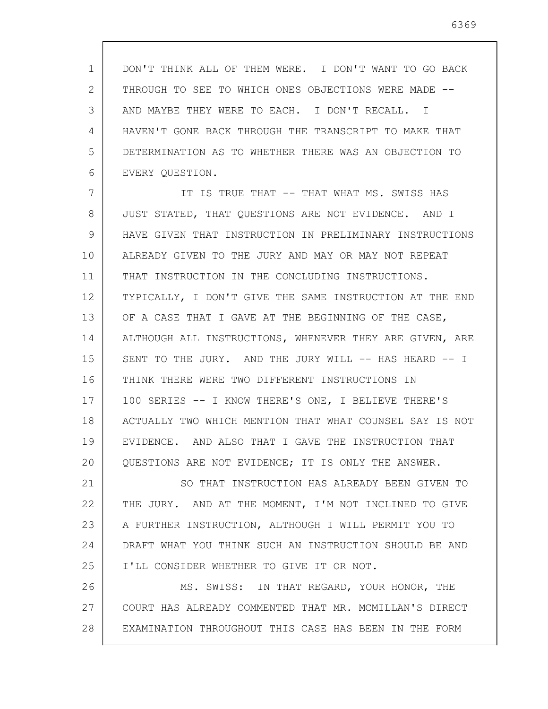1 2 3 4 5 6 DON'T THINK ALL OF THEM WERE. I DON'T WANT TO GO BACK THROUGH TO SEE TO WHICH ONES OBJECTIONS WERE MADE -- AND MAYBE THEY WERE TO EACH. I DON'T RECALL. I HAVEN'T GONE BACK THROUGH THE TRANSCRIPT TO MAKE THAT DETERMINATION AS TO WHETHER THERE WAS AN OBJECTION TO EVERY QUESTION.

7 8 9 10 11 12 13 14 15 16 17 18 19 20 IT IS TRUE THAT -- THAT WHAT MS. SWISS HAS JUST STATED, THAT QUESTIONS ARE NOT EVIDENCE. AND I HAVE GIVEN THAT INSTRUCTION IN PRELIMINARY INSTRUCTIONS ALREADY GIVEN TO THE JURY AND MAY OR MAY NOT REPEAT THAT INSTRUCTION IN THE CONCLUDING INSTRUCTIONS. TYPICALLY, I DON'T GIVE THE SAME INSTRUCTION AT THE END OF A CASE THAT I GAVE AT THE BEGINNING OF THE CASE, ALTHOUGH ALL INSTRUCTIONS, WHENEVER THEY ARE GIVEN, ARE SENT TO THE JURY. AND THE JURY WILL -- HAS HEARD -- I THINK THERE WERE TWO DIFFERENT INSTRUCTIONS IN 100 SERIES -- I KNOW THERE'S ONE, I BELIEVE THERE'S ACTUALLY TWO WHICH MENTION THAT WHAT COUNSEL SAY IS NOT EVIDENCE. AND ALSO THAT I GAVE THE INSTRUCTION THAT QUESTIONS ARE NOT EVIDENCE; IT IS ONLY THE ANSWER.

21 22 23 24 25 SO THAT INSTRUCTION HAS ALREADY BEEN GIVEN TO THE JURY. AND AT THE MOMENT, I'M NOT INCLINED TO GIVE A FURTHER INSTRUCTION, ALTHOUGH I WILL PERMIT YOU TO DRAFT WHAT YOU THINK SUCH AN INSTRUCTION SHOULD BE AND I'LL CONSIDER WHETHER TO GIVE IT OR NOT.

26 27 28 MS. SWISS: IN THAT REGARD, YOUR HONOR, THE COURT HAS ALREADY COMMENTED THAT MR. MCMILLAN'S DIRECT EXAMINATION THROUGHOUT THIS CASE HAS BEEN IN THE FORM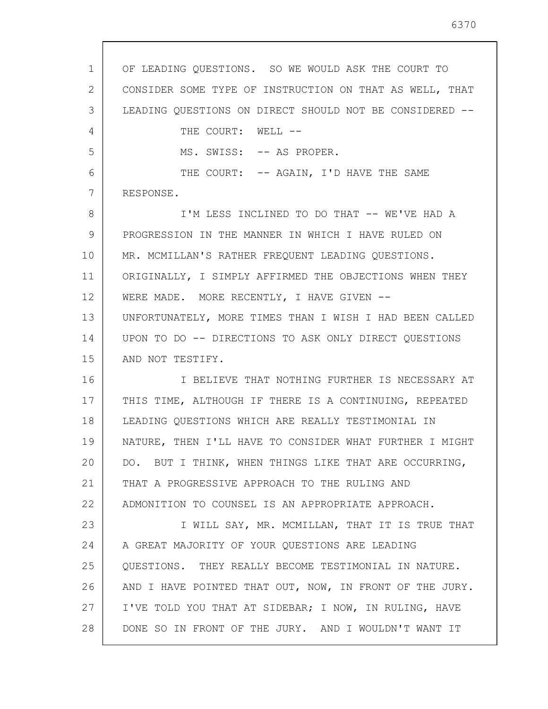1 2 3 4 5 6 7 8 9 10 11 12 13 14 15 16 17 18 19 20 21 22 23 24 25 26 27 28 OF LEADING QUESTIONS. SO WE WOULD ASK THE COURT TO CONSIDER SOME TYPE OF INSTRUCTION ON THAT AS WELL, THAT LEADING OUESTIONS ON DIRECT SHOULD NOT BE CONSIDERED --THE COURT: WELL --MS. SWISS: -- AS PROPER. THE COURT: -- AGAIN, I'D HAVE THE SAME RESPONSE. I'M LESS INCLINED TO DO THAT -- WE'VE HAD A PROGRESSION IN THE MANNER IN WHICH I HAVE RULED ON MR. MCMILLAN'S RATHER FREQUENT LEADING QUESTIONS. ORIGINALLY, I SIMPLY AFFIRMED THE OBJECTIONS WHEN THEY WERE MADE. MORE RECENTLY, I HAVE GIVEN --UNFORTUNATELY, MORE TIMES THAN I WISH I HAD BEEN CALLED UPON TO DO -- DIRECTIONS TO ASK ONLY DIRECT QUESTIONS AND NOT TESTIFY. I BELIEVE THAT NOTHING FURTHER IS NECESSARY AT THIS TIME, ALTHOUGH IF THERE IS A CONTINUING, REPEATED LEADING QUESTIONS WHICH ARE REALLY TESTIMONIAL IN NATURE, THEN I'LL HAVE TO CONSIDER WHAT FURTHER I MIGHT DO. BUT I THINK, WHEN THINGS LIKE THAT ARE OCCURRING, THAT A PROGRESSIVE APPROACH TO THE RULING AND ADMONITION TO COUNSEL IS AN APPROPRIATE APPROACH. I WILL SAY, MR. MCMILLAN, THAT IT IS TRUE THAT A GREAT MAJORITY OF YOUR QUESTIONS ARE LEADING QUESTIONS. THEY REALLY BECOME TESTIMONIAL IN NATURE. AND I HAVE POINTED THAT OUT, NOW, IN FRONT OF THE JURY. I'VE TOLD YOU THAT AT SIDEBAR; I NOW, IN RULING, HAVE DONE SO IN FRONT OF THE JURY. AND I WOULDN'T WANT IT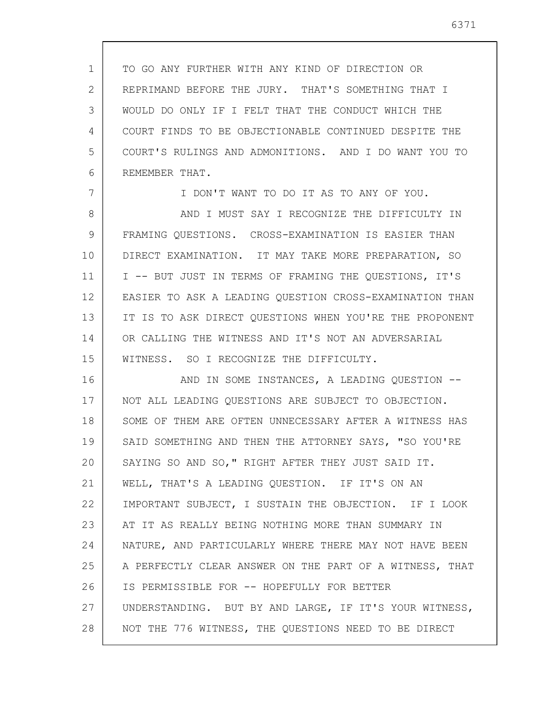1 2 3 4 5 6 TO GO ANY FURTHER WITH ANY KIND OF DIRECTION OR REPRIMAND BEFORE THE JURY. THAT'S SOMETHING THAT I WOULD DO ONLY IF I FELT THAT THE CONDUCT WHICH THE COURT FINDS TO BE OBJECTIONABLE CONTINUED DESPITE THE COURT'S RULINGS AND ADMONITIONS. AND I DO WANT YOU TO REMEMBER THAT.

7 8 9 10 11 12 13 14 15 I DON'T WANT TO DO IT AS TO ANY OF YOU. AND I MUST SAY I RECOGNIZE THE DIFFICULTY IN FRAMING QUESTIONS. CROSS-EXAMINATION IS EASIER THAN DIRECT EXAMINATION. IT MAY TAKE MORE PREPARATION, SO I -- BUT JUST IN TERMS OF FRAMING THE QUESTIONS, IT'S EASIER TO ASK A LEADING QUESTION CROSS-EXAMINATION THAN IT IS TO ASK DIRECT QUESTIONS WHEN YOU'RE THE PROPONENT OR CALLING THE WITNESS AND IT'S NOT AN ADVERSARIAL WITNESS. SO I RECOGNIZE THE DIFFICULTY.

16 17 18 19 20 21 22 23 24 25 26 27 28 AND IN SOME INSTANCES, A LEADING QUESTION -- NOT ALL LEADING QUESTIONS ARE SUBJECT TO OBJECTION. SOME OF THEM ARE OFTEN UNNECESSARY AFTER A WITNESS HAS SAID SOMETHING AND THEN THE ATTORNEY SAYS, "SO YOU'RE SAYING SO AND SO," RIGHT AFTER THEY JUST SAID IT. WELL, THAT'S A LEADING QUESTION. IF IT'S ON AN IMPORTANT SUBJECT, I SUSTAIN THE OBJECTION. IF I LOOK AT IT AS REALLY BEING NOTHING MORE THAN SUMMARY IN NATURE, AND PARTICULARLY WHERE THERE MAY NOT HAVE BEEN A PERFECTLY CLEAR ANSWER ON THE PART OF A WITNESS, THAT IS PERMISSIBLE FOR -- HOPEFULLY FOR BETTER UNDERSTANDING. BUT BY AND LARGE, IF IT'S YOUR WITNESS, NOT THE 776 WITNESS, THE QUESTIONS NEED TO BE DIRECT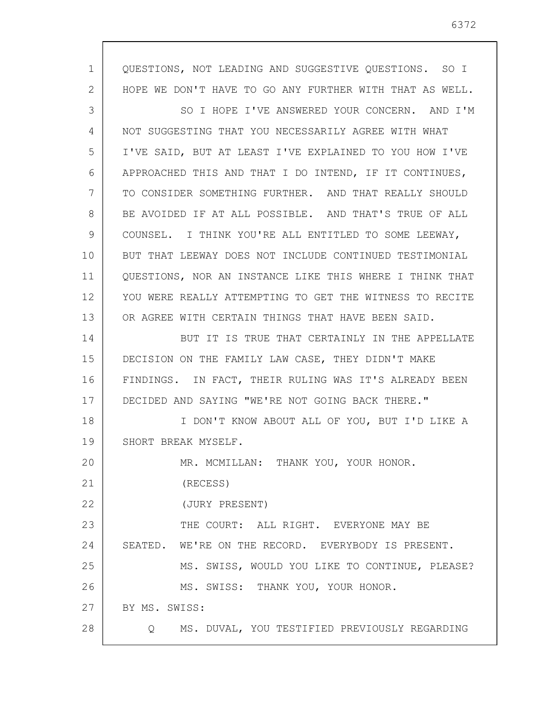| 1  | QUESTIONS, NOT LEADING AND SUGGESTIVE QUESTIONS. SO I    |
|----|----------------------------------------------------------|
| 2  | HOPE WE DON'T HAVE TO GO ANY FURTHER WITH THAT AS WELL.  |
| 3  | SO I HOPE I'VE ANSWERED YOUR CONCERN. AND I'M            |
| 4  | NOT SUGGESTING THAT YOU NECESSARILY AGREE WITH WHAT      |
| 5  | I'VE SAID, BUT AT LEAST I'VE EXPLAINED TO YOU HOW I'VE   |
| 6  | APPROACHED THIS AND THAT I DO INTEND, IF IT CONTINUES,   |
| 7  | TO CONSIDER SOMETHING FURTHER. AND THAT REALLY SHOULD    |
| 8  | BE AVOIDED IF AT ALL POSSIBLE. AND THAT'S TRUE OF ALL    |
| 9  | COUNSEL. I THINK YOU'RE ALL ENTITLED TO SOME LEEWAY,     |
| 10 | BUT THAT LEEWAY DOES NOT INCLUDE CONTINUED TESTIMONIAL   |
| 11 | QUESTIONS, NOR AN INSTANCE LIKE THIS WHERE I THINK THAT  |
| 12 | YOU WERE REALLY ATTEMPTING TO GET THE WITNESS TO RECITE  |
| 13 | OR AGREE WITH CERTAIN THINGS THAT HAVE BEEN SAID.        |
| 14 | BUT IT IS TRUE THAT CERTAINLY IN THE APPELLATE           |
| 15 | DECISION ON THE FAMILY LAW CASE, THEY DIDN'T MAKE        |
| 16 | FINDINGS. IN FACT, THEIR RULING WAS IT'S ALREADY BEEN    |
| 17 | DECIDED AND SAYING "WE'RE NOT GOING BACK THERE."         |
| 18 | I DON'T KNOW ABOUT ALL OF YOU, BUT I'D LIKE A            |
| 19 | SHORT BREAK MYSELF.                                      |
| 20 | MR. MCMILLAN: THANK YOU, YOUR HONOR.                     |
| 21 | (RECESS)                                                 |
| 22 | (JURY PRESENT)                                           |
| 23 | THE COURT: ALL RIGHT. EVERYONE MAY BE                    |
| 24 | SEATED. WE'RE ON THE RECORD. EVERYBODY IS PRESENT.       |
| 25 | MS. SWISS, WOULD YOU LIKE TO CONTINUE, PLEASE?           |
| 26 | MS. SWISS: THANK YOU, YOUR HONOR.                        |
| 27 | BY MS. SWISS:                                            |
| 28 | MS. DUVAL, YOU TESTIFIED PREVIOUSLY REGARDING<br>$\circ$ |
|    |                                                          |

6372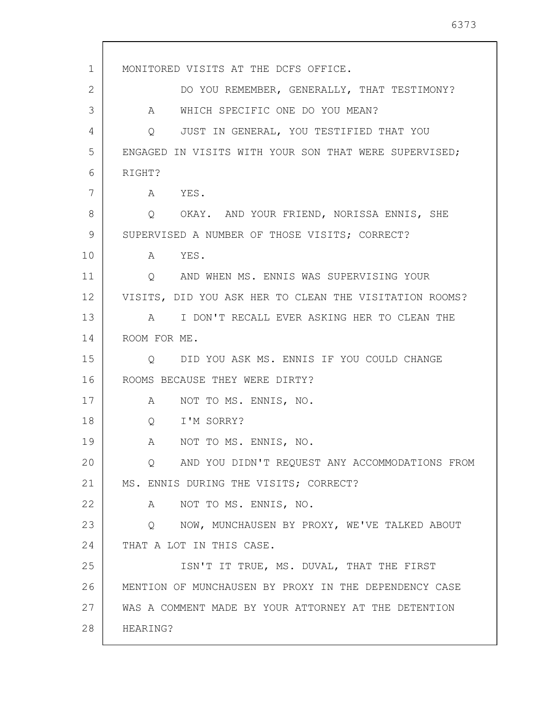1 2 3 4 5 6 7 8 9 10 11 12 13 14 15 16 17 18 19 20 21 22 23 24 25 26 27 28 MONITORED VISITS AT THE DCFS OFFICE. DO YOU REMEMBER, GENERALLY, THAT TESTIMONY? A WHICH SPECIFIC ONE DO YOU MEAN? Q JUST IN GENERAL, YOU TESTIFIED THAT YOU ENGAGED IN VISITS WITH YOUR SON THAT WERE SUPERVISED; RIGHT? A YES. Q OKAY. AND YOUR FRIEND, NORISSA ENNIS, SHE SUPERVISED A NUMBER OF THOSE VISITS; CORRECT? A YES. Q AND WHEN MS. ENNIS WAS SUPERVISING YOUR VISITS, DID YOU ASK HER TO CLEAN THE VISITATION ROOMS? A I DON'T RECALL EVER ASKING HER TO CLEAN THE ROOM FOR ME. Q DID YOU ASK MS. ENNIS IF YOU COULD CHANGE ROOMS BECAUSE THEY WERE DIRTY? A NOT TO MS. ENNIS, NO. Q I'M SORRY? A NOT TO MS. ENNIS, NO. Q AND YOU DIDN'T REQUEST ANY ACCOMMODATIONS FROM MS. ENNIS DURING THE VISITS; CORRECT? A NOT TO MS. ENNIS, NO. Q NOW, MUNCHAUSEN BY PROXY, WE'VE TALKED ABOUT THAT A LOT IN THIS CASE. ISN'T IT TRUE, MS. DUVAL, THAT THE FIRST MENTION OF MUNCHAUSEN BY PROXY IN THE DEPENDENCY CASE WAS A COMMENT MADE BY YOUR ATTORNEY AT THE DETENTION HEARING?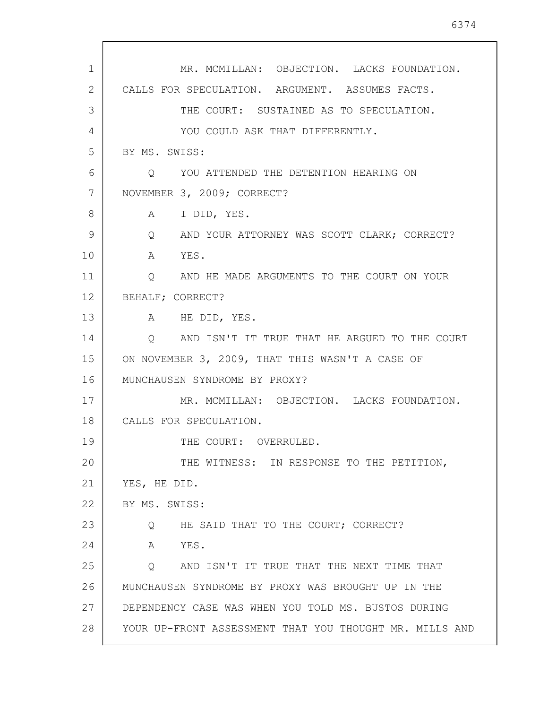| $\mathbf{1}$ | MR. MCMILLAN: OBJECTION. LACKS FOUNDATION.                         |
|--------------|--------------------------------------------------------------------|
| 2            | CALLS FOR SPECULATION. ARGUMENT. ASSUMES FACTS.                    |
| 3            | THE COURT: SUSTAINED AS TO SPECULATION.                            |
| 4            | YOU COULD ASK THAT DIFFERENTLY.                                    |
| 5            | BY MS. SWISS:                                                      |
| 6            | O YOU ATTENDED THE DETENTION HEARING ON                            |
| 7            | NOVEMBER 3, 2009; CORRECT?                                         |
| 8            | A I DID, YES.                                                      |
| 9            | Q AND YOUR ATTORNEY WAS SCOTT CLARK; CORRECT?                      |
| 10           | A YES.                                                             |
| 11           | Q AND HE MADE ARGUMENTS TO THE COURT ON YOUR                       |
| 12           | BEHALF; CORRECT?                                                   |
| 13           | A HE DID, YES.                                                     |
| 14           | AND ISN'T IT TRUE THAT HE ARGUED TO THE COURT<br>$Q \qquad \qquad$ |
| 15           | ON NOVEMBER 3, 2009, THAT THIS WASN'T A CASE OF                    |
| 16           | MUNCHAUSEN SYNDROME BY PROXY?                                      |
| 17           | MR. MCMILLAN: OBJECTION. LACKS FOUNDATION.                         |
| 18           | CALLS FOR SPECULATION.                                             |
| 19           | THE COURT: OVERRULED.                                              |
| 20           | THE WITNESS: IN RESPONSE TO THE PETITION,                          |
| 21           | YES, HE DID.                                                       |
| 22           | BY MS. SWISS:                                                      |
| 23           | HE SAID THAT TO THE COURT; CORRECT?<br>Q                           |
| 24           | A<br>YES.                                                          |
| 25           | AND ISN'T IT TRUE THAT THE NEXT TIME THAT<br>$\circ$               |
| 26           | MUNCHAUSEN SYNDROME BY PROXY WAS BROUGHT UP IN THE                 |
| 27           | DEPENDENCY CASE WAS WHEN YOU TOLD MS. BUSTOS DURING                |
| 28           | YOUR UP-FRONT ASSESSMENT THAT YOU THOUGHT MR. MILLS AND            |

L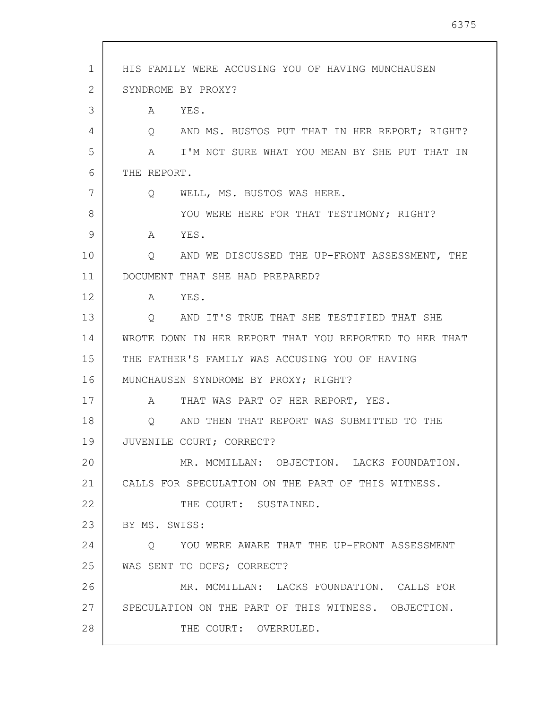| 1  | HIS FAMILY WERE ACCUSING YOU OF HAVING MUNCHAUSEN             |
|----|---------------------------------------------------------------|
| 2  | SYNDROME BY PROXY?                                            |
| 3  | A YES.                                                        |
| 4  | AND MS. BUSTOS PUT THAT IN HER REPORT; RIGHT?<br>Q            |
| 5  | A I'M NOT SURE WHAT YOU MEAN BY SHE PUT THAT IN               |
| 6  | THE REPORT.                                                   |
| 7  | WELL, MS. BUSTOS WAS HERE.<br>Q                               |
| 8  | YOU WERE HERE FOR THAT TESTIMONY; RIGHT?                      |
| 9  | A YES.                                                        |
| 10 | AND WE DISCUSSED THE UP-FRONT ASSESSMENT, THE<br>$\mathsf{Q}$ |
| 11 | DOCUMENT THAT SHE HAD PREPARED?                               |
| 12 | A YES.                                                        |
| 13 | Q AND IT'S TRUE THAT SHE TESTIFIED THAT SHE                   |
| 14 | WROTE DOWN IN HER REPORT THAT YOU REPORTED TO HER THAT        |
| 15 | THE FATHER'S FAMILY WAS ACCUSING YOU OF HAVING                |
| 16 | MUNCHAUSEN SYNDROME BY PROXY; RIGHT?                          |
| 17 | THAT WAS PART OF HER REPORT, YES.<br>A                        |
| 18 | AND THEN THAT REPORT WAS SUBMITTED TO THE<br>Q                |
| 19 | JUVENILE COURT; CORRECT?                                      |
| 20 | MR. MCMILLAN: OBJECTION. LACKS FOUNDATION.                    |
| 21 | CALLS FOR SPECULATION ON THE PART OF THIS WITNESS.            |
| 22 | THE COURT: SUSTAINED.                                         |
| 23 | BY MS. SWISS:                                                 |
| 24 | O YOU WERE AWARE THAT THE UP-FRONT ASSESSMENT                 |
| 25 | WAS SENT TO DCFS; CORRECT?                                    |
| 26 | MR. MCMILLAN: LACKS FOUNDATION. CALLS FOR                     |
| 27 | SPECULATION ON THE PART OF THIS WITNESS. OBJECTION.           |
| 28 | THE COURT: OVERRULED.                                         |
|    |                                                               |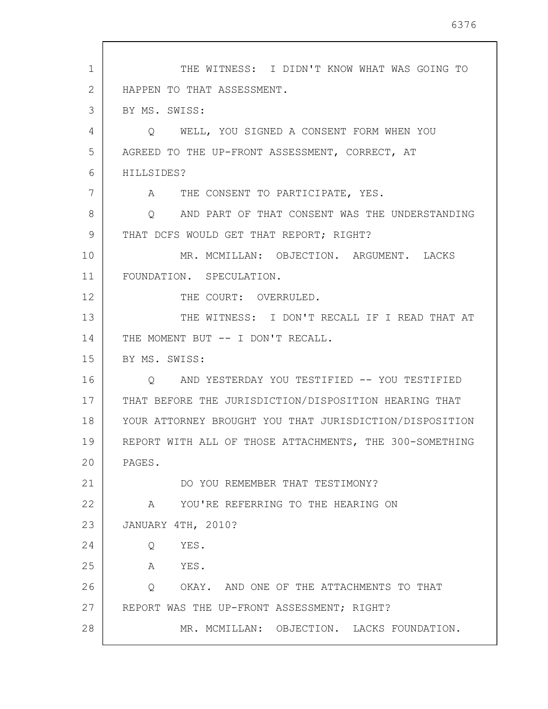1 2 3 4 5 6 7 8 9 10 11 12 13 14 15 16 17 18 19 20 21 22 23 24 25 26 27 28 THE WITNESS: I DIDN'T KNOW WHAT WAS GOING TO HAPPEN TO THAT ASSESSMENT. BY MS. SWISS: Q WELL, YOU SIGNED A CONSENT FORM WHEN YOU AGREED TO THE UP-FRONT ASSESSMENT, CORRECT, AT HILLSIDES? A THE CONSENT TO PARTICIPATE, YES. Q AND PART OF THAT CONSENT WAS THE UNDERSTANDING THAT DCFS WOULD GET THAT REPORT; RIGHT? MR. MCMILLAN: OBJECTION. ARGUMENT. LACKS FOUNDATION. SPECULATION. THE COURT: OVERRULED. THE WITNESS: I DON'T RECALL IF I READ THAT AT THE MOMENT BUT -- I DON'T RECALL. BY MS. SWISS: Q AND YESTERDAY YOU TESTIFIED -- YOU TESTIFIED THAT BEFORE THE JURISDICTION/DISPOSITION HEARING THAT YOUR ATTORNEY BROUGHT YOU THAT JURISDICTION/DISPOSITION REPORT WITH ALL OF THOSE ATTACHMENTS, THE 300-SOMETHING PAGES. DO YOU REMEMBER THAT TESTIMONY? A YOU'RE REFERRING TO THE HEARING ON JANUARY 4TH, 2010? Q YES. A YES. Q OKAY. AND ONE OF THE ATTACHMENTS TO THAT REPORT WAS THE UP-FRONT ASSESSMENT; RIGHT? MR. MCMILLAN: OBJECTION. LACKS FOUNDATION.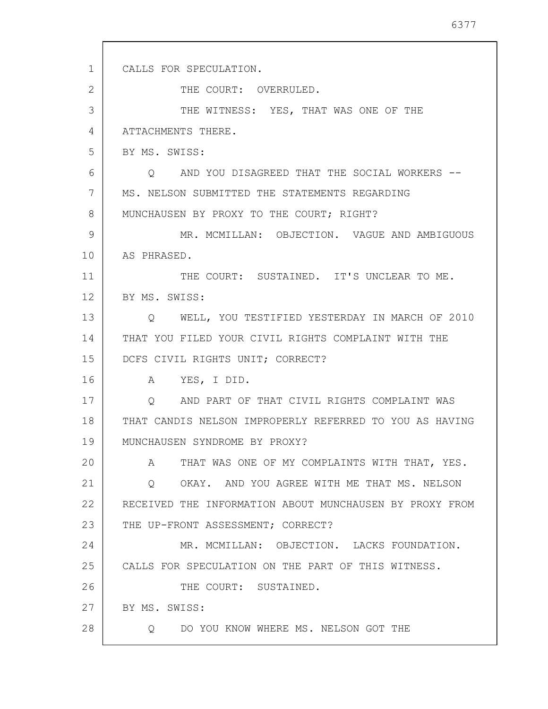| $\mathbf{1}$ | CALLS FOR SPECULATION.                                  |
|--------------|---------------------------------------------------------|
| 2            | THE COURT: OVERRULED.                                   |
| 3            | THE WITNESS: YES, THAT WAS ONE OF THE                   |
| 4            | ATTACHMENTS THERE.                                      |
| 5            | BY MS. SWISS:                                           |
| 6            | Q AND YOU DISAGREED THAT THE SOCIAL WORKERS --          |
| 7            | MS. NELSON SUBMITTED THE STATEMENTS REGARDING           |
| 8            | MUNCHAUSEN BY PROXY TO THE COURT; RIGHT?                |
| 9            | MR. MCMILLAN: OBJECTION. VAGUE AND AMBIGUOUS            |
| 10           | AS PHRASED.                                             |
| 11           | THE COURT: SUSTAINED. IT'S UNCLEAR TO ME.               |
| 12           | BY MS. SWISS:                                           |
| 13           | Q WELL, YOU TESTIFIED YESTERDAY IN MARCH OF 2010        |
| 14           | THAT YOU FILED YOUR CIVIL RIGHTS COMPLAINT WITH THE     |
| 15           | DCFS CIVIL RIGHTS UNIT; CORRECT?                        |
| 16           | A YES, I DID.                                           |
| 17           | O AND PART OF THAT CIVIL RIGHTS COMPLAINT WAS           |
| 18           | THAT CANDIS NELSON IMPROPERLY REFERRED TO YOU AS HAVING |
| 19           | MUNCHAUSEN SYNDROME BY PROXY?                           |
| 20           | THAT WAS ONE OF MY COMPLAINTS WITH THAT, YES.<br>A      |
| 21           | Q OKAY. AND YOU AGREE WITH ME THAT MS. NELSON           |
| 22           | RECEIVED THE INFORMATION ABOUT MUNCHAUSEN BY PROXY FROM |
| 23           | THE UP-FRONT ASSESSMENT; CORRECT?                       |
| 24           | MR. MCMILLAN: OBJECTION. LACKS FOUNDATION.              |
| 25           | CALLS FOR SPECULATION ON THE PART OF THIS WITNESS.      |
| 26           | THE COURT: SUSTAINED.                                   |
| 27           | BY MS. SWISS:                                           |
| 28           | Q DO YOU KNOW WHERE MS. NELSON GOT THE                  |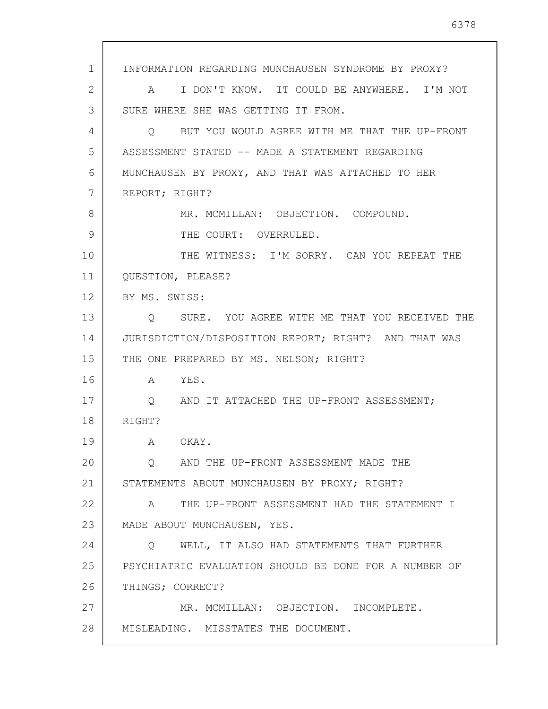1 2 3 4 5 6 7 8 9 10 11 12 13 14 15 16 17 18 19 20 21 22 23 24 25 26 27 28 INFORMATION REGARDING MUNCHAUSEN SYNDROME BY PROXY? A I DON'T KNOW. IT COULD BE ANYWHERE. I'M NOT SURE WHERE SHE WAS GETTING IT FROM. Q BUT YOU WOULD AGREE WITH ME THAT THE UP-FRONT ASSESSMENT STATED -- MADE A STATEMENT REGARDING MUNCHAUSEN BY PROXY, AND THAT WAS ATTACHED TO HER REPORT; RIGHT? MR. MCMILLAN: OBJECTION. COMPOUND. THE COURT: OVERRULED. THE WITNESS: I'M SORRY. CAN YOU REPEAT THE QUESTION, PLEASE? BY MS. SWISS: Q SURE. YOU AGREE WITH ME THAT YOU RECEIVED THE JURISDICTION/DISPOSITION REPORT; RIGHT? AND THAT WAS THE ONE PREPARED BY MS. NELSON; RIGHT? A YES. Q AND IT ATTACHED THE UP-FRONT ASSESSMENT; RIGHT? A OKAY. Q AND THE UP-FRONT ASSESSMENT MADE THE STATEMENTS ABOUT MUNCHAUSEN BY PROXY; RIGHT? A THE UP-FRONT ASSESSMENT HAD THE STATEMENT I MADE ABOUT MUNCHAUSEN, YES. Q WELL, IT ALSO HAD STATEMENTS THAT FURTHER PSYCHIATRIC EVALUATION SHOULD BE DONE FOR A NUMBER OF THINGS; CORRECT? MR. MCMILLAN: OBJECTION. INCOMPLETE. MISLEADING. MISSTATES THE DOCUMENT.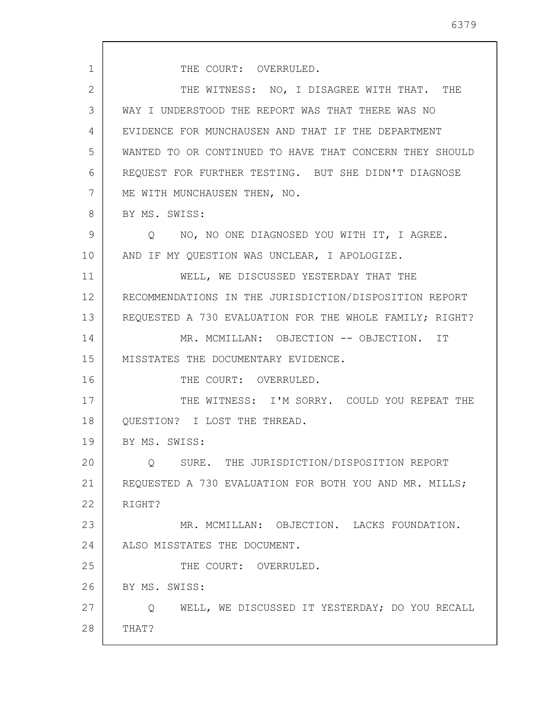1 2 3 4 5 6 7 8 9 10 11 12 13 14 15 16 17 18 19 20 21 22 23 24 25 26 27 28 THE COURT: OVERRULED. THE WITNESS: NO, I DISAGREE WITH THAT. THE WAY I UNDERSTOOD THE REPORT WAS THAT THERE WAS NO EVIDENCE FOR MUNCHAUSEN AND THAT IF THE DEPARTMENT WANTED TO OR CONTINUED TO HAVE THAT CONCERN THEY SHOULD REQUEST FOR FURTHER TESTING. BUT SHE DIDN'T DIAGNOSE ME WITH MUNCHAUSEN THEN, NO. BY MS. SWISS: Q NO, NO ONE DIAGNOSED YOU WITH IT, I AGREE. AND IF MY QUESTION WAS UNCLEAR, I APOLOGIZE. WELL, WE DISCUSSED YESTERDAY THAT THE RECOMMENDATIONS IN THE JURISDICTION/DISPOSITION REPORT REQUESTED A 730 EVALUATION FOR THE WHOLE FAMILY; RIGHT? MR. MCMILLAN: OBJECTION -- OBJECTION. IT MISSTATES THE DOCUMENTARY EVIDENCE. THE COURT: OVERRULED. THE WITNESS: I'M SORRY. COULD YOU REPEAT THE QUESTION? I LOST THE THREAD. BY MS. SWISS: Q SURE. THE JURISDICTION/DISPOSITION REPORT REQUESTED A 730 EVALUATION FOR BOTH YOU AND MR. MILLS; RIGHT? MR. MCMILLAN: OBJECTION. LACKS FOUNDATION. ALSO MISSTATES THE DOCUMENT. THE COURT: OVERRULED. BY MS. SWISS: Q WELL, WE DISCUSSED IT YESTERDAY; DO YOU RECALL THAT?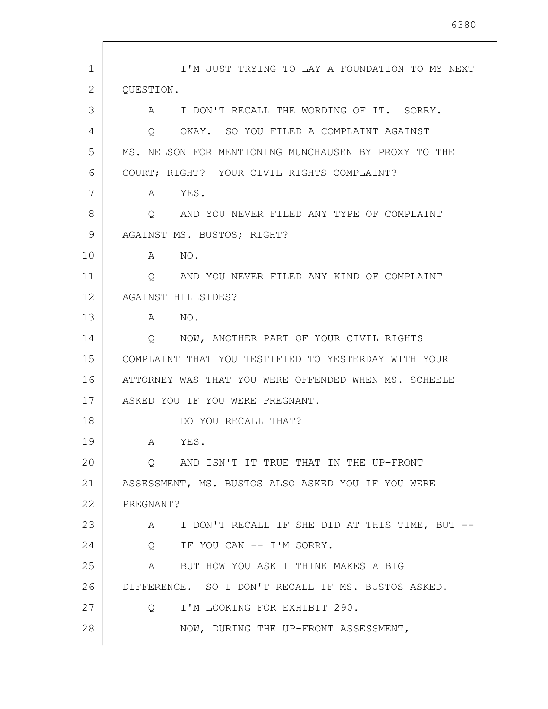1 2 3 4 5 6 7 8 9 10 11 12 13 14 15 16 17 18 19 20 21 22 23 24 25 26 27 28 I'M JUST TRYING TO LAY A FOUNDATION TO MY NEXT QUESTION. A I DON'T RECALL THE WORDING OF IT. SORRY. Q OKAY. SO YOU FILED A COMPLAINT AGAINST MS. NELSON FOR MENTIONING MUNCHAUSEN BY PROXY TO THE COURT; RIGHT? YOUR CIVIL RIGHTS COMPLAINT? A YES. Q AND YOU NEVER FILED ANY TYPE OF COMPLAINT AGAINST MS. BUSTOS; RIGHT? A NO. Q AND YOU NEVER FILED ANY KIND OF COMPLAINT AGAINST HILLSIDES? A NO. Q NOW, ANOTHER PART OF YOUR CIVIL RIGHTS COMPLAINT THAT YOU TESTIFIED TO YESTERDAY WITH YOUR ATTORNEY WAS THAT YOU WERE OFFENDED WHEN MS. SCHEELE ASKED YOU IF YOU WERE PREGNANT. DO YOU RECALL THAT? A YES. Q AND ISN'T IT TRUE THAT IN THE UP-FRONT ASSESSMENT, MS. BUSTOS ALSO ASKED YOU IF YOU WERE PREGNANT? A I DON'T RECALL IF SHE DID AT THIS TIME, BUT -- Q IF YOU CAN -- I'M SORRY. A BUT HOW YOU ASK I THINK MAKES A BIG DIFFERENCE. SO I DON'T RECALL IF MS. BUSTOS ASKED. Q I'M LOOKING FOR EXHIBIT 290. NOW, DURING THE UP-FRONT ASSESSMENT,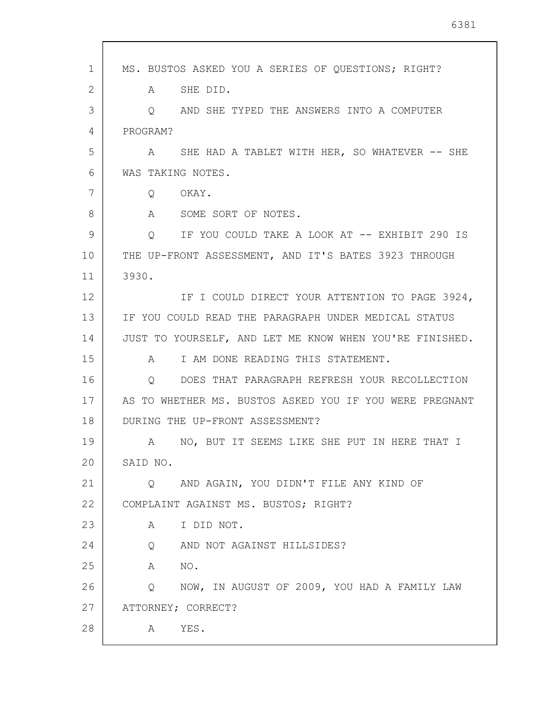| 1  | MS. BUSTOS ASKED YOU A SERIES OF QUESTIONS; RIGHT?      |
|----|---------------------------------------------------------|
| 2  | SHE DID.<br>A                                           |
| 3  | AND SHE TYPED THE ANSWERS INTO A COMPUTER<br>$\circ$    |
| 4  | PROGRAM?                                                |
| 5  | SHE HAD A TABLET WITH HER, SO WHATEVER -- SHE<br>A      |
| 6  | WAS TAKING NOTES.                                       |
| 7  | OKAY.<br>Q                                              |
| 8  | A<br>SOME SORT OF NOTES.                                |
| 9  | IF YOU COULD TAKE A LOOK AT -- EXHIBIT 290 IS<br>Q      |
| 10 | THE UP-FRONT ASSESSMENT, AND IT'S BATES 3923 THROUGH    |
| 11 | 3930.                                                   |
| 12 | IF I COULD DIRECT YOUR ATTENTION TO PAGE 3924,          |
| 13 | IF YOU COULD READ THE PARAGRAPH UNDER MEDICAL STATUS    |
| 14 | JUST TO YOURSELF, AND LET ME KNOW WHEN YOU'RE FINISHED. |
| 15 | I AM DONE READING THIS STATEMENT.<br>A                  |
| 16 | DOES THAT PARAGRAPH REFRESH YOUR RECOLLECTION<br>O      |
| 17 | AS TO WHETHER MS. BUSTOS ASKED YOU IF YOU WERE PREGNANT |
| 18 | DURING THE UP-FRONT ASSESSMENT?                         |
| 19 | NO, BUT IT SEEMS LIKE SHE PUT IN HERE THAT I<br>Α       |
| 20 | SAID NO.                                                |
| 21 | AND AGAIN, YOU DIDN'T FILE ANY KIND OF<br>O             |
| 22 | COMPLAINT AGAINST MS. BUSTOS; RIGHT?                    |
| 23 | I DID NOT.<br>A                                         |
| 24 | AND NOT AGAINST HILLSIDES?<br>$Q \qquad \qquad$         |
| 25 | NO.<br>Α                                                |
| 26 | NOW, IN AUGUST OF 2009, YOU HAD A FAMILY LAW<br>Q       |
| 27 | ATTORNEY; CORRECT?                                      |
| 28 | YES.<br>A                                               |

 $\overline{\phantom{a}}$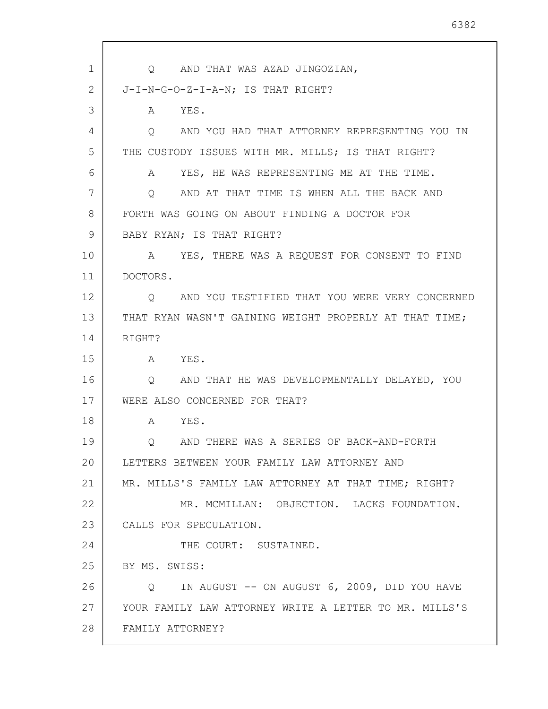1 2 3 4 5 6 7 8 9 10 11 12 13 14 15 16 17 18 19 20 21 22 23 24 25 26 27 28 Q AND THAT WAS AZAD JINGOZIAN, J-I-N-G-O-Z-I-A-N; IS THAT RIGHT? A YES. Q AND YOU HAD THAT ATTORNEY REPRESENTING YOU IN THE CUSTODY ISSUES WITH MR. MILLS; IS THAT RIGHT? A YES, HE WAS REPRESENTING ME AT THE TIME. Q AND AT THAT TIME IS WHEN ALL THE BACK AND FORTH WAS GOING ON ABOUT FINDING A DOCTOR FOR BABY RYAN; IS THAT RIGHT? A YES, THERE WAS A REQUEST FOR CONSENT TO FIND DOCTORS. Q AND YOU TESTIFIED THAT YOU WERE VERY CONCERNED THAT RYAN WASN'T GAINING WEIGHT PROPERLY AT THAT TIME; RIGHT? A YES. Q AND THAT HE WAS DEVELOPMENTALLY DELAYED, YOU WERE ALSO CONCERNED FOR THAT? A YES. Q AND THERE WAS A SERIES OF BACK-AND-FORTH LETTERS BETWEEN YOUR FAMILY LAW ATTORNEY AND MR. MILLS'S FAMILY LAW ATTORNEY AT THAT TIME; RIGHT? MR. MCMILLAN: OBJECTION. LACKS FOUNDATION. CALLS FOR SPECULATION. THE COURT: SUSTAINED. BY MS. SWISS: Q IN AUGUST -- ON AUGUST 6, 2009, DID YOU HAVE YOUR FAMILY LAW ATTORNEY WRITE A LETTER TO MR. MILLS'S FAMILY ATTORNEY?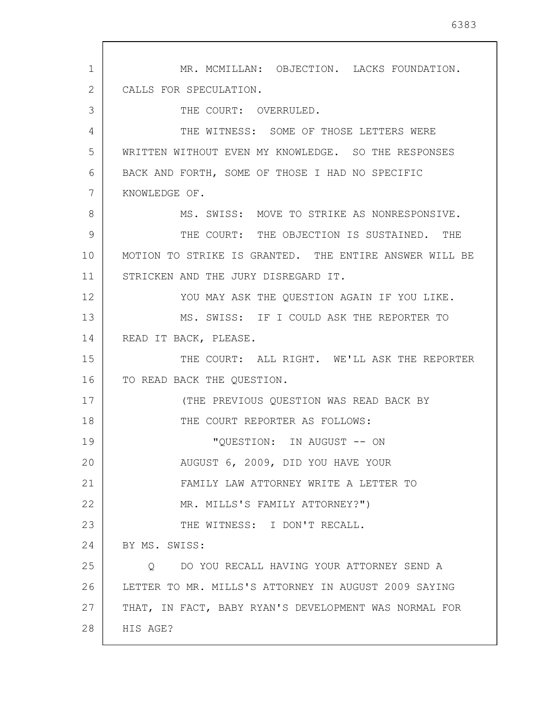1 2 3 4 5 6 7 8 9 10 11 12 13 14 15 16 17 18 19 20 21 22 23 24 25 26 27 28 MR. MCMILLAN: OBJECTION. LACKS FOUNDATION. CALLS FOR SPECULATION. THE COURT: OVERRULED. THE WITNESS: SOME OF THOSE LETTERS WERE WRITTEN WITHOUT EVEN MY KNOWLEDGE. SO THE RESPONSES BACK AND FORTH, SOME OF THOSE I HAD NO SPECIFIC KNOWLEDGE OF. MS. SWISS: MOVE TO STRIKE AS NONRESPONSIVE. THE COURT: THE OBJECTION IS SUSTAINED. THE MOTION TO STRIKE IS GRANTED. THE ENTIRE ANSWER WILL BE STRICKEN AND THE JURY DISREGARD IT. YOU MAY ASK THE OUESTION AGAIN IF YOU LIKE. MS. SWISS: IF I COULD ASK THE REPORTER TO READ IT BACK, PLEASE. THE COURT: ALL RIGHT. WE'LL ASK THE REPORTER TO READ BACK THE QUESTION. (THE PREVIOUS QUESTION WAS READ BACK BY THE COURT REPORTER AS FOLLOWS: "QUESTION: IN AUGUST -- ON AUGUST 6, 2009, DID YOU HAVE YOUR FAMILY LAW ATTORNEY WRITE A LETTER TO MR. MILLS'S FAMILY ATTORNEY?") THE WITNESS: I DON'T RECALL. BY MS. SWISS: Q DO YOU RECALL HAVING YOUR ATTORNEY SEND A LETTER TO MR. MILLS'S ATTORNEY IN AUGUST 2009 SAYING THAT, IN FACT, BABY RYAN'S DEVELOPMENT WAS NORMAL FOR HIS AGE?

6383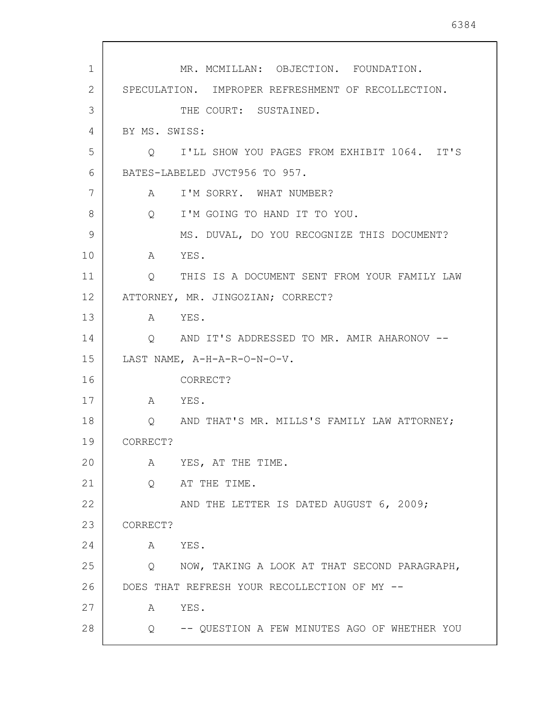| 1  | MR. MCMILLAN: OBJECTION. FOUNDATION.               |
|----|----------------------------------------------------|
| 2  | SPECULATION. IMPROPER REFRESHMENT OF RECOLLECTION. |
| 3  | THE COURT: SUSTAINED.                              |
| 4  | BY MS. SWISS:                                      |
| 5  | Q I'LL SHOW YOU PAGES FROM EXHIBIT 1064. IT'S      |
| 6  | BATES-LABELED JVCT956 TO 957.                      |
| 7  | A I'M SORRY. WHAT NUMBER?                          |
| 8  | Q I'M GOING TO HAND IT TO YOU.                     |
| 9  | MS. DUVAL, DO YOU RECOGNIZE THIS DOCUMENT?         |
| 10 | A YES.                                             |
| 11 | Q THIS IS A DOCUMENT SENT FROM YOUR FAMILY LAW     |
| 12 | ATTORNEY, MR. JINGOZIAN; CORRECT?                  |
| 13 | A YES.                                             |
| 14 | Q AND IT'S ADDRESSED TO MR. AMIR AHARONOV --       |
| 15 | LAST NAME, A-H-A-R-O-N-O-V.                        |
| 16 | CORRECT?                                           |
| 17 | A YES.                                             |
| 18 | O AND THAT'S MR. MILLS'S FAMILY LAW ATTORNEY;      |
| 19 | CORRECT?                                           |
| 20 | A YES, AT THE TIME.                                |
| 21 | AT THE TIME.<br>Q                                  |
| 22 | AND THE LETTER IS DATED AUGUST 6, 2009;            |
| 23 | CORRECT?                                           |
| 24 | YES.<br>A                                          |
| 25 | NOW, TAKING A LOOK AT THAT SECOND PARAGRAPH,<br>Q  |
| 26 | DOES THAT REFRESH YOUR RECOLLECTION OF MY --       |
| 27 | YES.<br>$\mathbb A$                                |
| 28 | Q -- QUESTION A FEW MINUTES AGO OF WHETHER YOU     |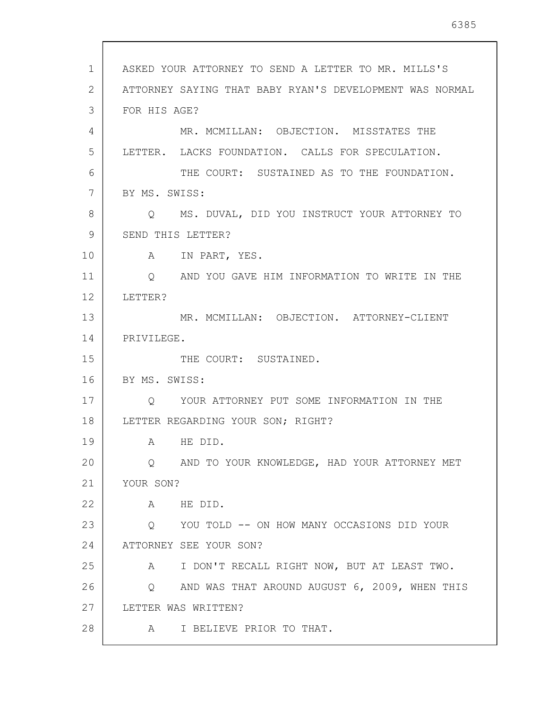| $\mathbf 1$ | ASKED YOUR ATTORNEY TO SEND A LETTER TO MR. MILLS'S             |
|-------------|-----------------------------------------------------------------|
| 2           | ATTORNEY SAYING THAT BABY RYAN'S DEVELOPMENT WAS NORMAL         |
| 3           | FOR HIS AGE?                                                    |
| 4           | MR. MCMILLAN: OBJECTION. MISSTATES THE                          |
| 5           | LETTER. LACKS FOUNDATION. CALLS FOR SPECULATION.                |
| 6           | THE COURT: SUSTAINED AS TO THE FOUNDATION.                      |
| 7           | BY MS. SWISS:                                                   |
| 8           | Q MS. DUVAL, DID YOU INSTRUCT YOUR ATTORNEY TO                  |
| 9           | SEND THIS LETTER?                                               |
| 10          | A IN PART, YES.                                                 |
| 11          | AND YOU GAVE HIM INFORMATION TO WRITE IN THE<br>$\circ$         |
| 12          | LETTER?                                                         |
| 13          | MR. MCMILLAN: OBJECTION. ATTORNEY-CLIENT                        |
| 14          | PRIVILEGE.                                                      |
| 15          | THE COURT: SUSTAINED.                                           |
| 16          | BY MS. SWISS:                                                   |
| 17          | Q YOUR ATTORNEY PUT SOME INFORMATION IN THE                     |
| 18          | LETTER REGARDING YOUR SON; RIGHT?                               |
| 19          | A HE DID.                                                       |
| 20          | AND TO YOUR KNOWLEDGE, HAD YOUR ATTORNEY MET<br>Q.              |
| 21          | YOUR SON?                                                       |
| 22          | HE DID.<br>A                                                    |
| 23          | YOU TOLD -- ON HOW MANY OCCASIONS DID YOUR<br>$Q \qquad \qquad$ |
| 24          | ATTORNEY SEE YOUR SON?                                          |
| 25          | I DON'T RECALL RIGHT NOW, BUT AT LEAST TWO.<br>A                |
| 26          | AND WAS THAT AROUND AUGUST 6, 2009, WHEN THIS<br>Q              |
| 27          | LETTER WAS WRITTEN?                                             |
| 28          | I BELIEVE PRIOR TO THAT.<br>A                                   |

 $\mathsf{l}$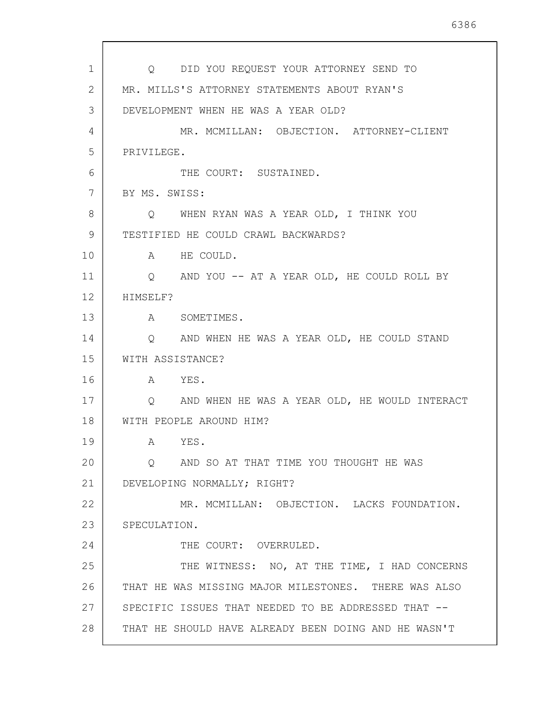| 1              | Q DID YOU REQUEST YOUR ATTORNEY SEND TO              |
|----------------|------------------------------------------------------|
| $\mathbf{2}$   | MR. MILLS'S ATTORNEY STATEMENTS ABOUT RYAN'S         |
| 3              | DEVELOPMENT WHEN HE WAS A YEAR OLD?                  |
| $\overline{4}$ | MR. MCMILLAN: OBJECTION. ATTORNEY-CLIENT             |
| 5              | PRIVILEGE.                                           |
| 6              | THE COURT: SUSTAINED.                                |
| 7              | BY MS. SWISS:                                        |
| 8              | Q WHEN RYAN WAS A YEAR OLD, I THINK YOU              |
| 9              | TESTIFIED HE COULD CRAWL BACKWARDS?                  |
| 10             | A HE COULD.                                          |
| 11             | Q AND YOU -- AT A YEAR OLD, HE COULD ROLL BY         |
| 12             | HIMSELF?                                             |
| 13             | A SOMETIMES.                                         |
| 14             | Q AND WHEN HE WAS A YEAR OLD, HE COULD STAND         |
| 15             | WITH ASSISTANCE?                                     |
| 16             | A YES.                                               |
| 17             | Q AND WHEN HE WAS A YEAR OLD, HE WOULD INTERACT      |
| 18             | WITH PEOPLE AROUND HIM?                              |
| 19             | YES.<br>A                                            |
| 20             | AND SO AT THAT TIME YOU THOUGHT HE WAS<br>O          |
| 21             | DEVELOPING NORMALLY; RIGHT?                          |
| 22             | MR. MCMILLAN: OBJECTION. LACKS FOUNDATION.           |
| 23             | SPECULATION.                                         |
| 24             | THE COURT: OVERRULED.                                |
| 25             | THE WITNESS: NO, AT THE TIME, I HAD CONCERNS         |
| 26             | THAT HE WAS MISSING MAJOR MILESTONES. THERE WAS ALSO |
| 27             | SPECIFIC ISSUES THAT NEEDED TO BE ADDRESSED THAT --  |
| 28             | THAT HE SHOULD HAVE ALREADY BEEN DOING AND HE WASN'T |
|                |                                                      |

 $\sqrt{ }$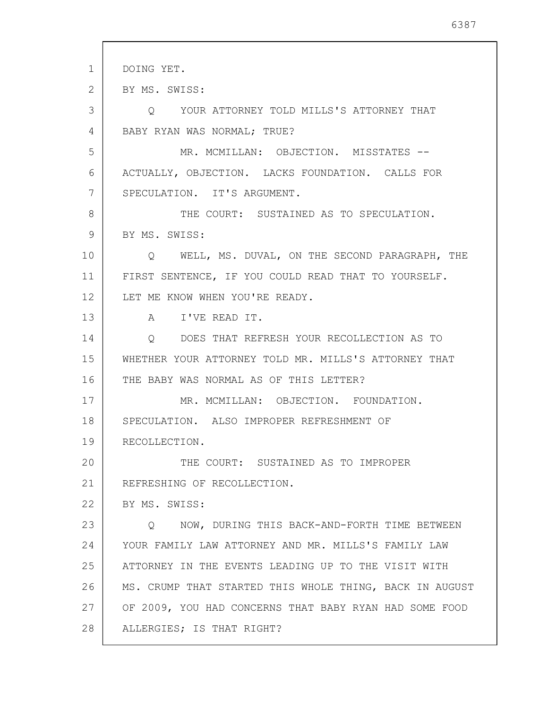| $\mathbf 1$<br>DOING YET.<br>2<br>BY MS. SWISS:<br>3<br>O YOUR ATTORNEY TOLD MILLS'S ATTORNEY THAT |  |
|----------------------------------------------------------------------------------------------------|--|
|                                                                                                    |  |
|                                                                                                    |  |
|                                                                                                    |  |
| BABY RYAN WAS NORMAL; TRUE?<br>4                                                                   |  |
| 5<br>MR. MCMILLAN: OBJECTION. MISSTATES --                                                         |  |
| 6<br>ACTUALLY, OBJECTION. LACKS FOUNDATION. CALLS FOR                                              |  |
| 7<br>SPECULATION. IT'S ARGUMENT.                                                                   |  |
| 8<br>THE COURT: SUSTAINED AS TO SPECULATION.                                                       |  |
| BY MS. SWISS:<br>9                                                                                 |  |
| 10<br>Q WELL, MS. DUVAL, ON THE SECOND PARAGRAPH, THE                                              |  |
| 11<br>FIRST SENTENCE, IF YOU COULD READ THAT TO YOURSELF.                                          |  |
| 12<br>LET ME KNOW WHEN YOU'RE READY.                                                               |  |
| 13<br>A I'VE READ IT.                                                                              |  |
| 14<br>Q DOES THAT REFRESH YOUR RECOLLECTION AS TO                                                  |  |
| 15<br>WHETHER YOUR ATTORNEY TOLD MR. MILLS'S ATTORNEY THAT                                         |  |
| THE BABY WAS NORMAL AS OF THIS LETTER?<br>16                                                       |  |
| 17<br>MR. MCMILLAN: OBJECTION. FOUNDATION.                                                         |  |
| 18<br>SPECULATION. ALSO IMPROPER REFRESHMENT OF                                                    |  |
| 19<br>RECOLLECTION.                                                                                |  |
| 20<br>THE COURT: SUSTAINED AS TO IMPROPER                                                          |  |
| 21<br>REFRESHING OF RECOLLECTION.                                                                  |  |
| 22<br>BY MS. SWISS:                                                                                |  |
| 23<br>Q NOW, DURING THIS BACK-AND-FORTH TIME BETWEEN                                               |  |
| 24<br>YOUR FAMILY LAW ATTORNEY AND MR. MILLS'S FAMILY LAW                                          |  |
| 25<br>ATTORNEY IN THE EVENTS LEADING UP TO THE VISIT WITH                                          |  |
| 26<br>MS. CRUMP THAT STARTED THIS WHOLE THING, BACK IN AUGUST                                      |  |
| 27<br>OF 2009, YOU HAD CONCERNS THAT BABY RYAN HAD SOME FOOD                                       |  |
| 28<br>ALLERGIES; IS THAT RIGHT?                                                                    |  |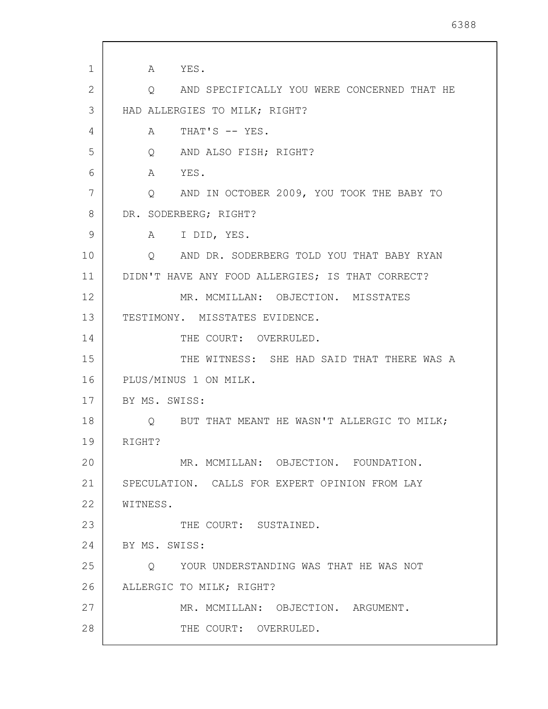1 2 3 4 5 6 7 8 9 10 11 12 13 14 15 16 17 18 19 20 21 22 23 24 25 26 27 28 A YES. Q AND SPECIFICALLY YOU WERE CONCERNED THAT HE HAD ALLERGIES TO MILK; RIGHT? A THAT'S -- YES. Q AND ALSO FISH; RIGHT? A YES. Q AND IN OCTOBER 2009, YOU TOOK THE BABY TO DR. SODERBERG; RIGHT? A I DID, YES. Q AND DR. SODERBERG TOLD YOU THAT BABY RYAN DIDN'T HAVE ANY FOOD ALLERGIES; IS THAT CORRECT? MR. MCMILLAN: OBJECTION. MISSTATES TESTIMONY. MISSTATES EVIDENCE. THE COURT: OVERRULED. THE WITNESS: SHE HAD SAID THAT THERE WAS A PLUS/MINUS 1 ON MILK. BY MS. SWISS: Q BUT THAT MEANT HE WASN'T ALLERGIC TO MILK; RIGHT? MR. MCMILLAN: OBJECTION. FOUNDATION. SPECULATION. CALLS FOR EXPERT OPINION FROM LAY WITNESS. THE COURT: SUSTAINED. BY MS. SWISS: Q YOUR UNDERSTANDING WAS THAT HE WAS NOT ALLERGIC TO MILK; RIGHT? MR. MCMILLAN: OBJECTION. ARGUMENT. THE COURT: OVERRULED.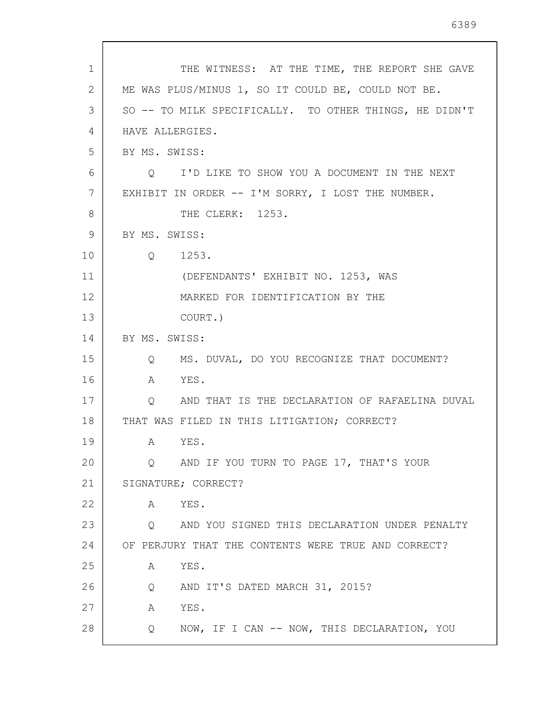| 1            | THE WITNESS: AT THE TIME, THE REPORT SHE GAVE                      |
|--------------|--------------------------------------------------------------------|
| $\mathbf{2}$ | ME WAS PLUS/MINUS 1, SO IT COULD BE, COULD NOT BE.                 |
| 3            | SO -- TO MILK SPECIFICALLY. TO OTHER THINGS, HE DIDN'T             |
| 4            | HAVE ALLERGIES.                                                    |
| 5            | BY MS. SWISS:                                                      |
| 6            | Q I'D LIKE TO SHOW YOU A DOCUMENT IN THE NEXT                      |
| 7            | EXHIBIT IN ORDER -- I'M SORRY, I LOST THE NUMBER.                  |
| 8            | THE CLERK: 1253.                                                   |
| 9            | BY MS. SWISS:                                                      |
| 10           | 1253.<br>$Q \qquad \qquad$                                         |
| 11           | (DEFENDANTS' EXHIBIT NO. 1253, WAS                                 |
| 12           | MARKED FOR IDENTIFICATION BY THE                                   |
| 13           | COURT.)                                                            |
| 14           | BY MS. SWISS:                                                      |
| 15           | MS. DUVAL, DO YOU RECOGNIZE THAT DOCUMENT?<br>$Q \qquad \qquad$    |
| 16           | YES.<br>A                                                          |
| 17           | AND THAT IS THE DECLARATION OF RAFAELINA DUVAL<br>Q                |
| 18           | THAT WAS FILED IN THIS LITIGATION; CORRECT?                        |
| 19           | A YES.                                                             |
| 20           | AND IF YOU TURN TO PAGE 17, THAT'S YOUR<br>Q                       |
| 21           | SIGNATURE; CORRECT?                                                |
| 22           | A YES.                                                             |
| 23           | AND YOU SIGNED THIS DECLARATION UNDER PENALTY<br>$Q \qquad \qquad$ |
| 24           | OF PERJURY THAT THE CONTENTS WERE TRUE AND CORRECT?                |
| 25           | YES.<br>А                                                          |
| 26           | AND IT'S DATED MARCH 31, 2015?<br>Q                                |
| 27           | YES.<br>А                                                          |
| 28           | NOW, IF I CAN -- NOW, THIS DECLARATION, YOU<br>Q                   |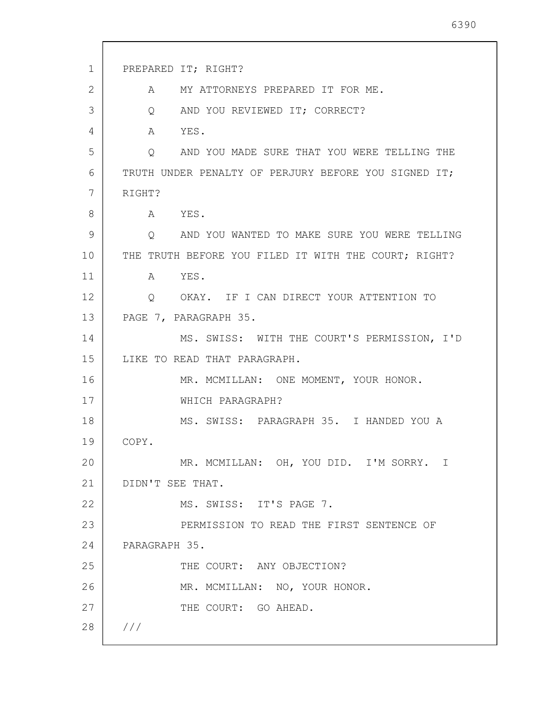1 2 3 4 5 6 7 8 9 10 11 12 13 14 15 16 17 18 19 20 21 22 23 24 25 26 27 28 /// PREPARED IT; RIGHT? A MY ATTORNEYS PREPARED IT FOR ME. Q AND YOU REVIEWED IT; CORRECT? A YES. Q AND YOU MADE SURE THAT YOU WERE TELLING THE TRUTH UNDER PENALTY OF PERJURY BEFORE YOU SIGNED IT; RIGHT? A YES. Q AND YOU WANTED TO MAKE SURE YOU WERE TELLING THE TRUTH BEFORE YOU FILED IT WITH THE COURT; RIGHT? A YES. Q OKAY. IF I CAN DIRECT YOUR ATTENTION TO PAGE 7, PARAGRAPH 35. MS. SWISS: WITH THE COURT'S PERMISSION, I'D LIKE TO READ THAT PARAGRAPH. MR. MCMILLAN: ONE MOMENT, YOUR HONOR. WHICH PARAGRAPH? MS. SWISS: PARAGRAPH 35. I HANDED YOU A COPY. MR. MCMILLAN: OH, YOU DID. I'M SORRY. I DIDN'T SEE THAT. MS. SWISS: IT'S PAGE 7. PERMISSION TO READ THE FIRST SENTENCE OF PARAGRAPH 35. THE COURT: ANY OBJECTION? MR. MCMILLAN: NO, YOUR HONOR. THE COURT: GO AHEAD.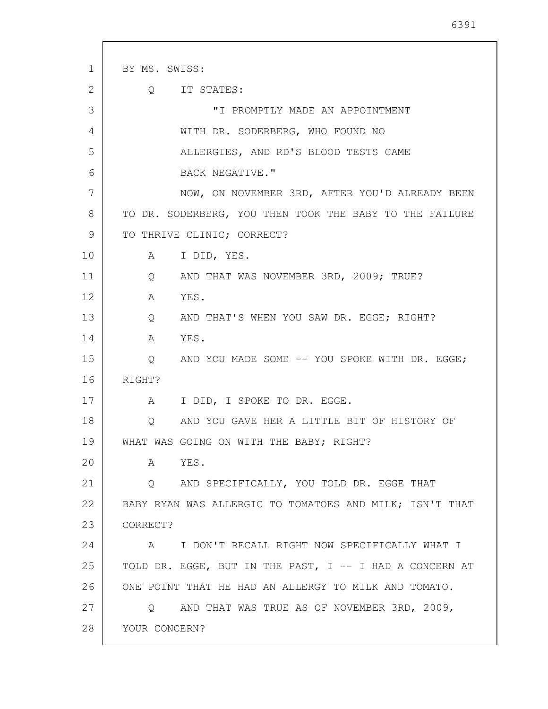1 2 3 4 5 6 7 8 9 10 11 12 13 14 15 16 17 18 19 20 21 22 23 24 25 26 27 28 BY MS. SWISS: Q IT STATES: "I PROMPTLY MADE AN APPOINTMENT WITH DR. SODERBERG, WHO FOUND NO ALLERGIES, AND RD'S BLOOD TESTS CAME BACK NEGATIVE." NOW, ON NOVEMBER 3RD, AFTER YOU'D ALREADY BEEN TO DR. SODERBERG, YOU THEN TOOK THE BABY TO THE FAILURE TO THRIVE CLINIC; CORRECT? A I DID, YES. Q AND THAT WAS NOVEMBER 3RD, 2009; TRUE? A YES. Q AND THAT'S WHEN YOU SAW DR. EGGE; RIGHT? A YES. Q AND YOU MADE SOME -- YOU SPOKE WITH DR. EGGE; RIGHT? A I DID, I SPOKE TO DR. EGGE. Q AND YOU GAVE HER A LITTLE BIT OF HISTORY OF WHAT WAS GOING ON WITH THE BABY; RIGHT? A YES. Q AND SPECIFICALLY, YOU TOLD DR. EGGE THAT BABY RYAN WAS ALLERGIC TO TOMATOES AND MILK; ISN'T THAT CORRECT? A I DON'T RECALL RIGHT NOW SPECIFICALLY WHAT I TOLD DR. EGGE, BUT IN THE PAST, I -- I HAD A CONCERN AT ONE POINT THAT HE HAD AN ALLERGY TO MILK AND TOMATO. Q AND THAT WAS TRUE AS OF NOVEMBER 3RD, 2009, YOUR CONCERN?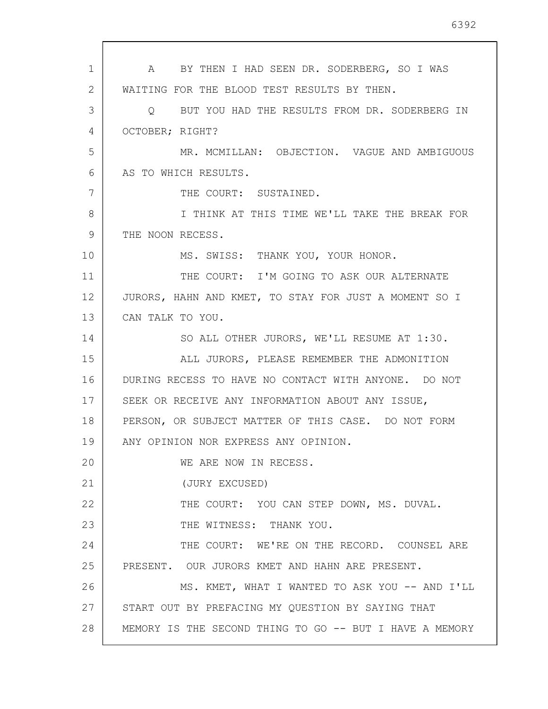1 2 3 4 5 6 7 8 9 10 11 12 13 14 15 16 17 18 19 20 21 22 23 24 25 26 27 28 A BY THEN I HAD SEEN DR. SODERBERG, SO I WAS WAITING FOR THE BLOOD TEST RESULTS BY THEN. Q BUT YOU HAD THE RESULTS FROM DR. SODERBERG IN OCTOBER; RIGHT? MR. MCMILLAN: OBJECTION. VAGUE AND AMBIGUOUS AS TO WHICH RESULTS. THE COURT: SUSTAINED. I THINK AT THIS TIME WE'LL TAKE THE BREAK FOR THE NOON RECESS. MS. SWISS: THANK YOU, YOUR HONOR. THE COURT: I'M GOING TO ASK OUR ALTERNATE JURORS, HAHN AND KMET, TO STAY FOR JUST A MOMENT SO I CAN TALK TO YOU. SO ALL OTHER JURORS, WE'LL RESUME AT 1:30. ALL JURORS, PLEASE REMEMBER THE ADMONITION DURING RECESS TO HAVE NO CONTACT WITH ANYONE. DO NOT SEEK OR RECEIVE ANY INFORMATION ABOUT ANY ISSUE, PERSON, OR SUBJECT MATTER OF THIS CASE. DO NOT FORM ANY OPINION NOR EXPRESS ANY OPINION. WE ARE NOW IN RECESS. (JURY EXCUSED) THE COURT: YOU CAN STEP DOWN, MS. DUVAL. THE WITNESS: THANK YOU. THE COURT: WE'RE ON THE RECORD. COUNSEL ARE PRESENT. OUR JURORS KMET AND HAHN ARE PRESENT. MS. KMET, WHAT I WANTED TO ASK YOU -- AND I'LL START OUT BY PREFACING MY QUESTION BY SAYING THAT MEMORY IS THE SECOND THING TO GO -- BUT I HAVE A MEMORY

6392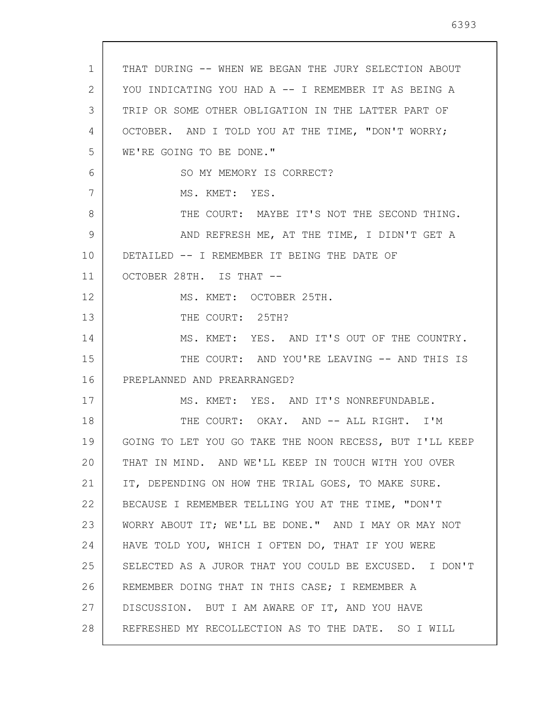| 1  | THAT DURING -- WHEN WE BEGAN THE JURY SELECTION ABOUT   |
|----|---------------------------------------------------------|
| 2  | YOU INDICATING YOU HAD A -- I REMEMBER IT AS BEING A    |
| 3  | TRIP OR SOME OTHER OBLIGATION IN THE LATTER PART OF     |
| 4  | OCTOBER. AND I TOLD YOU AT THE TIME, "DON'T WORRY;      |
| 5  | WE'RE GOING TO BE DONE."                                |
| 6  | SO MY MEMORY IS CORRECT?                                |
| 7  | MS. KMET: YES.                                          |
| 8  | THE COURT: MAYBE IT'S NOT THE SECOND THING.             |
| 9  | AND REFRESH ME, AT THE TIME, I DIDN'T GET A             |
| 10 | DETAILED -- I REMEMBER IT BEING THE DATE OF             |
| 11 | OCTOBER 28TH. IS THAT --                                |
| 12 | MS. KMET: OCTOBER 25TH.                                 |
| 13 | THE COURT: 25TH?                                        |
| 14 | MS. KMET: YES. AND IT'S OUT OF THE COUNTRY.             |
| 15 | THE COURT: AND YOU'RE LEAVING -- AND THIS IS            |
| 16 | PREPLANNED AND PREARRANGED?                             |
| 17 | MS. KMET: YES. AND IT'S NONREFUNDABLE.                  |
| 18 | THE COURT: OKAY. AND -- ALL RIGHT. I'M                  |
| 19 | GOING TO LET YOU GO TAKE THE NOON RECESS, BUT I'LL KEEP |
| 20 | THAT IN MIND. AND WE'LL KEEP IN TOUCH WITH YOU OVER     |
| 21 | IT, DEPENDING ON HOW THE TRIAL GOES, TO MAKE SURE.      |
| 22 | BECAUSE I REMEMBER TELLING YOU AT THE TIME, "DON'T      |
| 23 | WORRY ABOUT IT; WE'LL BE DONE." AND I MAY OR MAY NOT    |
| 24 | HAVE TOLD YOU, WHICH I OFTEN DO, THAT IF YOU WERE       |
| 25 | SELECTED AS A JUROR THAT YOU COULD BE EXCUSED. I DON'T  |
| 26 | REMEMBER DOING THAT IN THIS CASE; I REMEMBER A          |
| 27 | DISCUSSION. BUT I AM AWARE OF IT, AND YOU HAVE          |
| 28 | REFRESHED MY RECOLLECTION AS TO THE DATE. SO I WILL     |
|    |                                                         |

 $\overline{\phantom{a}}$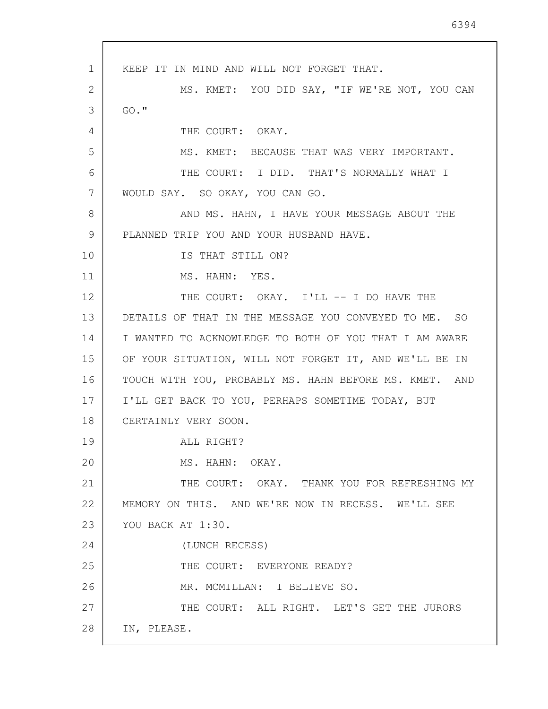1 2 3 4 5 6 7 8 9 10 11 12 13 14 15 16 17 18 19 20 21 22 23 24 25 26 27 28 KEEP IT IN MIND AND WILL NOT FORGET THAT. MS. KMET: YOU DID SAY, "IF WE'RE NOT, YOU CAN GO." THE COURT: OKAY. MS. KMET: BECAUSE THAT WAS VERY IMPORTANT. THE COURT: I DID. THAT'S NORMALLY WHAT I WOULD SAY. SO OKAY, YOU CAN GO. AND MS. HAHN, I HAVE YOUR MESSAGE ABOUT THE PLANNED TRIP YOU AND YOUR HUSBAND HAVE. IS THAT STILL ON? MS. HAHN: YES. THE COURT: OKAY. I'LL -- I DO HAVE THE DETAILS OF THAT IN THE MESSAGE YOU CONVEYED TO ME. SO I WANTED TO ACKNOWLEDGE TO BOTH OF YOU THAT I AM AWARE OF YOUR SITUATION, WILL NOT FORGET IT, AND WE'LL BE IN TOUCH WITH YOU, PROBABLY MS. HAHN BEFORE MS. KMET. AND I'LL GET BACK TO YOU, PERHAPS SOMETIME TODAY, BUT CERTAINLY VERY SOON. ALL RIGHT? MS. HAHN: OKAY. THE COURT: OKAY. THANK YOU FOR REFRESHING MY MEMORY ON THIS. AND WE'RE NOW IN RECESS. WE'LL SEE YOU BACK AT 1:30. (LUNCH RECESS) THE COURT: EVERYONE READY? MR. MCMILLAN: I BELIEVE SO. THE COURT: ALL RIGHT. LET'S GET THE JURORS IN, PLEASE.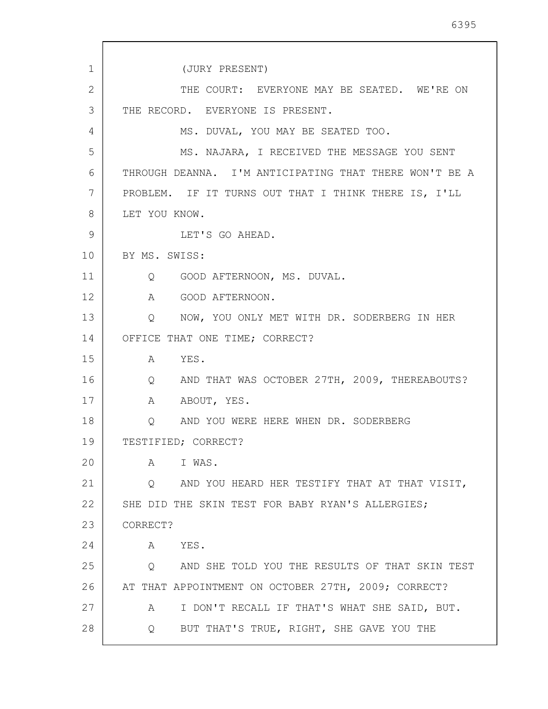1 2 3 4 5 6 7 8 9 10 11 12 13 14 15 16 17 18 19 20 21 22 23 24 25 26 27 28 (JURY PRESENT) THE COURT: EVERYONE MAY BE SEATED. WE'RE ON THE RECORD. EVERYONE IS PRESENT. MS. DUVAL, YOU MAY BE SEATED TOO. MS. NAJARA, I RECEIVED THE MESSAGE YOU SENT THROUGH DEANNA. I'M ANTICIPATING THAT THERE WON'T BE A PROBLEM. IF IT TURNS OUT THAT I THINK THERE IS, I'LL LET YOU KNOW. LET'S GO AHEAD. BY MS. SWISS: Q GOOD AFTERNOON, MS. DUVAL. A GOOD AFTERNOON. Q NOW, YOU ONLY MET WITH DR. SODERBERG IN HER OFFICE THAT ONE TIME; CORRECT? A YES. Q AND THAT WAS OCTOBER 27TH, 2009, THEREABOUTS? A ABOUT, YES. Q AND YOU WERE HERE WHEN DR. SODERBERG TESTIFIED; CORRECT? A I WAS. Q AND YOU HEARD HER TESTIFY THAT AT THAT VISIT, SHE DID THE SKIN TEST FOR BABY RYAN'S ALLERGIES; CORRECT? A YES. Q AND SHE TOLD YOU THE RESULTS OF THAT SKIN TEST AT THAT APPOINTMENT ON OCTOBER 27TH, 2009; CORRECT? A I DON'T RECALL IF THAT'S WHAT SHE SAID, BUT. Q BUT THAT'S TRUE, RIGHT, SHE GAVE YOU THE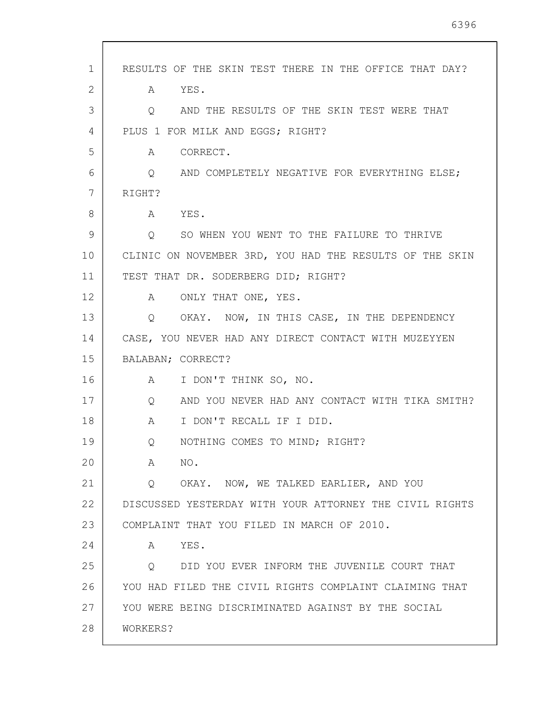| $\mathbf 1$ | RESULTS OF THE SKIN TEST THERE IN THE OFFICE THAT DAY?              |
|-------------|---------------------------------------------------------------------|
| 2           | A YES.                                                              |
| 3           | AND THE RESULTS OF THE SKIN TEST WERE THAT<br>Q                     |
| 4           | PLUS 1 FOR MILK AND EGGS; RIGHT?                                    |
| 5           | CORRECT.<br>A                                                       |
| 6           | AND COMPLETELY NEGATIVE FOR EVERYTHING ELSE;<br>$\overline{Q}$      |
| 7           | RIGHT?                                                              |
| 8           | A YES.                                                              |
| 9           | Q SO WHEN YOU WENT TO THE FAILURE TO THRIVE                         |
| 10          | CLINIC ON NOVEMBER 3RD, YOU HAD THE RESULTS OF THE SKIN             |
| 11          | TEST THAT DR. SODERBERG DID; RIGHT?                                 |
| 12          | A ONLY THAT ONE, YES.                                               |
| 13          | Q OKAY. NOW, IN THIS CASE, IN THE DEPENDENCY                        |
| 14          | CASE, YOU NEVER HAD ANY DIRECT CONTACT WITH MUZEYYEN                |
| 15          | BALABAN; CORRECT?                                                   |
| 16          | A I DON'T THINK SO, NO.                                             |
| 17          | AND YOU NEVER HAD ANY CONTACT WITH TIKA SMITH?<br>$Q \qquad \qquad$ |
| 18          | I DON'T RECALL IF I DID.<br>$A \quad \alpha$                        |
| 19          | NOTHING COMES TO MIND; RIGHT?<br>Q                                  |
| 20          | NO.<br>A                                                            |
| 21          | Q OKAY. NOW, WE TALKED EARLIER, AND YOU                             |
| 22          | DISCUSSED YESTERDAY WITH YOUR ATTORNEY THE CIVIL RIGHTS             |
| 23          | COMPLAINT THAT YOU FILED IN MARCH OF 2010.                          |
| 24          | YES.<br>A                                                           |
| 25          | DID YOU EVER INFORM THE JUVENILE COURT THAT<br>$\circ$              |
| 26          | YOU HAD FILED THE CIVIL RIGHTS COMPLAINT CLAIMING THAT              |
| 27          | YOU WERE BEING DISCRIMINATED AGAINST BY THE SOCIAL                  |
| 28          | WORKERS?                                                            |
|             |                                                                     |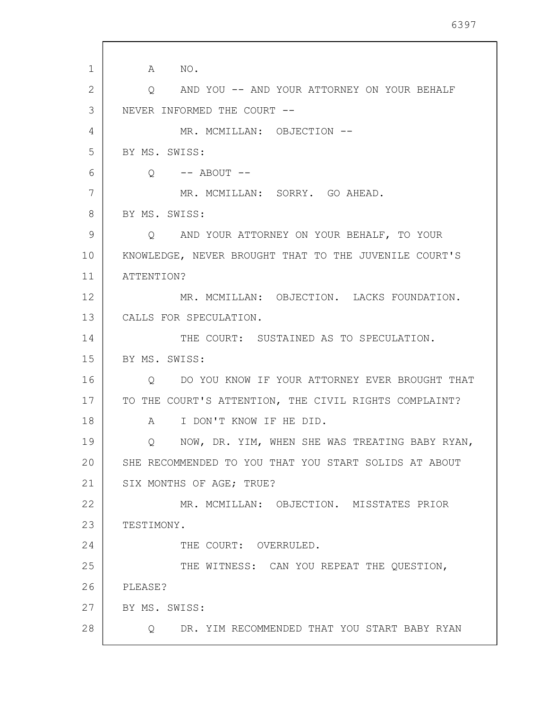1 2 3 4 5 6 7 8 9 10 11 12 13 14 15 16 17 18 19 20 21 22 23 24 25 26 27 28 A NO. Q AND YOU -- AND YOUR ATTORNEY ON YOUR BEHALF NEVER INFORMED THE COURT -- MR. MCMILLAN: OBJECTION -- BY MS. SWISS:  $Q \leftarrow -$  ABOUT  $--$ MR. MCMILLAN: SORRY. GO AHEAD. BY MS. SWISS: Q AND YOUR ATTORNEY ON YOUR BEHALF, TO YOUR KNOWLEDGE, NEVER BROUGHT THAT TO THE JUVENILE COURT'S ATTENTION? MR. MCMILLAN: OBJECTION. LACKS FOUNDATION. CALLS FOR SPECULATION. THE COURT: SUSTAINED AS TO SPECULATION. BY MS. SWISS: Q DO YOU KNOW IF YOUR ATTORNEY EVER BROUGHT THAT TO THE COURT'S ATTENTION, THE CIVIL RIGHTS COMPLAINT? A I DON'T KNOW IF HE DID. Q NOW, DR. YIM, WHEN SHE WAS TREATING BABY RYAN, SHE RECOMMENDED TO YOU THAT YOU START SOLIDS AT ABOUT SIX MONTHS OF AGE; TRUE? MR. MCMILLAN: OBJECTION. MISSTATES PRIOR TESTIMONY. THE COURT: OVERRULED. THE WITNESS: CAN YOU REPEAT THE QUESTION, PLEASE? BY MS. SWISS: Q DR. YIM RECOMMENDED THAT YOU START BABY RYAN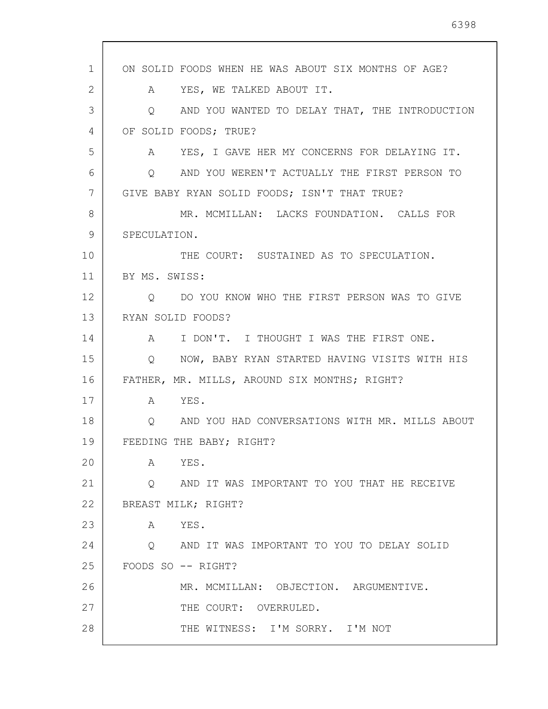1 2 3 4 5 6 7 8 9 10 11 12 13 14 15 16 17 18 19 20 21 22 23 24 25 26 27 28 ON SOLID FOODS WHEN HE WAS ABOUT SIX MONTHS OF AGE? A YES, WE TALKED ABOUT IT. Q AND YOU WANTED TO DELAY THAT, THE INTRODUCTION OF SOLID FOODS; TRUE? A YES, I GAVE HER MY CONCERNS FOR DELAYING IT. Q AND YOU WEREN'T ACTUALLY THE FIRST PERSON TO GIVE BABY RYAN SOLID FOODS; ISN'T THAT TRUE? MR. MCMILLAN: LACKS FOUNDATION. CALLS FOR SPECULATION. THE COURT: SUSTAINED AS TO SPECULATION. BY MS. SWISS: Q DO YOU KNOW WHO THE FIRST PERSON WAS TO GIVE RYAN SOLID FOODS? A I DON'T. I THOUGHT I WAS THE FIRST ONE. Q NOW, BABY RYAN STARTED HAVING VISITS WITH HIS FATHER, MR. MILLS, AROUND SIX MONTHS; RIGHT? A YES. Q AND YOU HAD CONVERSATIONS WITH MR. MILLS ABOUT FEEDING THE BABY; RIGHT? A YES. Q AND IT WAS IMPORTANT TO YOU THAT HE RECEIVE BREAST MILK; RIGHT? A YES. Q AND IT WAS IMPORTANT TO YOU TO DELAY SOLID FOODS SO -- RIGHT? MR. MCMILLAN: OBJECTION. ARGUMENTIVE. THE COURT: OVERRULED. THE WITNESS: I'M SORRY. I'M NOT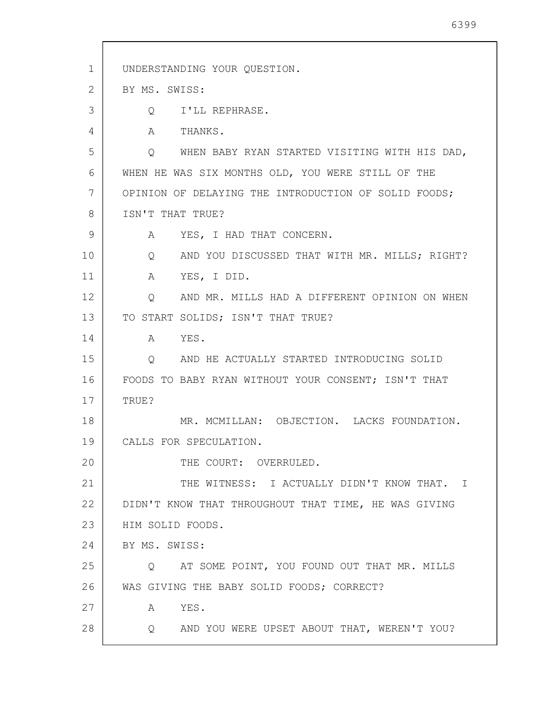1 2 3 4 5 6 7 8 9 10 11 12 13 14 15 16 17 18 19 20 21 22 23 24 25 26 27 28 UNDERSTANDING YOUR QUESTION. BY MS. SWISS: Q I'LL REPHRASE. A THANKS. Q WHEN BABY RYAN STARTED VISITING WITH HIS DAD, WHEN HE WAS SIX MONTHS OLD, YOU WERE STILL OF THE OPINION OF DELAYING THE INTRODUCTION OF SOLID FOODS; ISN'T THAT TRUE? A YES, I HAD THAT CONCERN. Q AND YOU DISCUSSED THAT WITH MR. MILLS; RIGHT? A YES, I DID. Q AND MR. MILLS HAD A DIFFERENT OPINION ON WHEN TO START SOLIDS; ISN'T THAT TRUE? A YES. Q AND HE ACTUALLY STARTED INTRODUCING SOLID FOODS TO BABY RYAN WITHOUT YOUR CONSENT; ISN'T THAT TRUE? MR. MCMILLAN: OBJECTION. LACKS FOUNDATION. CALLS FOR SPECULATION. THE COURT: OVERRULED. THE WITNESS: I ACTUALLY DIDN'T KNOW THAT. I DIDN'T KNOW THAT THROUGHOUT THAT TIME, HE WAS GIVING HIM SOLID FOODS. BY MS. SWISS: Q AT SOME POINT, YOU FOUND OUT THAT MR. MILLS WAS GIVING THE BABY SOLID FOODS; CORRECT? A YES. Q AND YOU WERE UPSET ABOUT THAT, WEREN'T YOU?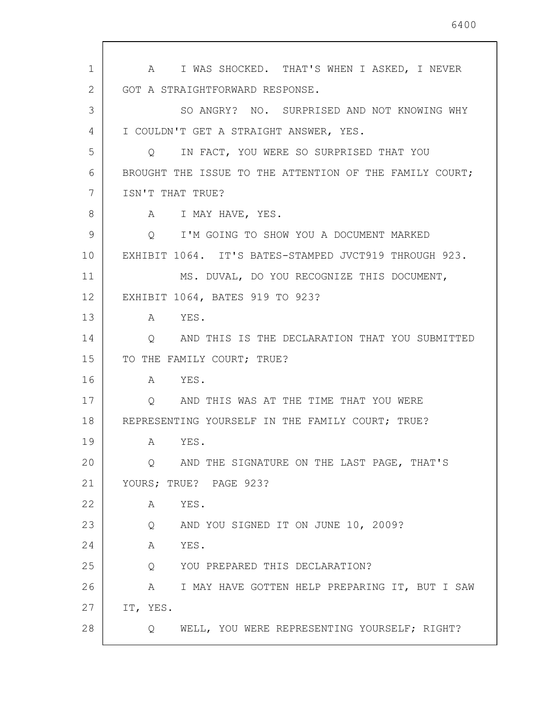1 2 3 4 5 6 7 8 9 10 11 12 13 14 15 16 17 18 19 20 21 22 23 24 25 26 27 28 A I WAS SHOCKED. THAT'S WHEN I ASKED, I NEVER GOT A STRAIGHTFORWARD RESPONSE. SO ANGRY? NO. SURPRISED AND NOT KNOWING WHY I COULDN'T GET A STRAIGHT ANSWER, YES. Q IN FACT, YOU WERE SO SURPRISED THAT YOU BROUGHT THE ISSUE TO THE ATTENTION OF THE FAMILY COURT; ISN'T THAT TRUE? A I MAY HAVE, YES. Q I'M GOING TO SHOW YOU A DOCUMENT MARKED EXHIBIT 1064. IT'S BATES-STAMPED JVCT919 THROUGH 923. MS. DUVAL, DO YOU RECOGNIZE THIS DOCUMENT, EXHIBIT 1064, BATES 919 TO 923? A YES. Q AND THIS IS THE DECLARATION THAT YOU SUBMITTED TO THE FAMILY COURT; TRUE? A YES. Q AND THIS WAS AT THE TIME THAT YOU WERE REPRESENTING YOURSELF IN THE FAMILY COURT; TRUE? A YES. Q AND THE SIGNATURE ON THE LAST PAGE, THAT'S YOURS; TRUE? PAGE 923? A YES. Q AND YOU SIGNED IT ON JUNE 10, 2009? A YES. Q YOU PREPARED THIS DECLARATION? A I MAY HAVE GOTTEN HELP PREPARING IT, BUT I SAW IT, YES. Q WELL, YOU WERE REPRESENTING YOURSELF; RIGHT?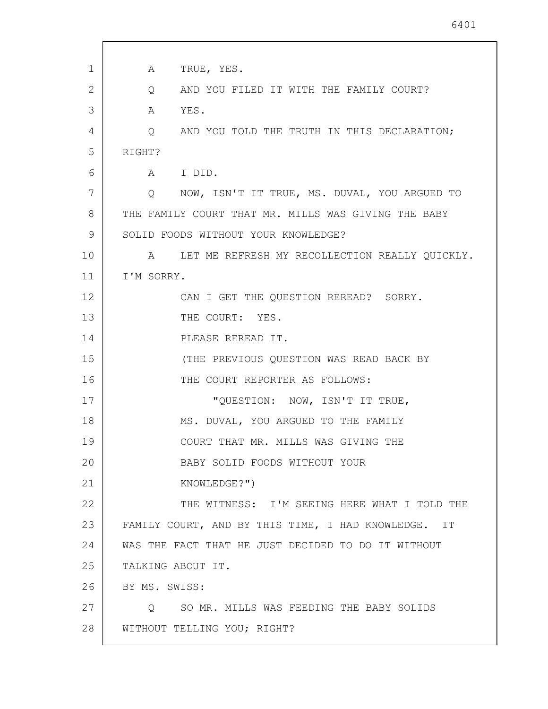| 1  | TRUE, YES.<br>A                                                    |
|----|--------------------------------------------------------------------|
| 2  | AND YOU FILED IT WITH THE FAMILY COURT?<br>Q                       |
| 3  | YES.<br>A                                                          |
| 4  | AND YOU TOLD THE TRUTH IN THIS DECLARATION;<br>Q                   |
| 5  | RIGHT?                                                             |
| 6  | A I DID.                                                           |
| 7  | NOW, ISN'T IT TRUE, MS. DUVAL, YOU ARGUED TO<br>$Q \qquad \qquad$  |
| 8  | THE FAMILY COURT THAT MR. MILLS WAS GIVING THE BABY                |
| 9  | SOLID FOODS WITHOUT YOUR KNOWLEDGE?                                |
| 10 | LET ME REFRESH MY RECOLLECTION REALLY QUICKLY.<br>$A \quad \alpha$ |
| 11 | I'M SORRY.                                                         |
| 12 | CAN I GET THE QUESTION REREAD? SORRY.                              |
| 13 | THE COURT: YES.                                                    |
| 14 | PLEASE REREAD IT.                                                  |
| 15 | (THE PREVIOUS QUESTION WAS READ BACK BY                            |
| 16 | THE COURT REPORTER AS FOLLOWS:                                     |
| 17 | "QUESTION: NOW, ISN'T IT TRUE,                                     |
| 18 | MS. DUVAL, YOU ARGUED TO THE FAMILY                                |
| 19 | COURT THAT MR. MILLS WAS GIVING THE                                |
| 20 | BABY SOLID FOODS WITHOUT YOUR                                      |
| 21 | KNOWLEDGE?")                                                       |
| 22 | THE WITNESS: I'M SEEING HERE WHAT I TOLD THE                       |
| 23 | FAMILY COURT, AND BY THIS TIME, I HAD KNOWLEDGE. IT                |
| 24 | WAS THE FACT THAT HE JUST DECIDED TO DO IT WITHOUT                 |
| 25 | TALKING ABOUT IT.                                                  |
| 26 | BY MS. SWISS:                                                      |
| 27 | Q SO MR. MILLS WAS FEEDING THE BABY SOLIDS                         |
| 28 | WITHOUT TELLING YOU; RIGHT?                                        |
|    |                                                                    |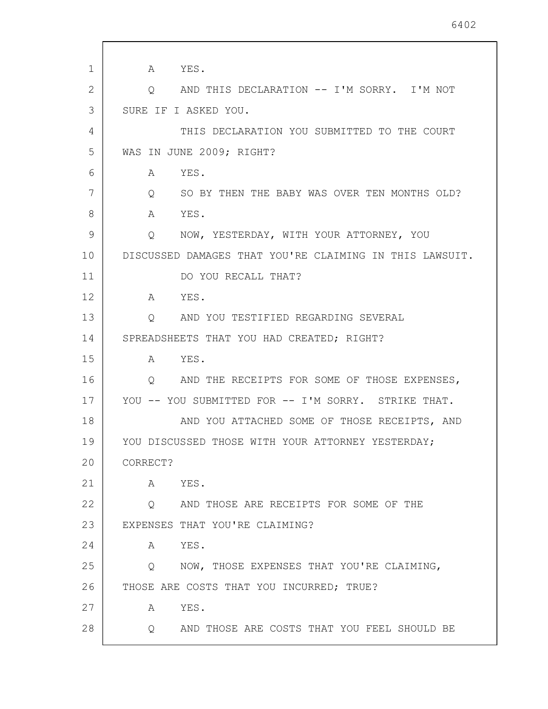1 2 3 4 5 6 7 8 9 10 11 12 13 14 15 16 17 18 19 20 21 22 23 24 25 26 27 28 A YES. Q AND THIS DECLARATION -- I'M SORRY. I'M NOT SURE IF I ASKED YOU. THIS DECLARATION YOU SUBMITTED TO THE COURT WAS IN JUNE 2009; RIGHT? A YES. Q SO BY THEN THE BABY WAS OVER TEN MONTHS OLD? A YES. Q NOW, YESTERDAY, WITH YOUR ATTORNEY, YOU DISCUSSED DAMAGES THAT YOU'RE CLAIMING IN THIS LAWSUIT. DO YOU RECALL THAT? A YES. Q AND YOU TESTIFIED REGARDING SEVERAL SPREADSHEETS THAT YOU HAD CREATED; RIGHT? A YES. Q AND THE RECEIPTS FOR SOME OF THOSE EXPENSES, YOU -- YOU SUBMITTED FOR -- I'M SORRY. STRIKE THAT. AND YOU ATTACHED SOME OF THOSE RECEIPTS, AND YOU DISCUSSED THOSE WITH YOUR ATTORNEY YESTERDAY; CORRECT? A YES. Q AND THOSE ARE RECEIPTS FOR SOME OF THE EXPENSES THAT YOU'RE CLAIMING? A YES. Q NOW, THOSE EXPENSES THAT YOU'RE CLAIMING, THOSE ARE COSTS THAT YOU INCURRED; TRUE? A YES. Q AND THOSE ARE COSTS THAT YOU FEEL SHOULD BE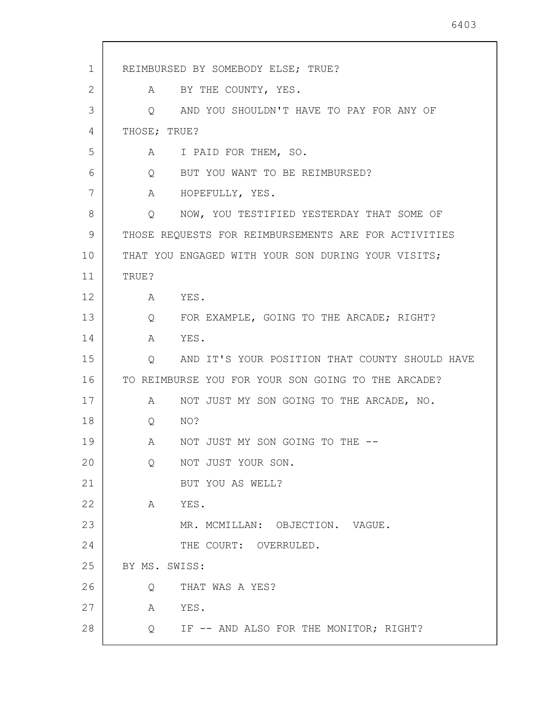1 2 3 4 5 6 7 8 9 10 11 12 13 14 15 16 17 18 19 20 21 22 23 24 25 26 27 28 REIMBURSED BY SOMEBODY ELSE; TRUE? A BY THE COUNTY, YES. Q AND YOU SHOULDN'T HAVE TO PAY FOR ANY OF THOSE; TRUE? A I PAID FOR THEM, SO. Q BUT YOU WANT TO BE REIMBURSED? A HOPEFULLY, YES. Q NOW, YOU TESTIFIED YESTERDAY THAT SOME OF THOSE REQUESTS FOR REIMBURSEMENTS ARE FOR ACTIVITIES THAT YOU ENGAGED WITH YOUR SON DURING YOUR VISITS; TRUE? A YES. Q FOR EXAMPLE, GOING TO THE ARCADE; RIGHT? A YES. Q AND IT'S YOUR POSITION THAT COUNTY SHOULD HAVE TO REIMBURSE YOU FOR YOUR SON GOING TO THE ARCADE? A NOT JUST MY SON GOING TO THE ARCADE, NO. Q NO? A NOT JUST MY SON GOING TO THE -- Q NOT JUST YOUR SON. BUT YOU AS WELL? A YES. MR. MCMILLAN: OBJECTION. VAGUE. THE COURT: OVERRULED. BY MS. SWISS: Q THAT WAS A YES? A YES. Q IF -- AND ALSO FOR THE MONITOR; RIGHT?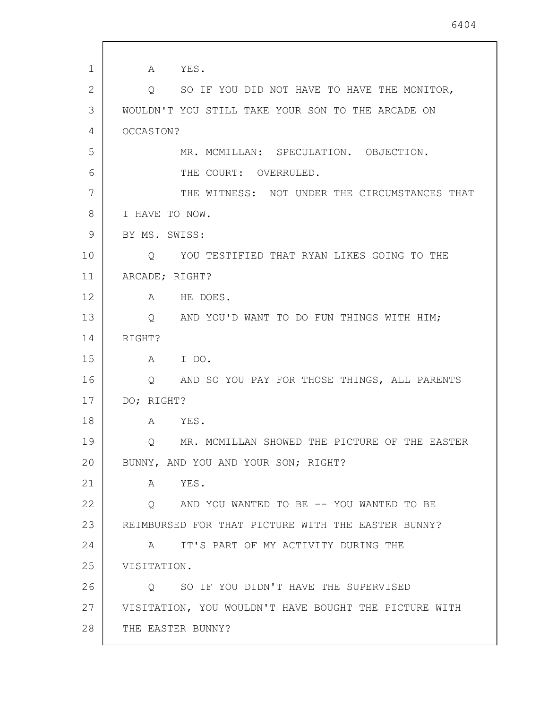1 2 3 4 5 6 7 8 9 10 11 12 13 14 15 16 17 18 19 20 21 22 23 24 25 26 27 28 A YES. Q SO IF YOU DID NOT HAVE TO HAVE THE MONITOR, WOULDN'T YOU STILL TAKE YOUR SON TO THE ARCADE ON OCCASION? MR. MCMILLAN: SPECULATION. OBJECTION. THE COURT: OVERRULED. THE WITNESS: NOT UNDER THE CIRCUMSTANCES THAT I HAVE TO NOW. BY MS. SWISS: Q YOU TESTIFIED THAT RYAN LIKES GOING TO THE ARCADE; RIGHT? A HE DOES. Q AND YOU'D WANT TO DO FUN THINGS WITH HIM; RIGHT? A I DO. Q AND SO YOU PAY FOR THOSE THINGS, ALL PARENTS DO; RIGHT? A YES. Q MR. MCMILLAN SHOWED THE PICTURE OF THE EASTER BUNNY, AND YOU AND YOUR SON; RIGHT? A YES. Q AND YOU WANTED TO BE -- YOU WANTED TO BE REIMBURSED FOR THAT PICTURE WITH THE EASTER BUNNY? A IT'S PART OF MY ACTIVITY DURING THE VISITATION. Q SO IF YOU DIDN'T HAVE THE SUPERVISED VISITATION, YOU WOULDN'T HAVE BOUGHT THE PICTURE WITH THE EASTER BUNNY?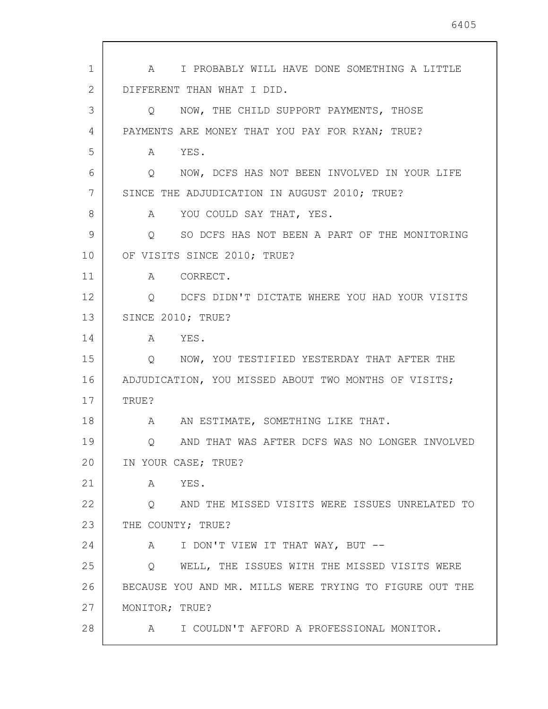| $\mathbf{1}$ | A I PROBABLY WILL HAVE DONE SOMETHING A LITTLE                |
|--------------|---------------------------------------------------------------|
| 2            | DIFFERENT THAN WHAT I DID.                                    |
| 3            | NOW, THE CHILD SUPPORT PAYMENTS, THOSE<br>Q                   |
| 4            | PAYMENTS ARE MONEY THAT YOU PAY FOR RYAN; TRUE?               |
| 5            | A YES.                                                        |
| 6            | NOW, DCFS HAS NOT BEEN INVOLVED IN YOUR LIFE<br>$Q_{\rm max}$ |
| 7            | SINCE THE ADJUDICATION IN AUGUST 2010; TRUE?                  |
| 8            | A YOU COULD SAY THAT, YES.                                    |
| 9            | SO DCFS HAS NOT BEEN A PART OF THE MONITORING<br>Q            |
| 10           | OF VISITS SINCE 2010; TRUE?                                   |
| 11           | A CORRECT.                                                    |
| 12           | DCFS DIDN'T DICTATE WHERE YOU HAD YOUR VISITS<br>Q            |
| 13           | SINCE 2010; TRUE?                                             |
| 14           | A YES.                                                        |
| 15           | Q NOW, YOU TESTIFIED YESTERDAY THAT AFTER THE                 |
| 16           | ADJUDICATION, YOU MISSED ABOUT TWO MONTHS OF VISITS;          |
| 17           | TRUE?                                                         |
| 18           | AN ESTIMATE, SOMETHING LIKE THAT.<br>$\mathbf{A}$             |
| 19           | Q AND THAT WAS AFTER DCFS WAS NO LONGER INVOLVED              |
| 20           | IN YOUR CASE; TRUE?                                           |
| 21           | YES.<br>Α                                                     |
| 22           | AND THE MISSED VISITS WERE ISSUES UNRELATED TO<br>Q           |
| 23           | THE COUNTY; TRUE?                                             |
| 24           | I DON'T VIEW IT THAT WAY, BUT --<br>A                         |
| 25           | WELL, THE ISSUES WITH THE MISSED VISITS WERE<br>Q             |
| 26           | BECAUSE YOU AND MR. MILLS WERE TRYING TO FIGURE OUT THE       |
| 27           | MONITOR; TRUE?                                                |
| 28           | A I COULDN'T AFFORD A PROFESSIONAL MONITOR.                   |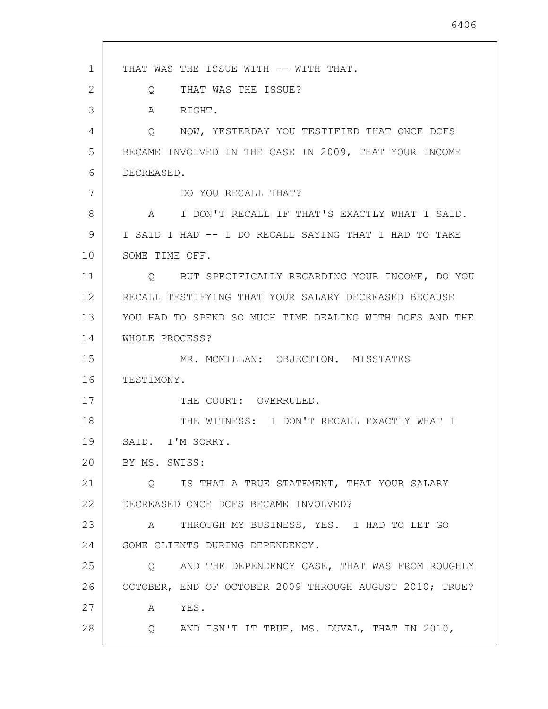1 2 3 4 5 6 7 8 9 10 11 12 13 14 15 16 17 18 19 20 21 22 23 24 25 26 27 28 THAT WAS THE ISSUE WITH -- WITH THAT. Q THAT WAS THE ISSUE? A RIGHT. Q NOW, YESTERDAY YOU TESTIFIED THAT ONCE DCFS BECAME INVOLVED IN THE CASE IN 2009, THAT YOUR INCOME DECREASED. DO YOU RECALL THAT? A I DON'T RECALL IF THAT'S EXACTLY WHAT I SAID. I SAID I HAD -- I DO RECALL SAYING THAT I HAD TO TAKE SOME TIME OFF. Q BUT SPECIFICALLY REGARDING YOUR INCOME, DO YOU RECALL TESTIFYING THAT YOUR SALARY DECREASED BECAUSE YOU HAD TO SPEND SO MUCH TIME DEALING WITH DCFS AND THE WHOLE PROCESS? MR. MCMILLAN: OBJECTION. MISSTATES TESTIMONY. THE COURT: OVERRULED. THE WITNESS: I DON'T RECALL EXACTLY WHAT I SAID. I'M SORRY. BY MS. SWISS: Q IS THAT A TRUE STATEMENT, THAT YOUR SALARY DECREASED ONCE DCFS BECAME INVOLVED? A THROUGH MY BUSINESS, YES. I HAD TO LET GO SOME CLIENTS DURING DEPENDENCY. Q AND THE DEPENDENCY CASE, THAT WAS FROM ROUGHLY OCTOBER, END OF OCTOBER 2009 THROUGH AUGUST 2010; TRUE? A YES. Q AND ISN'T IT TRUE, MS. DUVAL, THAT IN 2010,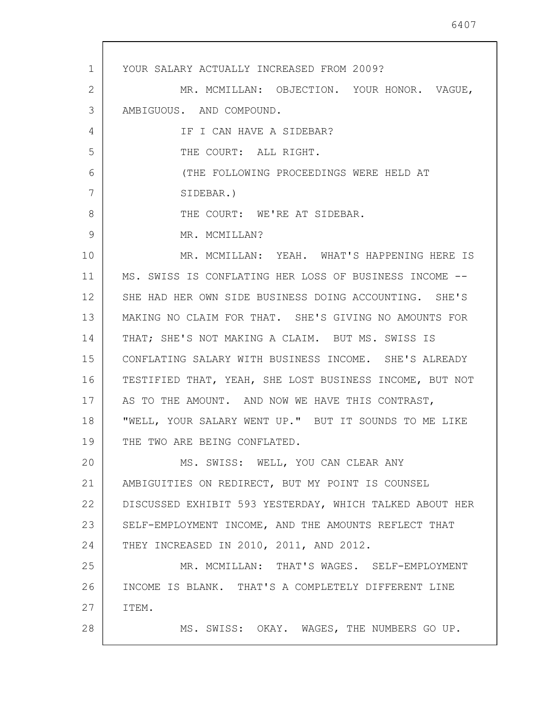1 2 3 4 5 6 7 8 9 10 11 12 13 14 15 16 17 18 19 20 21 22 23 24 25 26 27 28 YOUR SALARY ACTUALLY INCREASED FROM 2009? MR. MCMILLAN: OBJECTION. YOUR HONOR. VAGUE, AMBIGUOUS. AND COMPOUND. IF I CAN HAVE A SIDEBAR? THE COURT: ALL RIGHT. (THE FOLLOWING PROCEEDINGS WERE HELD AT SIDEBAR.) THE COURT: WE'RE AT SIDEBAR. MR. MCMILLAN? MR. MCMILLAN: YEAH. WHAT'S HAPPENING HERE IS MS. SWISS IS CONFLATING HER LOSS OF BUSINESS INCOME -- SHE HAD HER OWN SIDE BUSINESS DOING ACCOUNTING. SHE'S MAKING NO CLAIM FOR THAT. SHE'S GIVING NO AMOUNTS FOR THAT; SHE'S NOT MAKING A CLAIM. BUT MS. SWISS IS CONFLATING SALARY WITH BUSINESS INCOME. SHE'S ALREADY TESTIFIED THAT, YEAH, SHE LOST BUSINESS INCOME, BUT NOT AS TO THE AMOUNT. AND NOW WE HAVE THIS CONTRAST, "WELL, YOUR SALARY WENT UP." BUT IT SOUNDS TO ME LIKE THE TWO ARE BEING CONFLATED. MS. SWISS: WELL, YOU CAN CLEAR ANY AMBIGUITIES ON REDIRECT, BUT MY POINT IS COUNSEL DISCUSSED EXHIBIT 593 YESTERDAY, WHICH TALKED ABOUT HER SELF-EMPLOYMENT INCOME, AND THE AMOUNTS REFLECT THAT THEY INCREASED IN 2010, 2011, AND 2012. MR. MCMILLAN: THAT'S WAGES. SELF-EMPLOYMENT INCOME IS BLANK. THAT'S A COMPLETELY DIFFERENT LINE ITEM. MS. SWISS: OKAY. WAGES, THE NUMBERS GO UP.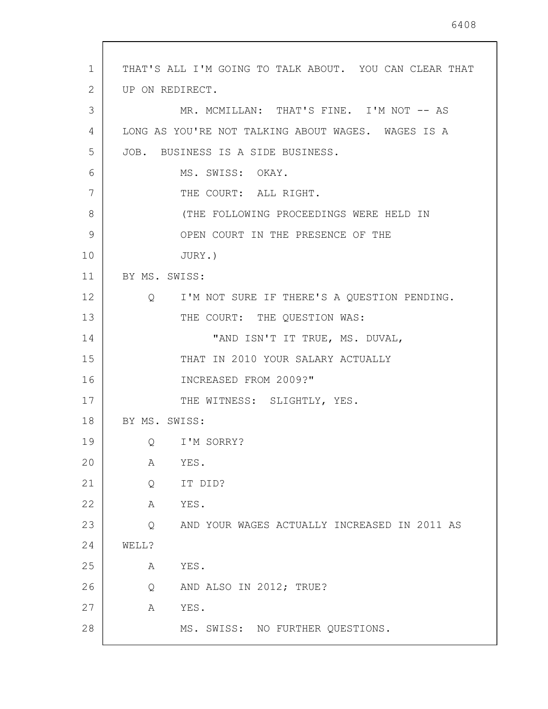| $\mathbf{1}$ | THAT'S ALL I'M GOING TO TALK ABOUT. YOU CAN CLEAR THAT |
|--------------|--------------------------------------------------------|
| 2            | UP ON REDIRECT.                                        |
| 3            | MR. MCMILLAN: THAT'S FINE. I'M NOT -- AS               |
| 4            | LONG AS YOU'RE NOT TALKING ABOUT WAGES. WAGES IS A     |
| 5            | JOB. BUSINESS IS A SIDE BUSINESS.                      |
| 6            | MS. SWISS: OKAY.                                       |
| 7            | THE COURT: ALL RIGHT.                                  |
| 8            | (THE FOLLOWING PROCEEDINGS WERE HELD IN                |
| 9            | OPEN COURT IN THE PRESENCE OF THE                      |
| 10           | JURY.)                                                 |
| 11           | BY MS. SWISS:                                          |
| 12           | I'M NOT SURE IF THERE'S A QUESTION PENDING.<br>Q       |
| 13           | THE COURT: THE QUESTION WAS:                           |
| 14           | "AND ISN'T IT TRUE, MS. DUVAL,                         |
| 15           | THAT IN 2010 YOUR SALARY ACTUALLY                      |
| 16           | INCREASED FROM 2009?"                                  |
| 17           | THE WITNESS: SLIGHTLY, YES.                            |
| 18           | BY MS. SWISS:                                          |
| 19           | Q I'M SORRY?                                           |
| 20           | YES.<br>Α                                              |
| 21           | IT DID?<br>Q                                           |
| 22           | YES.<br>А                                              |
| 23           | AND YOUR WAGES ACTUALLY INCREASED IN 2011 AS<br>Q      |
| 24           | WELL?                                                  |
| 25           | Α<br>YES.                                              |
| 26           | AND ALSO IN 2012; TRUE?<br>Q                           |
| 27           | YES.<br>Α                                              |
| 28           | MS. SWISS: NO FURTHER QUESTIONS.                       |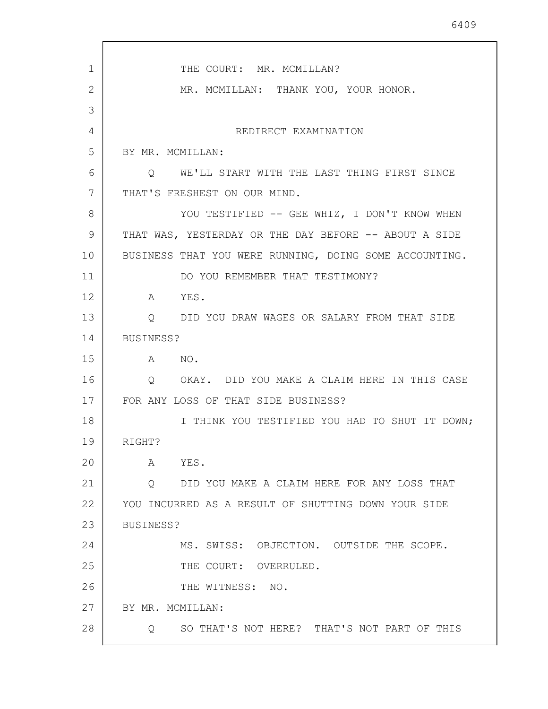| $\mathbf 1$ | THE COURT: MR. MCMILLAN?                               |
|-------------|--------------------------------------------------------|
| 2           | MR. MCMILLAN: THANK YOU, YOUR HONOR.                   |
| 3           |                                                        |
| 4           | REDIRECT EXAMINATION                                   |
| 5           | BY MR. MCMILLAN:                                       |
| 6           | Q WE'LL START WITH THE LAST THING FIRST SINCE          |
| 7           | THAT'S FRESHEST ON OUR MIND.                           |
| 8           | YOU TESTIFIED -- GEE WHIZ, I DON'T KNOW WHEN           |
| 9           | THAT WAS, YESTERDAY OR THE DAY BEFORE -- ABOUT A SIDE  |
| 10          | BUSINESS THAT YOU WERE RUNNING, DOING SOME ACCOUNTING. |
| 11          | DO YOU REMEMBER THAT TESTIMONY?                        |
| 12          | YES.<br>A                                              |
| 13          | Q DID YOU DRAW WAGES OR SALARY FROM THAT SIDE          |
| 14          | BUSINESS?                                              |
| 15          | A NO.                                                  |
| 16          | Q OKAY. DID YOU MAKE A CLAIM HERE IN THIS CASE         |
| 17          | FOR ANY LOSS OF THAT SIDE BUSINESS?                    |
| 18          | I THINK YOU TESTIFIED YOU HAD TO SHUT IT DOWN;         |
| 19          | RIGHT?                                                 |
| 20          | YES.<br>A                                              |
| 21          | DID YOU MAKE A CLAIM HERE FOR ANY LOSS THAT<br>Q       |
| 22          | YOU INCURRED AS A RESULT OF SHUTTING DOWN YOUR SIDE    |
| 23          | BUSINESS?                                              |
| 24          | MS. SWISS: OBJECTION. OUTSIDE THE SCOPE.               |
| 25          | THE COURT: OVERRULED.                                  |
| 26          | THE WITNESS: NO.                                       |
| 27          | BY MR. MCMILLAN:                                       |
| 28          | SO THAT'S NOT HERE? THAT'S NOT PART OF THIS<br>Q       |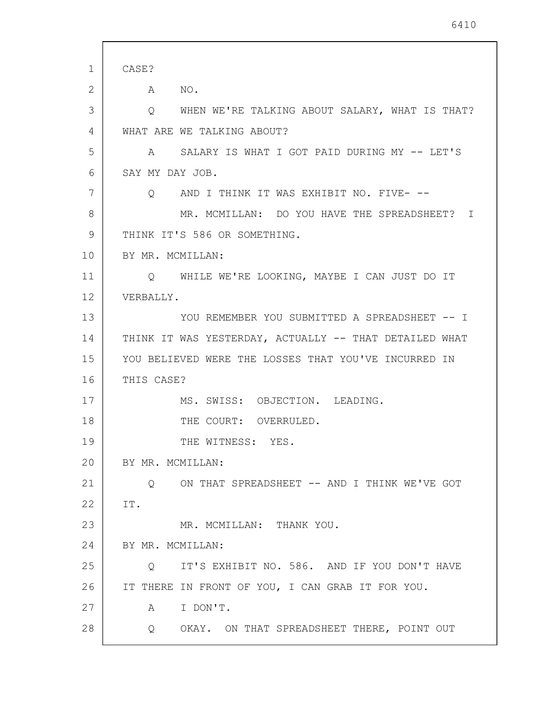| 1  | CASE?                                                     |
|----|-----------------------------------------------------------|
| 2  | NO <sub>z</sub><br>A                                      |
| 3  | WHEN WE'RE TALKING ABOUT SALARY, WHAT IS THAT?<br>$\circ$ |
| 4  | WHAT ARE WE TALKING ABOUT?                                |
| 5  | SALARY IS WHAT I GOT PAID DURING MY -- LET'S<br>A         |
| 6  | SAY MY DAY JOB.                                           |
| 7  | Q AND I THINK IT WAS EXHIBIT NO. FIVE- --                 |
| 8  | MR. MCMILLAN: DO YOU HAVE THE SPREADSHEET? I              |
| 9  | THINK IT'S 586 OR SOMETHING.                              |
| 10 | BY MR. MCMILLAN:                                          |
| 11 | Q WHILE WE'RE LOOKING, MAYBE I CAN JUST DO IT             |
| 12 | VERBALLY.                                                 |
| 13 | YOU REMEMBER YOU SUBMITTED A SPREADSHEET -- I             |
| 14 | THINK IT WAS YESTERDAY, ACTUALLY -- THAT DETAILED WHAT    |
| 15 | YOU BELIEVED WERE THE LOSSES THAT YOU'VE INCURRED IN      |
| 16 | THIS CASE?                                                |
| 17 | MS. SWISS: OBJECTION. LEADING.                            |
| 18 | THE COURT: OVERRULED.                                     |
| 19 | THE WITNESS: YES.                                         |
| 20 | BY MR. MCMILLAN:                                          |
| 21 | ON THAT SPREADSHEET -- AND I THINK WE'VE GOT<br>$\circ$   |
| 22 | IT.                                                       |
| 23 | MR. MCMILLAN: THANK YOU.                                  |
| 24 | BY MR. MCMILLAN:                                          |
| 25 | IT'S EXHIBIT NO. 586. AND IF YOU DON'T HAVE<br>Q          |
| 26 | IT THERE IN FRONT OF YOU, I CAN GRAB IT FOR YOU.          |
| 27 | I DON'T.<br>A                                             |
| 28 | Q OKAY. ON THAT SPREADSHEET THERE, POINT OUT              |
|    |                                                           |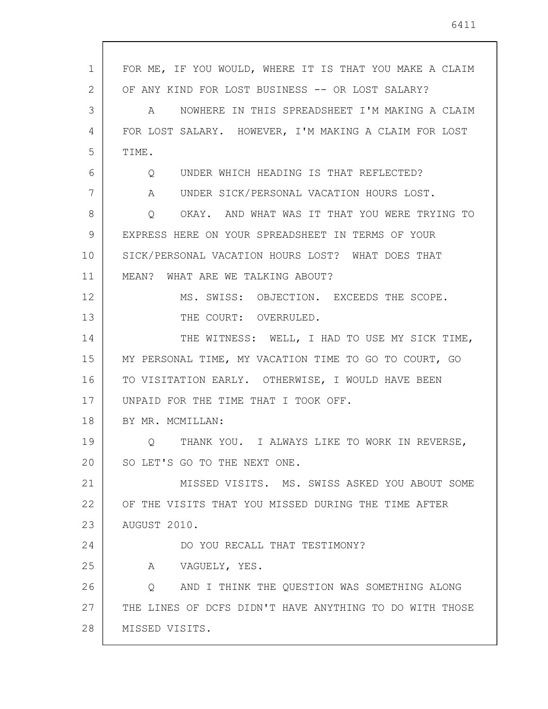| 1  | FOR ME, IF YOU WOULD, WHERE IT IS THAT YOU MAKE A CLAIM      |
|----|--------------------------------------------------------------|
| 2  | OF ANY KIND FOR LOST BUSINESS -- OR LOST SALARY?             |
| 3  | NOWHERE IN THIS SPREADSHEET I'M MAKING A CLAIM<br>A          |
| 4  | FOR LOST SALARY. HOWEVER, I'M MAKING A CLAIM FOR LOST        |
| 5  | TIME.                                                        |
| 6  | UNDER WHICH HEADING IS THAT REFLECTED?<br>Q                  |
| 7  | $A \quad \alpha$<br>UNDER SICK/PERSONAL VACATION HOURS LOST. |
| 8  | OKAY. AND WHAT WAS IT THAT YOU WERE TRYING TO<br>Q           |
| 9  | EXPRESS HERE ON YOUR SPREADSHEET IN TERMS OF YOUR            |
| 10 | SICK/PERSONAL VACATION HOURS LOST? WHAT DOES THAT            |
| 11 | MEAN? WHAT ARE WE TALKING ABOUT?                             |
| 12 | MS. SWISS: OBJECTION. EXCEEDS THE SCOPE.                     |
| 13 | THE COURT: OVERRULED.                                        |
| 14 | THE WITNESS: WELL, I HAD TO USE MY SICK TIME,                |
| 15 | MY PERSONAL TIME, MY VACATION TIME TO GO TO COURT, GO        |
| 16 | TO VISITATION EARLY. OTHERWISE, I WOULD HAVE BEEN            |
| 17 | UNPAID FOR THE TIME THAT I TOOK OFF.                         |
| 18 | BY MR. MCMILLAN:                                             |
| 19 | THANK YOU. I ALWAYS LIKE TO WORK IN REVERSE,<br>Q            |
| 20 | SO LET'S GO TO THE NEXT ONE.                                 |
| 21 | MISSED VISITS. MS. SWISS ASKED YOU ABOUT SOME                |
| 22 | OF THE VISITS THAT YOU MISSED DURING THE TIME AFTER          |
| 23 | AUGUST 2010.                                                 |
| 24 | DO YOU RECALL THAT TESTIMONY?                                |
| 25 | A VAGUELY, YES.                                              |
| 26 | AND I THINK THE QUESTION WAS SOMETHING ALONG<br>$\circ$      |
| 27 | THE LINES OF DCFS DIDN'T HAVE ANYTHING TO DO WITH THOSE      |
| 28 | MISSED VISITS.                                               |

 $\overline{\phantom{a}}$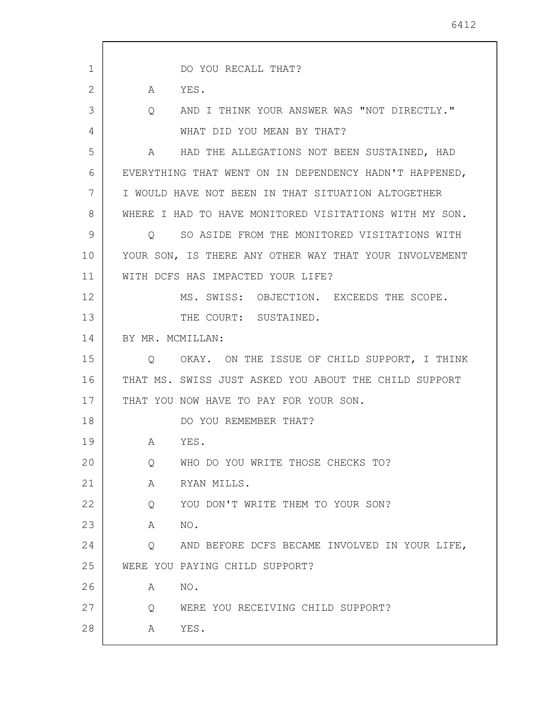1 2 3 4 5 6 7 8 9 10 11 12 13 14 15 16 17 18 19 20 21 22 23 24 25 26 27 28 DO YOU RECALL THAT? A YES. Q AND I THINK YOUR ANSWER WAS "NOT DIRECTLY." WHAT DID YOU MEAN BY THAT? A HAD THE ALLEGATIONS NOT BEEN SUSTAINED, HAD EVERYTHING THAT WENT ON IN DEPENDENCY HADN'T HAPPENED, I WOULD HAVE NOT BEEN IN THAT SITUATION ALTOGETHER WHERE I HAD TO HAVE MONITORED VISITATIONS WITH MY SON. Q SO ASIDE FROM THE MONITORED VISITATIONS WITH YOUR SON, IS THERE ANY OTHER WAY THAT YOUR INVOLVEMENT WITH DCFS HAS IMPACTED YOUR LIFE? MS. SWISS: OBJECTION. EXCEEDS THE SCOPE. THE COURT: SUSTAINED. BY MR. MCMILLAN: Q OKAY. ON THE ISSUE OF CHILD SUPPORT, I THINK THAT MS. SWISS JUST ASKED YOU ABOUT THE CHILD SUPPORT THAT YOU NOW HAVE TO PAY FOR YOUR SON. DO YOU REMEMBER THAT? A YES. Q WHO DO YOU WRITE THOSE CHECKS TO? A RYAN MILLS. Q YOU DON'T WRITE THEM TO YOUR SON? A NO. Q AND BEFORE DCFS BECAME INVOLVED IN YOUR LIFE, WERE YOU PAYING CHILD SUPPORT? A NO. Q WERE YOU RECEIVING CHILD SUPPORT? A YES.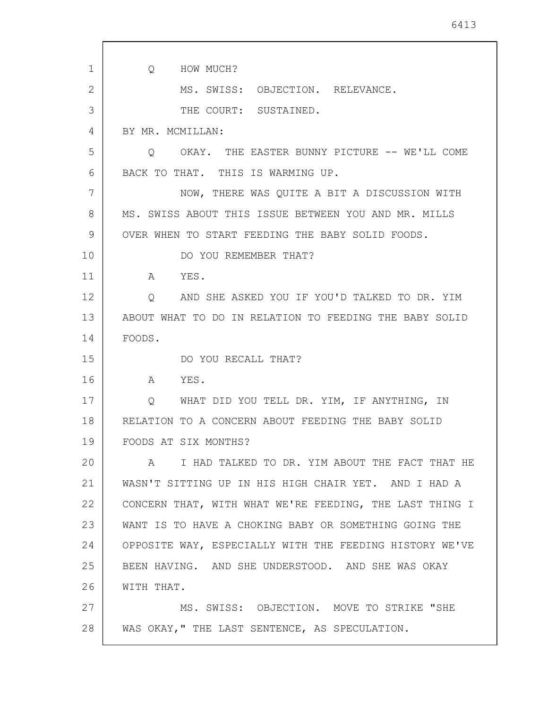1 2 3 4 5 6 7 8 9 10 11 12 13 14 15 16 17 18 19 20 21 22 23 24 25 26 27 28 Q HOW MUCH? MS. SWISS: OBJECTION. RELEVANCE. THE COURT: SUSTAINED. BY MR. MCMILLAN: Q OKAY. THE EASTER BUNNY PICTURE -- WE'LL COME BACK TO THAT. THIS IS WARMING UP. NOW, THERE WAS QUITE A BIT A DISCUSSION WITH MS. SWISS ABOUT THIS ISSUE BETWEEN YOU AND MR. MILLS OVER WHEN TO START FEEDING THE BABY SOLID FOODS. DO YOU REMEMBER THAT? A YES. Q AND SHE ASKED YOU IF YOU'D TALKED TO DR. YIM ABOUT WHAT TO DO IN RELATION TO FEEDING THE BABY SOLID FOODS. DO YOU RECALL THAT? A YES. Q WHAT DID YOU TELL DR. YIM, IF ANYTHING, IN RELATION TO A CONCERN ABOUT FEEDING THE BABY SOLID FOODS AT SIX MONTHS? A I HAD TALKED TO DR. YIM ABOUT THE FACT THAT HE WASN'T SITTING UP IN HIS HIGH CHAIR YET. AND I HAD A CONCERN THAT, WITH WHAT WE'RE FEEDING, THE LAST THING I WANT IS TO HAVE A CHOKING BABY OR SOMETHING GOING THE OPPOSITE WAY, ESPECIALLY WITH THE FEEDING HISTORY WE'VE BEEN HAVING. AND SHE UNDERSTOOD. AND SHE WAS OKAY WITH THAT. MS. SWISS: OBJECTION. MOVE TO STRIKE "SHE WAS OKAY," THE LAST SENTENCE, AS SPECULATION.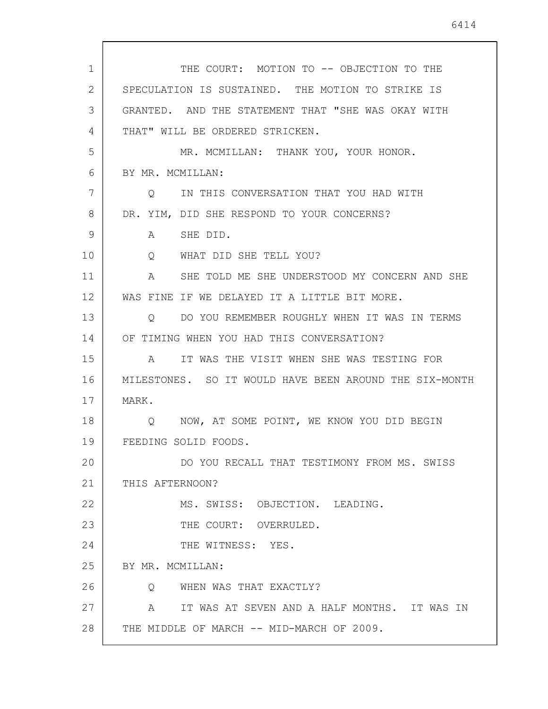1 2 3 4 5 6 7 8 9 10 11 12 13 14 15 16 17 18 19 20 21 22 23 24 25 26 27 28 THE COURT: MOTION TO -- OBJECTION TO THE SPECULATION IS SUSTAINED. THE MOTION TO STRIKE IS GRANTED. AND THE STATEMENT THAT "SHE WAS OKAY WITH THAT" WILL BE ORDERED STRICKEN. MR. MCMILLAN: THANK YOU, YOUR HONOR. BY MR. MCMILLAN: Q IN THIS CONVERSATION THAT YOU HAD WITH DR. YIM, DID SHE RESPOND TO YOUR CONCERNS? A SHE DID. Q WHAT DID SHE TELL YOU? A SHE TOLD ME SHE UNDERSTOOD MY CONCERN AND SHE WAS FINE IF WE DELAYED IT A LITTLE BIT MORE. Q DO YOU REMEMBER ROUGHLY WHEN IT WAS IN TERMS OF TIMING WHEN YOU HAD THIS CONVERSATION? A IT WAS THE VISIT WHEN SHE WAS TESTING FOR MILESTONES. SO IT WOULD HAVE BEEN AROUND THE SIX-MONTH MARK. Q NOW, AT SOME POINT, WE KNOW YOU DID BEGIN FEEDING SOLID FOODS. DO YOU RECALL THAT TESTIMONY FROM MS. SWISS THIS AFTERNOON? MS. SWISS: OBJECTION. LEADING. THE COURT: OVERRULED. THE WITNESS: YES. BY MR. MCMILLAN: Q WHEN WAS THAT EXACTLY? A IT WAS AT SEVEN AND A HALF MONTHS. IT WAS IN THE MIDDLE OF MARCH -- MID-MARCH OF 2009.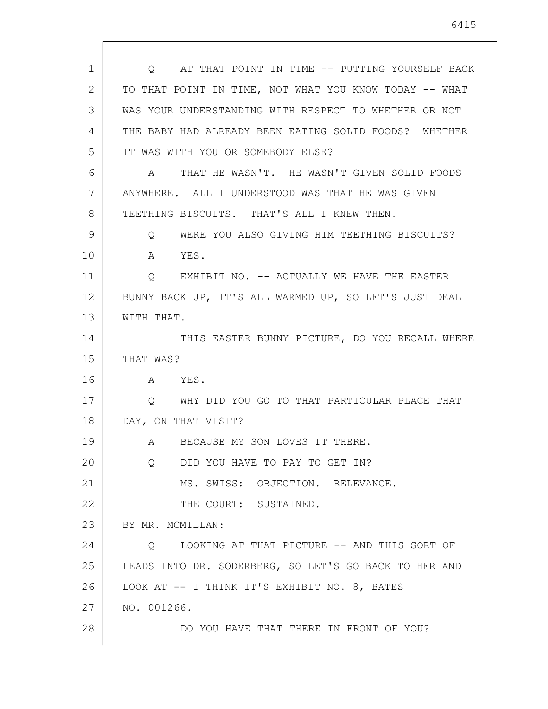| 1  | O AT THAT POINT IN TIME -- PUTTING YOURSELF BACK       |
|----|--------------------------------------------------------|
| 2  | TO THAT POINT IN TIME, NOT WHAT YOU KNOW TODAY -- WHAT |
| 3  | WAS YOUR UNDERSTANDING WITH RESPECT TO WHETHER OR NOT  |
| 4  |                                                        |
|    | THE BABY HAD ALREADY BEEN EATING SOLID FOODS? WHETHER  |
| 5  | IT WAS WITH YOU OR SOMEBODY ELSE?                      |
| 6  | THAT HE WASN'T. HE WASN'T GIVEN SOLID FOODS<br>A       |
| 7  | ANYWHERE. ALL I UNDERSTOOD WAS THAT HE WAS GIVEN       |
| 8  | TEETHING BISCUITS. THAT'S ALL I KNEW THEN.             |
| 9  | WERE YOU ALSO GIVING HIM TEETHING BISCUITS?<br>Q       |
| 10 | YES.<br>A                                              |
| 11 | EXHIBIT NO. -- ACTUALLY WE HAVE THE EASTER<br>Q        |
| 12 | BUNNY BACK UP, IT'S ALL WARMED UP, SO LET'S JUST DEAL  |
| 13 | WITH THAT.                                             |
| 14 | THIS EASTER BUNNY PICTURE, DO YOU RECALL WHERE         |
| 15 | THAT WAS?                                              |
| 16 | A YES.                                                 |
| 17 | O WHY DID YOU GO TO THAT PARTICULAR PLACE THAT         |
| 18 | DAY, ON THAT VISIT?                                    |
| 19 | A BECAUSE MY SON LOVES IT THERE.                       |
| 20 | DID YOU HAVE TO PAY TO GET IN?<br>O                    |
| 21 | MS. SWISS: OBJECTION. RELEVANCE.                       |
| 22 | THE COURT: SUSTAINED.                                  |
| 23 | BY MR. MCMILLAN:                                       |
| 24 | LOOKING AT THAT PICTURE -- AND THIS SORT OF<br>$\circ$ |
| 25 | LEADS INTO DR. SODERBERG, SO LET'S GO BACK TO HER AND  |
| 26 | LOOK AT -- I THINK IT'S EXHIBIT NO. 8, BATES           |
| 27 | NO. 001266.                                            |
| 28 | DO YOU HAVE THAT THERE IN FRONT OF YOU?                |
|    |                                                        |

 $\sqrt{ }$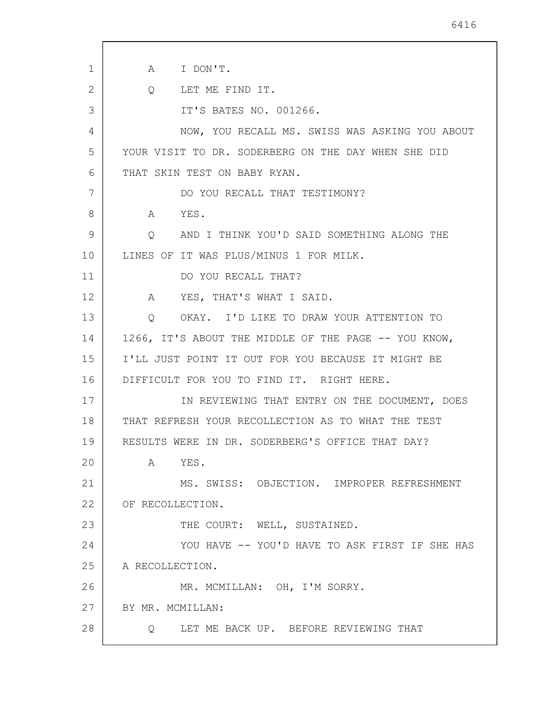1 2 3 4 5 6 7 8 9 10 11 12 13 14 15 16 17 18 19 20 21 22 23 24 25 26 27 28 A I DON'T. Q LET ME FIND IT. IT'S BATES NO. 001266. NOW, YOU RECALL MS. SWISS WAS ASKING YOU ABOUT YOUR VISIT TO DR. SODERBERG ON THE DAY WHEN SHE DID THAT SKIN TEST ON BABY RYAN. DO YOU RECALL THAT TESTIMONY? A YES. Q AND I THINK YOU'D SAID SOMETHING ALONG THE LINES OF IT WAS PLUS/MINUS 1 FOR MILK. DO YOU RECALL THAT? A YES, THAT'S WHAT I SAID. Q OKAY. I'D LIKE TO DRAW YOUR ATTENTION TO 1266, IT'S ABOUT THE MIDDLE OF THE PAGE -- YOU KNOW, I'LL JUST POINT IT OUT FOR YOU BECAUSE IT MIGHT BE DIFFICULT FOR YOU TO FIND IT. RIGHT HERE. IN REVIEWING THAT ENTRY ON THE DOCUMENT, DOES THAT REFRESH YOUR RECOLLECTION AS TO WHAT THE TEST RESULTS WERE IN DR. SODERBERG'S OFFICE THAT DAY? A YES. MS. SWISS: OBJECTION. IMPROPER REFRESHMENT OF RECOLLECTION. THE COURT: WELL, SUSTAINED. YOU HAVE -- YOU'D HAVE TO ASK FIRST IF SHE HAS A RECOLLECTION. MR. MCMILLAN: OH, I'M SORRY. BY MR. MCMILLAN: Q LET ME BACK UP. BEFORE REVIEWING THAT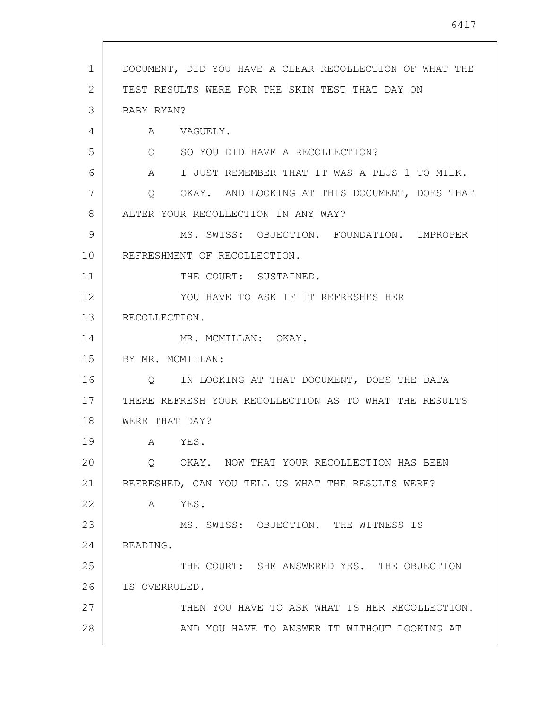| 1  | DOCUMENT, DID YOU HAVE A CLEAR RECOLLECTION OF WHAT THE           |
|----|-------------------------------------------------------------------|
| 2  | TEST RESULTS WERE FOR THE SKIN TEST THAT DAY ON                   |
| 3  | BABY RYAN?                                                        |
| 4  | $A \quad \alpha$<br>VAGUELY.                                      |
| 5  | Q SO YOU DID HAVE A RECOLLECTION?                                 |
| 6  | I JUST REMEMBER THAT IT WAS A PLUS 1 TO MILK.<br>$A \quad \alpha$ |
| 7  | OKAY. AND LOOKING AT THIS DOCUMENT, DOES THAT<br>$\circ$          |
| 8  | ALTER YOUR RECOLLECTION IN ANY WAY?                               |
| 9  | MS. SWISS: OBJECTION. FOUNDATION. IMPROPER                        |
| 10 | REFRESHMENT OF RECOLLECTION.                                      |
| 11 | THE COURT: SUSTAINED.                                             |
| 12 | YOU HAVE TO ASK IF IT REFRESHES HER                               |
| 13 | RECOLLECTION.                                                     |
| 14 | MR. MCMILLAN: OKAY.                                               |
| 15 | BY MR. MCMILLAN:                                                  |
| 16 | IN LOOKING AT THAT DOCUMENT, DOES THE DATA<br>O                   |
| 17 | THERE REFRESH YOUR RECOLLECTION AS TO WHAT THE RESULTS            |
| 18 | WERE THAT DAY?                                                    |
| 19 | YES.<br>A                                                         |
| 20 | OKAY. NOW THAT YOUR RECOLLECTION HAS BEEN<br>$\circ$              |
| 21 | REFRESHED, CAN YOU TELL US WHAT THE RESULTS WERE?                 |
| 22 | A YES.                                                            |
| 23 | MS. SWISS: OBJECTION. THE WITNESS IS                              |
| 24 | READING.                                                          |
| 25 | THE COURT: SHE ANSWERED YES. THE OBJECTION                        |
| 26 | IS OVERRULED.                                                     |
| 27 | THEN YOU HAVE TO ASK WHAT IS HER RECOLLECTION.                    |
| 28 | AND YOU HAVE TO ANSWER IT WITHOUT LOOKING AT                      |
|    |                                                                   |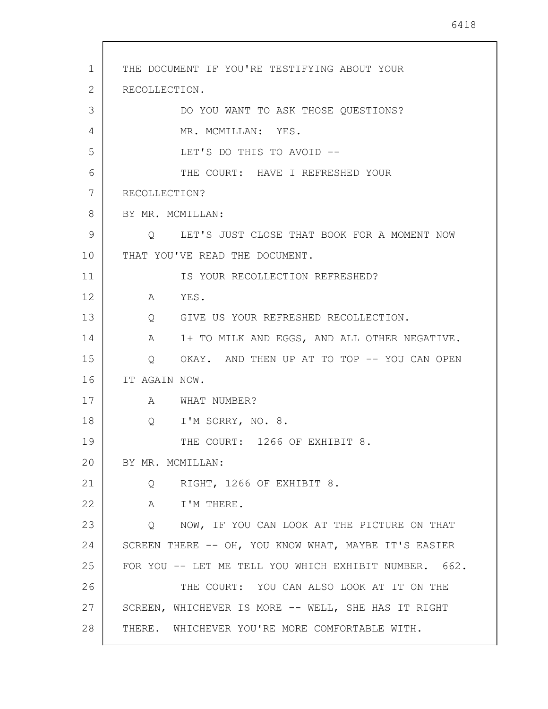1 2 3 4 5 6 7 8 9 10 11 12 13 14 15 16 17 18 19 20 21 22 23 24 25 26 27 28 THE DOCUMENT IF YOU'RE TESTIFYING ABOUT YOUR RECOLLECTION. DO YOU WANT TO ASK THOSE QUESTIONS? MR. MCMILLAN: YES. LET'S DO THIS TO AVOID -- THE COURT: HAVE I REFRESHED YOUR RECOLLECTION? BY MR. MCMILLAN: Q LET'S JUST CLOSE THAT BOOK FOR A MOMENT NOW THAT YOU'VE READ THE DOCUMENT. IS YOUR RECOLLECTION REFRESHED? A YES. Q GIVE US YOUR REFRESHED RECOLLECTION. A 1+ TO MILK AND EGGS, AND ALL OTHER NEGATIVE. Q OKAY. AND THEN UP AT TO TOP -- YOU CAN OPEN IT AGAIN NOW. A WHAT NUMBER? Q I'M SORRY, NO. 8. THE COURT: 1266 OF EXHIBIT 8. BY MR. MCMILLAN: Q RIGHT, 1266 OF EXHIBIT 8. A I'M THERE. Q NOW, IF YOU CAN LOOK AT THE PICTURE ON THAT SCREEN THERE -- OH, YOU KNOW WHAT, MAYBE IT'S EASIER FOR YOU -- LET ME TELL YOU WHICH EXHIBIT NUMBER. 662. THE COURT: YOU CAN ALSO LOOK AT IT ON THE SCREEN, WHICHEVER IS MORE -- WELL, SHE HAS IT RIGHT THERE. WHICHEVER YOU'RE MORE COMFORTABLE WITH.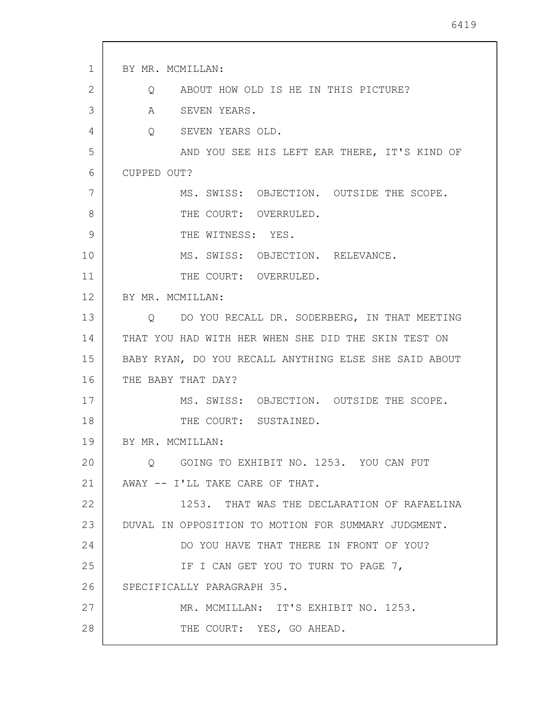| $\mathbf{1}$ | BY MR. MCMILLAN:                                      |
|--------------|-------------------------------------------------------|
| 2            | Q ABOUT HOW OLD IS HE IN THIS PICTURE?                |
| 3            | A SEVEN YEARS.                                        |
| 4            | Q SEVEN YEARS OLD.                                    |
| 5            | AND YOU SEE HIS LEFT EAR THERE, IT'S KIND OF          |
| 6            | CUPPED OUT?                                           |
| 7            | MS. SWISS: OBJECTION. OUTSIDE THE SCOPE.              |
| 8            | THE COURT: OVERRULED.                                 |
| 9            | THE WITNESS: YES.                                     |
| 10           | MS. SWISS: OBJECTION. RELEVANCE.                      |
| 11           | THE COURT: OVERRULED.                                 |
| 12           | BY MR. MCMILLAN:                                      |
| 13           | Q DO YOU RECALL DR. SODERBERG, IN THAT MEETING        |
| 14           | THAT YOU HAD WITH HER WHEN SHE DID THE SKIN TEST ON   |
| 15           | BABY RYAN, DO YOU RECALL ANYTHING ELSE SHE SAID ABOUT |
| 16           | THE BABY THAT DAY?                                    |
| 17           | MS. SWISS: OBJECTION. OUTSIDE THE SCOPE.              |
| 18           | THE COURT: SUSTAINED.                                 |
| 19           | BY MR. MCMILLAN:                                      |
| 20           | Q GOING TO EXHIBIT NO. 1253. YOU CAN PUT              |
| 21           | AWAY -- I'LL TAKE CARE OF THAT.                       |
| 22           | 1253. THAT WAS THE DECLARATION OF RAFAELINA           |
| 23           | DUVAL IN OPPOSITION TO MOTION FOR SUMMARY JUDGMENT.   |
| 24           | DO YOU HAVE THAT THERE IN FRONT OF YOU?               |
| 25           | IF I CAN GET YOU TO TURN TO PAGE 7,                   |
| 26           | SPECIFICALLY PARAGRAPH 35.                            |
| 27           | MR. MCMILLAN: IT'S EXHIBIT NO. 1253.                  |
| 28           | THE COURT: YES, GO AHEAD.                             |
|              |                                                       |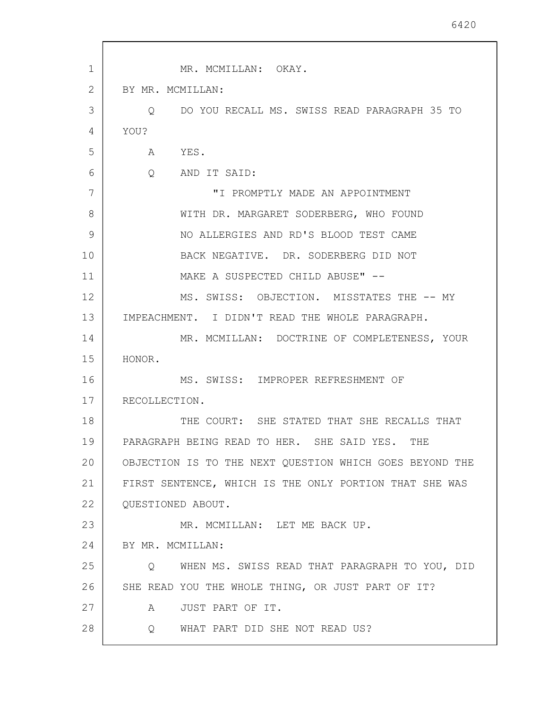| $\mathbf 1$       | MR. MCMILLAN: OKAY.                                           |
|-------------------|---------------------------------------------------------------|
| 2                 | BY MR. MCMILLAN:                                              |
| 3                 | O DO YOU RECALL MS. SWISS READ PARAGRAPH 35 TO                |
| 4                 | YOU?                                                          |
| 5                 | A YES.                                                        |
| 6                 | Q<br>AND IT SAID:                                             |
| 7                 | "I PROMPTLY MADE AN APPOINTMENT                               |
| 8                 | WITH DR. MARGARET SODERBERG, WHO FOUND                        |
| 9                 | NO ALLERGIES AND RD'S BLOOD TEST CAME                         |
| 10                | BACK NEGATIVE. DR. SODERBERG DID NOT                          |
| 11                | MAKE A SUSPECTED CHILD ABUSE" --                              |
| $12 \overline{)}$ | MS. SWISS: OBJECTION. MISSTATES THE -- MY                     |
| 13                | IMPEACHMENT. I DIDN'T READ THE WHOLE PARAGRAPH.               |
| 14                | MR. MCMILLAN: DOCTRINE OF COMPLETENESS, YOUR                  |
| 15                | HONOR.                                                        |
| 16                | MS. SWISS: IMPROPER REFRESHMENT OF                            |
| 17                | RECOLLECTION.                                                 |
| 18                | THE COURT: SHE STATED THAT SHE RECALLS THAT                   |
| 19                | PARAGRAPH BEING READ TO HER. SHE SAID YES.<br>THE             |
| 20                | OBJECTION IS TO THE NEXT QUESTION WHICH GOES BEYOND THE       |
| 21                | FIRST SENTENCE, WHICH IS THE ONLY PORTION THAT SHE WAS        |
| 22                | QUESTIONED ABOUT.                                             |
| 23                | MR. MCMILLAN: LET ME BACK UP.                                 |
| 24                | BY MR. MCMILLAN:                                              |
| 25                | WHEN MS. SWISS READ THAT PARAGRAPH TO YOU, DID<br>$Q_{\rm c}$ |
| 26                | SHE READ YOU THE WHOLE THING, OR JUST PART OF IT?             |
| 27                | JUST PART OF IT.<br>A                                         |
| 28                | WHAT PART DID SHE NOT READ US?<br>Q                           |
|                   |                                                               |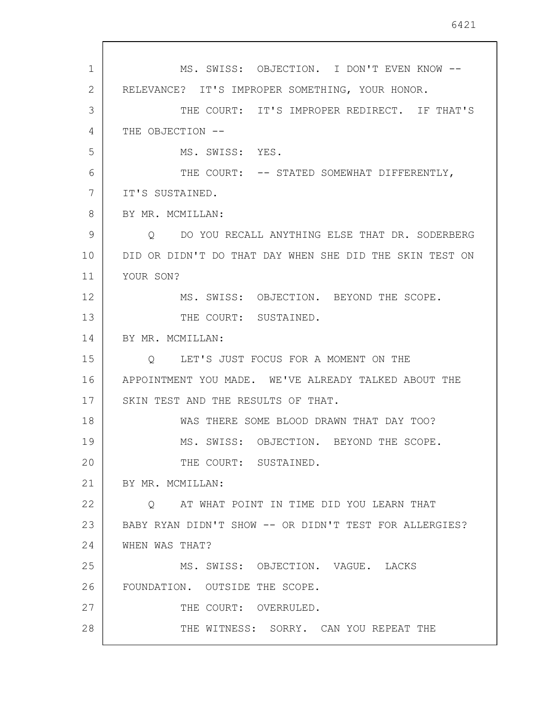1 2 3 4 5 6 7 8 9 10 11 12 13 14 15 16 17 18 19 20 21 22 23 24 25 26 27 28 MS. SWISS: OBJECTION. I DON'T EVEN KNOW -- RELEVANCE? IT'S IMPROPER SOMETHING, YOUR HONOR. THE COURT: IT'S IMPROPER REDIRECT. IF THAT'S THE OBJECTION --MS. SWISS: YES. THE COURT: -- STATED SOMEWHAT DIFFERENTLY, IT'S SUSTAINED. BY MR. MCMILLAN: Q DO YOU RECALL ANYTHING ELSE THAT DR. SODERBERG DID OR DIDN'T DO THAT DAY WHEN SHE DID THE SKIN TEST ON YOUR SON? MS. SWISS: OBJECTION. BEYOND THE SCOPE. THE COURT: SUSTAINED. BY MR. MCMILLAN: Q LET'S JUST FOCUS FOR A MOMENT ON THE APPOINTMENT YOU MADE. WE'VE ALREADY TALKED ABOUT THE SKIN TEST AND THE RESULTS OF THAT. WAS THERE SOME BLOOD DRAWN THAT DAY TOO? MS. SWISS: OBJECTION. BEYOND THE SCOPE. THE COURT: SUSTAINED. BY MR. MCMILLAN: Q AT WHAT POINT IN TIME DID YOU LEARN THAT BABY RYAN DIDN'T SHOW -- OR DIDN'T TEST FOR ALLERGIES? WHEN WAS THAT? MS. SWISS: OBJECTION. VAGUE. LACKS FOUNDATION. OUTSIDE THE SCOPE. THE COURT: OVERRULED. THE WITNESS: SORRY. CAN YOU REPEAT THE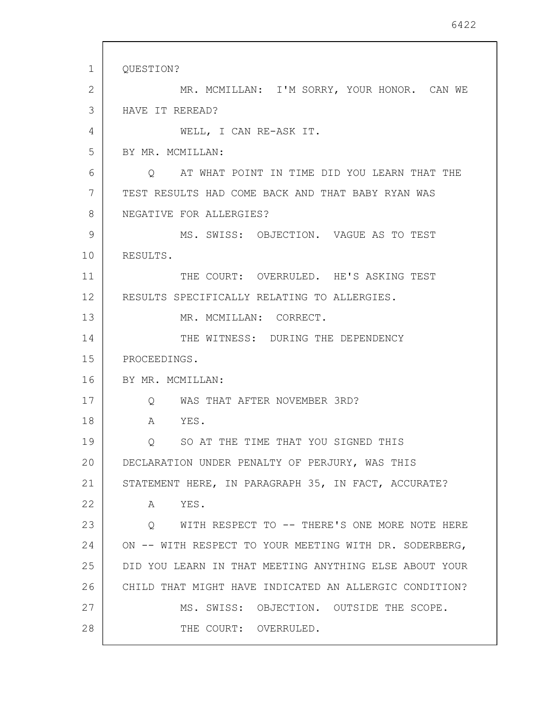1 2 3 4 5 6 7 8 9 10 11 12 13 14 15 16 17 18 19 20 21 22 23 24 25 26 27 28 QUESTION? MR. MCMILLAN: I'M SORRY, YOUR HONOR. CAN WE HAVE IT REREAD? WELL, I CAN RE-ASK IT. BY MR. MCMILLAN: Q AT WHAT POINT IN TIME DID YOU LEARN THAT THE TEST RESULTS HAD COME BACK AND THAT BABY RYAN WAS NEGATIVE FOR ALLERGIES? MS. SWISS: OBJECTION. VAGUE AS TO TEST RESULTS. THE COURT: OVERRULED. HE'S ASKING TEST RESULTS SPECIFICALLY RELATING TO ALLERGIES. MR. MCMILLAN: CORRECT. THE WITNESS: DURING THE DEPENDENCY PROCEEDINGS. BY MR. MCMILLAN: Q WAS THAT AFTER NOVEMBER 3RD? A YES. Q SO AT THE TIME THAT YOU SIGNED THIS DECLARATION UNDER PENALTY OF PERJURY, WAS THIS STATEMENT HERE, IN PARAGRAPH 35, IN FACT, ACCURATE? A YES. Q WITH RESPECT TO -- THERE'S ONE MORE NOTE HERE ON -- WITH RESPECT TO YOUR MEETING WITH DR. SODERBERG, DID YOU LEARN IN THAT MEETING ANYTHING ELSE ABOUT YOUR CHILD THAT MIGHT HAVE INDICATED AN ALLERGIC CONDITION? MS. SWISS: OBJECTION. OUTSIDE THE SCOPE. THE COURT: OVERRULED.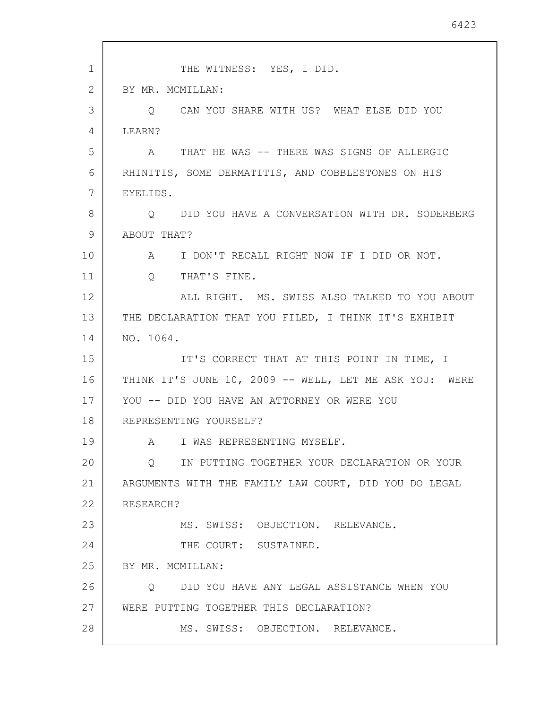| 1  | THE WITNESS: YES, I DID.                                |
|----|---------------------------------------------------------|
| 2  | BY MR. MCMILLAN:                                        |
| 3  | O CAN YOU SHARE WITH US? WHAT ELSE DID YOU              |
| 4  | LEARN?                                                  |
| 5  | A THAT HE WAS -- THERE WAS SIGNS OF ALLERGIC            |
| 6  | RHINITIS, SOME DERMATITIS, AND COBBLESTONES ON HIS      |
| 7  | EYELIDS.                                                |
| 8  | Q DID YOU HAVE A CONVERSATION WITH DR. SODERBERG        |
| 9  | ABOUT THAT?                                             |
| 10 | I DON'T RECALL RIGHT NOW IF I DID OR NOT.<br>A          |
| 11 | THAT'S FINE.<br>$Q_{\rm max}$                           |
| 12 | ALL RIGHT. MS. SWISS ALSO TALKED TO YOU ABOUT           |
| 13 | THE DECLARATION THAT YOU FILED, I THINK IT'S EXHIBIT    |
| 14 | NO. 1064.                                               |
| 15 | IT'S CORRECT THAT AT THIS POINT IN TIME, I              |
| 16 | THINK IT'S JUNE 10, 2009 -- WELL, LET ME ASK YOU: WERE  |
| 17 | YOU -- DID YOU HAVE AN ATTORNEY OR WERE YOU             |
| 18 | REPRESENTING YOURSELF?                                  |
| 19 | A I WAS REPRESENTING MYSELF.                            |
| 20 | IN PUTTING TOGETHER YOUR DECLARATION OR YOUR<br>$\circ$ |
| 21 | ARGUMENTS WITH THE FAMILY LAW COURT, DID YOU DO LEGAL   |
| 22 | RESEARCH?                                               |
| 23 | MS. SWISS: OBJECTION. RELEVANCE.                        |
| 24 | THE COURT: SUSTAINED.                                   |
| 25 | BY MR. MCMILLAN:                                        |
| 26 | DID YOU HAVE ANY LEGAL ASSISTANCE WHEN YOU<br>Q         |
| 27 | WERE PUTTING TOGETHER THIS DECLARATION?                 |
| 28 | MS. SWISS: OBJECTION. RELEVANCE.                        |

 $\overline{\phantom{a}}$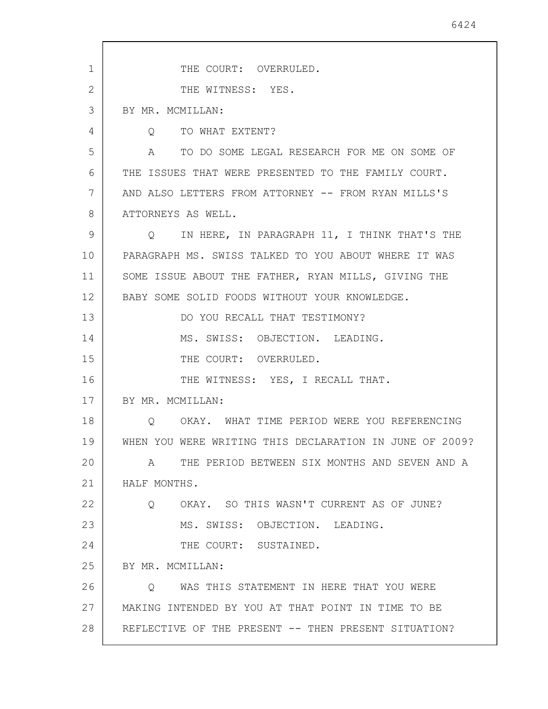1 2 3 4 5 6 7 8 9 10 11 12 13 14 15 16 17 18 19 20 21 22 23 24 25 26 27 28 THE COURT: OVERRULED. THE WITNESS: YES. BY MR. MCMILLAN: Q TO WHAT EXTENT? A TO DO SOME LEGAL RESEARCH FOR ME ON SOME OF THE ISSUES THAT WERE PRESENTED TO THE FAMILY COURT. AND ALSO LETTERS FROM ATTORNEY -- FROM RYAN MILLS'S ATTORNEYS AS WELL. Q IN HERE, IN PARAGRAPH 11, I THINK THAT'S THE PARAGRAPH MS. SWISS TALKED TO YOU ABOUT WHERE IT WAS SOME ISSUE ABOUT THE FATHER, RYAN MILLS, GIVING THE BABY SOME SOLID FOODS WITHOUT YOUR KNOWLEDGE. DO YOU RECALL THAT TESTIMONY? MS. SWISS: OBJECTION. LEADING. THE COURT: OVERRULED. THE WITNESS: YES, I RECALL THAT. BY MR. MCMILLAN: Q OKAY. WHAT TIME PERIOD WERE YOU REFERENCING WHEN YOU WERE WRITING THIS DECLARATION IN JUNE OF 2009? A THE PERIOD BETWEEN SIX MONTHS AND SEVEN AND A HALF MONTHS. Q OKAY. SO THIS WASN'T CURRENT AS OF JUNE? MS. SWISS: OBJECTION. LEADING. THE COURT: SUSTAINED. BY MR. MCMILLAN: Q WAS THIS STATEMENT IN HERE THAT YOU WERE MAKING INTENDED BY YOU AT THAT POINT IN TIME TO BE REFLECTIVE OF THE PRESENT -- THEN PRESENT SITUATION?

6424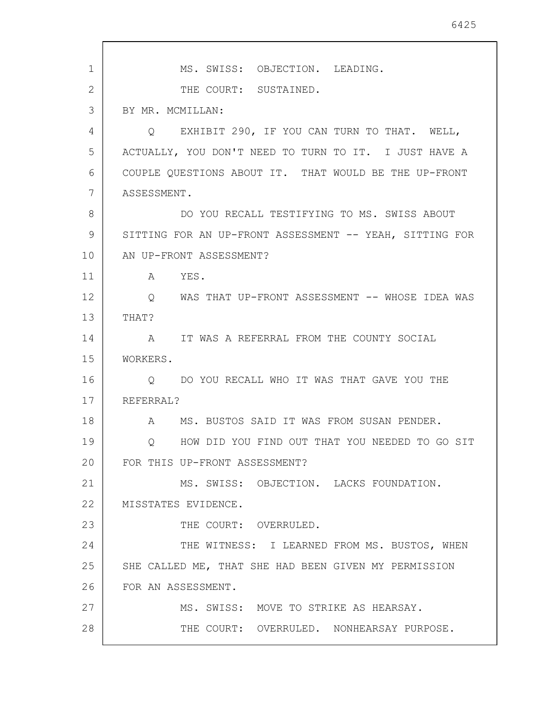| 1              | MS. SWISS: OBJECTION. LEADING.                           |
|----------------|----------------------------------------------------------|
| $\overline{2}$ | THE COURT: SUSTAINED.                                    |
| 3              | BY MR. MCMILLAN:                                         |
| 4              | Q EXHIBIT 290, IF YOU CAN TURN TO THAT. WELL,            |
| 5              | ACTUALLY, YOU DON'T NEED TO TURN TO IT. I JUST HAVE A    |
| 6              | COUPLE QUESTIONS ABOUT IT. THAT WOULD BE THE UP-FRONT    |
| 7              | ASSESSMENT.                                              |
| 8              | DO YOU RECALL TESTIFYING TO MS. SWISS ABOUT              |
| 9              | SITTING FOR AN UP-FRONT ASSESSMENT -- YEAH, SITTING FOR  |
| 10             | AN UP-FRONT ASSESSMENT?                                  |
| 11             | A YES.                                                   |
| 12             | Q WAS THAT UP-FRONT ASSESSMENT -- WHOSE IDEA WAS         |
| 13             | THAT?                                                    |
| 14             | A IT WAS A REFERRAL FROM THE COUNTY SOCIAL               |
| 15             | WORKERS.                                                 |
| 16             | O DO YOU RECALL WHO IT WAS THAT GAVE YOU THE             |
| 17             | REFERRAL?                                                |
| 18             | MS. BUSTOS SAID IT WAS FROM SUSAN PENDER.<br>$\mathbb A$ |
| 19             | HOW DID YOU FIND OUT THAT YOU NEEDED TO GO SIT<br>Q      |
| 20             | FOR THIS UP-FRONT ASSESSMENT?                            |
| 21             | MS. SWISS: OBJECTION. LACKS FOUNDATION.                  |
| 22             | MISSTATES EVIDENCE.                                      |
| 23             | THE COURT: OVERRULED.                                    |
| 24             | THE WITNESS: I LEARNED FROM MS. BUSTOS, WHEN             |
| 25             | SHE CALLED ME, THAT SHE HAD BEEN GIVEN MY PERMISSION     |
| 26             | FOR AN ASSESSMENT.                                       |
| 27             | MS. SWISS: MOVE TO STRIKE AS HEARSAY.                    |
| 28             | THE COURT: OVERRULED. NONHEARSAY PURPOSE.                |

 $\mathbf{r}$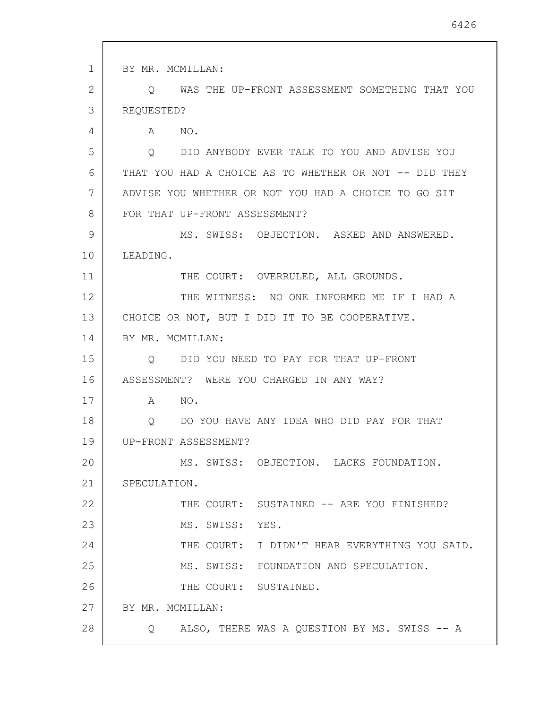1 2 3 4 5 6 7 8 9 10 11 12 13 14 15 16 17 18 19 20 21 22 23 24 25 26 27 28 BY MR. MCMILLAN: Q WAS THE UP-FRONT ASSESSMENT SOMETHING THAT YOU REQUESTED? A NO. Q DID ANYBODY EVER TALK TO YOU AND ADVISE YOU THAT YOU HAD A CHOICE AS TO WHETHER OR NOT -- DID THEY ADVISE YOU WHETHER OR NOT YOU HAD A CHOICE TO GO SIT FOR THAT UP-FRONT ASSESSMENT? MS. SWISS: OBJECTION. ASKED AND ANSWERED. LEADING. THE COURT: OVERRULED, ALL GROUNDS. THE WITNESS: NO ONE INFORMED ME IF I HAD A CHOICE OR NOT, BUT I DID IT TO BE COOPERATIVE. BY MR. MCMILLAN: Q DID YOU NEED TO PAY FOR THAT UP-FRONT ASSESSMENT? WERE YOU CHARGED IN ANY WAY? A NO. Q DO YOU HAVE ANY IDEA WHO DID PAY FOR THAT UP-FRONT ASSESSMENT? MS. SWISS: OBJECTION. LACKS FOUNDATION. SPECULATION. THE COURT: SUSTAINED -- ARE YOU FINISHED? MS. SWISS: YES. THE COURT: I DIDN'T HEAR EVERYTHING YOU SAID. MS. SWISS: FOUNDATION AND SPECULATION. THE COURT: SUSTAINED. BY MR. MCMILLAN: Q ALSO, THERE WAS A QUESTION BY MS. SWISS -- A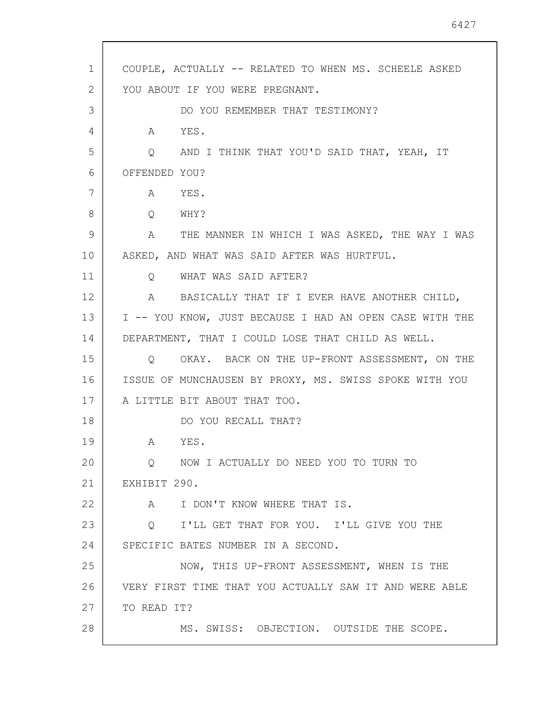| 1  | COUPLE, ACTUALLY -- RELATED TO WHEN MS. SCHEELE ASKED   |
|----|---------------------------------------------------------|
| 2  | YOU ABOUT IF YOU WERE PREGNANT.                         |
| 3  | DO YOU REMEMBER THAT TESTIMONY?                         |
| 4  | YES.<br>A                                               |
| 5  | Q AND I THINK THAT YOU'D SAID THAT, YEAH, IT            |
| 6  | OFFENDED YOU?                                           |
| 7  | A YES.                                                  |
| 8  | Q WHY?                                                  |
| 9  | A THE MANNER IN WHICH I WAS ASKED, THE WAY I WAS        |
| 10 | ASKED, AND WHAT WAS SAID AFTER WAS HURTFUL.             |
| 11 | Q WHAT WAS SAID AFTER?                                  |
| 12 | A BASICALLY THAT IF I EVER HAVE ANOTHER CHILD,          |
| 13 | I -- YOU KNOW, JUST BECAUSE I HAD AN OPEN CASE WITH THE |
| 14 | DEPARTMENT, THAT I COULD LOSE THAT CHILD AS WELL.       |
| 15 | Q OKAY. BACK ON THE UP-FRONT ASSESSMENT, ON THE         |
| 16 | ISSUE OF MUNCHAUSEN BY PROXY, MS. SWISS SPOKE WITH YOU  |
| 17 | A LITTLE BIT ABOUT THAT TOO.                            |
| 18 | DO YOU RECALL THAT?                                     |
| 19 | YES.<br>A                                               |
| 20 | NOW I ACTUALLY DO NEED YOU TO TURN TO<br>$\circ$        |
| 21 | EXHIBIT 290.                                            |
| 22 | I DON'T KNOW WHERE THAT IS.<br>A                        |
| 23 | I'LL GET THAT FOR YOU. I'LL GIVE YOU THE<br>Q           |
| 24 | SPECIFIC BATES NUMBER IN A SECOND.                      |
| 25 | NOW, THIS UP-FRONT ASSESSMENT, WHEN IS THE              |
| 26 | VERY FIRST TIME THAT YOU ACTUALLY SAW IT AND WERE ABLE  |
| 27 | TO READ IT?                                             |
| 28 | MS. SWISS: OBJECTION. OUTSIDE THE SCOPE.                |
|    |                                                         |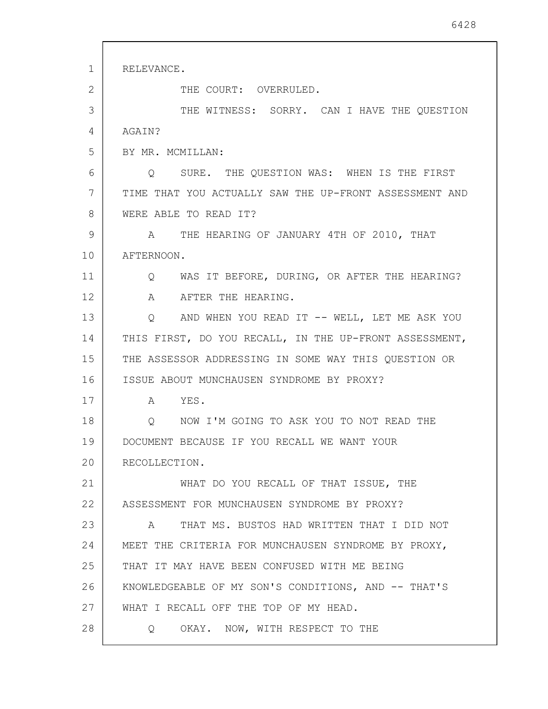| $\mathbf 1$ | RELEVANCE.                                                 |
|-------------|------------------------------------------------------------|
| 2           | THE COURT: OVERRULED.                                      |
| 3           | THE WITNESS: SORRY. CAN I HAVE THE QUESTION                |
| 4           | AGAIN?                                                     |
| 5           | BY MR. MCMILLAN:                                           |
| 6           | Q SURE. THE QUESTION WAS: WHEN IS THE FIRST                |
| 7           | TIME THAT YOU ACTUALLY SAW THE UP-FRONT ASSESSMENT AND     |
| 8           | WERE ABLE TO READ IT?                                      |
| 9           | A THE HEARING OF JANUARY 4TH OF 2010, THAT                 |
| 10          | AFTERNOON.                                                 |
| 11          | Q WAS IT BEFORE, DURING, OR AFTER THE HEARING?             |
| 12          | A AFTER THE HEARING.                                       |
| 13          | Q AND WHEN YOU READ IT -- WELL, LET ME ASK YOU             |
| 14          | THIS FIRST, DO YOU RECALL, IN THE UP-FRONT ASSESSMENT,     |
| 15          | THE ASSESSOR ADDRESSING IN SOME WAY THIS QUESTION OR       |
| 16          | ISSUE ABOUT MUNCHAUSEN SYNDROME BY PROXY?                  |
| 17          | A YES.                                                     |
| 18          | NOW I'M GOING TO ASK YOU TO NOT READ THE<br>$\overline{Q}$ |
| 19          | DOCUMENT BECAUSE IF YOU RECALL WE WANT YOUR                |
| 20          | RECOLLECTION.                                              |
| 21          | WHAT DO YOU RECALL OF THAT ISSUE, THE                      |
| 22          | ASSESSMENT FOR MUNCHAUSEN SYNDROME BY PROXY?               |
| 23          | THAT MS. BUSTOS HAD WRITTEN THAT I DID NOT<br>$\mathbb A$  |
| 24          | MEET THE CRITERIA FOR MUNCHAUSEN SYNDROME BY PROXY,        |
| 25          | THAT IT MAY HAVE BEEN CONFUSED WITH ME BEING               |
| 26          | KNOWLEDGEABLE OF MY SON'S CONDITIONS, AND -- THAT'S        |
| 27          | WHAT I RECALL OFF THE TOP OF MY HEAD.                      |
| 28          | OKAY. NOW, WITH RESPECT TO THE<br>Q                        |
|             |                                                            |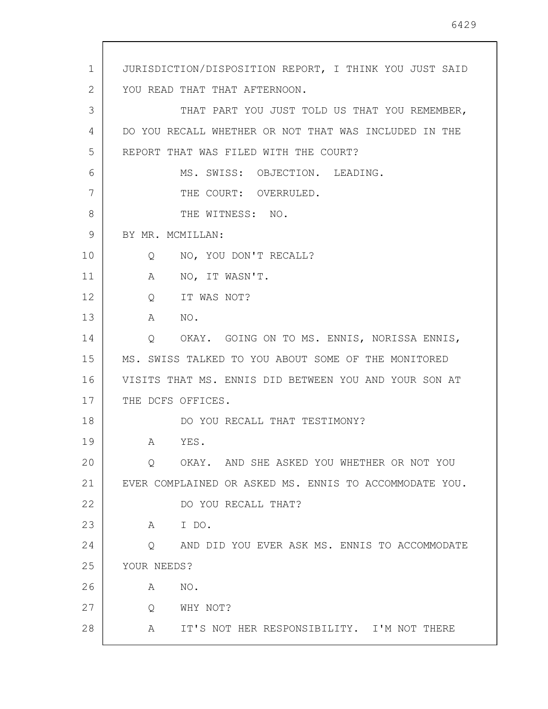1 2 3 4 5 6 7 8 9 10 11 12 13 14 15 16 17 18 19 20 21 22 23 24 25 26 27 28 JURISDICTION/DISPOSITION REPORT, I THINK YOU JUST SAID YOU READ THAT THAT AFTERNOON. THAT PART YOU JUST TOLD US THAT YOU REMEMBER, DO YOU RECALL WHETHER OR NOT THAT WAS INCLUDED IN THE REPORT THAT WAS FILED WITH THE COURT? MS. SWISS: OBJECTION. LEADING. THE COURT: OVERRULED. THE WITNESS: NO. BY MR. MCMILLAN: Q NO, YOU DON'T RECALL? A NO, IT WASN'T. Q IT WAS NOT? A NO. Q OKAY. GOING ON TO MS. ENNIS, NORISSA ENNIS, MS. SWISS TALKED TO YOU ABOUT SOME OF THE MONITORED VISITS THAT MS. ENNIS DID BETWEEN YOU AND YOUR SON AT THE DCFS OFFICES. DO YOU RECALL THAT TESTIMONY? A YES. Q OKAY. AND SHE ASKED YOU WHETHER OR NOT YOU EVER COMPLAINED OR ASKED MS. ENNIS TO ACCOMMODATE YOU. DO YOU RECALL THAT? A I DO. Q AND DID YOU EVER ASK MS. ENNIS TO ACCOMMODATE YOUR NEEDS? A NO. Q WHY NOT? A IT'S NOT HER RESPONSIBILITY. I'M NOT THERE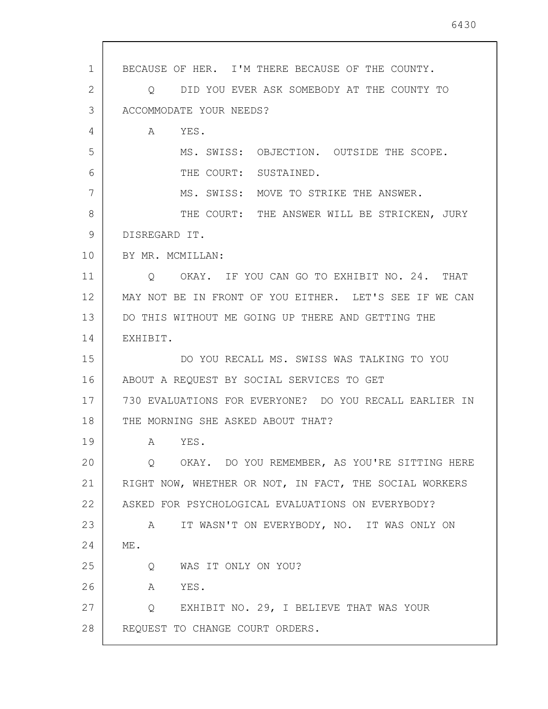| $\mathbf{1}$ | BECAUSE OF HER. I'M THERE BECAUSE OF THE COUNTY.          |
|--------------|-----------------------------------------------------------|
| 2            | DID YOU EVER ASK SOMEBODY AT THE COUNTY TO<br>O           |
| 3            | ACCOMMODATE YOUR NEEDS?                                   |
| 4            | YES.<br>A                                                 |
| 5            | MS. SWISS: OBJECTION. OUTSIDE THE SCOPE.                  |
| 6            | THE COURT: SUSTAINED.                                     |
| 7            | MS. SWISS: MOVE TO STRIKE THE ANSWER.                     |
| 8            | THE COURT: THE ANSWER WILL BE STRICKEN, JURY              |
| 9            | DISREGARD IT.                                             |
| 10           | BY MR. MCMILLAN:                                          |
| 11           | OKAY. IF YOU CAN GO TO EXHIBIT NO. 24. THAT<br>Q          |
| 12           | MAY NOT BE IN FRONT OF YOU EITHER. LET'S SEE IF WE CAN    |
| 13           | DO THIS WITHOUT ME GOING UP THERE AND GETTING THE         |
| 14           | EXHIBIT.                                                  |
| 15           | DO YOU RECALL MS. SWISS WAS TALKING TO YOU                |
| 16           | ABOUT A REQUEST BY SOCIAL SERVICES TO GET                 |
| 17           | 730 EVALUATIONS FOR EVERYONE? DO YOU RECALL EARLIER IN    |
| 18           | THE MORNING SHE ASKED ABOUT THAT?                         |
| 19           | YES.<br>A                                                 |
| 20           | O OKAY. DO YOU REMEMBER, AS YOU'RE SITTING HERE           |
| 21           | RIGHT NOW, WHETHER OR NOT, IN FACT, THE SOCIAL WORKERS    |
| 22           | ASKED FOR PSYCHOLOGICAL EVALUATIONS ON EVERYBODY?         |
| 23           | IT WASN'T ON EVERYBODY, NO. IT WAS ONLY ON<br>$\mathsf A$ |
| 24           | ME.                                                       |
| 25           | Q WAS IT ONLY ON YOU?                                     |
| 26           | A<br>YES.                                                 |
| 27           | Q EXHIBIT NO. 29, I BELIEVE THAT WAS YOUR                 |
| 28           | REQUEST TO CHANGE COURT ORDERS.                           |
|              |                                                           |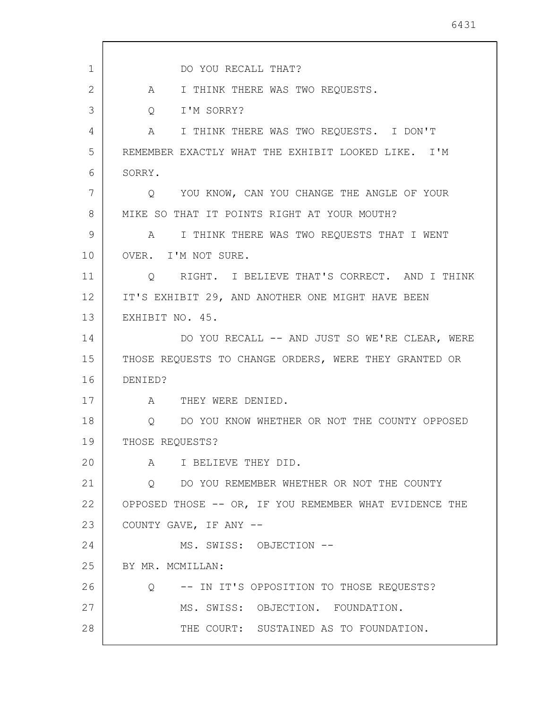| $\mathbf 1$ | DO YOU RECALL THAT?                                    |
|-------------|--------------------------------------------------------|
| 2           | I THINK THERE WAS TWO REQUESTS.<br>$\mathbb A$         |
| 3           | I'M SORRY?<br>$Q \qquad \qquad$                        |
| 4           | A I THINK THERE WAS TWO REQUESTS. I DON'T              |
| 5           | REMEMBER EXACTLY WHAT THE EXHIBIT LOOKED LIKE. I'M     |
| 6           | SORRY.                                                 |
| 7           | Q YOU KNOW, CAN YOU CHANGE THE ANGLE OF YOUR           |
| 8           | MIKE SO THAT IT POINTS RIGHT AT YOUR MOUTH?            |
| 9           | A I THINK THERE WAS TWO REQUESTS THAT I WENT           |
| 10          | OVER. I'M NOT SURE.                                    |
| 11          | Q RIGHT. I BELIEVE THAT'S CORRECT. AND I THINK         |
| 12          | IT'S EXHIBIT 29, AND ANOTHER ONE MIGHT HAVE BEEN       |
| 13          | EXHIBIT NO. 45.                                        |
| 14          | DO YOU RECALL -- AND JUST SO WE'RE CLEAR, WERE         |
| 15          | THOSE REQUESTS TO CHANGE ORDERS, WERE THEY GRANTED OR  |
| 16          | DENIED?                                                |
| 17          | A THEY WERE DENIED.                                    |
| 18          | DO YOU KNOW WHETHER OR NOT THE COUNTY OPPOSED<br>Q     |
| 19          | THOSE REQUESTS?                                        |
| 20          | A I BELIEVE THEY DID.                                  |
| 21          | Q DO YOU REMEMBER WHETHER OR NOT THE COUNTY            |
| 22          | OPPOSED THOSE -- OR, IF YOU REMEMBER WHAT EVIDENCE THE |
| 23          | COUNTY GAVE, IF ANY --                                 |
| 24          | MS. SWISS: OBJECTION --                                |
| 25          | BY MR. MCMILLAN:                                       |
| 26          | Q -- IN IT'S OPPOSITION TO THOSE REQUESTS?             |
| 27          | MS. SWISS: OBJECTION. FOUNDATION.                      |
| 28          | THE COURT: SUSTAINED AS TO FOUNDATION.                 |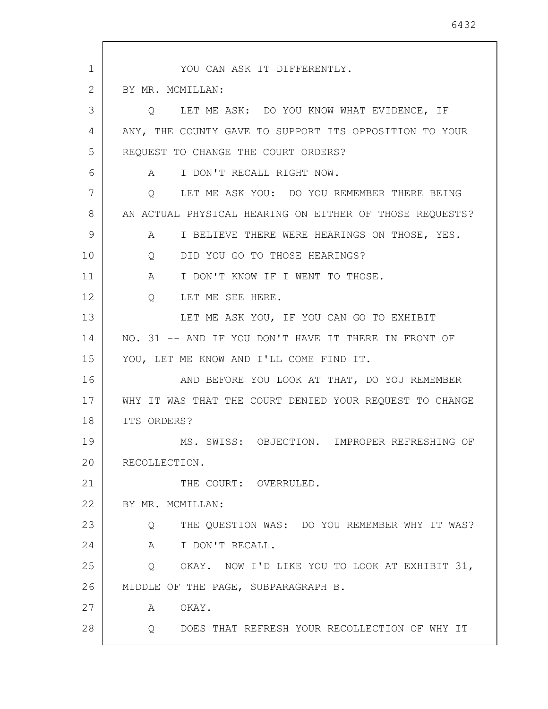1 2 3 4 5 6 7 8 9 10 11 12 13 14 15 16 17 18 19 20 21 22 23 24 25 26 27 28 YOU CAN ASK IT DIFFERENTLY. BY MR. MCMILLAN: Q LET ME ASK: DO YOU KNOW WHAT EVIDENCE, IF ANY, THE COUNTY GAVE TO SUPPORT ITS OPPOSITION TO YOUR REQUEST TO CHANGE THE COURT ORDERS? A I DON'T RECALL RIGHT NOW. Q LET ME ASK YOU: DO YOU REMEMBER THERE BEING AN ACTUAL PHYSICAL HEARING ON EITHER OF THOSE REQUESTS? A I BELIEVE THERE WERE HEARINGS ON THOSE, YES. Q DID YOU GO TO THOSE HEARINGS? A I DON'T KNOW IF I WENT TO THOSE. Q LET ME SEE HERE. LET ME ASK YOU, IF YOU CAN GO TO EXHIBIT NO. 31 -- AND IF YOU DON'T HAVE IT THERE IN FRONT OF YOU, LET ME KNOW AND I'LL COME FIND IT. AND BEFORE YOU LOOK AT THAT, DO YOU REMEMBER WHY IT WAS THAT THE COURT DENIED YOUR REQUEST TO CHANGE ITS ORDERS? MS. SWISS: OBJECTION. IMPROPER REFRESHING OF RECOLLECTION. THE COURT: OVERRULED. BY MR. MCMILLAN: Q THE QUESTION WAS: DO YOU REMEMBER WHY IT WAS? A I DON'T RECALL. Q OKAY. NOW I'D LIKE YOU TO LOOK AT EXHIBIT 31, MIDDLE OF THE PAGE, SUBPARAGRAPH B. A OKAY. Q DOES THAT REFRESH YOUR RECOLLECTION OF WHY IT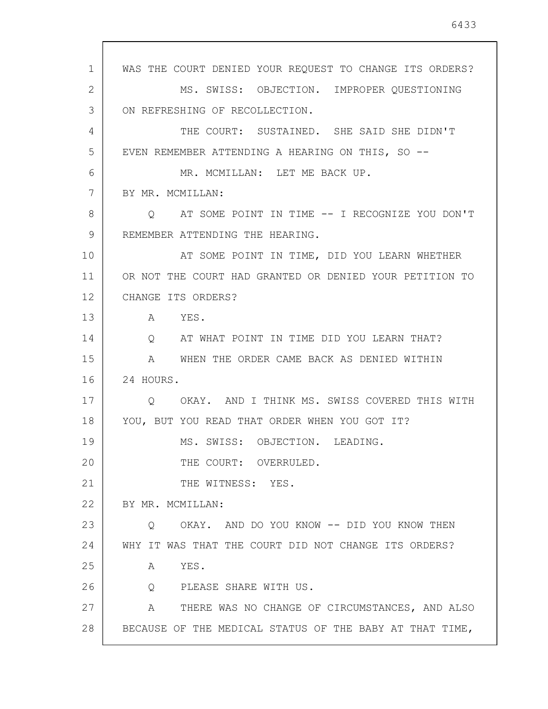WAS THE COURT DENIED YOUR REQUEST TO CHANGE ITS ORDERS? MS. SWISS: OBJECTION. IMPROPER QUESTIONING ON REFRESHING OF RECOLLECTION. THE COURT: SUSTAINED. SHE SAID SHE DIDN'T EVEN REMEMBER ATTENDING A HEARING ON THIS, SO -- MR. MCMILLAN: LET ME BACK UP. BY MR. MCMILLAN: Q AT SOME POINT IN TIME -- I RECOGNIZE YOU DON'T REMEMBER ATTENDING THE HEARING. AT SOME POINT IN TIME, DID YOU LEARN WHETHER OR NOT THE COURT HAD GRANTED OR DENIED YOUR PETITION TO CHANGE ITS ORDERS? A YES. Q AT WHAT POINT IN TIME DID YOU LEARN THAT? A WHEN THE ORDER CAME BACK AS DENIED WITHIN Q OKAY. AND I THINK MS. SWISS COVERED THIS WITH

YOU, BUT YOU READ THAT ORDER WHEN YOU GOT IT?

MS. SWISS: OBJECTION. LEADING.

THE COURT: OVERRULED.

21 THE WITNESS: YES.

22 BY MR. MCMILLAN:

24 HOURS.

1

2

3

4

5

6

7

8

9

10

11

12

13

14

15

16

17

18

19

20

23 24 Q OKAY. AND DO YOU KNOW -- DID YOU KNOW THEN WHY IT WAS THAT THE COURT DID NOT CHANGE ITS ORDERS?

25 A YES.

26 Q PLEASE SHARE WITH US.

27 28 A THERE WAS NO CHANGE OF CIRCUMSTANCES, AND ALSO BECAUSE OF THE MEDICAL STATUS OF THE BABY AT THAT TIME,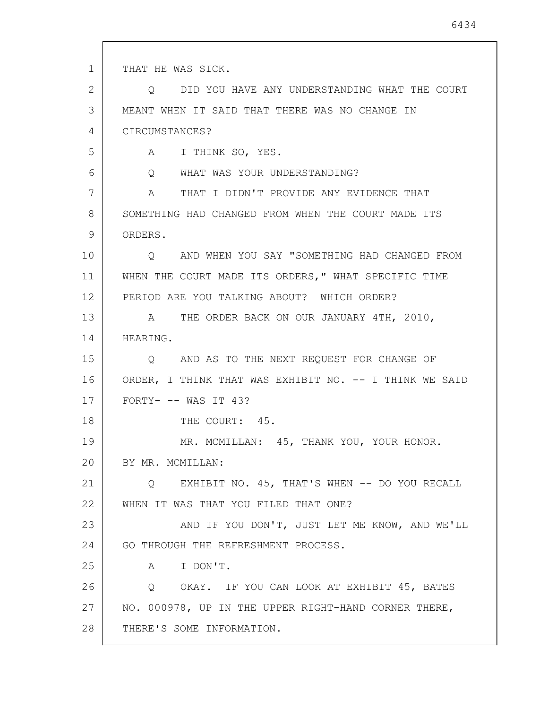1 2 3 4 5 6 7 8 9 10 11 12 13 14 15 16 17 18 19 20 21 22 23 24 25 26 27 28 THAT HE WAS SICK. Q DID YOU HAVE ANY UNDERSTANDING WHAT THE COURT MEANT WHEN IT SAID THAT THERE WAS NO CHANGE IN CIRCUMSTANCES? A I THINK SO, YES. Q WHAT WAS YOUR UNDERSTANDING? A THAT I DIDN'T PROVIDE ANY EVIDENCE THAT SOMETHING HAD CHANGED FROM WHEN THE COURT MADE ITS ORDERS. Q AND WHEN YOU SAY "SOMETHING HAD CHANGED FROM WHEN THE COURT MADE ITS ORDERS," WHAT SPECIFIC TIME PERIOD ARE YOU TALKING ABOUT? WHICH ORDER? A THE ORDER BACK ON OUR JANUARY 4TH, 2010, HEARING. Q AND AS TO THE NEXT REQUEST FOR CHANGE OF ORDER, I THINK THAT WAS EXHIBIT NO. -- I THINK WE SAID FORTY- -- WAS IT 43? THE COURT: 45. MR. MCMILLAN: 45, THANK YOU, YOUR HONOR. BY MR. MCMILLAN: Q EXHIBIT NO. 45, THAT'S WHEN -- DO YOU RECALL WHEN IT WAS THAT YOU FILED THAT ONE? AND IF YOU DON'T, JUST LET ME KNOW, AND WE'LL GO THROUGH THE REFRESHMENT PROCESS. A I DON'T. Q OKAY. IF YOU CAN LOOK AT EXHIBIT 45, BATES NO. 000978, UP IN THE UPPER RIGHT-HAND CORNER THERE, THERE'S SOME INFORMATION.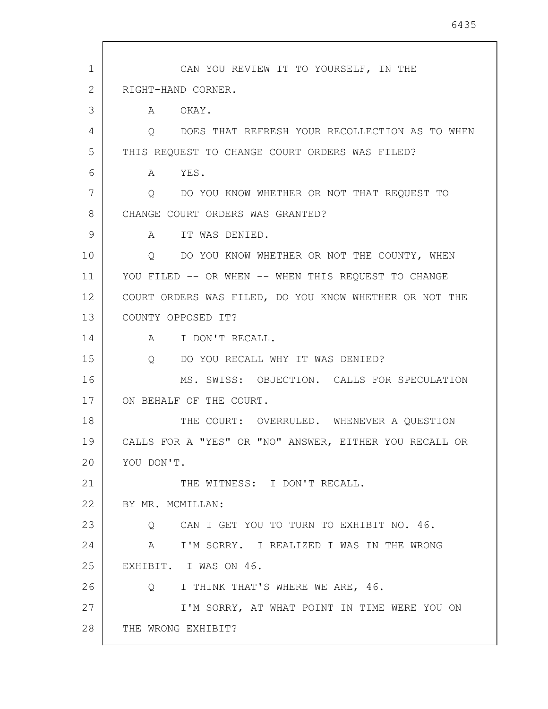| $\mathbf{1}$ | CAN YOU REVIEW IT TO YOURSELF, IN THE                        |
|--------------|--------------------------------------------------------------|
| 2            | RIGHT-HAND CORNER.                                           |
| 3            | A OKAY.                                                      |
| 4            | DOES THAT REFRESH YOUR RECOLLECTION AS TO WHEN<br>$\circ$    |
| 5            | THIS REQUEST TO CHANGE COURT ORDERS WAS FILED?               |
| 6            | A YES.                                                       |
| 7            | DO YOU KNOW WHETHER OR NOT THAT REQUEST TO<br>$\overline{Q}$ |
| 8            | CHANGE COURT ORDERS WAS GRANTED?                             |
| 9            | IT WAS DENIED.<br>$A \quad \alpha$                           |
| 10           | Q DO YOU KNOW WHETHER OR NOT THE COUNTY, WHEN                |
| 11           | YOU FILED -- OR WHEN -- WHEN THIS REQUEST TO CHANGE          |
| 12           | COURT ORDERS WAS FILED, DO YOU KNOW WHETHER OR NOT THE       |
| 13           | COUNTY OPPOSED IT?                                           |
| 14           | A I DON'T RECALL.                                            |
| 15           | DO YOU RECALL WHY IT WAS DENIED?<br>$Q_{\rm max}$            |
| 16           | MS. SWISS: OBJECTION. CALLS FOR SPECULATION                  |
| 17           | ON BEHALF OF THE COURT.                                      |
| 18           | THE COURT: OVERRULED. WHENEVER A QUESTION                    |
| 19           | CALLS FOR A "YES" OR "NO" ANSWER, EITHER YOU RECALL OR       |
| 20           | YOU DON'T.                                                   |
| 21           | THE WITNESS: I DON'T RECALL.                                 |
| 22           | BY MR. MCMILLAN:                                             |
| 23           | Q CAN I GET YOU TO TURN TO EXHIBIT NO. 46.                   |
| 24           | I'M SORRY. I REALIZED I WAS IN THE WRONG<br>A                |
| 25           | EXHIBIT. I WAS ON 46.                                        |
| 26           | I THINK THAT'S WHERE WE ARE, 46.<br>$\overline{Q}$           |
| 27           | I'M SORRY, AT WHAT POINT IN TIME WERE YOU ON                 |
| 28           | THE WRONG EXHIBIT?                                           |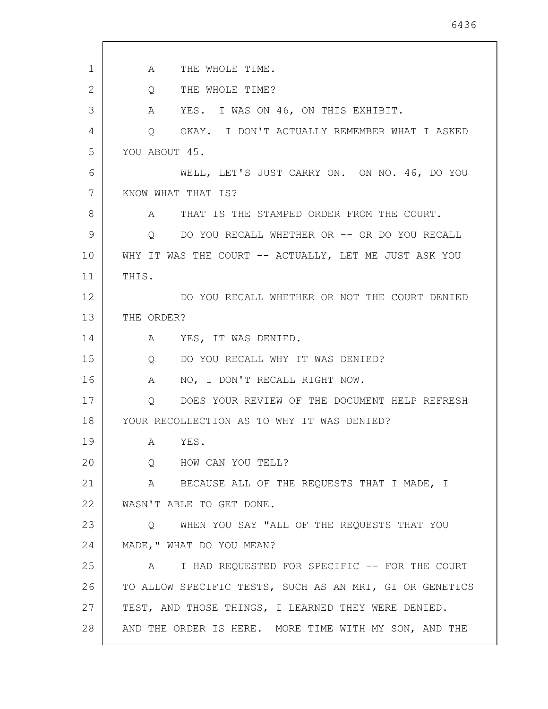| 1  | THE WHOLE TIME.<br>A                                          |
|----|---------------------------------------------------------------|
| 2  | THE WHOLE TIME?<br>$Q \qquad \qquad$                          |
| 3  | A YES. I WAS ON 46, ON THIS EXHIBIT.                          |
| 4  | OKAY. I DON'T ACTUALLY REMEMBER WHAT I ASKED<br>$Q_{\rm max}$ |
| 5  | YOU ABOUT 45.                                                 |
| 6  | WELL, LET'S JUST CARRY ON. ON NO. 46, DO YOU                  |
| 7  | KNOW WHAT THAT IS?                                            |
| 8  | A THAT IS THE STAMPED ORDER FROM THE COURT.                   |
| 9  | O DO YOU RECALL WHETHER OR -- OR DO YOU RECALL                |
| 10 | WHY IT WAS THE COURT -- ACTUALLY, LET ME JUST ASK YOU         |
| 11 | THIS.                                                         |
| 12 | DO YOU RECALL WHETHER OR NOT THE COURT DENIED                 |
| 13 | THE ORDER?                                                    |
| 14 | A YES, IT WAS DENIED.                                         |
| 15 | DO YOU RECALL WHY IT WAS DENIED?<br>Q                         |
| 16 | NO, I DON'T RECALL RIGHT NOW.<br>A                            |
| 17 | Q DOES YOUR REVIEW OF THE DOCUMENT HELP REFRESH               |
| 18 | YOUR RECOLLECTION AS TO WHY IT WAS DENIED?                    |
| 19 | YES.<br>A                                                     |
| 20 | HOW CAN YOU TELL?<br>$Q \qquad \qquad$                        |
| 21 | $\mathbf{A}$<br>BECAUSE ALL OF THE REQUESTS THAT I MADE, I    |
| 22 | WASN'T ABLE TO GET DONE.                                      |
| 23 | WHEN YOU SAY "ALL OF THE REQUESTS THAT YOU<br>Q               |
| 24 | MADE, " WHAT DO YOU MEAN?                                     |
| 25 | I HAD REQUESTED FOR SPECIFIC -- FOR THE COURT<br>A            |
| 26 | TO ALLOW SPECIFIC TESTS, SUCH AS AN MRI, GI OR GENETICS       |
| 27 | TEST, AND THOSE THINGS, I LEARNED THEY WERE DENIED.           |
| 28 | AND THE ORDER IS HERE. MORE TIME WITH MY SON, AND THE         |
|    |                                                               |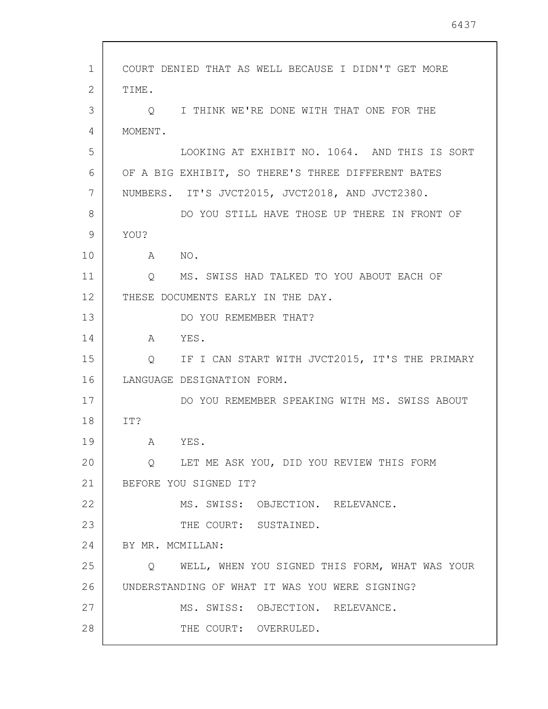| $\mathbf{1}$ | COURT DENIED THAT AS WELL BECAUSE I DIDN'T GET MORE           |
|--------------|---------------------------------------------------------------|
| $\mathbf{2}$ | TIME.                                                         |
| 3            | I THINK WE'RE DONE WITH THAT ONE FOR THE<br>O                 |
| 4            | MOMENT.                                                       |
| 5            | LOOKING AT EXHIBIT NO. 1064. AND THIS IS SORT                 |
| 6            | OF A BIG EXHIBIT, SO THERE'S THREE DIFFERENT BATES            |
| 7            | NUMBERS. IT'S JVCT2015, JVCT2018, AND JVCT2380.               |
| 8            | DO YOU STILL HAVE THOSE UP THERE IN FRONT OF                  |
| 9            | YOU?                                                          |
| 10           | A NO.                                                         |
| 11           | MS. SWISS HAD TALKED TO YOU ABOUT EACH OF<br>Q                |
| 12           | THESE DOCUMENTS EARLY IN THE DAY.                             |
| 13           | DO YOU REMEMBER THAT?                                         |
| 14           | YES.<br>$\mathbb A$                                           |
| 15           | Q IF I CAN START WITH JVCT2015, IT'S THE PRIMARY              |
| 16           | LANGUAGE DESIGNATION FORM.                                    |
| 17           | DO YOU REMEMBER SPEAKING WITH MS. SWISS ABOUT                 |
| 18           | IT?                                                           |
| 19           | YES.<br>A                                                     |
| 20           | LET ME ASK YOU, DID YOU REVIEW THIS FORM<br>$Q \qquad \qquad$ |
| 21           | BEFORE YOU SIGNED IT?                                         |
| 22           | MS. SWISS: OBJECTION. RELEVANCE.                              |
| 23           | THE COURT: SUSTAINED.                                         |
| 24           | BY MR. MCMILLAN:                                              |
| 25           | Q WELL, WHEN YOU SIGNED THIS FORM, WHAT WAS YOUR              |
| 26           | UNDERSTANDING OF WHAT IT WAS YOU WERE SIGNING?                |
| 27           | MS. SWISS: OBJECTION. RELEVANCE.                              |
| 28           | THE COURT: OVERRULED.                                         |
|              |                                                               |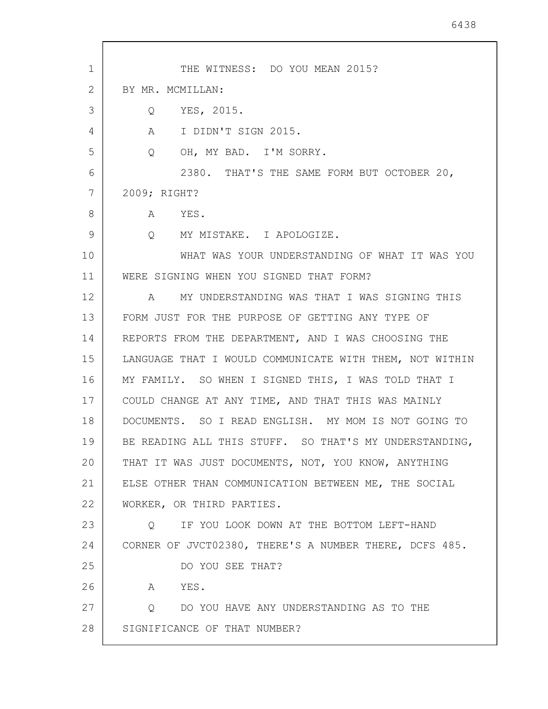| 1  | THE WITNESS: DO YOU MEAN 2015?                          |
|----|---------------------------------------------------------|
| 2  | BY MR. MCMILLAN:                                        |
| 3  | Q YES, 2015.                                            |
| 4  | A I DIDN'T SIGN 2015.                                   |
| 5  | OH, MY BAD. I'M SORRY.<br>$Q_{\rm max}$                 |
| 6  | 2380. THAT'S THE SAME FORM BUT OCTOBER 20,              |
| 7  | 2009; RIGHT?                                            |
| 8  | A YES.                                                  |
| 9  | Q MY MISTAKE. I APOLOGIZE.                              |
| 10 | WHAT WAS YOUR UNDERSTANDING OF WHAT IT WAS YOU          |
| 11 | WERE SIGNING WHEN YOU SIGNED THAT FORM?                 |
| 12 | MY UNDERSTANDING WAS THAT I WAS SIGNING THIS<br>A       |
| 13 | FORM JUST FOR THE PURPOSE OF GETTING ANY TYPE OF        |
| 14 | REPORTS FROM THE DEPARTMENT, AND I WAS CHOOSING THE     |
| 15 | LANGUAGE THAT I WOULD COMMUNICATE WITH THEM, NOT WITHIN |
| 16 | MY FAMILY. SO WHEN I SIGNED THIS, I WAS TOLD THAT I     |
| 17 | COULD CHANGE AT ANY TIME, AND THAT THIS WAS MAINLY      |
| 18 | DOCUMENTS. SO I READ ENGLISH. MY MOM IS NOT GOING TO    |
| 19 | BE READING ALL THIS STUFF. SO THAT'S MY UNDERSTANDING,  |
| 20 | THAT IT WAS JUST DOCUMENTS, NOT, YOU KNOW, ANYTHING     |
| 21 | ELSE OTHER THAN COMMUNICATION BETWEEN ME, THE SOCIAL    |
| 22 | WORKER, OR THIRD PARTIES.                               |
| 23 | O IF YOU LOOK DOWN AT THE BOTTOM LEFT-HAND              |
| 24 | CORNER OF JVCT02380, THERE'S A NUMBER THERE, DCFS 485.  |
| 25 | DO YOU SEE THAT?                                        |
| 26 | A YES.                                                  |
| 27 | Q DO YOU HAVE ANY UNDERSTANDING AS TO THE               |
| 28 | SIGNIFICANCE OF THAT NUMBER?                            |
|    |                                                         |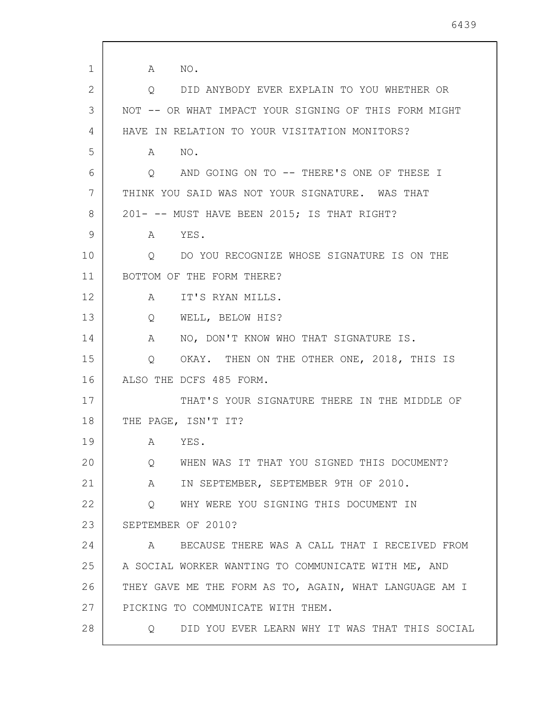1 2 3 4 5 6 7 8 9 10 11 12 13 14 15 16 17 18 19 20 21 22 23 24 25 26 27 28 A NO. Q DID ANYBODY EVER EXPLAIN TO YOU WHETHER OR NOT -- OR WHAT IMPACT YOUR SIGNING OF THIS FORM MIGHT HAVE IN RELATION TO YOUR VISITATION MONITORS? A NO. Q AND GOING ON TO -- THERE'S ONE OF THESE I THINK YOU SAID WAS NOT YOUR SIGNATURE. WAS THAT 201- -- MUST HAVE BEEN 2015; IS THAT RIGHT? A YES. Q DO YOU RECOGNIZE WHOSE SIGNATURE IS ON THE BOTTOM OF THE FORM THERE? A IT'S RYAN MILLS. Q WELL, BELOW HIS? A NO, DON'T KNOW WHO THAT SIGNATURE IS. Q OKAY. THEN ON THE OTHER ONE, 2018, THIS IS ALSO THE DCFS 485 FORM. THAT'S YOUR SIGNATURE THERE IN THE MIDDLE OF THE PAGE, ISN'T IT? A YES. Q WHEN WAS IT THAT YOU SIGNED THIS DOCUMENT? A IN SEPTEMBER, SEPTEMBER 9TH OF 2010. Q WHY WERE YOU SIGNING THIS DOCUMENT IN SEPTEMBER OF 2010? A BECAUSE THERE WAS A CALL THAT I RECEIVED FROM A SOCIAL WORKER WANTING TO COMMUNICATE WITH ME, AND THEY GAVE ME THE FORM AS TO, AGAIN, WHAT LANGUAGE AM I PICKING TO COMMUNICATE WITH THEM. Q DID YOU EVER LEARN WHY IT WAS THAT THIS SOCIAL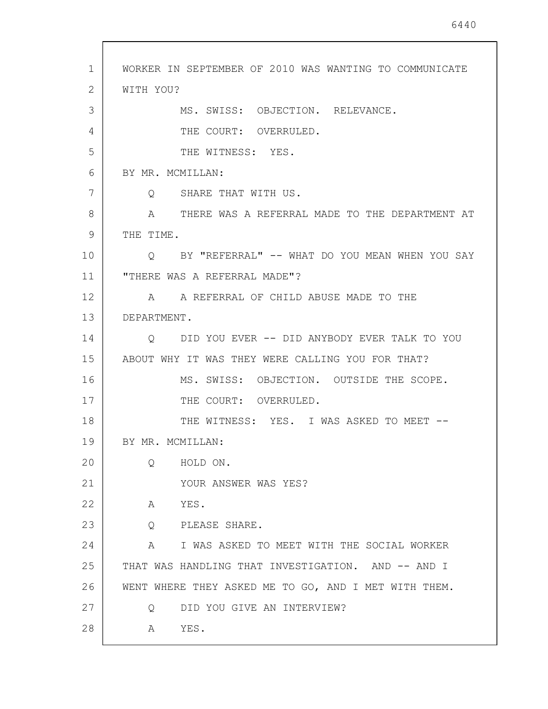| 1  | WORKER IN SEPTEMBER OF 2010 WAS WANTING TO COMMUNICATE    |
|----|-----------------------------------------------------------|
| 2  | WITH YOU?                                                 |
| 3  | MS. SWISS: OBJECTION. RELEVANCE.                          |
| 4  | THE COURT: OVERRULED.                                     |
| 5  | THE WITNESS: YES.                                         |
| 6  | BY MR. MCMILLAN:                                          |
| 7  | Q SHARE THAT WITH US.                                     |
| 8  | A THERE WAS A REFERRAL MADE TO THE DEPARTMENT AT          |
| 9  | THE TIME.                                                 |
| 10 | BY "REFERRAL" -- WHAT DO YOU MEAN WHEN YOU SAY<br>$\circ$ |
| 11 | "THERE WAS A REFERRAL MADE"?                              |
| 12 | A REFERRAL OF CHILD ABUSE MADE TO THE<br>A                |
| 13 | DEPARTMENT.                                               |
| 14 | O DID YOU EVER -- DID ANYBODY EVER TALK TO YOU            |
| 15 | ABOUT WHY IT WAS THEY WERE CALLING YOU FOR THAT?          |
| 16 | MS. SWISS: OBJECTION. OUTSIDE THE SCOPE.                  |
| 17 | THE COURT: OVERRULED.                                     |
| 18 | THE WITNESS: YES. I WAS ASKED TO MEET --                  |
| 19 | BY MR. MCMILLAN:                                          |
| 20 | HOLD ON.<br>$\circ$                                       |
| 21 | YOUR ANSWER WAS YES?                                      |
| 22 | A YES.                                                    |
| 23 | Q PLEASE SHARE.                                           |
| 24 | A I WAS ASKED TO MEET WITH THE SOCIAL WORKER              |
| 25 | THAT WAS HANDLING THAT INVESTIGATION. AND -- AND I        |
| 26 | WENT WHERE THEY ASKED ME TO GO, AND I MET WITH THEM.      |
| 27 | DID YOU GIVE AN INTERVIEW?<br>Q                           |
| 28 | YES.<br>A                                                 |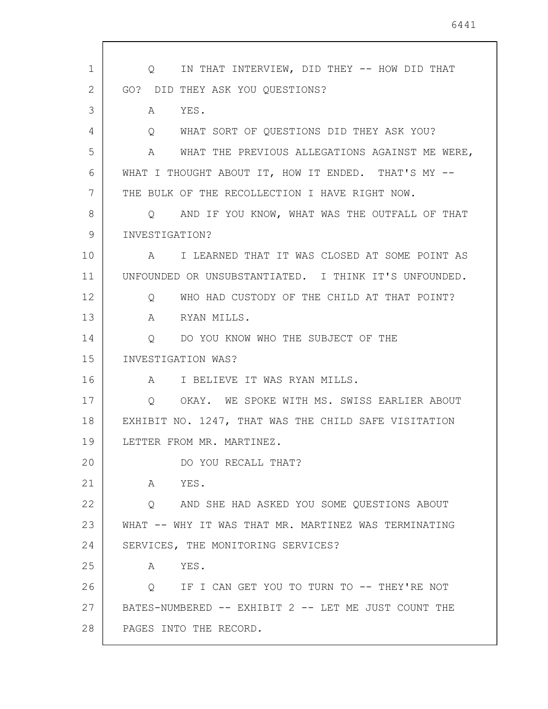1 2 3 4 5 6 7 8 9 10 11 12 13 14 15 16 17 18 19 20 21 22 23 24 25 26 27 28 Q IN THAT INTERVIEW, DID THEY -- HOW DID THAT GO? DID THEY ASK YOU QUESTIONS? A YES. Q WHAT SORT OF QUESTIONS DID THEY ASK YOU? A WHAT THE PREVIOUS ALLEGATIONS AGAINST ME WERE, WHAT I THOUGHT ABOUT IT, HOW IT ENDED. THAT'S MY --THE BULK OF THE RECOLLECTION I HAVE RIGHT NOW. Q AND IF YOU KNOW, WHAT WAS THE OUTFALL OF THAT INVESTIGATION? A I LEARNED THAT IT WAS CLOSED AT SOME POINT AS UNFOUNDED OR UNSUBSTANTIATED. I THINK IT'S UNFOUNDED. Q WHO HAD CUSTODY OF THE CHILD AT THAT POINT? A RYAN MILLS. Q DO YOU KNOW WHO THE SUBJECT OF THE INVESTIGATION WAS? A I BELIEVE IT WAS RYAN MILLS. Q OKAY. WE SPOKE WITH MS. SWISS EARLIER ABOUT EXHIBIT NO. 1247, THAT WAS THE CHILD SAFE VISITATION LETTER FROM MR. MARTINEZ. DO YOU RECALL THAT? A YES. Q AND SHE HAD ASKED YOU SOME QUESTIONS ABOUT WHAT -- WHY IT WAS THAT MR. MARTINEZ WAS TERMINATING SERVICES, THE MONITORING SERVICES? A YES. Q IF I CAN GET YOU TO TURN TO -- THEY'RE NOT BATES-NUMBERED -- EXHIBIT 2 -- LET ME JUST COUNT THE PAGES INTO THE RECORD.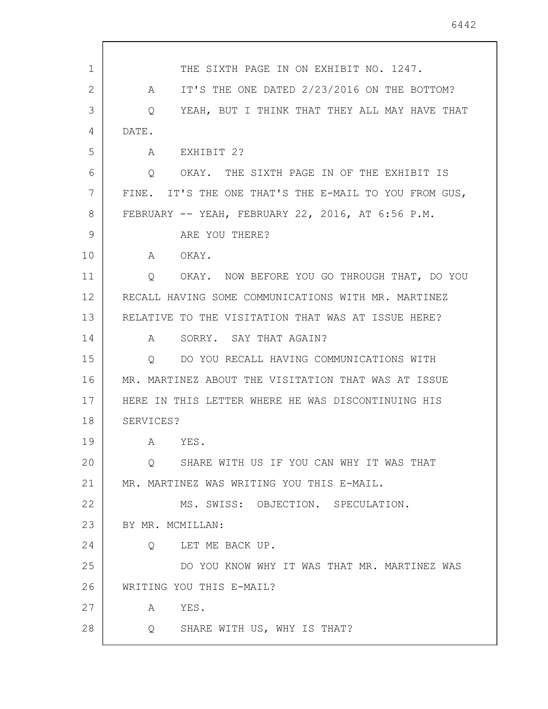| 1  | THE SIXTH PAGE IN ON EXHIBIT NO. 1247.                |
|----|-------------------------------------------------------|
| 2  | IT'S THE ONE DATED 2/23/2016 ON THE BOTTOM?<br>A      |
| 3  | YEAH, BUT I THINK THAT THEY ALL MAY HAVE THAT<br>Q    |
| 4  | DATE.                                                 |
| 5  | A<br>EXHIBIT 2?                                       |
| 6  | OKAY. THE SIXTH PAGE IN OF THE EXHIBIT IS<br>$\circ$  |
| 7  | FINE. IT'S THE ONE THAT'S THE E-MAIL TO YOU FROM GUS, |
| 8  | FEBRUARY -- YEAH, FEBRUARY 22, 2016, AT 6:56 P.M.     |
| 9  | ARE YOU THERE?                                        |
| 10 | A OKAY.                                               |
| 11 | OKAY. NOW BEFORE YOU GO THROUGH THAT, DO YOU<br>Q     |
| 12 | RECALL HAVING SOME COMMUNICATIONS WITH MR. MARTINEZ   |
| 13 | RELATIVE TO THE VISITATION THAT WAS AT ISSUE HERE?    |
| 14 | SORRY. SAY THAT AGAIN?<br>A                           |
| 15 | DO YOU RECALL HAVING COMMUNICATIONS WITH<br>$\circ$   |
| 16 | MR. MARTINEZ ABOUT THE VISITATION THAT WAS AT ISSUE   |
| 17 | HERE IN THIS LETTER WHERE HE WAS DISCONTINUING HIS    |
| 18 | SERVICES?                                             |
| 19 | YES.<br>A                                             |
| 20 | SHARE WITH US IF YOU CAN WHY IT WAS THAT<br>$\circ$   |
| 21 | MR. MARTINEZ WAS WRITING YOU THIS E-MAIL.             |
| 22 | MS. SWISS: OBJECTION. SPECULATION.                    |
| 23 | BY MR. MCMILLAN:                                      |
| 24 | Q LET ME BACK UP.                                     |
| 25 | DO YOU KNOW WHY IT WAS THAT MR. MARTINEZ WAS          |
| 26 | WRITING YOU THIS E-MAIL?                              |
| 27 | YES.<br>A                                             |
| 28 | Q SHARE WITH US, WHY IS THAT?                         |
|    |                                                       |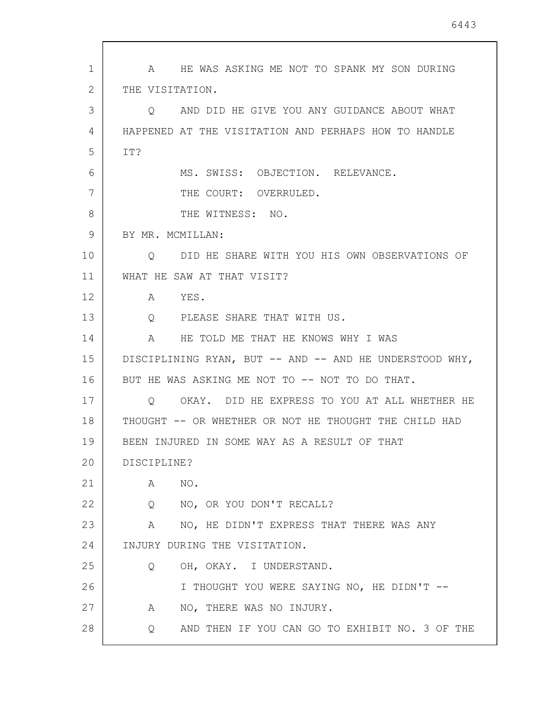1 2 3 4 5 6 7 8 9 10 11 12 13 14 15 16 17 18 19 20 21 22 23 24 25 26 27 28 A HE WAS ASKING ME NOT TO SPANK MY SON DURING THE VISITATION. Q AND DID HE GIVE YOU ANY GUIDANCE ABOUT WHAT HAPPENED AT THE VISITATION AND PERHAPS HOW TO HANDLE IT? MS. SWISS: OBJECTION. RELEVANCE. THE COURT: OVERRULED. THE WITNESS: NO. BY MR. MCMILLAN: Q DID HE SHARE WITH YOU HIS OWN OBSERVATIONS OF WHAT HE SAW AT THAT VISIT? A YES. Q PLEASE SHARE THAT WITH US. A HE TOLD ME THAT HE KNOWS WHY I WAS DISCIPLINING RYAN, BUT -- AND -- AND HE UNDERSTOOD WHY, BUT HE WAS ASKING ME NOT TO -- NOT TO DO THAT. Q OKAY. DID HE EXPRESS TO YOU AT ALL WHETHER HE THOUGHT -- OR WHETHER OR NOT HE THOUGHT THE CHILD HAD BEEN INJURED IN SOME WAY AS A RESULT OF THAT DISCIPLINE? A NO. Q NO, OR YOU DON'T RECALL? A NO, HE DIDN'T EXPRESS THAT THERE WAS ANY INJURY DURING THE VISITATION. Q OH, OKAY. I UNDERSTAND. I THOUGHT YOU WERE SAYING NO, HE DIDN'T -- A NO, THERE WAS NO INJURY. Q AND THEN IF YOU CAN GO TO EXHIBIT NO. 3 OF THE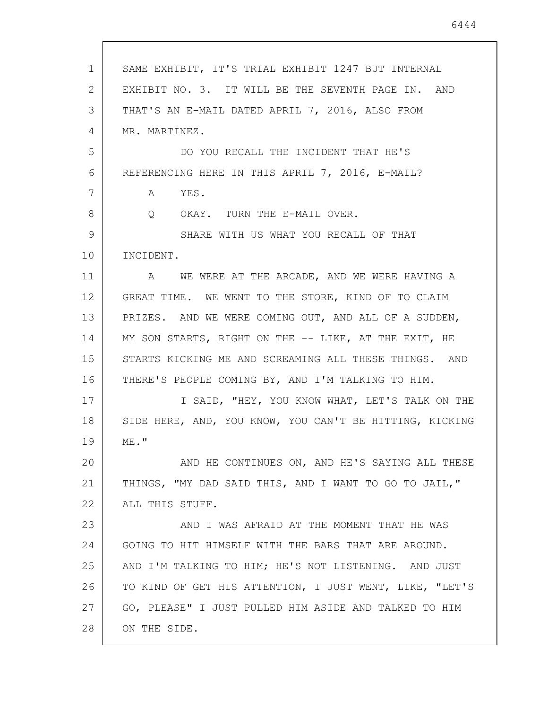| $\mathbf 1$ | SAME EXHIBIT, IT'S TRIAL EXHIBIT 1247 BUT INTERNAL      |
|-------------|---------------------------------------------------------|
| 2           | EXHIBIT NO. 3. IT WILL BE THE SEVENTH PAGE IN. AND      |
| 3           | THAT'S AN E-MAIL DATED APRIL 7, 2016, ALSO FROM         |
| 4           | MR. MARTINEZ.                                           |
| 5           | DO YOU RECALL THE INCIDENT THAT HE'S                    |
| 6           | REFERENCING HERE IN THIS APRIL 7, 2016, E-MAIL?         |
| 7           | A YES.                                                  |
| 8           | Q OKAY. TURN THE E-MAIL OVER.                           |
| 9           | SHARE WITH US WHAT YOU RECALL OF THAT                   |
| 10          | INCIDENT.                                               |
| 11          | WE WERE AT THE ARCADE, AND WE WERE HAVING A<br>A        |
| 12          | GREAT TIME. WE WENT TO THE STORE, KIND OF TO CLAIM      |
| 13          | PRIZES. AND WE WERE COMING OUT, AND ALL OF A SUDDEN,    |
| 14          | MY SON STARTS, RIGHT ON THE -- LIKE, AT THE EXIT, HE    |
| 15          | STARTS KICKING ME AND SCREAMING ALL THESE THINGS. AND   |
| 16          | THERE'S PEOPLE COMING BY, AND I'M TALKING TO HIM.       |
| 17          | I SAID, "HEY, YOU KNOW WHAT, LET'S TALK ON THE          |
| 18          | SIDE HERE, AND, YOU KNOW, YOU CAN'T BE HITTING, KICKING |
| 19          | $ME$ . $"$                                              |
| 20          | AND HE CONTINUES ON, AND HE'S SAYING ALL THESE          |
| 21          | THINGS, "MY DAD SAID THIS, AND I WANT TO GO TO JAIL,"   |
| 22          | ALL THIS STUFF.                                         |
| 23          | AND I WAS AFRAID AT THE MOMENT THAT HE WAS              |
| 24          | GOING TO HIT HIMSELF WITH THE BARS THAT ARE AROUND.     |
| 25          | AND I'M TALKING TO HIM; HE'S NOT LISTENING. AND JUST    |
| 26          | TO KIND OF GET HIS ATTENTION, I JUST WENT, LIKE, "LET'S |
| 27          | GO, PLEASE" I JUST PULLED HIM ASIDE AND TALKED TO HIM   |
| 28          | ON THE SIDE.                                            |

 $\overline{\phantom{a}}$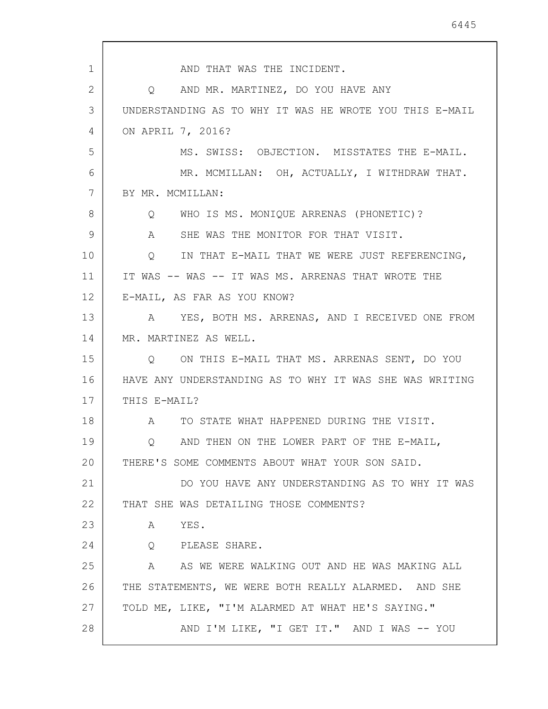1 2 3 4 5 6 7 8 9 10 11 12 13 14 15 16 17 18 19 20 21 22 23 24 25 26 27 28 AND THAT WAS THE INCIDENT. Q AND MR. MARTINEZ, DO YOU HAVE ANY UNDERSTANDING AS TO WHY IT WAS HE WROTE YOU THIS E-MAIL ON APRIL 7, 2016? MS. SWISS: OBJECTION. MISSTATES THE E-MAIL. MR. MCMILLAN: OH, ACTUALLY, I WITHDRAW THAT. BY MR. MCMILLAN: Q WHO IS MS. MONIQUE ARRENAS (PHONETIC)? A SHE WAS THE MONITOR FOR THAT VISIT. Q IN THAT E-MAIL THAT WE WERE JUST REFERENCING, IT WAS -- WAS -- IT WAS MS. ARRENAS THAT WROTE THE E-MAIL, AS FAR AS YOU KNOW? A YES, BOTH MS. ARRENAS, AND I RECEIVED ONE FROM MR. MARTINEZ AS WELL. Q ON THIS E-MAIL THAT MS. ARRENAS SENT, DO YOU HAVE ANY UNDERSTANDING AS TO WHY IT WAS SHE WAS WRITING THIS E-MAIL? A TO STATE WHAT HAPPENED DURING THE VISIT. Q AND THEN ON THE LOWER PART OF THE E-MAIL, THERE'S SOME COMMENTS ABOUT WHAT YOUR SON SAID. DO YOU HAVE ANY UNDERSTANDING AS TO WHY IT WAS THAT SHE WAS DETAILING THOSE COMMENTS? A YES. Q PLEASE SHARE. A AS WE WERE WALKING OUT AND HE WAS MAKING ALL THE STATEMENTS, WE WERE BOTH REALLY ALARMED. AND SHE TOLD ME, LIKE, "I'M ALARMED AT WHAT HE'S SAYING." AND I'M LIKE, "I GET IT." AND I WAS -- YOU

6445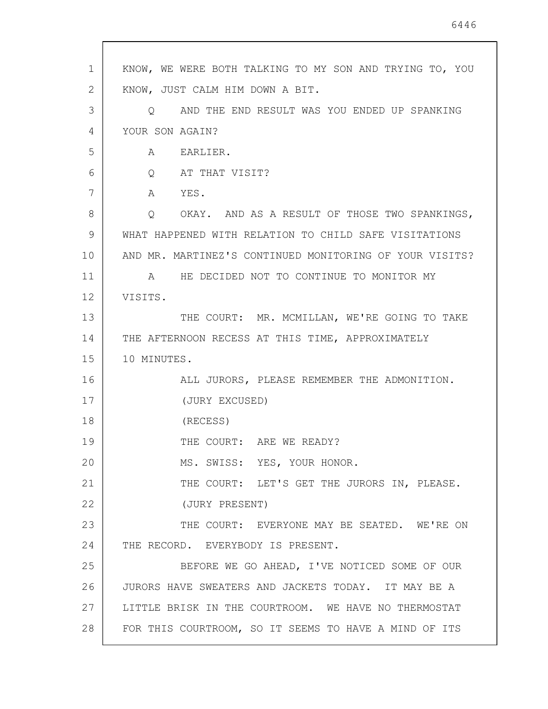| $\mathbf 1$    | KNOW, WE WERE BOTH TALKING TO MY SON AND TRYING TO, YOU |
|----------------|---------------------------------------------------------|
| $\overline{2}$ | KNOW, JUST CALM HIM DOWN A BIT.                         |
| 3              | Q AND THE END RESULT WAS YOU ENDED UP SPANKING          |
| 4              | YOUR SON AGAIN?                                         |
| 5              | A EARLIER.                                              |
| 6              | Q AT THAT VISIT?                                        |
| 7              | A YES.                                                  |
| 8              | Q OKAY. AND AS A RESULT OF THOSE TWO SPANKINGS,         |
| 9              | WHAT HAPPENED WITH RELATION TO CHILD SAFE VISITATIONS   |
| 10             | AND MR. MARTINEZ'S CONTINUED MONITORING OF YOUR VISITS? |
| 11             | A HE DECIDED NOT TO CONTINUE TO MONITOR MY              |
| 12             | VISITS.                                                 |
| 13             | THE COURT: MR. MCMILLAN, WE'RE GOING TO TAKE            |
| 14             | THE AFTERNOON RECESS AT THIS TIME, APPROXIMATELY        |
| 15             | 10 MINUTES.                                             |
| 16             | ALL JURORS, PLEASE REMEMBER THE ADMONITION.             |
| 17             | (JURY EXCUSED)                                          |
| 18             | (RECESS)                                                |
| 19             | THE COURT: ARE WE READY?                                |
| 20             | MS. SWISS: YES, YOUR HONOR.                             |
| 21             | THE COURT: LET'S GET THE JURORS IN, PLEASE.             |
| 22             | (JURY PRESENT)                                          |
| 23             | THE COURT: EVERYONE MAY BE SEATED. WE'RE ON             |
| 24             | THE RECORD. EVERYBODY IS PRESENT.                       |
| 25             | BEFORE WE GO AHEAD, I'VE NOTICED SOME OF OUR            |
| 26             | JURORS HAVE SWEATERS AND JACKETS TODAY. IT MAY BE A     |
| 27             | LITTLE BRISK IN THE COURTROOM. WE HAVE NO THERMOSTAT    |
| 28             | FOR THIS COURTROOM, SO IT SEEMS TO HAVE A MIND OF ITS   |

 $\overline{\phantom{a}}$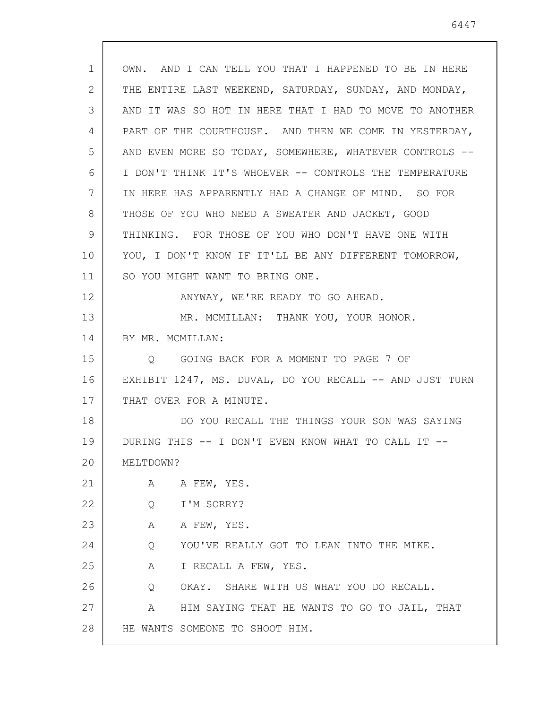| $\mathbf 1$ | OWN. AND I CAN TELL YOU THAT I HAPPENED TO BE IN HERE   |
|-------------|---------------------------------------------------------|
| 2           | THE ENTIRE LAST WEEKEND, SATURDAY, SUNDAY, AND MONDAY,  |
| 3           | AND IT WAS SO HOT IN HERE THAT I HAD TO MOVE TO ANOTHER |
| 4           | PART OF THE COURTHOUSE. AND THEN WE COME IN YESTERDAY,  |
| 5           | AND EVEN MORE SO TODAY, SOMEWHERE, WHATEVER CONTROLS -- |
| 6           | I DON'T THINK IT'S WHOEVER -- CONTROLS THE TEMPERATURE  |
| 7           | IN HERE HAS APPARENTLY HAD A CHANGE OF MIND. SO FOR     |
| 8           | THOSE OF YOU WHO NEED A SWEATER AND JACKET, GOOD        |
| 9           | THINKING. FOR THOSE OF YOU WHO DON'T HAVE ONE WITH      |
| 10          | YOU, I DON'T KNOW IF IT'LL BE ANY DIFFERENT TOMORROW,   |
| 11          | SO YOU MIGHT WANT TO BRING ONE.                         |
| 12          | ANYWAY, WE'RE READY TO GO AHEAD.                        |
| 13          | MR. MCMILLAN: THANK YOU, YOUR HONOR.                    |
| 14          | BY MR. MCMILLAN:                                        |
| 15          | Q GOING BACK FOR A MOMENT TO PAGE 7 OF                  |
| 16          | EXHIBIT 1247, MS. DUVAL, DO YOU RECALL -- AND JUST TURN |
| 17          | THAT OVER FOR A MINUTE.                                 |
| 18          | DO YOU RECALL THE THINGS YOUR SON WAS SAYING            |
| 19          | DURING THIS -- I DON'T EVEN KNOW WHAT TO CALL IT --     |
| 20          | MELTDOWN?                                               |
| 21          |                                                         |
|             | A FEW, YES.<br>A                                        |
| 22          | I'M SORRY?<br>Q                                         |
| 23          | A FEW, YES.<br>A                                        |
| 24          | YOU'VE REALLY GOT TO LEAN INTO THE MIKE.<br>Q           |
| 25          | A<br>I RECALL A FEW, YES.                               |
| 26          | OKAY. SHARE WITH US WHAT YOU DO RECALL.<br>Q            |
| 27          | HIM SAYING THAT HE WANTS TO GO TO JAIL, THAT<br>A       |

 $\overline{\phantom{a}}$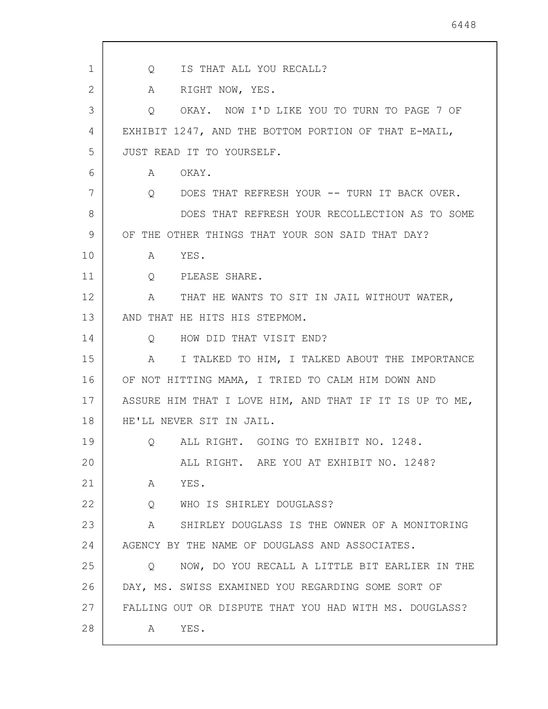| $\mathbf 1$ | IS THAT ALL YOU RECALL?<br>Q                                            |
|-------------|-------------------------------------------------------------------------|
| 2           | RIGHT NOW, YES.<br>A                                                    |
| 3           | OKAY. NOW I'D LIKE YOU TO TURN TO PAGE 7 OF<br>Q                        |
| 4           | EXHIBIT 1247, AND THE BOTTOM PORTION OF THAT E-MAIL,                    |
| 5           | JUST READ IT TO YOURSELF.                                               |
| 6           | OKAY.<br>A                                                              |
| 7           | DOES THAT REFRESH YOUR -- TURN IT BACK OVER.<br>$\overline{Q}$          |
| 8           | DOES THAT REFRESH YOUR RECOLLECTION AS TO SOME                          |
| 9           | OF THE OTHER THINGS THAT YOUR SON SAID THAT DAY?                        |
| 10          | YES.<br>A                                                               |
| 11          | Q<br>PLEASE SHARE.                                                      |
| 12          | THAT HE WANTS TO SIT IN JAIL WITHOUT WATER,<br>A                        |
| 13          | AND THAT HE HITS HIS STEPMOM.                                           |
| 14          | HOW DID THAT VISIT END?<br>$\circ$                                      |
| 15          | I TALKED TO HIM, I TALKED ABOUT THE IMPORTANCE<br>Α                     |
| 16          | OF NOT HITTING MAMA, I TRIED TO CALM HIM DOWN AND                       |
| 17          | ASSURE HIM THAT I LOVE HIM, AND THAT IF IT IS UP TO ME,                 |
| 18          | HE'LL NEVER SIT IN JAIL.                                                |
| 19          | ALL RIGHT. GOING TO EXHIBIT NO. 1248.<br>$Q \left( \frac{1}{2} \right)$ |
| 20          | ALL RIGHT. ARE YOU AT EXHIBIT NO. 1248?                                 |
| 21          | YES.<br>A                                                               |
| 22          | Q WHO IS SHIRLEY DOUGLASS?                                              |
| 23          | A SHIRLEY DOUGLASS IS THE OWNER OF A MONITORING                         |
| 24          | AGENCY BY THE NAME OF DOUGLASS AND ASSOCIATES.                          |
| 25          | NOW, DO YOU RECALL A LITTLE BIT EARLIER IN THE<br>$\circ$               |
| 26          | DAY, MS. SWISS EXAMINED YOU REGARDING SOME SORT OF                      |
| 27          | FALLING OUT OR DISPUTE THAT YOU HAD WITH MS. DOUGLASS?                  |
| 28          | YES.<br>A                                                               |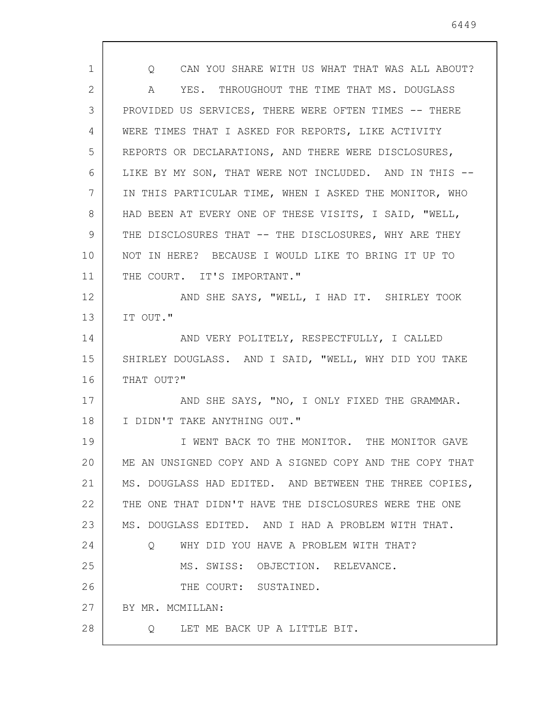| 1  | CAN YOU SHARE WITH US WHAT THAT WAS ALL ABOUT?<br>Q     |
|----|---------------------------------------------------------|
| 2  | YES. THROUGHOUT THE TIME THAT MS. DOUGLASS<br>A         |
| 3  | PROVIDED US SERVICES, THERE WERE OFTEN TIMES -- THERE   |
| 4  | WERE TIMES THAT I ASKED FOR REPORTS, LIKE ACTIVITY      |
| 5  | REPORTS OR DECLARATIONS, AND THERE WERE DISCLOSURES,    |
| 6  | LIKE BY MY SON, THAT WERE NOT INCLUDED. AND IN THIS --  |
| 7  | IN THIS PARTICULAR TIME, WHEN I ASKED THE MONITOR, WHO  |
| 8  | HAD BEEN AT EVERY ONE OF THESE VISITS, I SAID, "WELL,   |
| 9  | THE DISCLOSURES THAT -- THE DISCLOSURES, WHY ARE THEY   |
| 10 | NOT IN HERE? BECAUSE I WOULD LIKE TO BRING IT UP TO     |
| 11 | THE COURT. IT'S IMPORTANT."                             |
| 12 | AND SHE SAYS, "WELL, I HAD IT. SHIRLEY TOOK             |
| 13 | IT OUT."                                                |
| 14 | AND VERY POLITELY, RESPECTFULLY, I CALLED               |
| 15 | SHIRLEY DOUGLASS. AND I SAID, "WELL, WHY DID YOU TAKE   |
| 16 | THAT OUT?"                                              |
| 17 | AND SHE SAYS, "NO, I ONLY FIXED THE GRAMMAR.            |
| 18 | I DIDN'T TAKE ANYTHING OUT."                            |
| 19 | I WENT BACK TO THE MONITOR. THE MONITOR GAVE            |
| 20 | ME AN UNSIGNED COPY AND A SIGNED COPY AND THE COPY THAT |
| 21 | MS. DOUGLASS HAD EDITED. AND BETWEEN THE THREE COPIES,  |
| 22 | THE ONE THAT DIDN'T HAVE THE DISCLOSURES WERE THE ONE   |
| 23 | MS. DOUGLASS EDITED. AND I HAD A PROBLEM WITH THAT.     |
| 24 | O WHY DID YOU HAVE A PROBLEM WITH THAT?                 |
| 25 | MS. SWISS: OBJECTION. RELEVANCE.                        |
| 26 | THE COURT: SUSTAINED.                                   |
| 27 | BY MR. MCMILLAN:                                        |
| 28 | LET ME BACK UP A LITTLE BIT.<br>$\circ$                 |
|    |                                                         |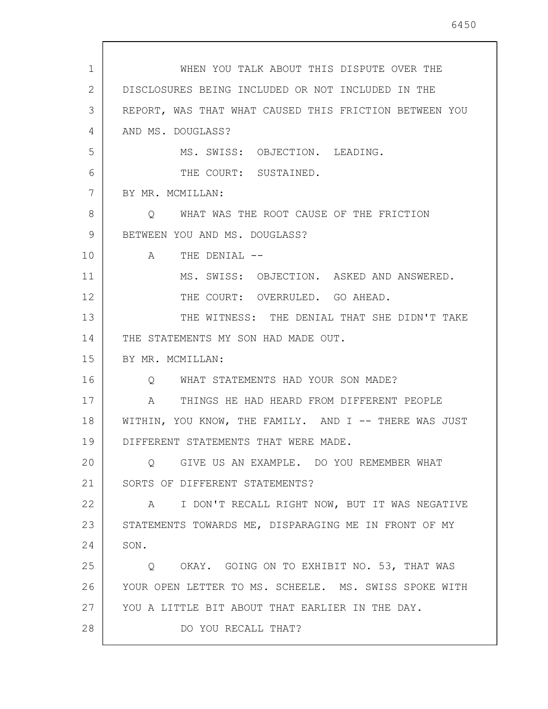| 1  | WHEN YOU TALK ABOUT THIS DISPUTE OVER THE                  |
|----|------------------------------------------------------------|
| 2  | DISCLOSURES BEING INCLUDED OR NOT INCLUDED IN THE          |
| 3  | REPORT, WAS THAT WHAT CAUSED THIS FRICTION BETWEEN YOU     |
| 4  | AND MS. DOUGLASS?                                          |
| 5  | MS. SWISS: OBJECTION. LEADING.                             |
| 6  | THE COURT: SUSTAINED.                                      |
| 7  | BY MR. MCMILLAN:                                           |
| 8  | WHAT WAS THE ROOT CAUSE OF THE FRICTION<br>Q               |
| 9  | BETWEEN YOU AND MS. DOUGLASS?                              |
| 10 | THE DENIAL --<br>A                                         |
| 11 | MS. SWISS: OBJECTION. ASKED AND ANSWERED.                  |
| 12 | THE COURT: OVERRULED. GO AHEAD.                            |
| 13 | THE WITNESS: THE DENIAL THAT SHE DIDN'T TAKE               |
| 14 | THE STATEMENTS MY SON HAD MADE OUT.                        |
| 15 | BY MR. MCMILLAN:                                           |
| 16 | WHAT STATEMENTS HAD YOUR SON MADE?<br>$\circ$              |
| 17 | $\mathcal{A}$<br>THINGS HE HAD HEARD FROM DIFFERENT PEOPLE |
| 18 | WITHIN, YOU KNOW, THE FAMILY. AND I -- THERE WAS JUST      |
| 19 | DIFFERENT STATEMENTS THAT WERE MADE                        |
| 20 | O GIVE US AN EXAMPLE. DO YOU REMEMBER WHAT                 |
| 21 | SORTS OF DIFFERENT STATEMENTS?                             |
| 22 | A I DON'T RECALL RIGHT NOW, BUT IT WAS NEGATIVE            |
| 23 | STATEMENTS TOWARDS ME, DISPARAGING ME IN FRONT OF MY       |
| 24 | SON.                                                       |
| 25 | Q OKAY. GOING ON TO EXHIBIT NO. 53, THAT WAS               |
| 26 | YOUR OPEN LETTER TO MS. SCHEELE. MS. SWISS SPOKE WITH      |
| 27 | YOU A LITTLE BIT ABOUT THAT EARLIER IN THE DAY.            |
| 28 | DO YOU RECALL THAT?                                        |
|    |                                                            |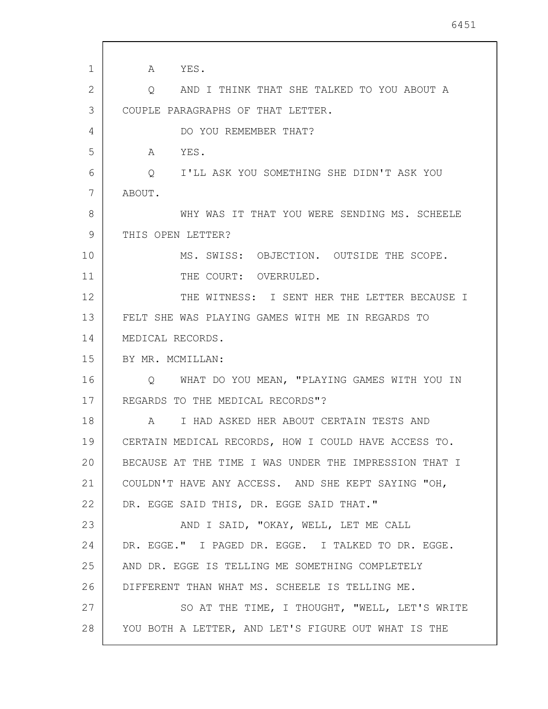| $\mathbf{1}$ | A YES.                                                |
|--------------|-------------------------------------------------------|
| 2            | Q AND I THINK THAT SHE TALKED TO YOU ABOUT A          |
| 3            | COUPLE PARAGRAPHS OF THAT LETTER.                     |
| 4            | DO YOU REMEMBER THAT?                                 |
| 5            | A<br>YES.                                             |
| 6            | Q I'LL ASK YOU SOMETHING SHE DIDN'T ASK YOU           |
| 7            | ABOUT.                                                |
| 8            | WHY WAS IT THAT YOU WERE SENDING MS. SCHEELE          |
| 9            | THIS OPEN LETTER?                                     |
| 10           | MS. SWISS: OBJECTION. OUTSIDE THE SCOPE.              |
| 11           | THE COURT: OVERRULED.                                 |
| 12           | THE WITNESS: I SENT HER THE LETTER BECAUSE I          |
| 13           | FELT SHE WAS PLAYING GAMES WITH ME IN REGARDS TO      |
| 14           | MEDICAL RECORDS.                                      |
| 15           | BY MR. MCMILLAN:                                      |
| 16           | Q WHAT DO YOU MEAN, "PLAYING GAMES WITH YOU IN        |
| 17           | REGARDS TO THE MEDICAL RECORDS"?                      |
| 18           | A<br>I HAD ASKED HER ABOUT CERTAIN TESTS AND          |
| 19           | CERTAIN MEDICAL RECORDS, HOW I COULD HAVE ACCESS TO.  |
| 20           | BECAUSE AT THE TIME I WAS UNDER THE IMPRESSION THAT I |
| 21           | COULDN'T HAVE ANY ACCESS. AND SHE KEPT SAYING "OH,    |
| 22           | DR. EGGE SAID THIS, DR. EGGE SAID THAT."              |
| 23           | AND I SAID, "OKAY, WELL, LET ME CALL                  |
| 24           | DR. EGGE." I PAGED DR. EGGE. I TALKED TO DR. EGGE.    |
| 25           | AND DR. EGGE IS TELLING ME SOMETHING COMPLETELY       |
| 26           | DIFFERENT THAN WHAT MS. SCHEELE IS TELLING ME.        |
| 27           | SO AT THE TIME, I THOUGHT, "WELL, LET'S WRITE         |
| 28           | YOU BOTH A LETTER, AND LET'S FIGURE OUT WHAT IS THE   |
|              |                                                       |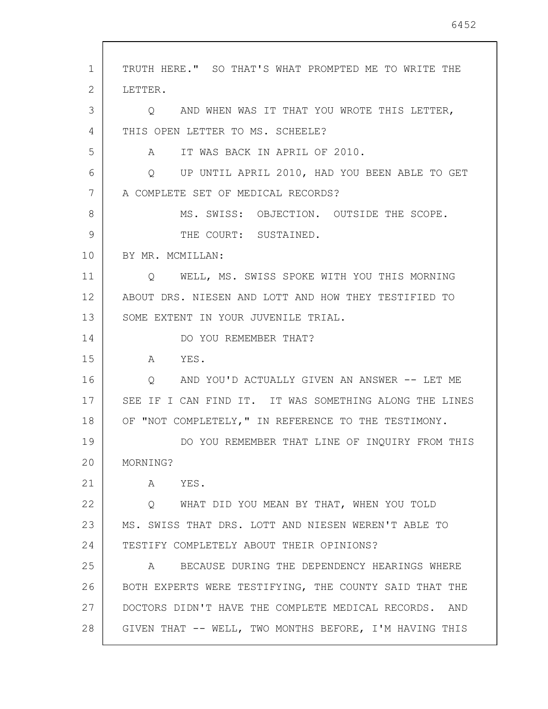1 2 3 4 5 6 7 8 9 10 11 12 13 14 15 16 17 18 19 20 21 22 23 24 25 26 27 28 TRUTH HERE." SO THAT'S WHAT PROMPTED ME TO WRITE THE LETTER. Q AND WHEN WAS IT THAT YOU WROTE THIS LETTER, THIS OPEN LETTER TO MS. SCHEELE? A IT WAS BACK IN APRIL OF 2010. Q UP UNTIL APRIL 2010, HAD YOU BEEN ABLE TO GET A COMPLETE SET OF MEDICAL RECORDS? MS. SWISS: OBJECTION. OUTSIDE THE SCOPE. THE COURT: SUSTAINED. BY MR. MCMILLAN: Q WELL, MS. SWISS SPOKE WITH YOU THIS MORNING ABOUT DRS. NIESEN AND LOTT AND HOW THEY TESTIFIED TO SOME EXTENT IN YOUR JUVENILE TRIAL. DO YOU REMEMBER THAT? A YES. Q AND YOU'D ACTUALLY GIVEN AN ANSWER -- LET ME SEE IF I CAN FIND IT. IT WAS SOMETHING ALONG THE LINES OF "NOT COMPLETELY," IN REFERENCE TO THE TESTIMONY. DO YOU REMEMBER THAT LINE OF INQUIRY FROM THIS MORNING? A YES. Q WHAT DID YOU MEAN BY THAT, WHEN YOU TOLD MS. SWISS THAT DRS. LOTT AND NIESEN WEREN'T ABLE TO TESTIFY COMPLETELY ABOUT THEIR OPINIONS? A BECAUSE DURING THE DEPENDENCY HEARINGS WHERE BOTH EXPERTS WERE TESTIFYING, THE COUNTY SAID THAT THE DOCTORS DIDN'T HAVE THE COMPLETE MEDICAL RECORDS. AND GIVEN THAT -- WELL, TWO MONTHS BEFORE, I'M HAVING THIS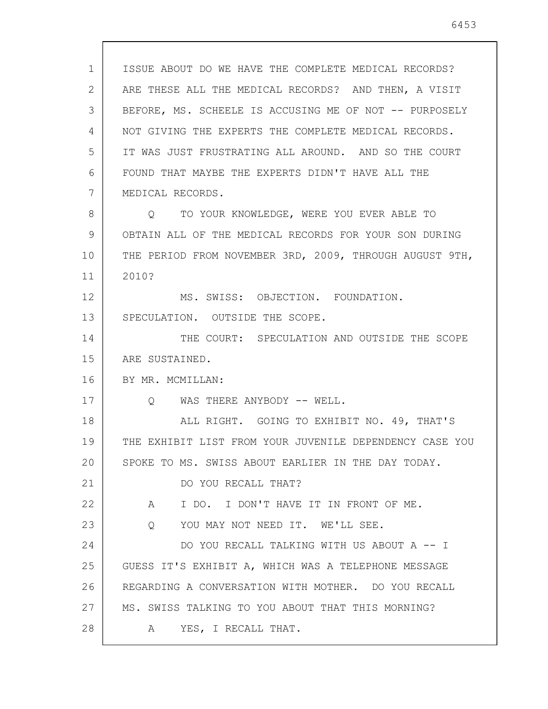1 2 3 4 5 6 7 8 9 10 11 12 13 14 15 16 17 18 19 20 21 22 23 24 25 26 27 28 ISSUE ABOUT DO WE HAVE THE COMPLETE MEDICAL RECORDS? ARE THESE ALL THE MEDICAL RECORDS? AND THEN, A VISIT BEFORE, MS. SCHEELE IS ACCUSING ME OF NOT -- PURPOSELY NOT GIVING THE EXPERTS THE COMPLETE MEDICAL RECORDS. IT WAS JUST FRUSTRATING ALL AROUND. AND SO THE COURT FOUND THAT MAYBE THE EXPERTS DIDN'T HAVE ALL THE MEDICAL RECORDS. Q TO YOUR KNOWLEDGE, WERE YOU EVER ABLE TO OBTAIN ALL OF THE MEDICAL RECORDS FOR YOUR SON DURING THE PERIOD FROM NOVEMBER 3RD, 2009, THROUGH AUGUST 9TH, 2010? MS. SWISS: OBJECTION. FOUNDATION. SPECULATION. OUTSIDE THE SCOPE. THE COURT: SPECULATION AND OUTSIDE THE SCOPE ARE SUSTAINED. BY MR. MCMILLAN: O WAS THERE ANYBODY -- WELL. ALL RIGHT. GOING TO EXHIBIT NO. 49, THAT'S THE EXHIBIT LIST FROM YOUR JUVENILE DEPENDENCY CASE YOU SPOKE TO MS. SWISS ABOUT EARLIER IN THE DAY TODAY. DO YOU RECALL THAT? A I DO. I DON'T HAVE IT IN FRONT OF ME. Q YOU MAY NOT NEED IT. WE'LL SEE. DO YOU RECALL TALKING WITH US ABOUT A -- I GUESS IT'S EXHIBIT A, WHICH WAS A TELEPHONE MESSAGE REGARDING A CONVERSATION WITH MOTHER. DO YOU RECALL MS. SWISS TALKING TO YOU ABOUT THAT THIS MORNING? A YES, I RECALL THAT.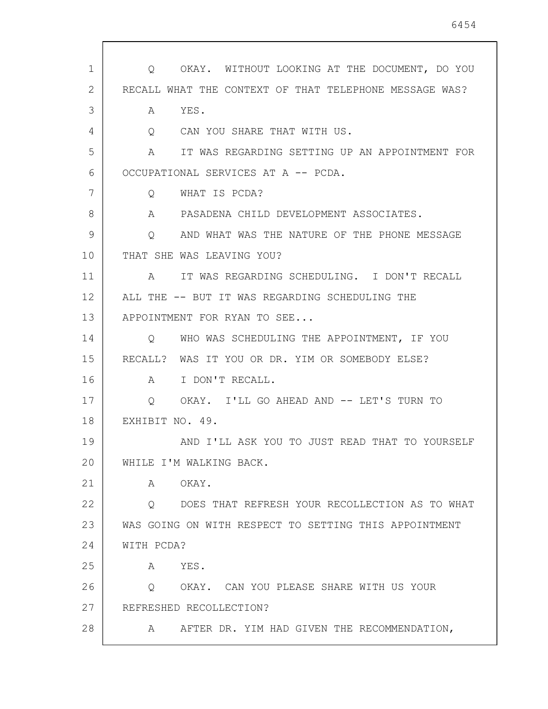| 1  | OKAY. WITHOUT LOOKING AT THE DOCUMENT, DO YOU<br>$\circ$ |
|----|----------------------------------------------------------|
| 2  | RECALL WHAT THE CONTEXT OF THAT TELEPHONE MESSAGE WAS?   |
| 3  | YES.<br>A                                                |
| 4  | CAN YOU SHARE THAT WITH US.<br>Q                         |
| 5  | IT WAS REGARDING SETTING UP AN APPOINTMENT FOR<br>A      |
| 6  | OCCUPATIONAL SERVICES AT A -- PCDA.                      |
| 7  | WHAT IS PCDA?<br>Q                                       |
| 8  | PASADENA CHILD DEVELOPMENT ASSOCIATES.<br>A              |
| 9  | AND WHAT WAS THE NATURE OF THE PHONE MESSAGE<br>$\circ$  |
| 10 | THAT SHE WAS LEAVING YOU?                                |
| 11 | IT WAS REGARDING SCHEDULING. I DON'T RECALL<br>A         |
| 12 | ALL THE -- BUT IT WAS REGARDING SCHEDULING THE           |
| 13 | APPOINTMENT FOR RYAN TO SEE                              |
| 14 | WHO WAS SCHEDULING THE APPOINTMENT, IF YOU<br>$\circ$    |
| 15 | RECALL? WAS IT YOU OR DR. YIM OR SOMEBODY ELSE?          |
| 16 | I DON'T RECALL.<br>$\mathbb A$                           |
| 17 | OKAY. I'LL GO AHEAD AND -- LET'S TURN TO<br>$\circ$      |
| 18 | EXHIBIT NO. 49.                                          |
| 19 | AND I'LL ASK YOU TO JUST READ THAT TO YOURSELF           |
| 20 | WHILE I'M WALKING BACK.                                  |
| 21 | OKAY.<br>A                                               |
| 22 | DOES THAT REFRESH YOUR RECOLLECTION AS TO WHAT<br>O      |
| 23 | WAS GOING ON WITH RESPECT TO SETTING THIS APPOINTMENT    |
| 24 | WITH PCDA?                                               |
| 25 | YES.<br>A                                                |
| 26 | OKAY. CAN YOU PLEASE SHARE WITH US YOUR<br>$\circ$       |
| 27 | REFRESHED RECOLLECTION?                                  |
|    |                                                          |

 $\sqrt{ }$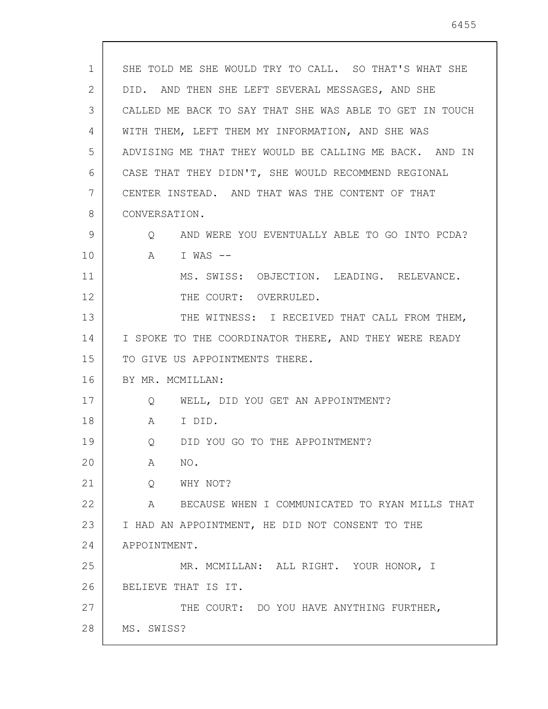| $\mathbf{1}$ | SHE TOLD ME SHE WOULD TRY TO CALL. SO THAT'S WHAT SHE   |
|--------------|---------------------------------------------------------|
| 2            | DID. AND THEN SHE LEFT SEVERAL MESSAGES, AND SHE        |
| 3            | CALLED ME BACK TO SAY THAT SHE WAS ABLE TO GET IN TOUCH |
| 4            | WITH THEM, LEFT THEM MY INFORMATION, AND SHE WAS        |
| 5            | ADVISING ME THAT THEY WOULD BE CALLING ME BACK. AND IN  |
| 6            | CASE THAT THEY DIDN'T, SHE WOULD RECOMMEND REGIONAL     |
| 7            | CENTER INSTEAD. AND THAT WAS THE CONTENT OF THAT        |
| 8            | CONVERSATION.                                           |
| 9            | Q AND WERE YOU EVENTUALLY ABLE TO GO INTO PCDA?         |
| 10           | A I WAS --                                              |
| 11           | MS. SWISS: OBJECTION. LEADING. RELEVANCE.               |
| 12           | THE COURT: OVERRULED.                                   |
| 13           | THE WITNESS: I RECEIVED THAT CALL FROM THEM,            |
| 14           | I SPOKE TO THE COORDINATOR THERE, AND THEY WERE READY   |
| 15           | TO GIVE US APPOINTMENTS THERE.                          |
| 16           | BY MR. MCMILLAN:                                        |
| 17           | Q WELL, DID YOU GET AN APPOINTMENT?                     |
| 18           | A<br>I DID.                                             |
| 19           | DID YOU GO TO THE APPOINTMENT?<br>$Q \qquad \qquad$     |
| 20           | NO.<br>A                                                |
| 21           | Q<br>WHY NOT?                                           |
| 22           | A<br>BECAUSE WHEN I COMMUNICATED TO RYAN MILLS THAT     |
| 23           | I HAD AN APPOINTMENT, HE DID NOT CONSENT TO THE         |
| 24           | APPOINTMENT.                                            |
| 25           | MR. MCMILLAN: ALL RIGHT. YOUR HONOR, I                  |
| 26           | BELIEVE THAT IS IT.                                     |
| 27           | THE COURT: DO YOU HAVE ANYTHING FURTHER,                |
| 28           | MS. SWISS?                                              |
|              |                                                         |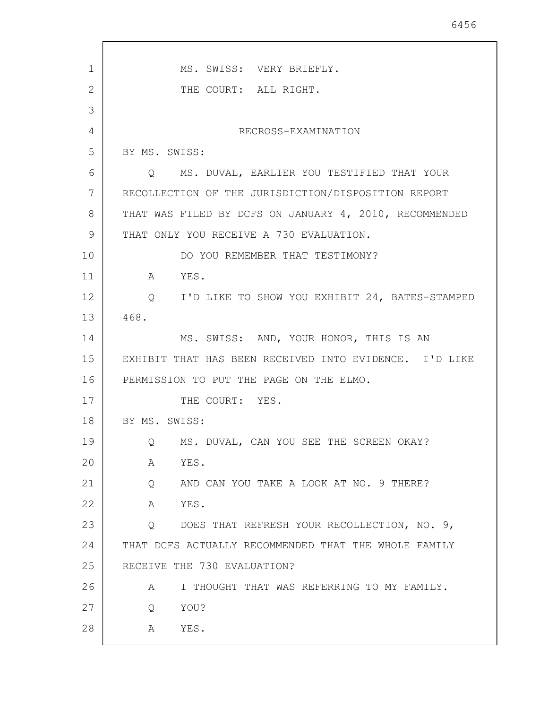| 1  | MS. SWISS: VERY BRIEFLY.                               |
|----|--------------------------------------------------------|
| 2  | THE COURT: ALL RIGHT.                                  |
| 3  |                                                        |
| 4  | RECROSS-EXAMINATION                                    |
| 5  | BY MS. SWISS:                                          |
| 6  | Q MS. DUVAL, EARLIER YOU TESTIFIED THAT YOUR           |
| 7  | RECOLLECTION OF THE JURISDICTION/DISPOSITION REPORT    |
| 8  | THAT WAS FILED BY DCFS ON JANUARY 4, 2010, RECOMMENDED |
| 9  | THAT ONLY YOU RECEIVE A 730 EVALUATION.                |
| 10 | DO YOU REMEMBER THAT TESTIMONY?                        |
| 11 | YES.<br>$\mathbb A$                                    |
| 12 | Q I'D LIKE TO SHOW YOU EXHIBIT 24, BATES-STAMPED       |
| 13 | 468.                                                   |
| 14 | MS. SWISS: AND, YOUR HONOR, THIS IS AN                 |
| 15 | EXHIBIT THAT HAS BEEN RECEIVED INTO EVIDENCE. I'D LIKE |
| 16 | PERMISSION TO PUT THE PAGE ON THE ELMO.                |
| 17 | THE COURT: YES.                                        |
| 18 | BY MS. SWISS:                                          |
| 19 | Q MS. DUVAL, CAN YOU SEE THE SCREEN OKAY?              |
| 20 | YES.<br>A                                              |
| 21 | AND CAN YOU TAKE A LOOK AT NO. 9 THERE?<br>Q           |
| 22 | YES.<br>A                                              |
| 23 | DOES THAT REFRESH YOUR RECOLLECTION, NO. 9,<br>$\circ$ |
| 24 | THAT DCFS ACTUALLY RECOMMENDED THAT THE WHOLE FAMILY   |
| 25 | RECEIVE THE 730 EVALUATION?                            |
| 26 | I THOUGHT THAT WAS REFERRING TO MY FAMILY.<br>A        |
| 27 | Q<br>YOU?                                              |
| 28 | YES.<br>A                                              |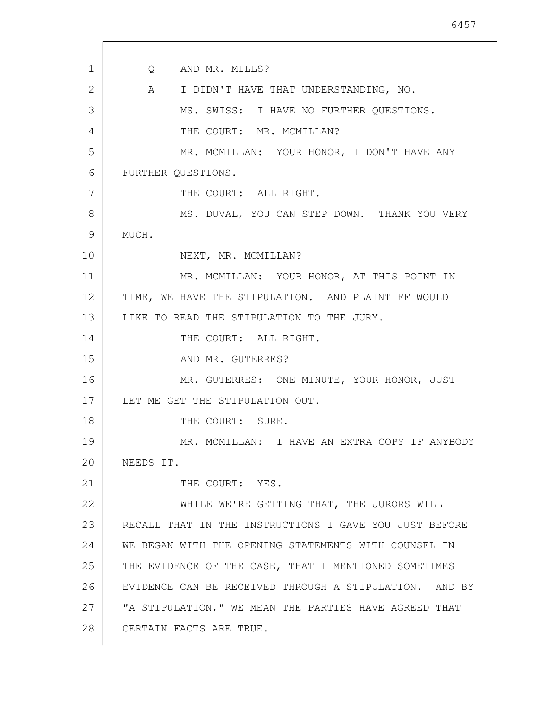1 2 3 4 5 6 7 8 9 10 11 12 13 14 15 16 17 18 19 20 21 22 23 24 25 26 27 28 Q AND MR. MILLS? A I DIDN'T HAVE THAT UNDERSTANDING, NO. MS. SWISS: I HAVE NO FURTHER QUESTIONS. THE COURT: MR. MCMILLAN? MR. MCMILLAN: YOUR HONOR, I DON'T HAVE ANY FURTHER QUESTIONS. THE COURT: ALL RIGHT. MS. DUVAL, YOU CAN STEP DOWN. THANK YOU VERY MUCH. NEXT, MR. MCMILLAN? MR. MCMILLAN: YOUR HONOR, AT THIS POINT IN TIME, WE HAVE THE STIPULATION. AND PLAINTIFF WOULD LIKE TO READ THE STIPULATION TO THE JURY. THE COURT: ALL RIGHT. AND MR. GUTERRES? MR. GUTERRES: ONE MINUTE, YOUR HONOR, JUST LET ME GET THE STIPULATION OUT. THE COURT: SURE. MR. MCMILLAN: I HAVE AN EXTRA COPY IF ANYBODY NEEDS IT. THE COURT: YES. WHILE WE'RE GETTING THAT, THE JURORS WILL RECALL THAT IN THE INSTRUCTIONS I GAVE YOU JUST BEFORE WE BEGAN WITH THE OPENING STATEMENTS WITH COUNSEL IN THE EVIDENCE OF THE CASE, THAT I MENTIONED SOMETIMES EVIDENCE CAN BE RECEIVED THROUGH A STIPULATION. AND BY "A STIPULATION," WE MEAN THE PARTIES HAVE AGREED THAT CERTAIN FACTS ARE TRUE.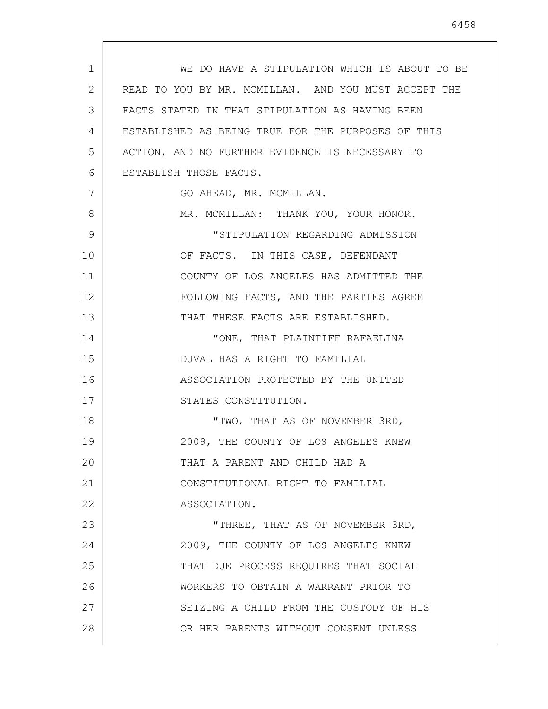| $\mathbf{1}$ | WE DO HAVE A STIPULATION WHICH IS ABOUT TO BE        |
|--------------|------------------------------------------------------|
| 2            | READ TO YOU BY MR. MCMILLAN. AND YOU MUST ACCEPT THE |
| 3            | FACTS STATED IN THAT STIPULATION AS HAVING BEEN      |
| 4            | ESTABLISHED AS BEING TRUE FOR THE PURPOSES OF THIS   |
| 5            | ACTION, AND NO FURTHER EVIDENCE IS NECESSARY TO      |
| 6            | ESTABLISH THOSE FACTS.                               |
| 7            | GO AHEAD, MR. MCMILLAN.                              |
| 8            | MR. MCMILLAN: THANK YOU, YOUR HONOR.                 |
| 9            | "STIPULATION REGARDING ADMISSION                     |
| 10           | OF FACTS. IN THIS CASE, DEFENDANT                    |
| 11           | COUNTY OF LOS ANGELES HAS ADMITTED THE               |
| 12           | FOLLOWING FACTS, AND THE PARTIES AGREE               |
| 13           | THAT THESE FACTS ARE ESTABLISHED.                    |
| 14           | "ONE, THAT PLAINTIFF RAFAELINA                       |
| 15           | DUVAL HAS A RIGHT TO FAMILIAL                        |
| 16           | ASSOCIATION PROTECTED BY THE UNITED                  |
| 17           | STATES CONSTITUTION.                                 |
| 18           | "TWO, THAT AS OF NOVEMBER 3RD,                       |
| 19           | 2009, THE COUNTY OF LOS ANGELES KNEW                 |
| 20           | THAT A PARENT AND CHILD HAD A                        |
| 21           | CONSTITUTIONAL RIGHT TO FAMILIAL                     |
| 22           | ASSOCIATION.                                         |
| 23           | "THREE, THAT AS OF NOVEMBER 3RD,                     |
| 24           | 2009, THE COUNTY OF LOS ANGELES KNEW                 |
| 25           | THAT DUE PROCESS REQUIRES THAT SOCIAL                |
| 26           | WORKERS TO OBTAIN A WARRANT PRIOR TO                 |
| 27           | SEIZING A CHILD FROM THE CUSTODY OF HIS              |
| 28           | OR HER PARENTS WITHOUT CONSENT UNLESS                |

 $\sqrt{ }$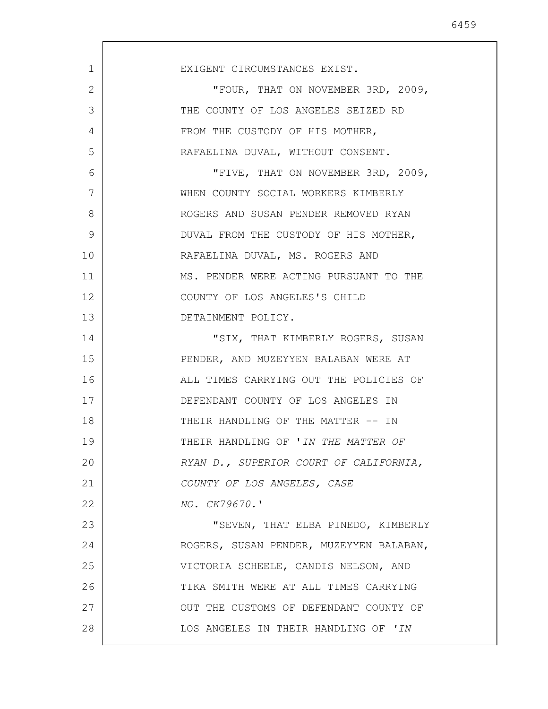| EXIGENT CIRCUMSTANCES EXIST.            |
|-----------------------------------------|
| "FOUR, THAT ON NOVEMBER 3RD, 2009,      |
| THE COUNTY OF LOS ANGELES SEIZED RD     |
| FROM THE CUSTODY OF HIS MOTHER,         |
| RAFAELINA DUVAL, WITHOUT CONSENT.       |
| "FIVE, THAT ON NOVEMBER 3RD, 2009,      |
| WHEN COUNTY SOCIAL WORKERS KIMBERLY     |
| ROGERS AND SUSAN PENDER REMOVED RYAN    |
| DUVAL FROM THE CUSTODY OF HIS MOTHER,   |
| RAFAELINA DUVAL, MS. ROGERS AND         |
| MS. PENDER WERE ACTING PURSUANT TO THE  |
| COUNTY OF LOS ANGELES'S CHILD           |
| DETAINMENT POLICY.                      |
| "SIX, THAT KIMBERLY ROGERS, SUSAN       |
| PENDER, AND MUZEYYEN BALABAN WERE AT    |
| ALL TIMES CARRYING OUT THE POLICIES OF  |
| DEFENDANT COUNTY OF LOS ANGELES IN      |
| THEIR HANDLING OF THE MATTER -- IN      |
| THEIR HANDLING OF 'IN THE MATTER OF     |
| RYAN D., SUPERIOR COURT OF CALIFORNIA,  |
| COUNTY OF LOS ANGELES, CASE             |
| NO. CK79670.'                           |
| "SEVEN, THAT ELBA PINEDO, KIMBERLY      |
| ROGERS, SUSAN PENDER, MUZEYYEN BALABAN, |
| VICTORIA SCHEELE, CANDIS NELSON, AND    |
| TIKA SMITH WERE AT ALL TIMES CARRYING   |
| OUT THE CUSTOMS OF DEFENDANT COUNTY OF  |
| LOS ANGELES IN THEIR HANDLING OF 'IN    |
|                                         |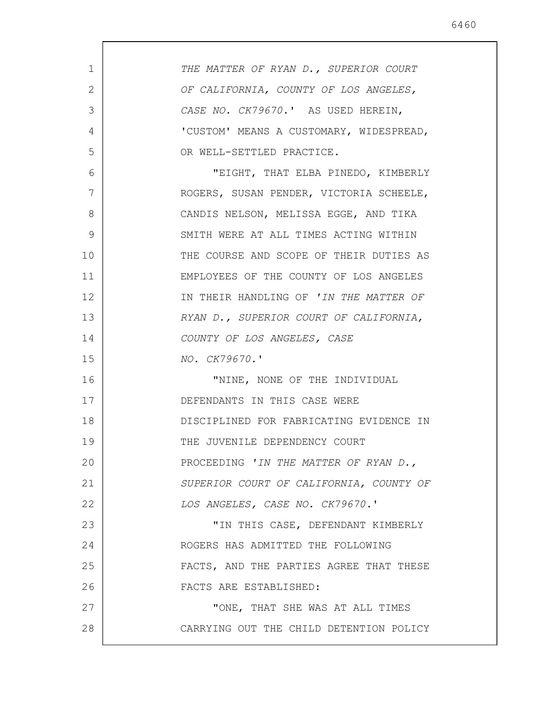| $\mathbf{1}$ | THE MATTER OF RYAN D., SUPERIOR COURT   |
|--------------|-----------------------------------------|
| 2            | OF CALIFORNIA, COUNTY OF LOS ANGELES,   |
| 3            | CASE NO. CK79670.' AS USED HEREIN,      |
| 4            | 'CUSTOM' MEANS A CUSTOMARY, WIDESPREAD, |
| 5            | OR WELL-SETTLED PRACTICE.               |
| 6            | "EIGHT, THAT ELBA PINEDO, KIMBERLY      |
| 7            | ROGERS, SUSAN PENDER, VICTORIA SCHEELE, |
| 8            | CANDIS NELSON, MELISSA EGGE, AND TIKA   |
| 9            | SMITH WERE AT ALL TIMES ACTING WITHIN   |
| 10           | THE COURSE AND SCOPE OF THEIR DUTIES AS |
| 11           | EMPLOYEES OF THE COUNTY OF LOS ANGELES  |
| 12           | IN THEIR HANDLING OF 'IN THE MATTER OF  |
| 13           | RYAN D., SUPERIOR COURT OF CALIFORNIA,  |
| 14           | COUNTY OF LOS ANGELES, CASE             |
| 15           | NO. CK79670.'                           |
| 16           | "NINE, NONE OF THE INDIVIDUAL           |
| 17           | DEFENDANTS IN THIS CASE WERE            |
| 18           | DISCIPLINED FOR FABRICATING EVIDENCE IN |
| 19           | THE JUVENILE DEPENDENCY COURT           |
| 20           | PROCEEDING 'IN THE MATTER OF RYAN D.,   |
| 21           | SUPERIOR COURT OF CALIFORNIA, COUNTY OF |
| 22           | LOS ANGELES, CASE NO. CK79670.'         |
| 23           | "IN THIS CASE, DEFENDANT KIMBERLY       |
| 24           | ROGERS HAS ADMITTED THE FOLLOWING       |
| 25           | FACTS, AND THE PARTIES AGREE THAT THESE |
| 26           | FACTS ARE ESTABLISHED:                  |
| 27           | "ONE, THAT SHE WAS AT ALL TIMES         |
| 28           | CARRYING OUT THE CHILD DETENTION POLICY |
|              |                                         |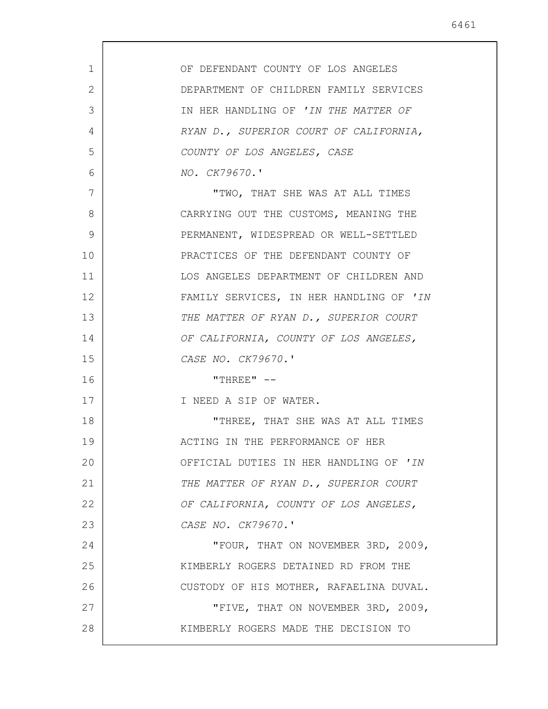| $\mathbf{1}$ | OF DEFENDANT COUNTY OF LOS ANGELES      |
|--------------|-----------------------------------------|
| 2            | DEPARTMENT OF CHILDREN FAMILY SERVICES  |
| 3            | IN HER HANDLING OF 'IN THE MATTER OF    |
| 4            | RYAN D., SUPERIOR COURT OF CALIFORNIA,  |
| 5            | COUNTY OF LOS ANGELES, CASE             |
| 6            | NO. CK79670.'                           |
| 7            | "TWO, THAT SHE WAS AT ALL TIMES         |
| 8            | CARRYING OUT THE CUSTOMS, MEANING THE   |
| 9            | PERMANENT, WIDESPREAD OR WELL-SETTLED   |
| 10           | PRACTICES OF THE DEFENDANT COUNTY OF    |
| 11           | LOS ANGELES DEPARTMENT OF CHILDREN AND  |
| 12           | FAMILY SERVICES, IN HER HANDLING OF 'IN |
| 13           | THE MATTER OF RYAN D., SUPERIOR COURT   |
| 14           | OF CALIFORNIA, COUNTY OF LOS ANGELES,   |
| 15           | CASE NO. CK79670.'                      |
| 16           | "THREE" $--$                            |
| 17           | I NEED A SIP OF WATER.                  |
| 18           | "THREE, THAT SHE WAS AT ALL TIMES       |
| 19           | ACTING IN THE PERFORMANCE OF HER        |
| 20           | OFFICIAL DUTIES IN HER HANDLING OF 'IN  |
| 21           | THE MATTER OF RYAN D., SUPERIOR COURT   |
| 22           | OF CALIFORNIA, COUNTY OF LOS ANGELES,   |
| 23           | CASE NO. CK79670.'                      |
| 24           | "FOUR, THAT ON NOVEMBER 3RD, 2009,      |
| 25           | KIMBERLY ROGERS DETAINED RD FROM THE    |
| 26           | CUSTODY OF HIS MOTHER, RAFAELINA DUVAL. |
| 27           | "FIVE, THAT ON NOVEMBER 3RD, 2009,      |
| 28           | KIMBERLY ROGERS MADE THE DECISION TO    |
|              |                                         |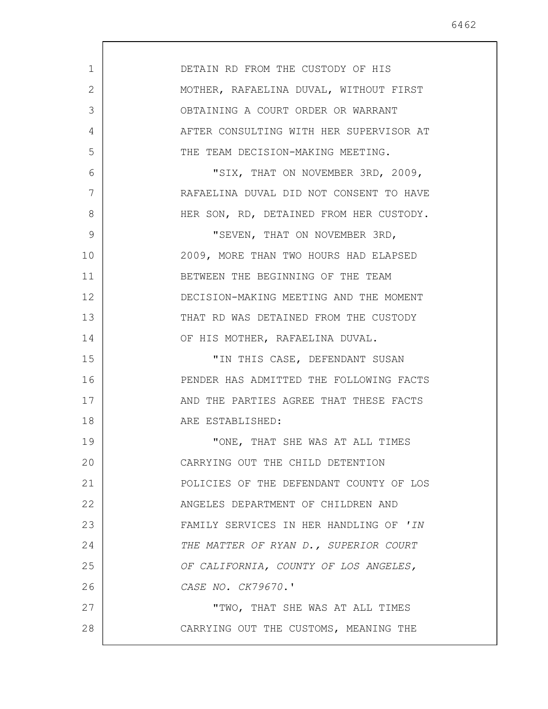|--|--|

| $\mathbf 1$<br>DETAIN RD FROM THE CUSTODY OF HIS<br>2<br>MOTHER, RAFAELINA DUVAL, WITHOUT FIRST<br>3<br>OBTAINING A COURT ORDER OR WARRANT<br>4<br>AFTER CONSULTING WITH HER SUPERVISOR AT<br>5<br>THE TEAM DECISION-MAKING MEETING.<br>6<br>"SIX, THAT ON NOVEMBER 3RD, 2009,<br>7<br>RAFAELINA DUVAL DID NOT CONSENT TO HAVE<br>8<br>HER SON, RD, DETAINED FROM HER CUSTODY.<br>9<br>"SEVEN, THAT ON NOVEMBER 3RD,<br>2009, MORE THAN TWO HOURS HAD ELAPSED<br>10<br>11<br>BETWEEN THE BEGINNING OF THE TEAM<br>12<br>DECISION-MAKING MEETING AND THE MOMENT<br>13<br>THAT RD WAS DETAINED FROM THE CUSTODY<br>14<br>OF HIS MOTHER, RAFAELINA DUVAL.<br>15<br>"IN THIS CASE, DEFENDANT SUSAN<br>PENDER HAS ADMITTED THE FOLLOWING FACTS<br>16<br>17<br>AND THE PARTIES AGREE THAT THESE FACTS<br>18<br>ARE ESTABLISHED:<br>19<br>"ONE, THAT SHE WAS AT ALL TIMES<br>20<br>CARRYING OUT THE CHILD DETENTION<br>21<br>POLICIES OF THE DEFENDANT COUNTY OF LOS<br>22<br>ANGELES DEPARTMENT OF CHILDREN AND<br>23<br>FAMILY SERVICES IN HER HANDLING OF 'IN<br>24<br>THE MATTER OF RYAN D., SUPERIOR COURT<br>25<br>OF CALIFORNIA, COUNTY OF LOS ANGELES,<br>26<br>CASE NO. CK79670.'<br>27<br>"TWO, THAT SHE WAS AT ALL TIMES<br>28<br>CARRYING OUT THE CUSTOMS, MEANING THE |  |
|-----------------------------------------------------------------------------------------------------------------------------------------------------------------------------------------------------------------------------------------------------------------------------------------------------------------------------------------------------------------------------------------------------------------------------------------------------------------------------------------------------------------------------------------------------------------------------------------------------------------------------------------------------------------------------------------------------------------------------------------------------------------------------------------------------------------------------------------------------------------------------------------------------------------------------------------------------------------------------------------------------------------------------------------------------------------------------------------------------------------------------------------------------------------------------------------------------------------------------------------------------------------------------|--|
|                                                                                                                                                                                                                                                                                                                                                                                                                                                                                                                                                                                                                                                                                                                                                                                                                                                                                                                                                                                                                                                                                                                                                                                                                                                                             |  |
|                                                                                                                                                                                                                                                                                                                                                                                                                                                                                                                                                                                                                                                                                                                                                                                                                                                                                                                                                                                                                                                                                                                                                                                                                                                                             |  |
|                                                                                                                                                                                                                                                                                                                                                                                                                                                                                                                                                                                                                                                                                                                                                                                                                                                                                                                                                                                                                                                                                                                                                                                                                                                                             |  |
|                                                                                                                                                                                                                                                                                                                                                                                                                                                                                                                                                                                                                                                                                                                                                                                                                                                                                                                                                                                                                                                                                                                                                                                                                                                                             |  |
|                                                                                                                                                                                                                                                                                                                                                                                                                                                                                                                                                                                                                                                                                                                                                                                                                                                                                                                                                                                                                                                                                                                                                                                                                                                                             |  |
|                                                                                                                                                                                                                                                                                                                                                                                                                                                                                                                                                                                                                                                                                                                                                                                                                                                                                                                                                                                                                                                                                                                                                                                                                                                                             |  |
|                                                                                                                                                                                                                                                                                                                                                                                                                                                                                                                                                                                                                                                                                                                                                                                                                                                                                                                                                                                                                                                                                                                                                                                                                                                                             |  |
|                                                                                                                                                                                                                                                                                                                                                                                                                                                                                                                                                                                                                                                                                                                                                                                                                                                                                                                                                                                                                                                                                                                                                                                                                                                                             |  |
|                                                                                                                                                                                                                                                                                                                                                                                                                                                                                                                                                                                                                                                                                                                                                                                                                                                                                                                                                                                                                                                                                                                                                                                                                                                                             |  |
|                                                                                                                                                                                                                                                                                                                                                                                                                                                                                                                                                                                                                                                                                                                                                                                                                                                                                                                                                                                                                                                                                                                                                                                                                                                                             |  |
|                                                                                                                                                                                                                                                                                                                                                                                                                                                                                                                                                                                                                                                                                                                                                                                                                                                                                                                                                                                                                                                                                                                                                                                                                                                                             |  |
|                                                                                                                                                                                                                                                                                                                                                                                                                                                                                                                                                                                                                                                                                                                                                                                                                                                                                                                                                                                                                                                                                                                                                                                                                                                                             |  |
|                                                                                                                                                                                                                                                                                                                                                                                                                                                                                                                                                                                                                                                                                                                                                                                                                                                                                                                                                                                                                                                                                                                                                                                                                                                                             |  |
|                                                                                                                                                                                                                                                                                                                                                                                                                                                                                                                                                                                                                                                                                                                                                                                                                                                                                                                                                                                                                                                                                                                                                                                                                                                                             |  |
|                                                                                                                                                                                                                                                                                                                                                                                                                                                                                                                                                                                                                                                                                                                                                                                                                                                                                                                                                                                                                                                                                                                                                                                                                                                                             |  |
|                                                                                                                                                                                                                                                                                                                                                                                                                                                                                                                                                                                                                                                                                                                                                                                                                                                                                                                                                                                                                                                                                                                                                                                                                                                                             |  |
|                                                                                                                                                                                                                                                                                                                                                                                                                                                                                                                                                                                                                                                                                                                                                                                                                                                                                                                                                                                                                                                                                                                                                                                                                                                                             |  |
|                                                                                                                                                                                                                                                                                                                                                                                                                                                                                                                                                                                                                                                                                                                                                                                                                                                                                                                                                                                                                                                                                                                                                                                                                                                                             |  |
|                                                                                                                                                                                                                                                                                                                                                                                                                                                                                                                                                                                                                                                                                                                                                                                                                                                                                                                                                                                                                                                                                                                                                                                                                                                                             |  |
|                                                                                                                                                                                                                                                                                                                                                                                                                                                                                                                                                                                                                                                                                                                                                                                                                                                                                                                                                                                                                                                                                                                                                                                                                                                                             |  |
|                                                                                                                                                                                                                                                                                                                                                                                                                                                                                                                                                                                                                                                                                                                                                                                                                                                                                                                                                                                                                                                                                                                                                                                                                                                                             |  |
|                                                                                                                                                                                                                                                                                                                                                                                                                                                                                                                                                                                                                                                                                                                                                                                                                                                                                                                                                                                                                                                                                                                                                                                                                                                                             |  |
|                                                                                                                                                                                                                                                                                                                                                                                                                                                                                                                                                                                                                                                                                                                                                                                                                                                                                                                                                                                                                                                                                                                                                                                                                                                                             |  |
|                                                                                                                                                                                                                                                                                                                                                                                                                                                                                                                                                                                                                                                                                                                                                                                                                                                                                                                                                                                                                                                                                                                                                                                                                                                                             |  |
|                                                                                                                                                                                                                                                                                                                                                                                                                                                                                                                                                                                                                                                                                                                                                                                                                                                                                                                                                                                                                                                                                                                                                                                                                                                                             |  |
|                                                                                                                                                                                                                                                                                                                                                                                                                                                                                                                                                                                                                                                                                                                                                                                                                                                                                                                                                                                                                                                                                                                                                                                                                                                                             |  |
|                                                                                                                                                                                                                                                                                                                                                                                                                                                                                                                                                                                                                                                                                                                                                                                                                                                                                                                                                                                                                                                                                                                                                                                                                                                                             |  |
|                                                                                                                                                                                                                                                                                                                                                                                                                                                                                                                                                                                                                                                                                                                                                                                                                                                                                                                                                                                                                                                                                                                                                                                                                                                                             |  |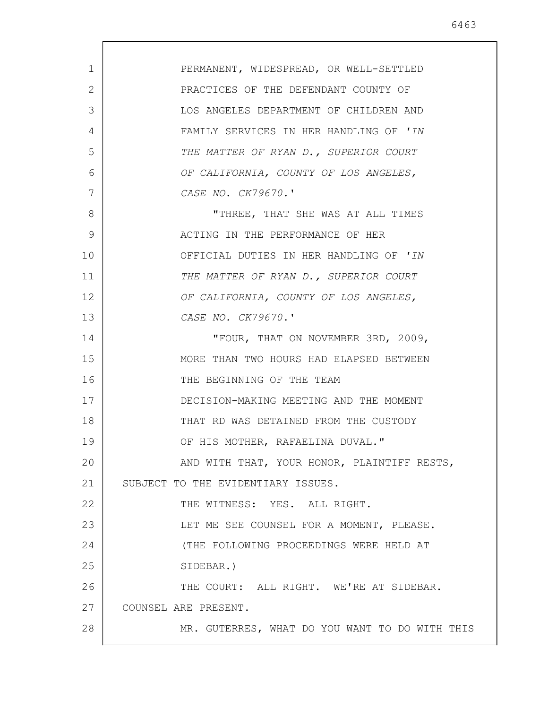| 1  | PERMANENT, WIDESPREAD, OR WELL-SETTLED         |
|----|------------------------------------------------|
| 2  | PRACTICES OF THE DEFENDANT COUNTY OF           |
| 3  | LOS ANGELES DEPARTMENT OF CHILDREN AND         |
| 4  | FAMILY SERVICES IN HER HANDLING OF 'IN         |
| 5  | THE MATTER OF RYAN D., SUPERIOR COURT          |
| 6  | OF CALIFORNIA, COUNTY OF LOS ANGELES,          |
| 7  | CASE NO. CK79670.'                             |
| 8  | "THREE, THAT SHE WAS AT ALL TIMES              |
| 9  | ACTING IN THE PERFORMANCE OF HER               |
| 10 | OFFICIAL DUTIES IN HER HANDLING OF 'IN         |
| 11 | THE MATTER OF RYAN D., SUPERIOR COURT          |
| 12 | OF CALIFORNIA, COUNTY OF LOS ANGELES,          |
| 13 | CASE NO. CK79670.'                             |
| 14 | "FOUR, THAT ON NOVEMBER 3RD, 2009,             |
| 15 | MORE THAN TWO HOURS HAD ELAPSED BETWEEN        |
| 16 | THE BEGINNING OF THE TEAM                      |
| 17 | DECISION-MAKING MEETING AND THE MOMENT         |
| 18 | THAT RD WAS DETAINED FROM THE CUSTODY          |
| 19 | OF HIS MOTHER, RAFAELINA DUVAL."               |
| 20 | AND WITH THAT, YOUR HONOR, PLAINTIFF RESTS,    |
| 21 | SUBJECT TO THE EVIDENTIARY ISSUES.             |
| 22 | THE WITNESS: YES. ALL RIGHT.                   |
| 23 | LET ME SEE COUNSEL FOR A MOMENT, PLEASE.       |
| 24 | (THE FOLLOWING PROCEEDINGS WERE HELD AT        |
| 25 | SIDEBAR.)                                      |
| 26 | THE COURT: ALL RIGHT. WE'RE AT SIDEBAR.        |
| 27 | COUNSEL ARE PRESENT.                           |
| 28 | MR. GUTERRES, WHAT DO YOU WANT TO DO WITH THIS |
|    |                                                |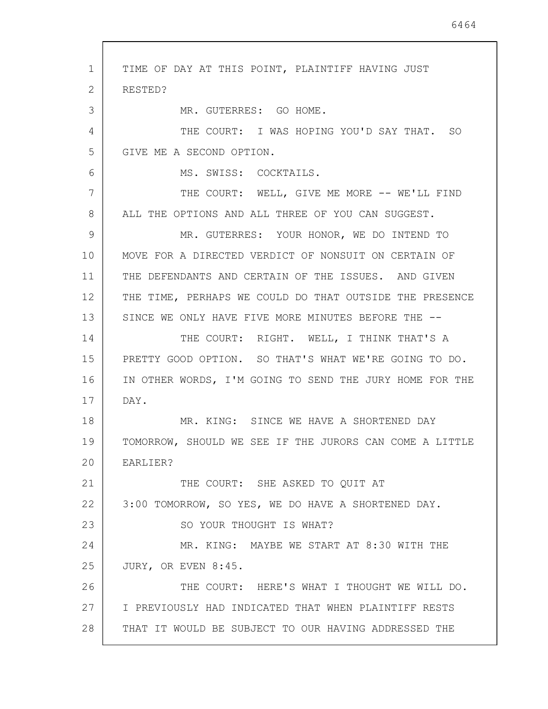1 2 3 4 5 6 7 8 9 10 11 12 13 14 15 16 17 18 19 20 21 22 23 24 25 26 27 28 TIME OF DAY AT THIS POINT, PLAINTIFF HAVING JUST RESTED? MR. GUTERRES: GO HOME. THE COURT: I WAS HOPING YOU'D SAY THAT. SO GIVE ME A SECOND OPTION. MS. SWISS: COCKTAILS. THE COURT: WELL, GIVE ME MORE -- WE'LL FIND ALL THE OPTIONS AND ALL THREE OF YOU CAN SUGGEST. MR. GUTERRES: YOUR HONOR, WE DO INTEND TO MOVE FOR A DIRECTED VERDICT OF NONSUIT ON CERTAIN OF THE DEFENDANTS AND CERTAIN OF THE ISSUES. AND GIVEN THE TIME, PERHAPS WE COULD DO THAT OUTSIDE THE PRESENCE SINCE WE ONLY HAVE FIVE MORE MINUTES BEFORE THE --THE COURT: RIGHT. WELL, I THINK THAT'S A PRETTY GOOD OPTION. SO THAT'S WHAT WE'RE GOING TO DO. IN OTHER WORDS, I'M GOING TO SEND THE JURY HOME FOR THE DAY. MR. KING: SINCE WE HAVE A SHORTENED DAY TOMORROW, SHOULD WE SEE IF THE JURORS CAN COME A LITTLE EARLIER? THE COURT: SHE ASKED TO QUIT AT 3:00 TOMORROW, SO YES, WE DO HAVE A SHORTENED DAY. SO YOUR THOUGHT IS WHAT? MR. KING: MAYBE WE START AT 8:30 WITH THE JURY, OR EVEN 8:45. THE COURT: HERE'S WHAT I THOUGHT WE WILL DO. I PREVIOUSLY HAD INDICATED THAT WHEN PLAINTIFF RESTS THAT IT WOULD BE SUBJECT TO OUR HAVING ADDRESSED THE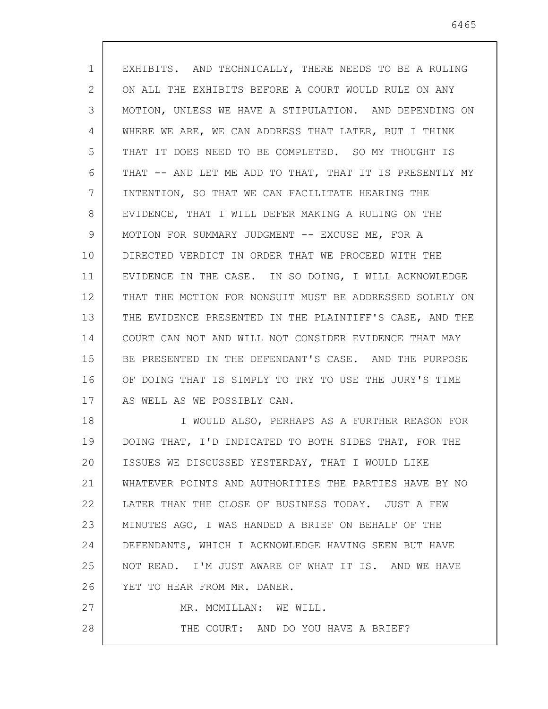| $\mathbf{1}$ | EXHIBITS. AND TECHNICALLY, THERE NEEDS TO BE A RULING   |
|--------------|---------------------------------------------------------|
| 2            | ON ALL THE EXHIBITS BEFORE A COURT WOULD RULE ON ANY    |
| 3            | MOTION, UNLESS WE HAVE A STIPULATION. AND DEPENDING ON  |
| 4            | WHERE WE ARE, WE CAN ADDRESS THAT LATER, BUT I THINK    |
| 5            | THAT IT DOES NEED TO BE COMPLETED. SO MY THOUGHT IS     |
| 6            | THAT -- AND LET ME ADD TO THAT, THAT IT IS PRESENTLY MY |
| 7            | INTENTION, SO THAT WE CAN FACILITATE HEARING THE        |
| 8            | EVIDENCE, THAT I WILL DEFER MAKING A RULING ON THE      |
| 9            | MOTION FOR SUMMARY JUDGMENT -- EXCUSE ME, FOR A         |
| 10           | DIRECTED VERDICT IN ORDER THAT WE PROCEED WITH THE      |
| 11           | EVIDENCE IN THE CASE. IN SO DOING, I WILL ACKNOWLEDGE   |
| 12           | THAT THE MOTION FOR NONSUIT MUST BE ADDRESSED SOLELY ON |
| 13           | THE EVIDENCE PRESENTED IN THE PLAINTIFF'S CASE, AND THE |
| 14           | COURT CAN NOT AND WILL NOT CONSIDER EVIDENCE THAT MAY   |
| 15           | BE PRESENTED IN THE DEFENDANT'S CASE. AND THE PURPOSE   |
| 16           | OF DOING THAT IS SIMPLY TO TRY TO USE THE JURY'S TIME   |
| 17           | AS WELL AS WE POSSIBLY CAN.                             |
| 18           | I WOULD ALSO, PERHAPS AS A FURTHER REASON FOR           |
| 19           | DOING THAT, I'D INDICATED TO BOTH SIDES THAT, FOR THE   |
| 20           | ISSUES WE DISCUSSED YESTERDAY, THAT I WOULD LIKE        |
| 21           | WHATEVER POINTS AND AUTHORITIES THE PARTIES HAVE BY NO  |
| 22           | LATER THAN THE CLOSE OF BUSINESS TODAY. JUST A FEW      |
| 23           | MINUTES AGO, I WAS HANDED A BRIEF ON BEHALF OF THE      |
| 24           | DEFENDANTS, WHICH I ACKNOWLEDGE HAVING SEEN BUT HAVE    |
| 25           | NOT READ. I'M JUST AWARE OF WHAT IT IS. AND WE HAVE     |
| 26           | YET TO HEAR FROM MR. DANER.                             |
| 27           | MR. MCMILLAN: WE WILL.                                  |
| 28           | THE COURT: AND DO YOU HAVE A BRIEF?                     |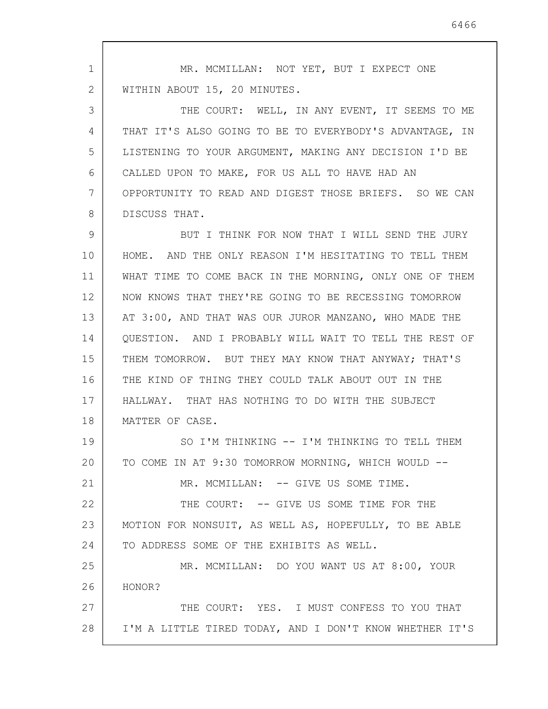1 2 3 4 5 6 7 8 9 10 11 12 13 14 15 16 17 18 19 20 21 22 23 24 25 26 27 28 MR. MCMILLAN: NOT YET, BUT I EXPECT ONE WITHIN ABOUT 15, 20 MINUTES. THE COURT: WELL, IN ANY EVENT, IT SEEMS TO ME THAT IT'S ALSO GOING TO BE TO EVERYBODY'S ADVANTAGE, IN LISTENING TO YOUR ARGUMENT, MAKING ANY DECISION I'D BE CALLED UPON TO MAKE, FOR US ALL TO HAVE HAD AN OPPORTUNITY TO READ AND DIGEST THOSE BRIEFS. SO WE CAN DISCUSS THAT. BUT I THINK FOR NOW THAT I WILL SEND THE JURY HOME. AND THE ONLY REASON I'M HESITATING TO TELL THEM WHAT TIME TO COME BACK IN THE MORNING, ONLY ONE OF THEM NOW KNOWS THAT THEY'RE GOING TO BE RECESSING TOMORROW AT 3:00, AND THAT WAS OUR JUROR MANZANO, WHO MADE THE QUESTION. AND I PROBABLY WILL WAIT TO TELL THE REST OF THEM TOMORROW. BUT THEY MAY KNOW THAT ANYWAY; THAT'S THE KIND OF THING THEY COULD TALK ABOUT OUT IN THE HALLWAY. THAT HAS NOTHING TO DO WITH THE SUBJECT MATTER OF CASE. SO I'M THINKING -- I'M THINKING TO TELL THEM TO COME IN AT 9:30 TOMORROW MORNING, WHICH WOULD -- MR. MCMILLAN: -- GIVE US SOME TIME. THE COURT: -- GIVE US SOME TIME FOR THE MOTION FOR NONSUIT, AS WELL AS, HOPEFULLY, TO BE ABLE TO ADDRESS SOME OF THE EXHIBITS AS WELL. MR. MCMILLAN: DO YOU WANT US AT 8:00, YOUR HONOR? THE COURT: YES. I MUST CONFESS TO YOU THAT I'M A LITTLE TIRED TODAY, AND I DON'T KNOW WHETHER IT'S

6466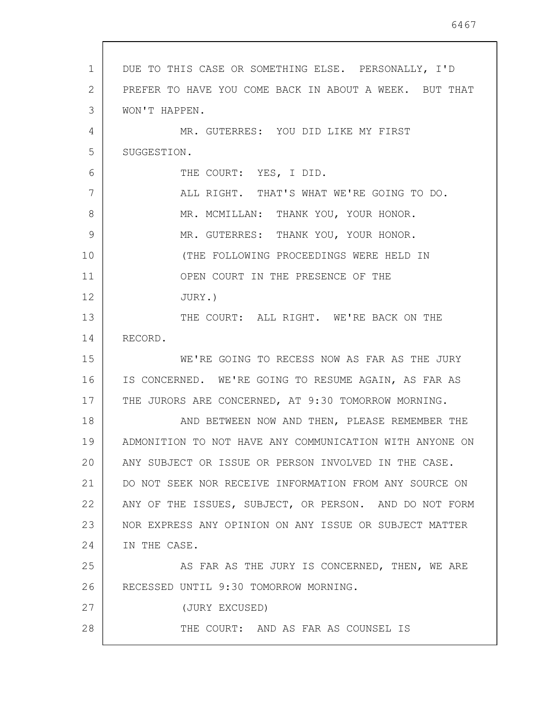1 2 3 4 5 6 7 8 9 10 11 12 13 14 15 16 17 18 19 20 21 22 23 24 25 26 27 28 DUE TO THIS CASE OR SOMETHING ELSE. PERSONALLY, I'D PREFER TO HAVE YOU COME BACK IN ABOUT A WEEK. BUT THAT WON'T HAPPEN. MR. GUTERRES: YOU DID LIKE MY FIRST SUGGESTION. THE COURT: YES, I DID. ALL RIGHT. THAT'S WHAT WE'RE GOING TO DO. MR. MCMILLAN: THANK YOU, YOUR HONOR. MR. GUTERRES: THANK YOU, YOUR HONOR. (THE FOLLOWING PROCEEDINGS WERE HELD IN OPEN COURT IN THE PRESENCE OF THE JURY.) THE COURT: ALL RIGHT. WE'RE BACK ON THE RECORD. WE'RE GOING TO RECESS NOW AS FAR AS THE JURY IS CONCERNED. WE'RE GOING TO RESUME AGAIN, AS FAR AS THE JURORS ARE CONCERNED, AT 9:30 TOMORROW MORNING. AND BETWEEN NOW AND THEN, PLEASE REMEMBER THE ADMONITION TO NOT HAVE ANY COMMUNICATION WITH ANYONE ON ANY SUBJECT OR ISSUE OR PERSON INVOLVED IN THE CASE. DO NOT SEEK NOR RECEIVE INFORMATION FROM ANY SOURCE ON ANY OF THE ISSUES, SUBJECT, OR PERSON. AND DO NOT FORM NOR EXPRESS ANY OPINION ON ANY ISSUE OR SUBJECT MATTER IN THE CASE. AS FAR AS THE JURY IS CONCERNED, THEN, WE ARE RECESSED UNTIL 9:30 TOMORROW MORNING. (JURY EXCUSED) THE COURT: AND AS FAR AS COUNSEL IS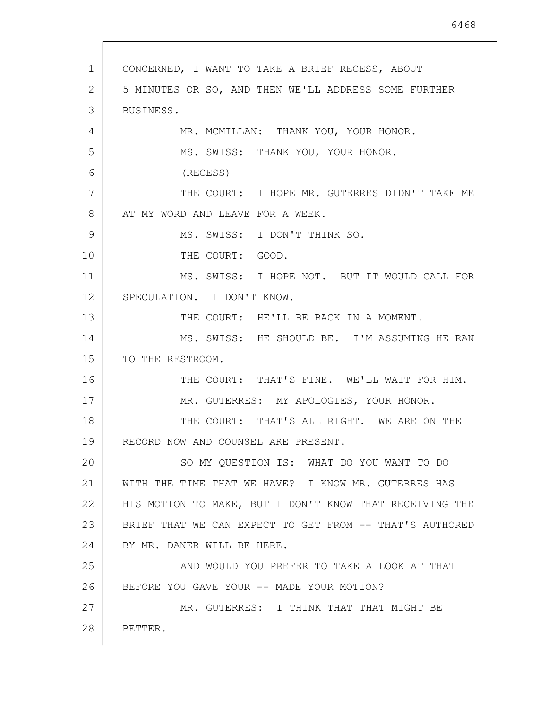1 2 3 4 5 6 7 8 9 10 11 12 13 14 15 16 17 18 19 20 21 22 23 24 25 26 27 28 CONCERNED, I WANT TO TAKE A BRIEF RECESS, ABOUT 5 MINUTES OR SO, AND THEN WE'LL ADDRESS SOME FURTHER BUSINESS. MR. MCMILLAN: THANK YOU, YOUR HONOR. MS. SWISS: THANK YOU, YOUR HONOR. (RECESS) THE COURT: I HOPE MR. GUTERRES DIDN'T TAKE ME AT MY WORD AND LEAVE FOR A WEEK. MS. SWISS: I DON'T THINK SO. THE COURT: GOOD. MS. SWISS: I HOPE NOT. BUT IT WOULD CALL FOR SPECULATION. I DON'T KNOW. THE COURT: HE'LL BE BACK IN A MOMENT. MS. SWISS: HE SHOULD BE. I'M ASSUMING HE RAN TO THE RESTROOM. THE COURT: THAT'S FINE. WE'LL WAIT FOR HIM. MR. GUTERRES: MY APOLOGIES, YOUR HONOR. THE COURT: THAT'S ALL RIGHT. WE ARE ON THE RECORD NOW AND COUNSEL ARE PRESENT. SO MY QUESTION IS: WHAT DO YOU WANT TO DO WITH THE TIME THAT WE HAVE? I KNOW MR. GUTERRES HAS HIS MOTION TO MAKE, BUT I DON'T KNOW THAT RECEIVING THE BRIEF THAT WE CAN EXPECT TO GET FROM -- THAT'S AUTHORED BY MR. DANER WILL BE HERE. AND WOULD YOU PREFER TO TAKE A LOOK AT THAT BEFORE YOU GAVE YOUR -- MADE YOUR MOTION? MR. GUTERRES: I THINK THAT THAT MIGHT BE BETTER.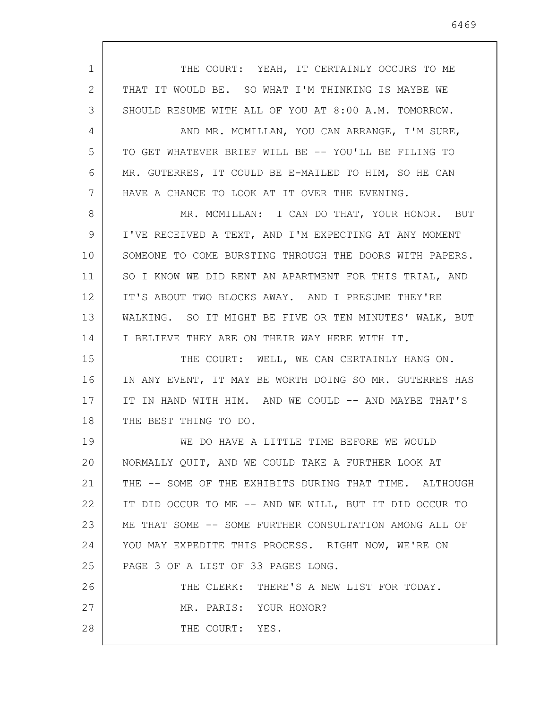1 2 3 4 5 6 7 8 9 10 11 12 13 14 15 16 17 18 19 20 21 22 23 24 25 26 27 28 THE COURT: YEAH, IT CERTAINLY OCCURS TO ME THAT IT WOULD BE. SO WHAT I'M THINKING IS MAYBE WE SHOULD RESUME WITH ALL OF YOU AT 8:00 A.M. TOMORROW. AND MR. MCMILLAN, YOU CAN ARRANGE, I'M SURE, TO GET WHATEVER BRIEF WILL BE -- YOU'LL BE FILING TO MR. GUTERRES, IT COULD BE E-MAILED TO HIM, SO HE CAN HAVE A CHANCE TO LOOK AT IT OVER THE EVENING. MR. MCMILLAN: I CAN DO THAT, YOUR HONOR. BUT I'VE RECEIVED A TEXT, AND I'M EXPECTING AT ANY MOMENT SOMEONE TO COME BURSTING THROUGH THE DOORS WITH PAPERS. SO I KNOW WE DID RENT AN APARTMENT FOR THIS TRIAL, AND IT'S ABOUT TWO BLOCKS AWAY. AND I PRESUME THEY'RE WALKING. SO IT MIGHT BE FIVE OR TEN MINUTES' WALK, BUT I BELIEVE THEY ARE ON THEIR WAY HERE WITH IT. THE COURT: WELL, WE CAN CERTAINLY HANG ON. IN ANY EVENT, IT MAY BE WORTH DOING SO MR. GUTERRES HAS IT IN HAND WITH HIM. AND WE COULD -- AND MAYBE THAT'S THE BEST THING TO DO. WE DO HAVE A LITTLE TIME BEFORE WE WOULD NORMALLY QUIT, AND WE COULD TAKE A FURTHER LOOK AT THE -- SOME OF THE EXHIBITS DURING THAT TIME. ALTHOUGH IT DID OCCUR TO ME -- AND WE WILL, BUT IT DID OCCUR TO ME THAT SOME -- SOME FURTHER CONSULTATION AMONG ALL OF YOU MAY EXPEDITE THIS PROCESS. RIGHT NOW, WE'RE ON PAGE 3 OF A LIST OF 33 PAGES LONG. THE CLERK: THERE'S A NEW LIST FOR TODAY. MR. PARIS: YOUR HONOR? THE COURT: YES.

6469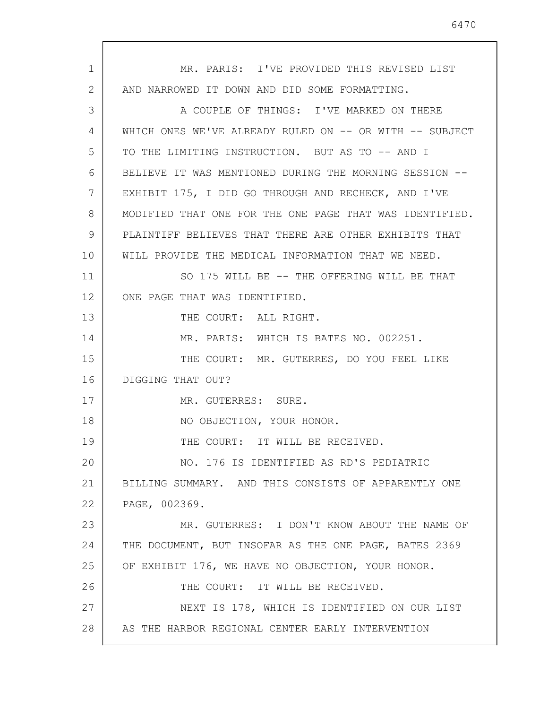1 2 3 4 5 6 7 8 9 10 11 12 13 14 15 16 17 18 19 20 21 22 23 24 25 26 27 28 MR. PARIS: I'VE PROVIDED THIS REVISED LIST AND NARROWED IT DOWN AND DID SOME FORMATTING. A COUPLE OF THINGS: I'VE MARKED ON THERE WHICH ONES WE'VE ALREADY RULED ON -- OR WITH -- SUBJECT TO THE LIMITING INSTRUCTION. BUT AS TO -- AND I BELIEVE IT WAS MENTIONED DURING THE MORNING SESSION -- EXHIBIT 175, I DID GO THROUGH AND RECHECK, AND I'VE MODIFIED THAT ONE FOR THE ONE PAGE THAT WAS IDENTIFIED. PLAINTIFF BELIEVES THAT THERE ARE OTHER EXHIBITS THAT WILL PROVIDE THE MEDICAL INFORMATION THAT WE NEED. SO 175 WILL BE -- THE OFFERING WILL BE THAT ONE PAGE THAT WAS IDENTIFIED. THE COURT: ALL RIGHT. MR. PARIS: WHICH IS BATES NO. 002251. THE COURT: MR. GUTERRES, DO YOU FEEL LIKE DIGGING THAT OUT? MR. GUTERRES: SURE. NO OBJECTION, YOUR HONOR. THE COURT: IT WILL BE RECEIVED. NO. 176 IS IDENTIFIED AS RD'S PEDIATRIC BILLING SUMMARY. AND THIS CONSISTS OF APPARENTLY ONE PAGE, 002369. MR. GUTERRES: I DON'T KNOW ABOUT THE NAME OF THE DOCUMENT, BUT INSOFAR AS THE ONE PAGE, BATES 2369 OF EXHIBIT 176, WE HAVE NO OBJECTION, YOUR HONOR. THE COURT: IT WILL BE RECEIVED. NEXT IS 178, WHICH IS IDENTIFIED ON OUR LIST AS THE HARBOR REGIONAL CENTER EARLY INTERVENTION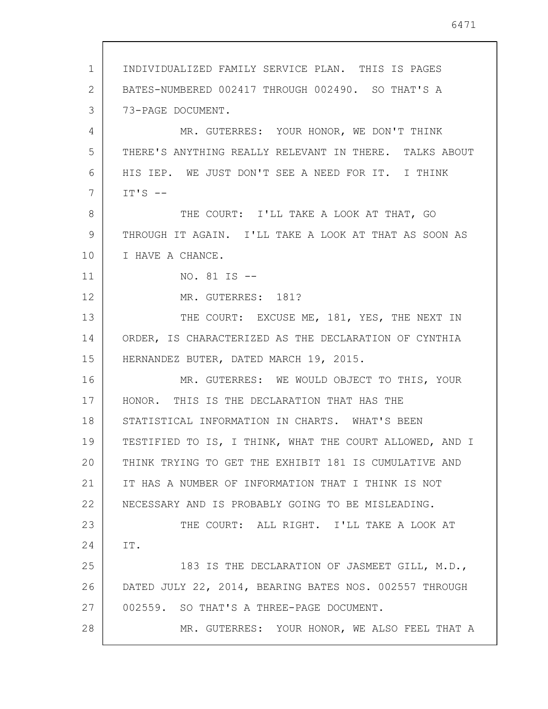1 2 3 4 5 6 7 8 9 10 11 12 13 14 15 16 17 18 19 20 21 22 23 24 25 26 27 28 INDIVIDUALIZED FAMILY SERVICE PLAN. THIS IS PAGES BATES-NUMBERED 002417 THROUGH 002490. SO THAT'S A 73-PAGE DOCUMENT. MR. GUTERRES: YOUR HONOR, WE DON'T THINK THERE'S ANYTHING REALLY RELEVANT IN THERE. TALKS ABOUT HIS IEP. WE JUST DON'T SEE A NEED FOR IT. I THINK  $IT'S$  --THE COURT: I'LL TAKE A LOOK AT THAT, GO THROUGH IT AGAIN. I'LL TAKE A LOOK AT THAT AS SOON AS I HAVE A CHANCE. NO. 81 IS -- MR. GUTERRES: 181? THE COURT: EXCUSE ME, 181, YES, THE NEXT IN ORDER, IS CHARACTERIZED AS THE DECLARATION OF CYNTHIA HERNANDEZ BUTER, DATED MARCH 19, 2015. MR. GUTERRES: WE WOULD OBJECT TO THIS, YOUR HONOR. THIS IS THE DECLARATION THAT HAS THE STATISTICAL INFORMATION IN CHARTS. WHAT'S BEEN TESTIFIED TO IS, I THINK, WHAT THE COURT ALLOWED, AND I THINK TRYING TO GET THE EXHIBIT 181 IS CUMULATIVE AND IT HAS A NUMBER OF INFORMATION THAT I THINK IS NOT NECESSARY AND IS PROBABLY GOING TO BE MISLEADING. THE COURT: ALL RIGHT. I'LL TAKE A LOOK AT IT. 183 IS THE DECLARATION OF JASMEET GILL, M.D., DATED JULY 22, 2014, BEARING BATES NOS. 002557 THROUGH 002559. SO THAT'S A THREE-PAGE DOCUMENT. MR. GUTERRES: YOUR HONOR, WE ALSO FEEL THAT A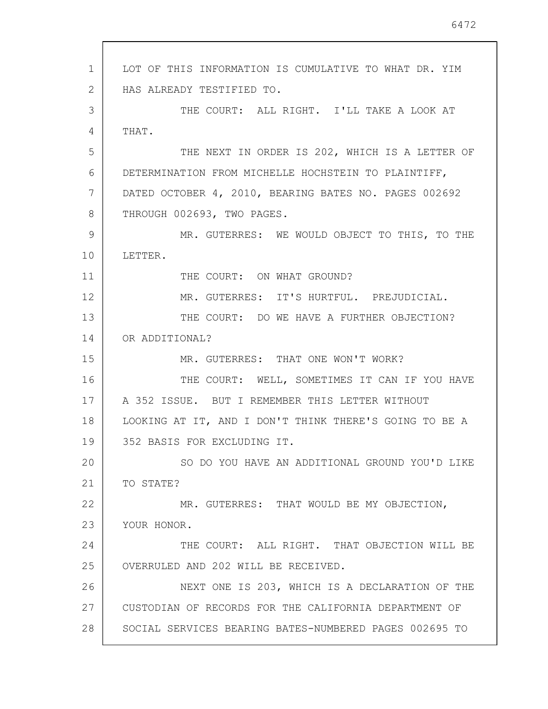1 2 3 4 5 6 7 8 9 10 11 12 13 14 15 16 17 18 19 20 21 22 23 24 25 26 27 28 LOT OF THIS INFORMATION IS CUMULATIVE TO WHAT DR. YIM HAS ALREADY TESTIFIED TO. THE COURT: ALL RIGHT. I'LL TAKE A LOOK AT THAT. THE NEXT IN ORDER IS 202, WHICH IS A LETTER OF DETERMINATION FROM MICHELLE HOCHSTEIN TO PLAINTIFF, DATED OCTOBER 4, 2010, BEARING BATES NO. PAGES 002692 THROUGH 002693, TWO PAGES. MR. GUTERRES: WE WOULD OBJECT TO THIS, TO THE LETTER. THE COURT: ON WHAT GROUND? MR. GUTERRES: IT'S HURTFUL. PREJUDICIAL. THE COURT: DO WE HAVE A FURTHER OBJECTION? OR ADDITIONAL? MR. GUTERRES: THAT ONE WON'T WORK? THE COURT: WELL, SOMETIMES IT CAN IF YOU HAVE A 352 ISSUE. BUT I REMEMBER THIS LETTER WITHOUT LOOKING AT IT, AND I DON'T THINK THERE'S GOING TO BE A 352 BASIS FOR EXCLUDING IT. SO DO YOU HAVE AN ADDITIONAL GROUND YOU'D LIKE TO STATE? MR. GUTERRES: THAT WOULD BE MY OBJECTION, YOUR HONOR. THE COURT: ALL RIGHT. THAT OBJECTION WILL BE OVERRULED AND 202 WILL BE RECEIVED. NEXT ONE IS 203, WHICH IS A DECLARATION OF THE CUSTODIAN OF RECORDS FOR THE CALIFORNIA DEPARTMENT OF SOCIAL SERVICES BEARING BATES-NUMBERED PAGES 002695 TO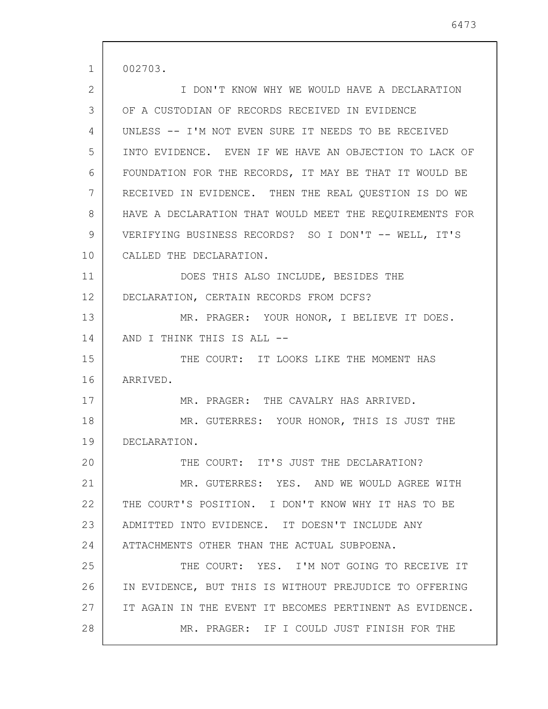1 2 3 4 5 6 7 8 9 10 11 12 13 14 15 16 17 18 19 20 21 22 23 24 25 26 27 28 002703. I DON'T KNOW WHY WE WOULD HAVE A DECLARATION OF A CUSTODIAN OF RECORDS RECEIVED IN EVIDENCE UNLESS -- I'M NOT EVEN SURE IT NEEDS TO BE RECEIVED INTO EVIDENCE. EVEN IF WE HAVE AN OBJECTION TO LACK OF FOUNDATION FOR THE RECORDS, IT MAY BE THAT IT WOULD BE RECEIVED IN EVIDENCE. THEN THE REAL QUESTION IS DO WE HAVE A DECLARATION THAT WOULD MEET THE REQUIREMENTS FOR VERIFYING BUSINESS RECORDS? SO I DON'T -- WELL, IT'S CALLED THE DECLARATION. DOES THIS ALSO INCLUDE, BESIDES THE DECLARATION, CERTAIN RECORDS FROM DCFS? MR. PRAGER: YOUR HONOR, I BELIEVE IT DOES. AND I THINK THIS IS ALL -- THE COURT: IT LOOKS LIKE THE MOMENT HAS ARRIVED. MR. PRAGER: THE CAVALRY HAS ARRIVED. MR. GUTERRES: YOUR HONOR, THIS IS JUST THE DECLARATION. THE COURT: IT'S JUST THE DECLARATION? MR. GUTERRES: YES. AND WE WOULD AGREE WITH THE COURT'S POSITION. I DON'T KNOW WHY IT HAS TO BE ADMITTED INTO EVIDENCE. IT DOESN'T INCLUDE ANY ATTACHMENTS OTHER THAN THE ACTUAL SUBPOENA. THE COURT: YES. I'M NOT GOING TO RECEIVE IT IN EVIDENCE, BUT THIS IS WITHOUT PREJUDICE TO OFFERING IT AGAIN IN THE EVENT IT BECOMES PERTINENT AS EVIDENCE. MR. PRAGER: IF I COULD JUST FINISH FOR THE

6473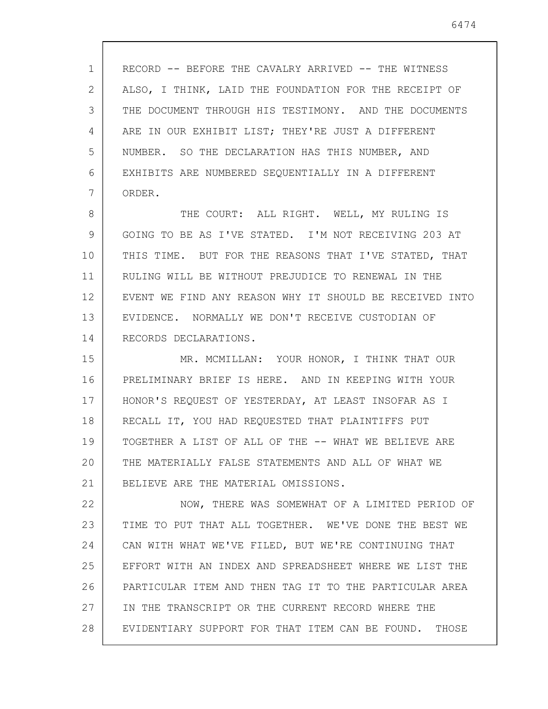1 2 3 4 5 6 7 ALSO, I THINK, LAID THE FOUNDATION FOR THE RECEIPT OF THE DOCUMENT THROUGH HIS TESTIMONY. AND THE DOCUMENTS ARE IN OUR EXHIBIT LIST; THEY'RE JUST A DIFFERENT NUMBER. SO THE DECLARATION HAS THIS NUMBER, AND EXHIBITS ARE NUMBERED SEQUENTIALLY IN A DIFFERENT ORDER.

8 9 10 11 12 13 14 THE COURT: ALL RIGHT. WELL, MY RULING IS GOING TO BE AS I'VE STATED. I'M NOT RECEIVING 203 AT THIS TIME. BUT FOR THE REASONS THAT I'VE STATED, THAT RULING WILL BE WITHOUT PREJUDICE TO RENEWAL IN THE EVENT WE FIND ANY REASON WHY IT SHOULD BE RECEIVED INTO EVIDENCE. NORMALLY WE DON'T RECEIVE CUSTODIAN OF RECORDS DECLARATIONS.

15 16 17 18 19 20 21 MR. MCMILLAN: YOUR HONOR, I THINK THAT OUR PRELIMINARY BRIEF IS HERE. AND IN KEEPING WITH YOUR HONOR'S REQUEST OF YESTERDAY, AT LEAST INSOFAR AS I RECALL IT, YOU HAD REQUESTED THAT PLAINTIFFS PUT TOGETHER A LIST OF ALL OF THE -- WHAT WE BELIEVE ARE THE MATERIALLY FALSE STATEMENTS AND ALL OF WHAT WE BELIEVE ARE THE MATERIAL OMISSIONS.

22 23 24 25 26 27 28 NOW, THERE WAS SOMEWHAT OF A LIMITED PERIOD OF TIME TO PUT THAT ALL TOGETHER. WE'VE DONE THE BEST WE CAN WITH WHAT WE'VE FILED, BUT WE'RE CONTINUING THAT EFFORT WITH AN INDEX AND SPREADSHEET WHERE WE LIST THE PARTICULAR ITEM AND THEN TAG IT TO THE PARTICULAR AREA IN THE TRANSCRIPT OR THE CURRENT RECORD WHERE THE EVIDENTIARY SUPPORT FOR THAT ITEM CAN BE FOUND. THOSE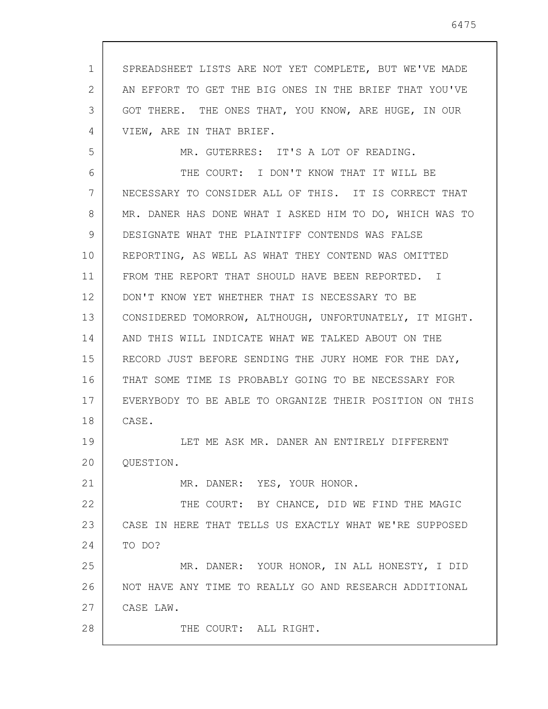1 2 3 4 SPREADSHEET LISTS ARE NOT YET COMPLETE, BUT WE'VE MADE AN EFFORT TO GET THE BIG ONES IN THE BRIEF THAT YOU'VE GOT THERE. THE ONES THAT, YOU KNOW, ARE HUGE, IN OUR VIEW, ARE IN THAT BRIEF.

5

21

28

MR. GUTERRES: IT'S A LOT OF READING.

6 7 8 9 10 11 12 13 14 15 16 17 18 THE COURT: I DON'T KNOW THAT IT WILL BE NECESSARY TO CONSIDER ALL OF THIS. IT IS CORRECT THAT MR. DANER HAS DONE WHAT I ASKED HIM TO DO, WHICH WAS TO DESIGNATE WHAT THE PLAINTIFF CONTENDS WAS FALSE REPORTING, AS WELL AS WHAT THEY CONTEND WAS OMITTED FROM THE REPORT THAT SHOULD HAVE BEEN REPORTED. I DON'T KNOW YET WHETHER THAT IS NECESSARY TO BE CONSIDERED TOMORROW, ALTHOUGH, UNFORTUNATELY, IT MIGHT. AND THIS WILL INDICATE WHAT WE TALKED ABOUT ON THE RECORD JUST BEFORE SENDING THE JURY HOME FOR THE DAY, THAT SOME TIME IS PROBABLY GOING TO BE NECESSARY FOR EVERYBODY TO BE ABLE TO ORGANIZE THEIR POSITION ON THIS CASE.

19 20 LET ME ASK MR. DANER AN ENTIRELY DIFFERENT QUESTION.

MR. DANER: YES, YOUR HONOR.

22 23 24 THE COURT: BY CHANCE, DID WE FIND THE MAGIC CASE IN HERE THAT TELLS US EXACTLY WHAT WE'RE SUPPOSED TO DO?

25 26 27 MR. DANER: YOUR HONOR, IN ALL HONESTY, I DID NOT HAVE ANY TIME TO REALLY GO AND RESEARCH ADDITIONAL CASE LAW.

THE COURT: ALL RIGHT.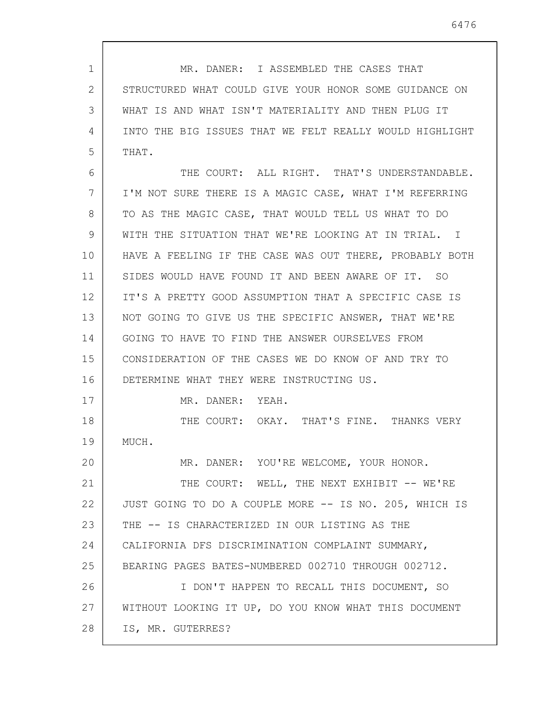1 2 3 4 5 6 7 8 9 10 11 12 13 14 15 16 17 18 19 20 21 22 23 24 25 26 27 28 MR. DANER: I ASSEMBLED THE CASES THAT STRUCTURED WHAT COULD GIVE YOUR HONOR SOME GUIDANCE ON WHAT IS AND WHAT ISN'T MATERIALITY AND THEN PLUG IT INTO THE BIG ISSUES THAT WE FELT REALLY WOULD HIGHLIGHT THAT. THE COURT: ALL RIGHT. THAT'S UNDERSTANDABLE. I'M NOT SURE THERE IS A MAGIC CASE, WHAT I'M REFERRING TO AS THE MAGIC CASE, THAT WOULD TELL US WHAT TO DO WITH THE SITUATION THAT WE'RE LOOKING AT IN TRIAL. I HAVE A FEELING IF THE CASE WAS OUT THERE, PROBABLY BOTH SIDES WOULD HAVE FOUND IT AND BEEN AWARE OF IT. SO IT'S A PRETTY GOOD ASSUMPTION THAT A SPECIFIC CASE IS NOT GOING TO GIVE US THE SPECIFIC ANSWER, THAT WE'RE GOING TO HAVE TO FIND THE ANSWER OURSELVES FROM CONSIDERATION OF THE CASES WE DO KNOW OF AND TRY TO DETERMINE WHAT THEY WERE INSTRUCTING US. MR. DANER: YEAH. THE COURT: OKAY. THAT'S FINE. THANKS VERY MUCH. MR. DANER: YOU'RE WELCOME, YOUR HONOR. THE COURT: WELL, THE NEXT EXHIBIT -- WE'RE JUST GOING TO DO A COUPLE MORE -- IS NO. 205, WHICH IS THE -- IS CHARACTERIZED IN OUR LISTING AS THE CALIFORNIA DFS DISCRIMINATION COMPLAINT SUMMARY, BEARING PAGES BATES-NUMBERED 002710 THROUGH 002712. I DON'T HAPPEN TO RECALL THIS DOCUMENT, SO WITHOUT LOOKING IT UP, DO YOU KNOW WHAT THIS DOCUMENT IS, MR. GUTERRES?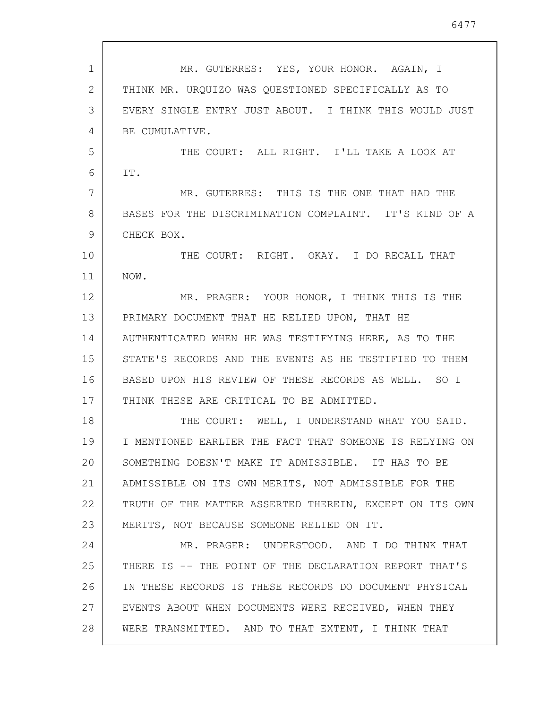1 2 3 4 5 6 7 8 9 10 11 12 13 14 15 16 17 18 19 20 21 22 23 24 25 26 27 28 MR. GUTERRES: YES, YOUR HONOR. AGAIN, I THINK MR. URQUIZO WAS QUESTIONED SPECIFICALLY AS TO EVERY SINGLE ENTRY JUST ABOUT. I THINK THIS WOULD JUST BE CUMULATIVE. THE COURT: ALL RIGHT. I'LL TAKE A LOOK AT IT. MR. GUTERRES: THIS IS THE ONE THAT HAD THE BASES FOR THE DISCRIMINATION COMPLAINT. IT'S KIND OF A CHECK BOX. THE COURT: RIGHT. OKAY. I DO RECALL THAT NOW. MR. PRAGER: YOUR HONOR, I THINK THIS IS THE PRIMARY DOCUMENT THAT HE RELIED UPON, THAT HE AUTHENTICATED WHEN HE WAS TESTIFYING HERE, AS TO THE STATE'S RECORDS AND THE EVENTS AS HE TESTIFIED TO THEM BASED UPON HIS REVIEW OF THESE RECORDS AS WELL. SO I THINK THESE ARE CRITICAL TO BE ADMITTED. THE COURT: WELL, I UNDERSTAND WHAT YOU SAID. I MENTIONED EARLIER THE FACT THAT SOMEONE IS RELYING ON SOMETHING DOESN'T MAKE IT ADMISSIBLE. IT HAS TO BE ADMISSIBLE ON ITS OWN MERITS, NOT ADMISSIBLE FOR THE TRUTH OF THE MATTER ASSERTED THEREIN, EXCEPT ON ITS OWN MERITS, NOT BECAUSE SOMEONE RELIED ON IT. MR. PRAGER: UNDERSTOOD. AND I DO THINK THAT THERE IS -- THE POINT OF THE DECLARATION REPORT THAT'S IN THESE RECORDS IS THESE RECORDS DO DOCUMENT PHYSICAL EVENTS ABOUT WHEN DOCUMENTS WERE RECEIVED, WHEN THEY WERE TRANSMITTED. AND TO THAT EXTENT, I THINK THAT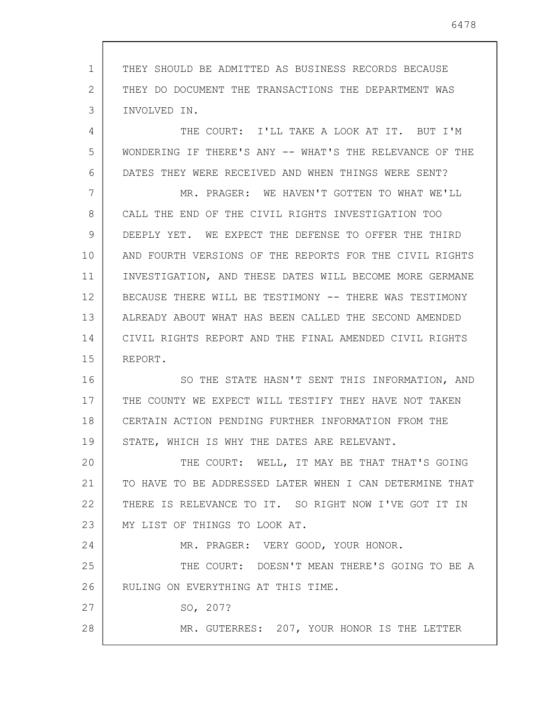1 2 3 THEY SHOULD BE ADMITTED AS BUSINESS RECORDS BECAUSE THEY DO DOCUMENT THE TRANSACTIONS THE DEPARTMENT WAS INVOLVED IN.

4 5 6 THE COURT: I'LL TAKE A LOOK AT IT. BUT I'M WONDERING IF THERE'S ANY -- WHAT'S THE RELEVANCE OF THE DATES THEY WERE RECEIVED AND WHEN THINGS WERE SENT?

7 8 9 10 11 12 13 14 15 MR. PRAGER: WE HAVEN'T GOTTEN TO WHAT WE'LL CALL THE END OF THE CIVIL RIGHTS INVESTIGATION TOO DEEPLY YET. WE EXPECT THE DEFENSE TO OFFER THE THIRD AND FOURTH VERSIONS OF THE REPORTS FOR THE CIVIL RIGHTS INVESTIGATION, AND THESE DATES WILL BECOME MORE GERMANE BECAUSE THERE WILL BE TESTIMONY -- THERE WAS TESTIMONY ALREADY ABOUT WHAT HAS BEEN CALLED THE SECOND AMENDED CIVIL RIGHTS REPORT AND THE FINAL AMENDED CIVIL RIGHTS REPORT.

16 17 18 19 SO THE STATE HASN'T SENT THIS INFORMATION, AND THE COUNTY WE EXPECT WILL TESTIFY THEY HAVE NOT TAKEN CERTAIN ACTION PENDING FURTHER INFORMATION FROM THE STATE, WHICH IS WHY THE DATES ARE RELEVANT.

20 21 22 23 THE COURT: WELL, IT MAY BE THAT THAT'S GOING TO HAVE TO BE ADDRESSED LATER WHEN I CAN DETERMINE THAT THERE IS RELEVANCE TO IT. SO RIGHT NOW I'VE GOT IT IN MY LIST OF THINGS TO LOOK AT.

MR. PRAGER: VERY GOOD, YOUR HONOR.

25 26 THE COURT: DOESN'T MEAN THERE'S GOING TO BE A RULING ON EVERYTHING AT THIS TIME.

SO, 207?

24

27

28

MR. GUTERRES: 207, YOUR HONOR IS THE LETTER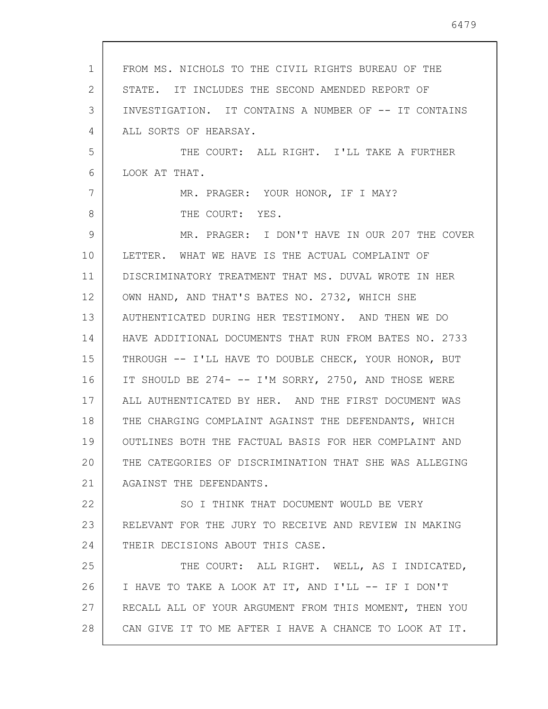1 2 3 4 5 6 7 8 9 10 11 12 13 14 15 16 17 18 19 20 21 22 23 24 25 26 27 28 FROM MS. NICHOLS TO THE CIVIL RIGHTS BUREAU OF THE STATE. IT INCLUDES THE SECOND AMENDED REPORT OF INVESTIGATION. IT CONTAINS A NUMBER OF -- IT CONTAINS ALL SORTS OF HEARSAY. THE COURT: ALL RIGHT. I'LL TAKE A FURTHER LOOK AT THAT. MR. PRAGER: YOUR HONOR, IF I MAY? THE COURT: YES. MR. PRAGER: I DON'T HAVE IN OUR 207 THE COVER LETTER. WHAT WE HAVE IS THE ACTUAL COMPLAINT OF DISCRIMINATORY TREATMENT THAT MS. DUVAL WROTE IN HER OWN HAND, AND THAT'S BATES NO. 2732, WHICH SHE AUTHENTICATED DURING HER TESTIMONY. AND THEN WE DO HAVE ADDITIONAL DOCUMENTS THAT RUN FROM BATES NO. 2733 THROUGH -- I'LL HAVE TO DOUBLE CHECK, YOUR HONOR, BUT IT SHOULD BE 274- -- I'M SORRY, 2750, AND THOSE WERE ALL AUTHENTICATED BY HER. AND THE FIRST DOCUMENT WAS THE CHARGING COMPLAINT AGAINST THE DEFENDANTS, WHICH OUTLINES BOTH THE FACTUAL BASIS FOR HER COMPLAINT AND THE CATEGORIES OF DISCRIMINATION THAT SHE WAS ALLEGING AGAINST THE DEFENDANTS. SO I THINK THAT DOCUMENT WOULD BE VERY RELEVANT FOR THE JURY TO RECEIVE AND REVIEW IN MAKING THEIR DECISIONS ABOUT THIS CASE. THE COURT: ALL RIGHT. WELL, AS I INDICATED, I HAVE TO TAKE A LOOK AT IT, AND I'LL -- IF I DON'T RECALL ALL OF YOUR ARGUMENT FROM THIS MOMENT, THEN YOU CAN GIVE IT TO ME AFTER I HAVE A CHANCE TO LOOK AT IT.

6479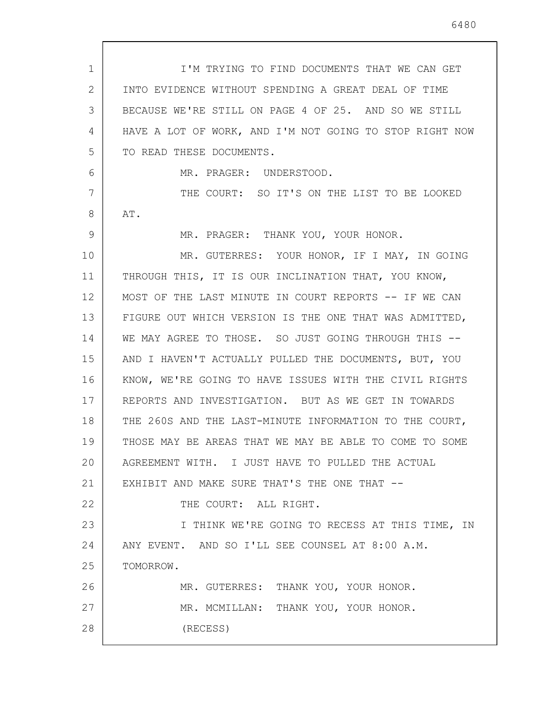1 2 3 4 5 6 7 8 9 10 11 12 13 14 15 16 17 18 19 20 21 22 23 24 25 26 27 28 I'M TRYING TO FIND DOCUMENTS THAT WE CAN GET INTO EVIDENCE WITHOUT SPENDING A GREAT DEAL OF TIME BECAUSE WE'RE STILL ON PAGE 4 OF 25. AND SO WE STILL HAVE A LOT OF WORK, AND I'M NOT GOING TO STOP RIGHT NOW TO READ THESE DOCUMENTS. MR. PRAGER: UNDERSTOOD. THE COURT: SO IT'S ON THE LIST TO BE LOOKED AT. MR. PRAGER: THANK YOU, YOUR HONOR. MR. GUTERRES: YOUR HONOR, IF I MAY, IN GOING THROUGH THIS, IT IS OUR INCLINATION THAT, YOU KNOW, MOST OF THE LAST MINUTE IN COURT REPORTS -- IF WE CAN FIGURE OUT WHICH VERSION IS THE ONE THAT WAS ADMITTED, WE MAY AGREE TO THOSE. SO JUST GOING THROUGH THIS --AND I HAVEN'T ACTUALLY PULLED THE DOCUMENTS, BUT, YOU KNOW, WE'RE GOING TO HAVE ISSUES WITH THE CIVIL RIGHTS REPORTS AND INVESTIGATION. BUT AS WE GET IN TOWARDS THE 260S AND THE LAST-MINUTE INFORMATION TO THE COURT, THOSE MAY BE AREAS THAT WE MAY BE ABLE TO COME TO SOME AGREEMENT WITH. I JUST HAVE TO PULLED THE ACTUAL EXHIBIT AND MAKE SURE THAT'S THE ONE THAT -- THE COURT: ALL RIGHT. I THINK WE'RE GOING TO RECESS AT THIS TIME, IN ANY EVENT. AND SO I'LL SEE COUNSEL AT 8:00 A.M. TOMORROW. MR. GUTERRES: THANK YOU, YOUR HONOR. MR. MCMILLAN: THANK YOU, YOUR HONOR. (RECESS)